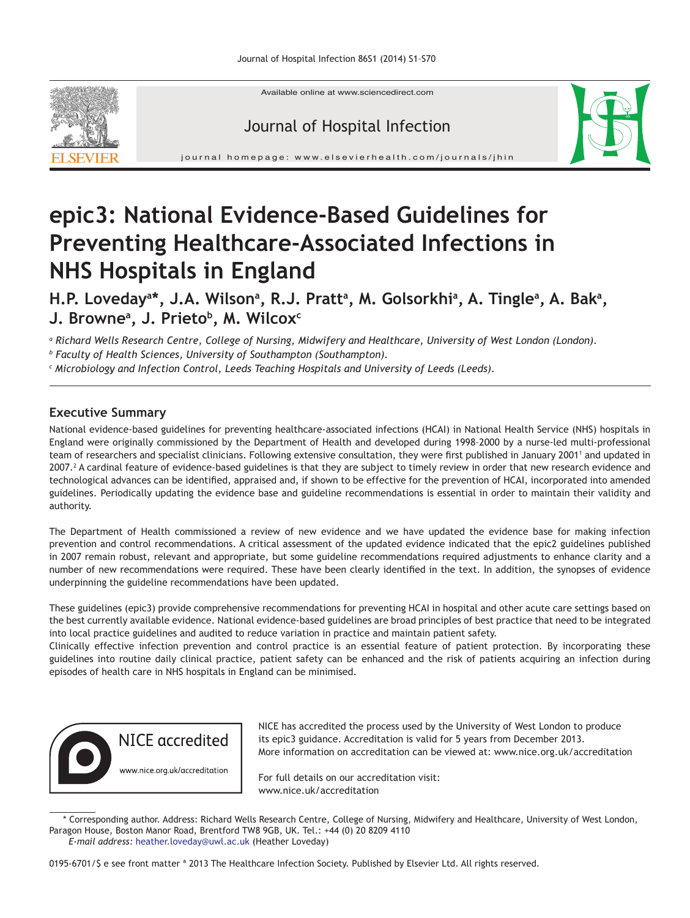

Available online at www.sciencedirect.com

# Journal of Hospital Infection



journal homepage: www.elsevierhealth.com/journals/jhin

# **epic3: National Evidence-Based Guidelines for Preventing Healthcare-Associated Infections in NHS Hospitals in England**

H.P. Loveday<sup>a\*</sup>, J.A. Wilson<sup>a</sup>, R.J. Pratt<sup>a</sup>, M. Golsorkhi<sup>a</sup>, A. Tingle<sup>a</sup>, A. Bak<sup>a</sup>, J. Browneª, J. Prieto<sup>ь</sup>, M. Wilcox<sup>c</sup>

*a Richard Wells Research Centre, College of Nursing, Midwifery and Healthcare, University of West London (London).*

*b Faculty of Health Sciences, University of Southampton (Southampton).*

*c Microbiology and Infection Control, Leeds Teaching Hospitals and University of Leeds (Leeds).*

# **Executive Summary**

National evidence-based guidelines for preventing healthcare-associated infections (HCAI) in National Health Service (NHS) hospitals in England were originally commissioned by the Department of Health and developed during 1998–2000 by a nurse-led multi-professional team of researchers and specialist clinicians. Following extensive consultation, they were first published in January 2001<sup>1</sup> and updated in 2007.2 A cardinal feature of evidence-based guidelines is that they are subject to timely review in order that new research evidence and technological advances can be identified, appraised and, if shown to be effective for the prevention of HCAI, incorporated into amended guidelines. Periodically updating the evidence base and guideline recommendations is essential in order to maintain their validity and authority.

The Department of Health commissioned a review of new evidence and we have updated the evidence base for making infection prevention and control recommendations. A critical assessment of the updated evidence indicated that the epic2 guidelines published in 2007 remain robust, relevant and appropriate, but some guideline recommendations required adjustments to enhance clarity and a number of new recommendations were required. These have been clearly identified in the text. In addition, the synopses of evidence underpinning the guideline recommendations have been updated.

These guidelines (epic3) provide comprehensive recommendations for preventing HCAI in hospital and other acute care settings based on the best currently available evidence. National evidence-based guidelines are broad principles of best practice that need to be integrated into local practice guidelines and audited to reduce variation in practice and maintain patient safety.

Clinically effective infection prevention and control practice is an essential feature of patient protection. By incorporating these guidelines into routine daily clinical practice, patient safety can be enhanced and the risk of patients acquiring an infection during episodes of health care in NHS hospitals in England can be minimised.



NICE has accredited the process used by the University of West London to produce its epic3 guidance. Accreditation is valid for 5 years from December 2013. More information on accreditation can be viewed at: www.nice.org.uk/accreditation

For full details on our accreditation visit: www.nice.uk/accreditation

0195-6701/\$ e see front matter <sup>a</sup> 2013 The Healthcare Infection Society. Published by Elsevier Ltd. All rights reserved.

 <sup>\*</sup> Corresponding author. Address: Richard Wells Research Centre, College of Nursing, Midwifery and Healthcare, University of West London, Paragon House, Boston Manor Road, Brentford TW8 9GB, UK. Tel.: +44 (0) 20 8209 4110 *E-mail address:* heather.loveday@uwl.ac.uk (Heather Loveday)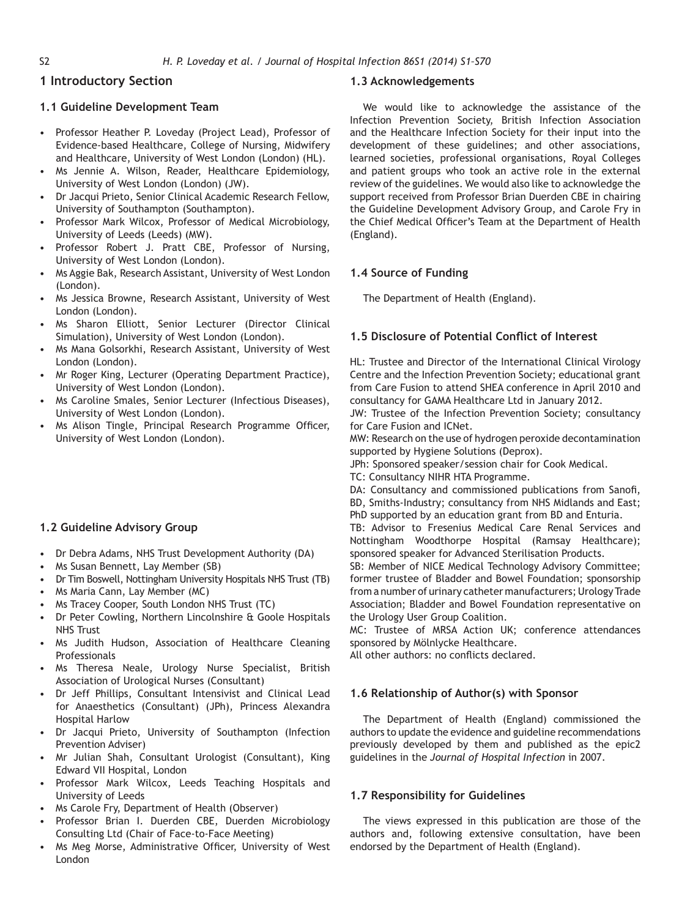# **1 Introductory Section**

# **1.1 Guideline Development Team**

- Professor Heather P. Loveday (Project Lead), Professor of Evidence-based Healthcare, College of Nursing, Midwifery and Healthcare, University of West London (London) (HL).
- Ms Jennie A. Wilson, Reader, Healthcare Epidemiology, University of West London (London) (JW).
- Dr Jacqui Prieto, Senior Clinical Academic Research Fellow, University of Southampton (Southampton).
- Professor Mark Wilcox, Professor of Medical Microbiology, University of Leeds (Leeds) (MW).
- Professor Robert J. Pratt CBE, Professor of Nursing, University of West London (London).
- Ms Aggie Bak, Research Assistant, University of West London (London).
- Ms Jessica Browne, Research Assistant, University of West London (London).
- Ms Sharon Elliott, Senior Lecturer (Director Clinical Simulation), University of West London (London).
- Ms Mana Golsorkhi, Research Assistant, University of West London (London).
- Mr Roger King, Lecturer (Operating Department Practice), University of West London (London).
- Ms Caroline Smales, Senior Lecturer (Infectious Diseases), University of West London (London).
- Ms Alison Tingle, Principal Research Programme Officer, University of West London (London).

# **1.2 Guideline Advisory Group**

- Dr Debra Adams, NHS Trust Development Authority (DA)
- Ms Susan Bennett, Lay Member (SB)
- Dr Tim Boswell, Nottingham University Hospitals NHS Trust (TB)
- Ms Maria Cann, Lay Member (MC)
- Ms Tracey Cooper, South London NHS Trust (TC)
- Dr Peter Cowling, Northern Lincolnshire & Goole Hospitals NHS Trust
- Ms Judith Hudson, Association of Healthcare Cleaning Professionals
- Ms Theresa Neale, Urology Nurse Specialist, British Association of Urological Nurses (Consultant)
- Dr Jeff Phillips, Consultant Intensivist and Clinical Lead for Anaesthetics (Consultant) (JPh), Princess Alexandra Hospital Harlow
- Dr Jacqui Prieto, University of Southampton (Infection Prevention Adviser)
- Mr Julian Shah, Consultant Urologist (Consultant), King Edward VII Hospital, London
- Professor Mark Wilcox, Leeds Teaching Hospitals and University of Leeds
- Ms Carole Fry, Department of Health (Observer)
- Professor Brian I. Duerden CBE, Duerden Microbiology Consulting Ltd (Chair of Face-to-Face Meeting)
- Ms Meg Morse, Administrative Officer, University of West London

#### **1.3 Acknowledgements**

We would like to acknowledge the assistance of the Infection Prevention Society, British Infection Association and the Healthcare Infection Society for their input into the development of these guidelines; and other associations, learned societies, professional organisations, Royal Colleges and patient groups who took an active role in the external review of the guidelines. We would also like to acknowledge the support received from Professor Brian Duerden CBE in chairing the Guideline Development Advisory Group, and Carole Fry in the Chief Medical Officer's Team at the Department of Health (England).

# **1.4 Source of Funding**

The Department of Health (England).

# 1.5 Disclosure of Potential Conflict of Interest

HL: Trustee and Director of the International Clinical Virology Centre and the Infection Prevention Society; educational grant from Care Fusion to attend SHEA conference in April 2010 and consultancy for GAMA Healthcare Ltd in January 2012.

JW: Trustee of the Infection Prevention Society; consultancy for Care Fusion and ICNet.

MW: Research on the use of hydrogen peroxide decontamination supported by Hygiene Solutions (Deprox).

JPh: Sponsored speaker/session chair for Cook Medical.

TC: Consultancy NIHR HTA Programme.

DA: Consultancy and commissioned publications from Sanofi, BD, Smiths-Industry; consultancy from NHS Midlands and East; PhD supported by an education grant from BD and Enturia.

TB: Advisor to Fresenius Medical Care Renal Services and Nottingham Woodthorpe Hospital (Ramsay Healthcare); sponsored speaker for Advanced Sterilisation Products.

SB: Member of NICE Medical Technology Advisory Committee; former trustee of Bladder and Bowel Foundation; sponsorship from a number of urinary catheter manufacturers; Urology Trade Association; Bladder and Bowel Foundation representative on the Urology User Group Coalition.

MC: Trustee of MRSA Action UK; conference attendances sponsored by Mölnlycke Healthcare.

All other authors: no conflicts declared.

#### **1.6 Relationship of Author(s) with Sponsor**

The Department of Health (England) commissioned the authors to update the evidence and guideline recommendations previously developed by them and published as the epic2 guidelines in the *Journal of Hospital Infection* in 2007.

# **1.7 Responsibility for Guidelines**

The views expressed in this publication are those of the authors and, following extensive consultation, have been endorsed by the Department of Health (England).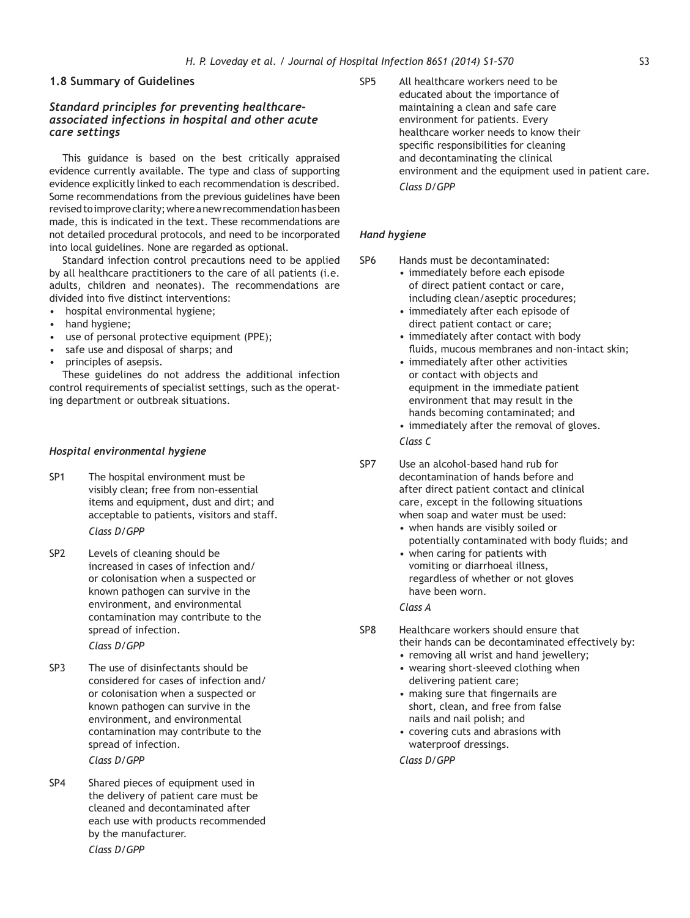# **1.8 Summary of Guidelines**

# *Standard principles for preventing healthcareassociated infections in hospital and other acute care settings*

This guidance is based on the best critically appraised evidence currently available. The type and class of supporting evidence explicitly linked to each recommendation is described. Some recommendations from the previous guidelines have been revised to improve clarity; where a new recommendation has been made, this is indicated in the text. These recommendations are not detailed procedural protocols, and need to be incorporated into local guidelines. None are regarded as optional.

Standard infection control precautions need to be applied by all healthcare practitioners to the care of all patients (i.e. adults, children and neonates). The recommendations are divided into five distinct interventions:

- hospital environmental hygiene;
- hand hygiene;
- use of personal protective equipment (PPE);
- safe use and disposal of sharps; and
- principles of asepsis.

These guidelines do not address the additional infection control requirements of specialist settings, such as the operating department or outbreak situations.

# *Hospital environmental hygiene*

- SP1 The hospital environment must be visibly clean; free from non-essential items and equipment, dust and dirt; and acceptable to patients, visitors and staff. *Class D/GPP*
- SP2 Levels of cleaning should be increased in cases of infection and/ or colonisation when a suspected or known pathogen can survive in the environment, and environmental contamination may contribute to the spread of infection. *Class D/GPP*
- SP3 The use of disinfectants should be considered for cases of infection and/ or colonisation when a suspected or known pathogen can survive in the environment, and environmental contamination may contribute to the spread of infection. *Class D/GPP*
- SP4 Shared pieces of equipment used in the delivery of patient care must be cleaned and decontaminated after each use with products recommended by the manufacturer. *Class D/GPP*

SP5 All healthcare workers need to be educated about the importance of maintaining a clean and safe care environment for patients. Every healthcare worker needs to know their specific responsibilities for cleaning and decontaminating the clinical environment and the equipment used in patient care. *Class D/GPP*

#### *Hand hygiene*

SP6 Hands must be decontaminated:

- immediately before each episode of direct patient contact or care, including clean/aseptic procedures;
- immediately after each episode of direct patient contact or care;
- immediately after contact with body fluids, mucous membranes and non-intact skin;
- immediately after other activities or contact with objects and equipment in the immediate patient environment that may result in the hands becoming contaminated; and
- immediately after the removal of gloves.

*Class C*

SP7 Use an alcohol-based hand rub for decontamination of hands before and after direct patient contact and clinical care, except in the following situations when soap and water must be used:

- when hands are visibly soiled or potentially contaminated with body fluids; and
- when caring for patients with vomiting or diarrhoeal illness, regardless of whether or not gloves have been worn.

*Class A*

- SP8 Healthcare workers should ensure that their hands can be decontaminated effectively by:
	- removing all wrist and hand jewellery;
	- wearing short-sleeved clothing when delivering patient care;
	- making sure that fingernails are short, clean, and free from false nails and nail polish; and
	- covering cuts and abrasions with waterproof dressings.

*Class D/GPP*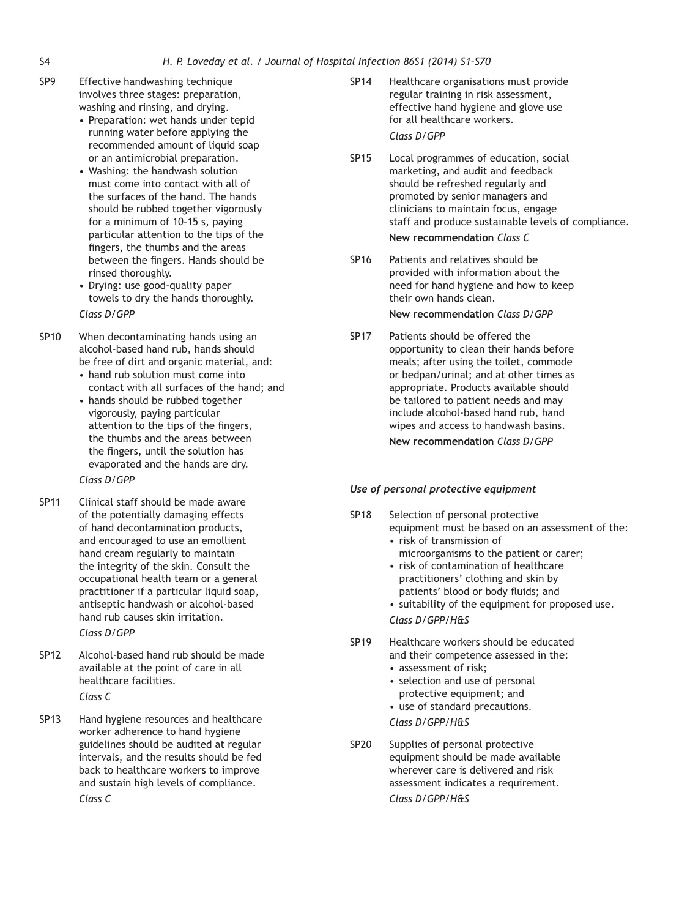- SP9 Effective handwashing technique involves three stages: preparation, washing and rinsing, and drying.
	- Preparation: wet hands under tepid running water before applying the recommended amount of liquid soap or an antimicrobial preparation.
	- Washing: the handwash solution must come into contact with all of the surfaces of the hand. The hands should be rubbed together vigorously for a minimum of 10–15 s, paying particular attention to the tips of the fingers, the thumbs and the areas between the fingers. Hands should be rinsed thoroughly.
	- Drying: use good-quality paper towels to dry the hands thoroughly. *Class D/GPP*
- SP10 When decontaminating hands using an alcohol-based hand rub, hands should be free of dirt and organic material, and:
	- hand rub solution must come into contact with all surfaces of the hand; and
	- hands should be rubbed together vigorously, paying particular attention to the tips of the fingers, the thumbs and the areas between the fingers, until the solution has evaporated and the hands are dry.

# *Class D/GPP*

SP11 Clinical staff should be made aware of the potentially damaging effects of hand decontamination products, and encouraged to use an emollient hand cream regularly to maintain the integrity of the skin. Consult the occupational health team or a general practitioner if a particular liquid soap, antiseptic handwash or alcohol-based hand rub causes skin irritation.

*Class D/GPP*

SP12 Alcohol-based hand rub should be made available at the point of care in all healthcare facilities.

*Class C*

SP13 Hand hygiene resources and healthcare worker adherence to hand hygiene guidelines should be audited at regular intervals, and the results should be fed back to healthcare workers to improve and sustain high levels of compliance. *Class C*

- SP14 Healthcare organisations must provide regular training in risk assessment, effective hand hygiene and glove use for all healthcare workers. *Class D/GPP*
- SP15 Local programmes of education, social marketing, and audit and feedback should be refreshed regularly and promoted by senior managers and clinicians to maintain focus, engage staff and produce sustainable levels of compliance. **New recommendation** *Class C*
- SP16 Patients and relatives should be provided with information about the need for hand hygiene and how to keep their own hands clean.

**New recommendation** *Class D/GPP*

SP17 Patients should be offered the opportunity to clean their hands before meals; after using the toilet, commode or bedpan/urinal; and at other times as appropriate. Products available should be tailored to patient needs and may include alcohol-based hand rub, hand wipes and access to handwash basins. **New recommendation** *Class D/GPP*

# *Use of personal protective equipment*

- SP18 Selection of personal protective equipment must be based on an assessment of the:
	- risk of transmission of microorganisms to the patient or carer;
	- risk of contamination of healthcare practitioners' clothing and skin by patients' blood or body fluids; and
	- suitability of the equipment for proposed use. *Class D/GPP/H&S*
- SP19 Healthcare workers should be educated and their competence assessed in the:
	- assessment of risk;
	- selection and use of personal protective equipment; and
	- use of standard precautions.
	- *Class D/GPP/H&S*
- SP20 Supplies of personal protective equipment should be made available wherever care is delivered and risk assessment indicates a requirement. *Class D/GPP/H&S*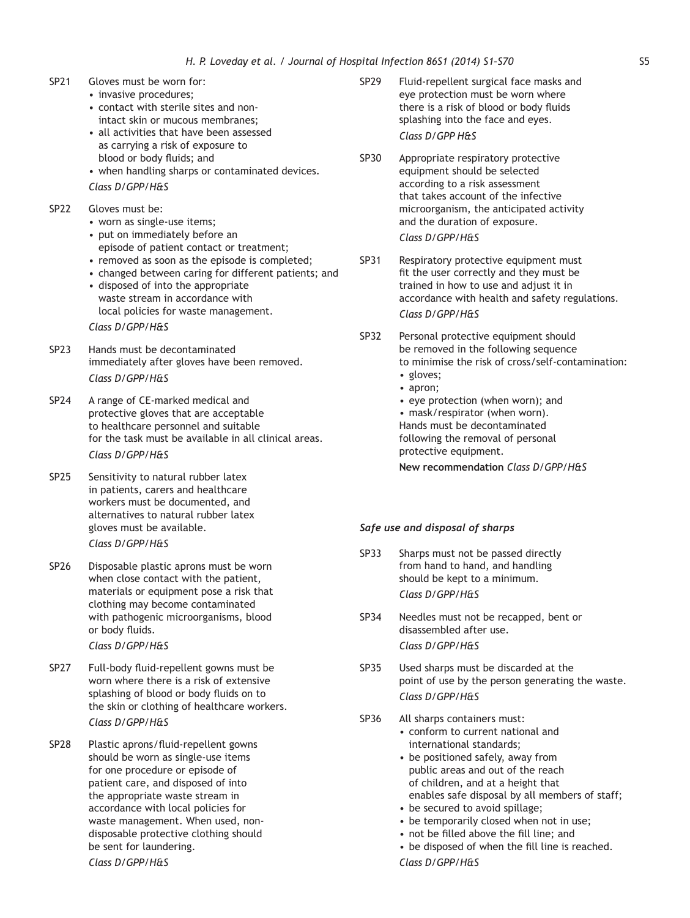- SP21 Gloves must be worn for:
	- invasive procedures;
		- contact with sterile sites and nonintact skin or mucous membranes;
		- all activities that have been assessed as carrying a risk of exposure to blood or body fluids; and
		- when handling sharps or contaminated devices.
	- *Class D/GPP/H&S*

# SP22 Gloves must be:

- worn as single-use items;
- put on immediately before an episode of patient contact or treatment;
- removed as soon as the episode is completed;
- changed between caring for different patients; and
- disposed of into the appropriate waste stream in accordance with local policies for waste management.

# *Class D/GPP/H&S*

- SP23 Hands must be decontaminated immediately after gloves have been removed. *Class D/GPP/H&S*
- SP24 A range of CE-marked medical and protective gloves that are acceptable to healthcare personnel and suitable for the task must be available in all clinical areas. *Class D/GPP/H&S*
- SP25 Sensitivity to natural rubber latex in patients, carers and healthcare workers must be documented, and alternatives to natural rubber latex gloves must be available. *Class D/GPP/H&S*
- SP26 Disposable plastic aprons must be worn when close contact with the patient, materials or equipment pose a risk that clothing may become contaminated with pathogenic microorganisms, blood or body fluids. *Class D/GPP/H&S*
- SP27 Full-body fluid-repellent gowns must be worn where there is a risk of extensive splashing of blood or body fluids on to the skin or clothing of healthcare workers. *Class D/GPP/H&S*
- SP28 Plastic aprons/fluid-repellent gowns should be worn as single-use items for one procedure or episode of patient care, and disposed of into the appropriate waste stream in accordance with local policies for waste management. When used, nondisposable protective clothing should be sent for laundering.
	- *Class D/GPP/H&S*
- SP29 Fluid-repellent surgical face masks and eye protection must be worn where there is a risk of blood or body fluids splashing into the face and eyes. *Class D/GPP H&S*
- SP30 Appropriate respiratory protective equipment should be selected according to a risk assessment that takes account of the infective microorganism, the anticipated activity and the duration of exposure. *Class D/GPP/H&S*
- SP31 Respiratory protective equipment must fit the user correctly and they must be trained in how to use and adjust it in accordance with health and safety regulations. *Class D/GPP/H&S*
- SP32 Personal protective equipment should be removed in the following sequence to minimise the risk of cross/self-contamination: • gloves;
	- apron;
	- eye protection (when worn); and • mask/respirator (when worn). Hands must be decontaminated following the removal of personal protective equipment.

**New recommendation** *Class D/GPP/H&S*

# *Safe use and disposal of sharps*

- SP33 Sharps must not be passed directly from hand to hand, and handling should be kept to a minimum. *Class D/GPP/H&S*
- SP34 Needles must not be recapped, bent or disassembled after use. *Class D/GPP/H&S*
- SP35 Used sharps must be discarded at the point of use by the person generating the waste. *Class D/GPP/H&S*
- SP36 All sharps containers must:
	- conform to current national and international standards;
	- be positioned safely, away from public areas and out of the reach of children, and at a height that enables safe disposal by all members of staff;
	- be secured to avoid spillage;
	- be temporarily closed when not in use;
	- not be filled above the fill line; and
	- be disposed of when the fill line is reached.
	- *Class D/GPP/H&S*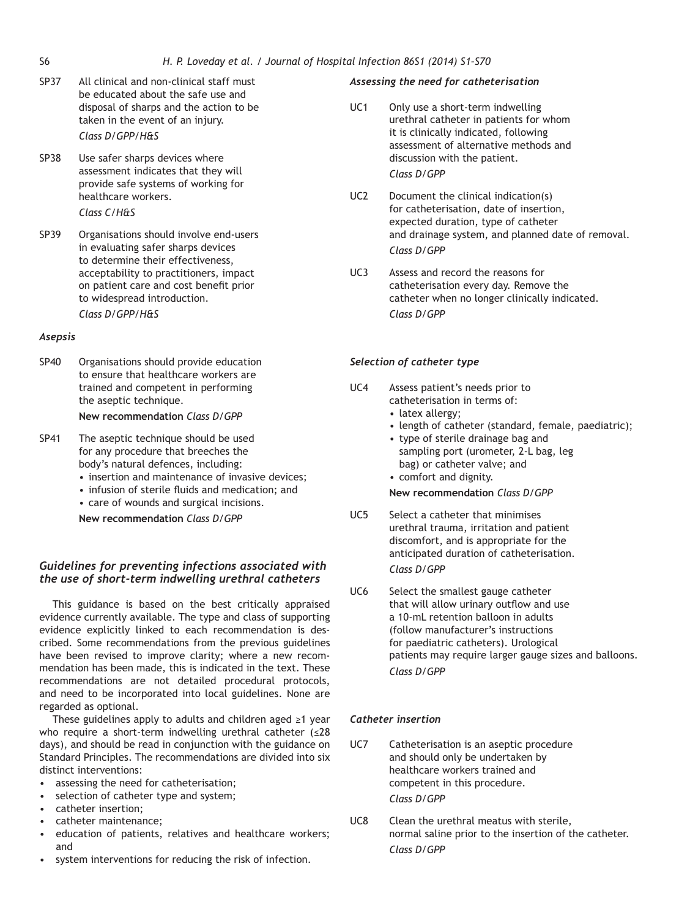- SP37 All clinical and non-clinical staff must be educated about the safe use and disposal of sharps and the action to be taken in the event of an injury. *Class D/GPP/H&S*
- SP38 Use safer sharps devices where assessment indicates that they will provide safe systems of working for healthcare workers.

*Class C/H&S*

SP39 Organisations should involve end-users in evaluating safer sharps devices to determine their effectiveness, acceptability to practitioners, impact on patient care and cost benefit prior to widespread introduction. *Class D/GPP/H&S*

# *Asepsis*

SP40 Organisations should provide education to ensure that healthcare workers are trained and competent in performing the aseptic technique.

**New recommendation** *Class D/GPP*

- SP41 The aseptic technique should be used for any procedure that breeches the body's natural defences, including:
	- insertion and maintenance of invasive devices;
	- infusion of sterile fluids and medication; and
	- care of wounds and surgical incisions.

**New recommendation** *Class D/GPP*

# *Guidelines for preventing infections associated with the use of short-term indwelling urethral catheters*

This guidance is based on the best critically appraised evidence currently available. The type and class of supporting evidence explicitly linked to each recommendation is described. Some recommendations from the previous guidelines have been revised to improve clarity; where a new recommendation has been made, this is indicated in the text. These recommendations are not detailed procedural protocols, and need to be incorporated into local guidelines. None are regarded as optional.

These guidelines apply to adults and children aged  $\geq 1$  year who require a short-term indwelling urethral catheter  $(28$ days), and should be read in conjunction with the guidance on Standard Principles. The recommendations are divided into six distinct interventions:

- assessing the need for catheterisation;
- selection of catheter type and system;
- catheter insertion;
- catheter maintenance;
- education of patients, relatives and healthcare workers; and
- system interventions for reducing the risk of infection*.*

#### *Assessing the need for catheterisation*

- UC1 Only use a short-term indwelling urethral catheter in patients for whom it is clinically indicated, following assessment of alternative methods and discussion with the patient. *Class D/GPP*
- UC2 Document the clinical indication(s) for catheterisation, date of insertion, expected duration, type of catheter and drainage system, and planned date of removal. *Class D/GPP*
- UC3 Assess and record the reasons for catheterisation every day. Remove the catheter when no longer clinically indicated. *Class D/GPP*

## *Selection of catheter type*

- UC4 Assess patient's needs prior to catheterisation in terms of:
	- latex allergy;
	- length of catheter (standard, female, paediatric);
	- type of sterile drainage bag and sampling port (urometer, 2-L bag, leg bag) or catheter valve; and
	- comfort and dignity.
	- **New recommendation** *Class D/GPP*
- UC5 Select a catheter that minimises urethral trauma, irritation and patient discomfort, and is appropriate for the anticipated duration of catheterisation. *Class D/GPP*
- UC6 Select the smallest gauge catheter that will allow urinary outflow and use a 10-mL retention balloon in adults (follow manufacturer's instructions for paediatric catheters). Urological patients may require larger gauge sizes and balloons. *Class D/GPP*

# *Catheter insertion*

- UC7 Catheterisation is an aseptic procedure and should only be undertaken by healthcare workers trained and competent in this procedure. *Class D/GPP*
- UC8 Clean the urethral meatus with sterile, normal saline prior to the insertion of the catheter. *Class D/GPP*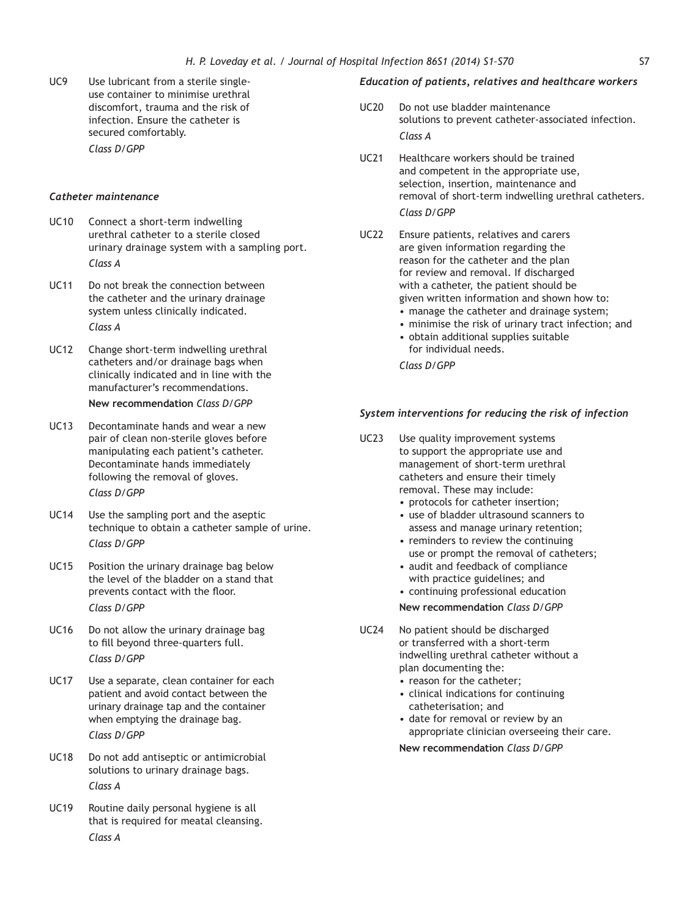UC9 Use lubricant from a sterile singleuse container to minimise urethral discomfort, trauma and the risk of infection. Ensure the catheter is secured comfortably. *Class D/GPP*

#### *Catheter maintenance*

- UC10 Connect a short-term indwelling urethral catheter to a sterile closed urinary drainage system with a sampling port. *Class A*
- UC11 Do not break the connection between the catheter and the urinary drainage system unless clinically indicated. *Class A*
- UC12 Change short-term indwelling urethral catheters and/or drainage bags when clinically indicated and in line with the manufacturer's recommendations.

# **New recommendation** *Class D/GPP*

- UC13 Decontaminate hands and wear a new pair of clean non-sterile gloves before manipulating each patient's catheter. Decontaminate hands immediately following the removal of gloves. *Class D/GPP*
- UC14 Use the sampling port and the aseptic technique to obtain a catheter sample of urine. *Class D/GPP*
- UC15 Position the urinary drainage bag below the level of the bladder on a stand that prevents contact with the floor. *Class D/GPP*
- UC16 Do not allow the urinary drainage bag to fill beyond three-quarters full. *Class D/GPP*
- UC17 Use a separate, clean container for each patient and avoid contact between the urinary drainage tap and the container when emptying the drainage bag. *Class D/GPP*
- UC18 Do not add antiseptic or antimicrobial solutions to urinary drainage bags. *Class A*
- UC19 Routine daily personal hygiene is all that is required for meatal cleansing. *Class A*

#### *Education of patients, relatives and healthcare workers*

- UC20 Do not use bladder maintenance solutions to prevent catheter-associated infection. *Class A*
- UC21 Healthcare workers should be trained and competent in the appropriate use, selection, insertion, maintenance and removal of short-term indwelling urethral catheters. *Class D/GPP*
- UC22 Ensure patients, relatives and carers are given information regarding the reason for the catheter and the plan for review and removal. If discharged with a catheter, the patient should be given written information and shown how to: • manage the catheter and drainage system;
	- minimise the risk of urinary tract infection; and • obtain additional supplies suitable
	- for individual needs.

*Class D/GPP*

## *System interventions for reducing the risk of infection*

- UC23 Use quality improvement systems to support the appropriate use and management of short-term urethral catheters and ensure their timely removal. These may include:
	- protocols for catheter insertion;
	- use of bladder ultrasound scanners to assess and manage urinary retention;
	- reminders to review the continuing use or prompt the removal of catheters;
	- audit and feedback of compliance
	- with practice guidelines; and • continuing professional education

**New recommendation** *Class D/GPP*

- UC24 No patient should be discharged or transferred with a short-term indwelling urethral catheter without a plan documenting the:
	- reason for the catheter;
	- clinical indications for continuing catheterisation; and
	- date for removal or review by an appropriate clinician overseeing their care.

**New recommendation** *Class D/GPP*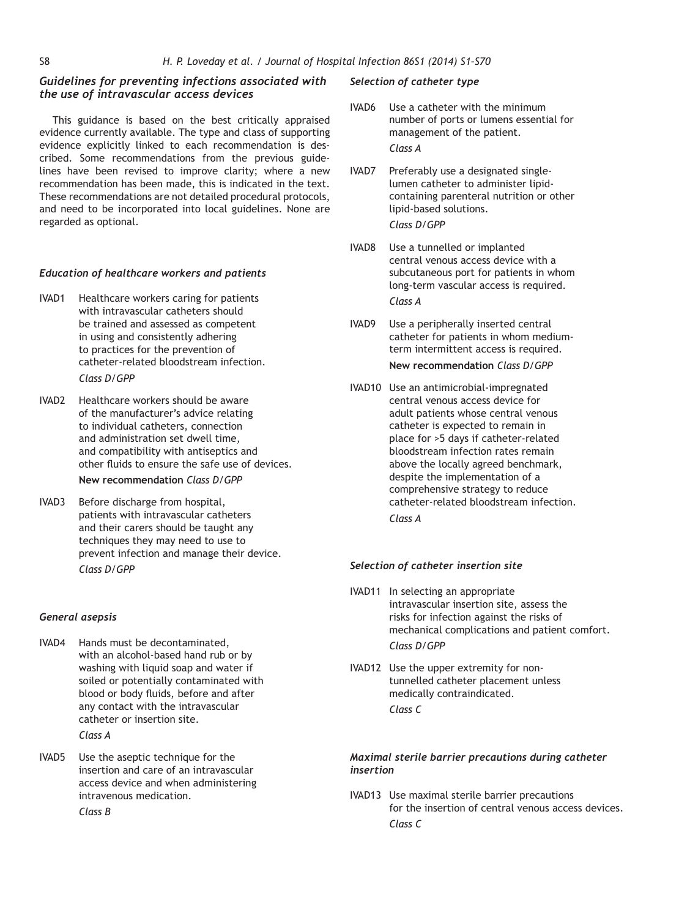# *Guidelines for preventing infections associated with the use of intravascular access devices*

This guidance is based on the best critically appraised evidence currently available. The type and class of supporting evidence explicitly linked to each recommendation is described. Some recommendations from the previous guidelines have been revised to improve clarity; where a new recommendation has been made, this is indicated in the text. These recommendations are not detailed procedural protocols, and need to be incorporated into local guidelines. None are regarded as optional.

#### *Education of healthcare workers and patients*

- IVAD1 Healthcare workers caring for patients with intravascular catheters should be trained and assessed as competent in using and consistently adhering to practices for the prevention of catheter-related bloodstream infection. *Class D/GPP*
- IVAD2 Healthcare workers should be aware of the manufacturer's advice relating to individual catheters, connection and administration set dwell time, and compatibility with antiseptics and other fluids to ensure the safe use of devices.

# **New recommendation** *Class D/GPP*

IVAD3 Before discharge from hospital, patients with intravascular catheters and their carers should be taught any techniques they may need to use to prevent infection and manage their device. *Class D/GPP*

# *General asepsis*

IVAD4 Hands must be decontaminated, with an alcohol-based hand rub or by washing with liquid soap and water if soiled or potentially contaminated with blood or body fluids, before and after any contact with the intravascular catheter or insertion site.

*Class A*

IVAD5 Use the aseptic technique for the insertion and care of an intravascular access device and when administering intravenous medication.

*Class B*

# *Selection of catheter type*

- IVAD6 Use a catheter with the minimum number of ports or lumens essential for management of the patient. *Class A*
- IVAD7 Preferably use a designated singlelumen catheter to administer lipidcontaining parenteral nutrition or other lipid-based solutions. *Class D/GPP*
- IVAD8 Use a tunnelled or implanted central venous access device with a subcutaneous port for patients in whom long-term vascular access is required. *Class A*
- IVAD9 Use a peripherally inserted central catheter for patients in whom mediumterm intermittent access is required.

# **New recommendation** *Class D/GPP*

IVAD10 Use an antimicrobial-impregnated central venous access device for adult patients whose central venous catheter is expected to remain in place for >5 days if catheter-related bloodstream infection rates remain above the locally agreed benchmark, despite the implementation of a comprehensive strategy to reduce catheter-related bloodstream infection. *Class A*

#### *Selection of catheter insertion site*

- IVAD11 In selecting an appropriate intravascular insertion site, assess the risks for infection against the risks of mechanical complications and patient comfort. *Class D/GPP*
- IVAD12 Use the upper extremity for nontunnelled catheter placement unless medically contraindicated. *Class C*

# *Maximal sterile barrier precautions during catheter insertion*

IVAD13 Use maximal sterile barrier precautions for the insertion of central venous access devices. *Class C*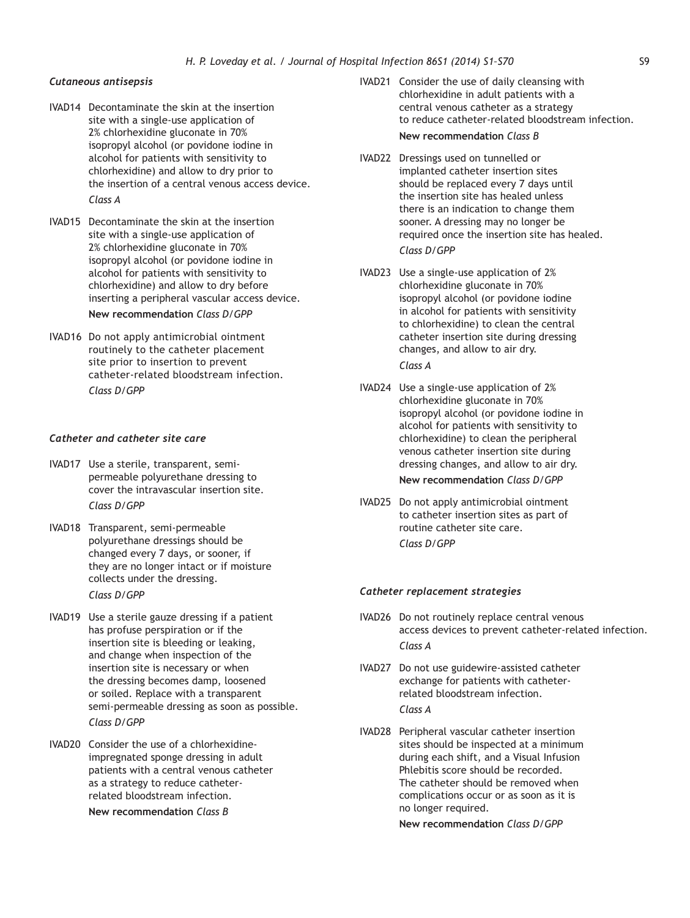# *Cutaneous antisepsis*

- IVAD14 Decontaminate the skin at the insertion site with a single-use application of 2% chlorhexidine gluconate in 70% isopropyl alcohol (or povidone iodine in alcohol for patients with sensitivity to chlorhexidine) and allow to dry prior to the insertion of a central venous access device. *Class A*
- IVAD15 Decontaminate the skin at the insertion site with a single-use application of 2% chlorhexidine gluconate in 70% isopropyl alcohol (or povidone iodine in alcohol for patients with sensitivity to chlorhexidine) and allow to dry before inserting a peripheral vascular access device. **New recommendation** *Class D/GPP*
- IVAD16 Do not apply antimicrobial ointment routinely to the catheter placement site prior to insertion to prevent catheter-related bloodstream infection. *Class D/GPP*

# *Catheter and catheter site care*

- IVAD17 Use a sterile, transparent, semipermeable polyurethane dressing to cover the intravascular insertion site. *Class D/GPP*
- IVAD18 Transparent, semi-permeable polyurethane dressings should be changed every 7 days, or sooner, if they are no longer intact or if moisture collects under the dressing. *Class D/GPP*
- IVAD19 Use a sterile gauze dressing if a patient has profuse perspiration or if the insertion site is bleeding or leaking, and change when inspection of the insertion site is necessary or when the dressing becomes damp, loosened or soiled. Replace with a transparent semi-permeable dressing as soon as possible. *Class D/GPP*
- IVAD20 Consider the use of a chlorhexidineimpregnated sponge dressing in adult patients with a central venous catheter as a strategy to reduce catheterrelated bloodstream infection.

**New recommendation** *Class B*

IVAD21 Consider the use of daily cleansing with chlorhexidine in adult patients with a central venous catheter as a strategy to reduce catheter-related bloodstream infection.

# **New recommendation** *Class B*

- IVAD22 Dressings used on tunnelled or implanted catheter insertion sites should be replaced every 7 days until the insertion site has healed unless there is an indication to change them sooner. A dressing may no longer be required once the insertion site has healed. *Class D/GPP*
- IVAD23 Use a single-use application of 2% chlorhexidine gluconate in 70% isopropyl alcohol (or povidone iodine in alcohol for patients with sensitivity to chlorhexidine) to clean the central catheter insertion site during dressing changes, and allow to air dry. *Class A*
- IVAD24 Use a single-use application of 2% chlorhexidine gluconate in 70% isopropyl alcohol (or povidone iodine in alcohol for patients with sensitivity to chlorhexidine) to clean the peripheral venous catheter insertion site during dressing changes, and allow to air dry.

# **New recommendation** *Class D/GPP*

IVAD25 Do not apply antimicrobial ointment to catheter insertion sites as part of routine catheter site care. *Class D/GPP*

#### *Catheter replacement strategies*

- IVAD26 Do not routinely replace central venous access devices to prevent catheter-related infection. *Class A*
- IVAD27 Do not use guidewire-assisted catheter exchange for patients with catheterrelated bloodstream infection. *Class A*
- IVAD28 Peripheral vascular catheter insertion sites should be inspected at a minimum during each shift, and a Visual Infusion Phlebitis score should be recorded. The catheter should be removed when complications occur or as soon as it is no longer required.

**New recommendation** *Class D/GPP*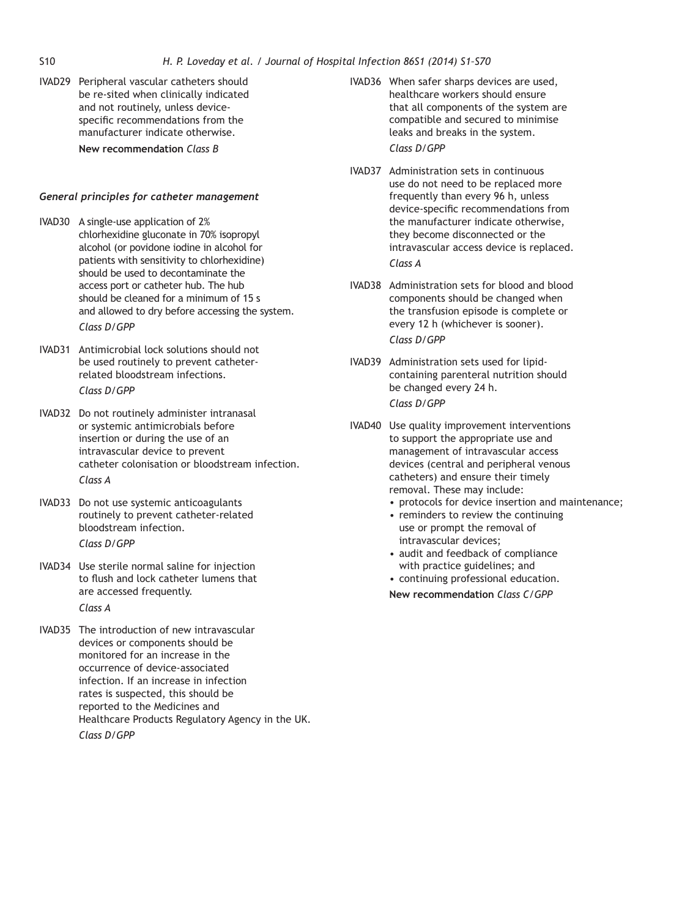IVAD29 Peripheral vascular catheters should be re-sited when clinically indicated and not routinely, unless devicespecific recommendations from the manufacturer indicate otherwise. **New recommendation** *Class B*

# *General principles for catheter management*

- IVAD30 A single-use application of 2% chlorhexidine gluconate in 70% isopropyl alcohol (or povidone iodine in alcohol for patients with sensitivity to chlorhexidine) should be used to decontaminate the access port or catheter hub. The hub should be cleaned for a minimum of 15 s and allowed to dry before accessing the system. *Class D/GPP*
- IVAD31 Antimicrobial lock solutions should not be used routinely to prevent catheterrelated bloodstream infections. *Class D/GPP*
- IVAD32 Do not routinely administer intranasal or systemic antimicrobials before insertion or during the use of an intravascular device to prevent catheter colonisation or bloodstream infection. *Class A*
- IVAD33 Do not use systemic anticoagulants routinely to prevent catheter-related bloodstream infection. *Class D/GPP*
- IVAD34 Use sterile normal saline for injection to flush and lock catheter lumens that are accessed frequently. *Class A*
- IVAD35 The introduction of new intravascular devices or components should be monitored for an increase in the occurrence of device-associated infection. If an increase in infection rates is suspected, this should be reported to the Medicines and Healthcare Products Regulatory Agency in the UK. *Class D/GPP*
- IVAD36 When safer sharps devices are used, healthcare workers should ensure that all components of the system are compatible and secured to minimise leaks and breaks in the system. *Class D/GPP*
- IVAD37 Administration sets in continuous use do not need to be replaced more frequently than every 96 h, unless device-specific recommendations from the manufacturer indicate otherwise, they become disconnected or the intravascular access device is replaced. *Class A*
- IVAD38 Administration sets for blood and blood components should be changed when the transfusion episode is complete or every 12 h (whichever is sooner). *Class D/GPP*
- IVAD39 Administration sets used for lipidcontaining parenteral nutrition should be changed every 24 h. *Class D/GPP*
- IVAD40 Use quality improvement interventions to support the appropriate use and management of intravascular access devices (central and peripheral venous catheters) and ensure their timely removal. These may include:
	- protocols for device insertion and maintenance;
	- reminders to review the continuing use or prompt the removal of intravascular devices;
	- audit and feedback of compliance with practice guidelines; and
	- continuing professional education.

**New recommendation** *Class C/GPP*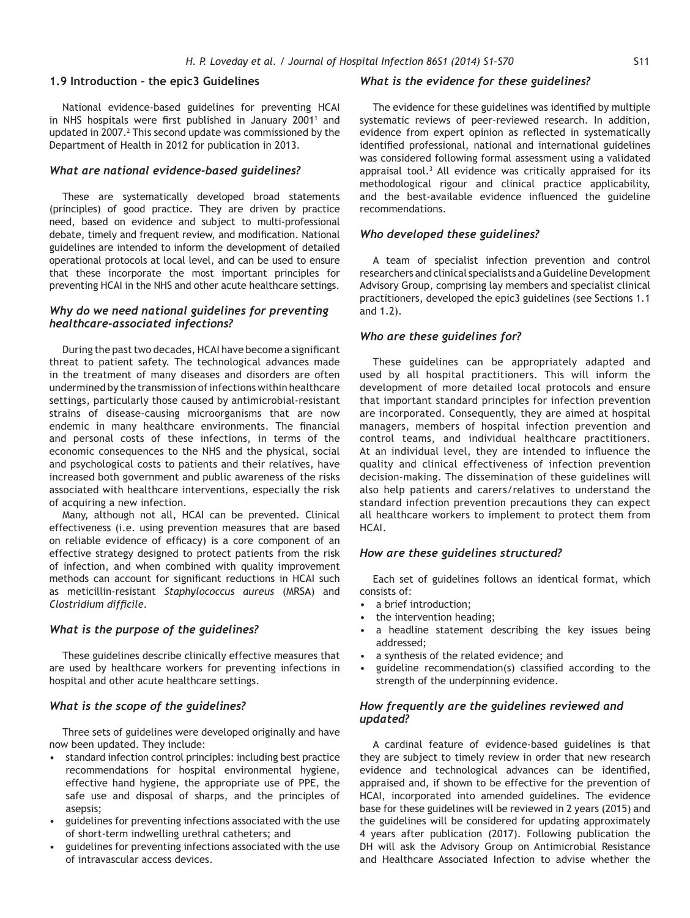# **1.9 Introduction – the epic3 Guidelines**

National evidence-based guidelines for preventing HCAI in NHS hospitals were first published in January 2001<sup>1</sup> and updated in 2007.<sup>2</sup> This second update was commissioned by the Department of Health in 2012 for publication in 2013.

# *What are national evidence-based guidelines?*

These are systematically developed broad statements (principles) of good practice. They are driven by practice need, based on evidence and subject to multi-professional debate, timely and frequent review, and modification. National guidelines are intended to inform the development of detailed operational protocols at local level, and can be used to ensure that these incorporate the most important principles for preventing HCAI in the NHS and other acute healthcare settings.

# *Why do we need national guidelines for preventing healthcare-associated infections?*

During the past two decades, HCAI have become a significant threat to patient safety. The technological advances made in the treatment of many diseases and disorders are often undermined by the transmission of infections within healthcare settings, particularly those caused by antimicrobial-resistant strains of disease-causing microorganisms that are now endemic in many healthcare environments. The financial and personal costs of these infections, in terms of the economic consequences to the NHS and the physical, social and psychological costs to patients and their relatives, have increased both government and public awareness of the risks associated with healthcare interventions, especially the risk of acquiring a new infection.

Many, although not all, HCAI can be prevented. Clinical effectiveness (i.e. using prevention measures that are based on reliable evidence of efficacy) is a core component of an effective strategy designed to protect patients from the risk of infection, and when combined with quality improvement methods can account for significant reductions in HCAI such as meticillin-resistant *Staphylococcus aureus* (MRSA) and *Clostridium dif- cile.*

# *What is the purpose of the guidelines?*

These guidelines describe clinically effective measures that are used by healthcare workers for preventing infections in hospital and other acute healthcare settings.

# *What is the scope of the guidelines?*

Three sets of guidelines were developed originally and have now been updated. They include:

- standard infection control principles: including best practice recommendations for hospital environmental hygiene, effective hand hygiene, the appropriate use of PPE, the safe use and disposal of sharps, and the principles of asepsis;
- guidelines for preventing infections associated with the use of short-term indwelling urethral catheters; and
- guidelines for preventing infections associated with the use of intravascular access devices.

#### *What is the evidence for these guidelines?*

The evidence for these guidelines was identified by multiple systematic reviews of peer-reviewed research. In addition, evidence from expert opinion as reflected in systematically identified professional, national and international guidelines was considered following formal assessment using a validated appraisal tool.<sup>3</sup> All evidence was critically appraised for its methodological rigour and clinical practice applicability, and the best-available evidence influenced the guideline recommendations.

# *Who developed these guidelines?*

A team of specialist infection prevention and control researchers and clinical specialists and a Guideline Development Advisory Group, comprising lay members and specialist clinical practitioners, developed the epic3 guidelines (see Sections 1.1 and 1.2).

# *Who are these guidelines for?*

These guidelines can be appropriately adapted and used by all hospital practitioners. This will inform the development of more detailed local protocols and ensure that important standard principles for infection prevention are incorporated. Consequently, they are aimed at hospital managers, members of hospital infection prevention and control teams, and individual healthcare practitioners. At an individual level, they are intended to influence the quality and clinical effectiveness of infection prevention decision-making. The dissemination of these guidelines will also help patients and carers/relatives to understand the standard infection prevention precautions they can expect all healthcare workers to implement to protect them from HCAI.

# *How are these guidelines structured?*

Each set of guidelines follows an identical format, which consists of:

- a brief introduction;
- the intervention heading;
- a headline statement describing the key issues being addressed;
- a synthesis of the related evidence; and
- guideline recommendation(s) classified according to the strength of the underpinning evidence.

# *How frequently are the guidelines reviewed and updated?*

A cardinal feature of evidence-based guidelines is that they are subject to timely review in order that new research evidence and technological advances can be identified, appraised and, if shown to be effective for the prevention of HCAI, incorporated into amended guidelines. The evidence base for these guidelines will be reviewed in 2 years (2015) and the guidelines will be considered for updating approximately 4 years after publication (2017). Following publication the DH will ask the Advisory Group on Antimicrobial Resistance and Healthcare Associated Infection to advise whether the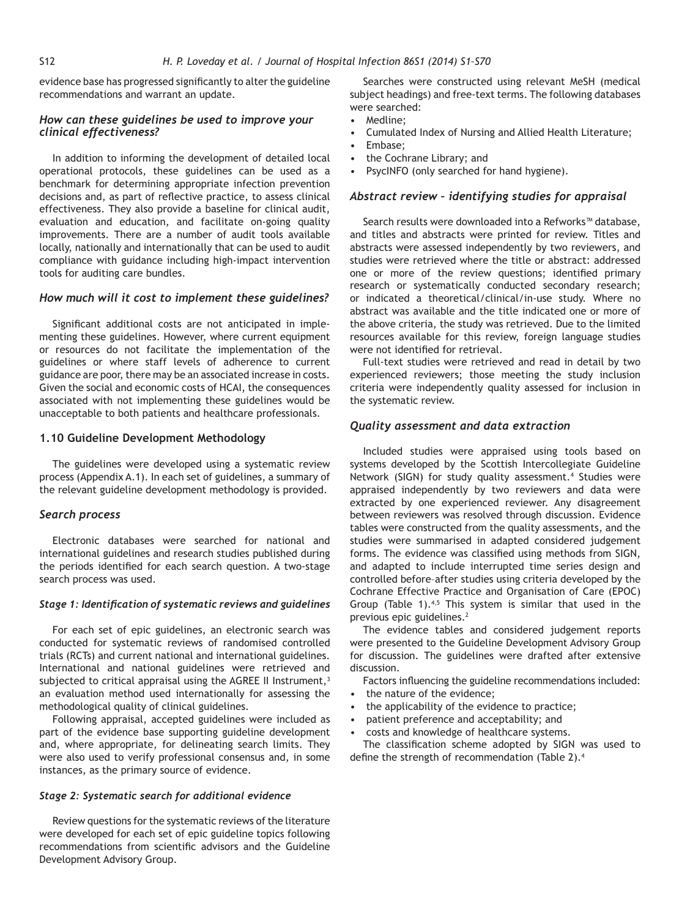evidence base has progressed significantly to alter the guideline recommendations and warrant an update.

# *How can these guidelines be used to improve your clinical effectiveness?*

In addition to informing the development of detailed local operational protocols, these guidelines can be used as a benchmark for determining appropriate infection prevention decisions and, as part of reflective practice, to assess clinical effectiveness. They also provide a baseline for clinical audit, evaluation and education, and facilitate on-going quality improvements. There are a number of audit tools available locally, nationally and internationally that can be used to audit compliance with guidance including high-impact intervention tools for auditing care bundles.

# *How much will it cost to implement these guidelines?*

Significant additional costs are not anticipated in implementing these guidelines. However, where current equipment or resources do not facilitate the implementation of the guidelines or where staff levels of adherence to current guidance are poor, there may be an associated increase in costs. Given the social and economic costs of HCAI, the consequences associated with not implementing these guidelines would be unacceptable to both patients and healthcare professionals.

# **1.10 Guideline Development Methodology**

The guidelines were developed using a systematic review process (Appendix A.1). In each set of guidelines, a summary of the relevant guideline development methodology is provided.

# *Search process*

Electronic databases were searched for national and international guidelines and research studies published during the periods identified for each search question. A two-stage search process was used.

#### *Stage 1: Identi- cation of systematic reviews and guidelines*

For each set of epic guidelines, an electronic search was conducted for systematic reviews of randomised controlled trials (RCTs) and current national and international guidelines. International and national guidelines were retrieved and subjected to critical appraisal using the AGREE II Instrument,<sup>3</sup> an evaluation method used internationally for assessing the methodological quality of clinical guidelines.

Following appraisal, accepted guidelines were included as part of the evidence base supporting guideline development and, where appropriate, for delineating search limits. They were also used to verify professional consensus and, in some instances, as the primary source of evidence.

#### *Stage 2: Systematic search for additional evidence*

Review questions for the systematic reviews of the literature were developed for each set of epic guideline topics following recommendations from scientific advisors and the Guideline Development Advisory Group.

Searches were constructed using relevant MeSH (medical subject headings) and free-text terms. The following databases were searched:

- Medline:
- Cumulated Index of Nursing and Allied Health Literature;
- Embase:
- the Cochrane Library; and
- PsycINFO (only searched for hand hygiene).

### *Abstract review – identifying studies for appraisal*

Search results were downloaded into a Refworks™ database, and titles and abstracts were printed for review. Titles and abstracts were assessed independently by two reviewers, and studies were retrieved where the title or abstract: addressed one or more of the review questions; identified primary research or systematically conducted secondary research; or indicated a theoretical/clinical/in-use study. Where no abstract was available and the title indicated one or more of the above criteria, the study was retrieved. Due to the limited resources available for this review, foreign language studies were not identified for retrieval.

Full-text studies were retrieved and read in detail by two experienced reviewers; those meeting the study inclusion criteria were independently quality assessed for inclusion in the systematic review.

# *Quality assessment and data extraction*

Included studies were appraised using tools based on systems developed by the Scottish Intercollegiate Guideline Network (SIGN) for study quality assessment.<sup>4</sup> Studies were appraised independently by two reviewers and data were extracted by one experienced reviewer. Any disagreement between reviewers was resolved through discussion. Evidence tables were constructed from the quality assessments, and the studies were summarised in adapted considered judgement forms. The evidence was classified using methods from SIGN, and adapted to include interrupted time series design and controlled before–after studies using criteria developed by the Cochrane Effective Practice and Organisation of Care (EPOC) Group (Table 1).<sup>4,5</sup> This system is similar that used in the previous epic guidelines.<sup>2</sup>

The evidence tables and considered judgement reports were presented to the Guideline Development Advisory Group for discussion. The guidelines were drafted after extensive discussion.

Factors influencing the guideline recommendations included:

- the nature of the evidence;
- the applicability of the evidence to practice;
- patient preference and acceptability; and
- costs and knowledge of healthcare systems.

The classification scheme adopted by SIGN was used to define the strength of recommendation (Table 2).<sup>4</sup>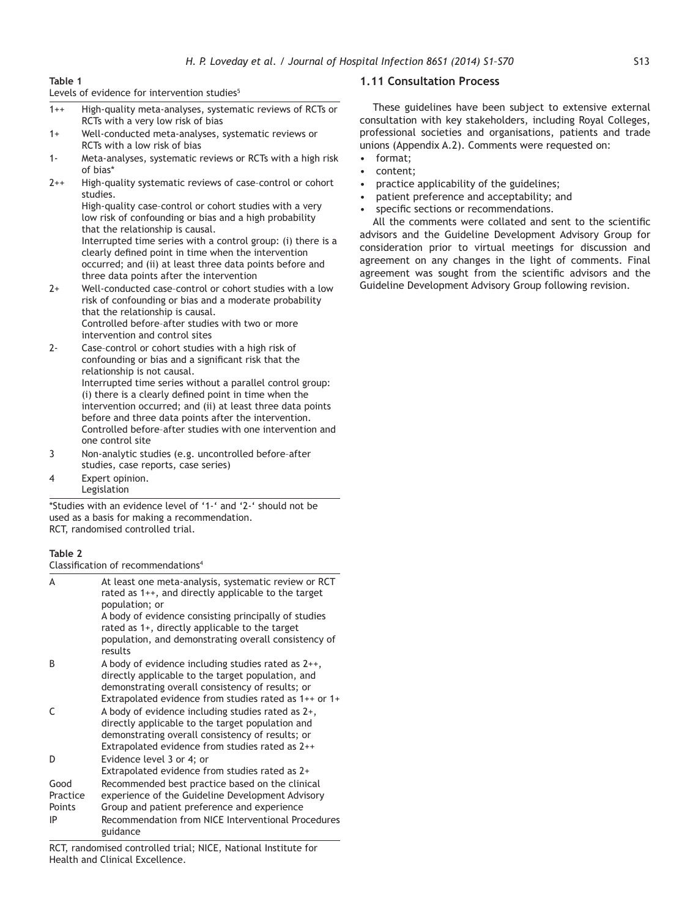#### **Table 1**

Levels of evidence for intervention studies<sup>5</sup>

- 1++ High-quality meta-analyses, systematic reviews of RCTs or RCTs with a very low risk of bias
- 1+ Well-conducted meta-analyses, systematic reviews or RCTs with a low risk of bias
- 1- Meta-analyses, systematic reviews or RCTs with a high risk of bias\*
- 2++ High-quality systematic reviews of case–control or cohort studies.

 High-quality case–control or cohort studies with a very low risk of confounding or bias and a high probability that the relationship is causal. Interrupted time series with a control group: (i) there is a clearly defined point in time when the intervention occurred; and (ii) at least three data points before and three data points after the intervention

- 2+ Well-conducted case–control or cohort studies with a low risk of confounding or bias and a moderate probability that the relationship is causal. Controlled before–after studies with two or more intervention and control sites
- 2- Case–control or cohort studies with a high risk of confounding or bias and a significant risk that the relationship is not causal. Interrupted time series without a parallel control group: (i) there is a clearly defined point in time when the intervention occurred; and (ii) at least three data points before and three data points after the intervention. Controlled before–after studies with one intervention and one control site
- 3 Non-analytic studies (e.g. uncontrolled before–after studies, case reports, case series)
- 4 Expert opinion. Legislation

\*Studies with an evidence level of '1-' and '2-' should not be used as a basis for making a recommendation. RCT, randomised controlled trial.

#### **Table 2**

Classification of recommendations $4$ 

| A                                | At least one meta-analysis, systematic review or RCT<br>rated as 1++, and directly applicable to the target<br>population; or<br>A body of evidence consisting principally of studies<br>rated as 1+, directly applicable to the target<br>population, and demonstrating overall consistency of<br>results |
|----------------------------------|------------------------------------------------------------------------------------------------------------------------------------------------------------------------------------------------------------------------------------------------------------------------------------------------------------|
| B                                | A body of evidence including studies rated as $2_{++}$ ,<br>directly applicable to the target population, and<br>demonstrating overall consistency of results; or<br>Extrapolated evidence from studies rated as 1++ or 1+                                                                                 |
| $\epsilon$                       | A body of evidence including studies rated as 2+,<br>directly applicable to the target population and<br>demonstrating overall consistency of results; or<br>Extrapolated evidence from studies rated as 2++                                                                                               |
| D                                | Evidence level 3 or 4; or<br>Extrapolated evidence from studies rated as 2+                                                                                                                                                                                                                                |
| Good<br>Practice<br>Points<br>ΙP | Recommended best practice based on the clinical<br>experience of the Guideline Development Advisory<br>Group and patient preference and experience<br>Recommendation from NICE Interventional Procedures<br>guidance                                                                                       |

RCT, randomised controlled trial; NICE, National Institute for Health and Clinical Excellence.

### **1.11 Consultation Process**

These guidelines have been subject to extensive external consultation with key stakeholders, including Royal Colleges, professional societies and organisations, patients and trade unions (Appendix A.2). Comments were requested on:

- format;
- content;
- practice applicability of the guidelines;
- patient preference and acceptability; and
- specific sections or recommendations.

All the comments were collated and sent to the scientific advisors and the Guideline Development Advisory Group for consideration prior to virtual meetings for discussion and agreement on any changes in the light of comments. Final agreement was sought from the scientific advisors and the Guideline Development Advisory Group following revision.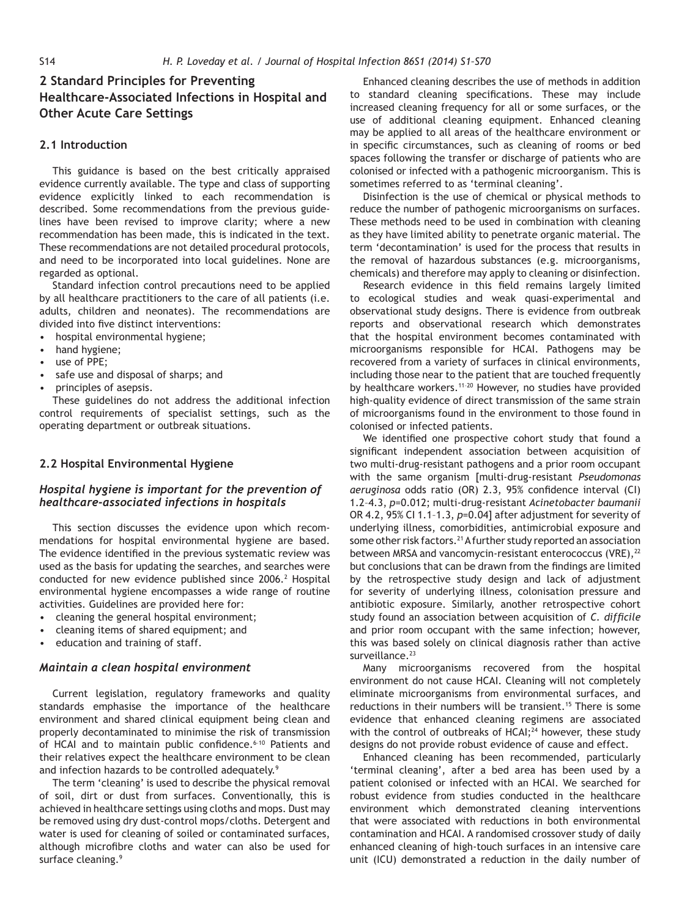# **2 Standard Principles for Preventing Healthcare-Associated Infections in Hospital and Other Acute Care Settings**

# **2.1 Introduction**

This guidance is based on the best critically appraised evidence currently available. The type and class of supporting evidence explicitly linked to each recommendation is described. Some recommendations from the previous guidelines have been revised to improve clarity; where a new recommendation has been made, this is indicated in the text. These recommendations are not detailed procedural protocols, and need to be incorporated into local guidelines. None are regarded as optional.

Standard infection control precautions need to be applied by all healthcare practitioners to the care of all patients (i.e. adults, children and neonates). The recommendations are divided into five distinct interventions:

- hospital environmental hygiene;
- hand hygiene;
- use of PPE;
- safe use and disposal of sharps; and
- principles of asepsis.

These guidelines do not address the additional infection control requirements of specialist settings, such as the operating department or outbreak situations.

# **2.2 Hospital Environmental Hygiene**

# *Hospital hygiene is important for the prevention of healthcare-associated infections in hospitals*

This section discusses the evidence upon which recommendations for hospital environmental hygiene are based. The evidence identified in the previous systematic review was used as the basis for updating the searches, and searches were conducted for new evidence published since 2006.<sup>2</sup> Hospital environmental hygiene encompasses a wide range of routine activities. Guidelines are provided here for:

- cleaning the general hospital environment;
- cleaning items of shared equipment; and
- education and training of staff.

# *Maintain a clean hospital environment*

Current legislation, regulatory frameworks and quality standards emphasise the importance of the healthcare environment and shared clinical equipment being clean and properly decontaminated to minimise the risk of transmission of HCAI and to maintain public confidence.<sup>6-10</sup> Patients and their relatives expect the healthcare environment to be clean and infection hazards to be controlled adequately.<sup>9</sup>

The term 'cleaning' is used to describe the physical removal of soil, dirt or dust from surfaces. Conventionally, this is achieved in healthcare settings using cloths and mops. Dust may be removed using dry dust-control mops/cloths. Detergent and water is used for cleaning of soiled or contaminated surfaces, although microfibre cloths and water can also be used for surface cleaning.<sup>9</sup>

Enhanced cleaning describes the use of methods in addition to standard cleaning specifications. These may include increased cleaning frequency for all or some surfaces, or the use of additional cleaning equipment. Enhanced cleaning may be applied to all areas of the healthcare environment or in specific circumstances, such as cleaning of rooms or bed spaces following the transfer or discharge of patients who are colonised or infected with a pathogenic microorganism. This is sometimes referred to as 'terminal cleaning'.

Disinfection is the use of chemical or physical methods to reduce the number of pathogenic microorganisms on surfaces. These methods need to be used in combination with cleaning as they have limited ability to penetrate organic material. The term 'decontamination' is used for the process that results in the removal of hazardous substances (e.g. microorganisms, chemicals) and therefore may apply to cleaning or disinfection.

Research evidence in this field remains largely limited to ecological studies and weak quasi-experimental and observational study designs. There is evidence from outbreak reports and observational research which demonstrates that the hospital environment becomes contaminated with microorganisms responsible for HCAI. Pathogens may be recovered from a variety of surfaces in clinical environments, including those near to the patient that are touched frequently by healthcare workers.<sup>11-20</sup> However, no studies have provided high-quality evidence of direct transmission of the same strain of microorganisms found in the environment to those found in colonised or infected patients.

We identified one prospective cohort study that found a significant independent association between acquisition of two multi-drug-resistant pathogens and a prior room occupant with the same organism [multi-drug-resistant *Pseudomonas aeruginosa* odds ratio (OR) 2.3, 95% confidence interval (CI) 1.2–4.3, *p*=0.012; multi-drug-resistant *Acinetobacter baumanii* OR 4.2, 95% CI 1.1–1.3, *p=*0.04] after adjustment for severity of underlying illness, comorbidities, antimicrobial exposure and some other risk factors.<sup>21</sup> A further study reported an association between MRSA and vancomycin-resistant enterococcus (VRE),<sup>22</sup> but conclusions that can be drawn from the findings are limited by the retrospective study design and lack of adjustment for severity of underlying illness, colonisation pressure and antibiotic exposure. Similarly, another retrospective cohort study found an association between acquisition of C. difficile and prior room occupant with the same infection; however, this was based solely on clinical diagnosis rather than active surveillance.<sup>23</sup>

Many microorganisms recovered from the hospital environment do not cause HCAI. Cleaning will not completely eliminate microorganisms from environmental surfaces, and reductions in their numbers will be transient.<sup>15</sup> There is some evidence that enhanced cleaning regimens are associated with the control of outbreaks of HCAI;<sup>24</sup> however, these study designs do not provide robust evidence of cause and effect.

Enhanced cleaning has been recommended, particularly 'terminal cleaning', after a bed area has been used by a patient colonised or infected with an HCAI. We searched for robust evidence from studies conducted in the healthcare environment which demonstrated cleaning interventions that were associated with reductions in both environmental contamination and HCAI. A randomised crossover study of daily enhanced cleaning of high-touch surfaces in an intensive care unit (ICU) demonstrated a reduction in the daily number of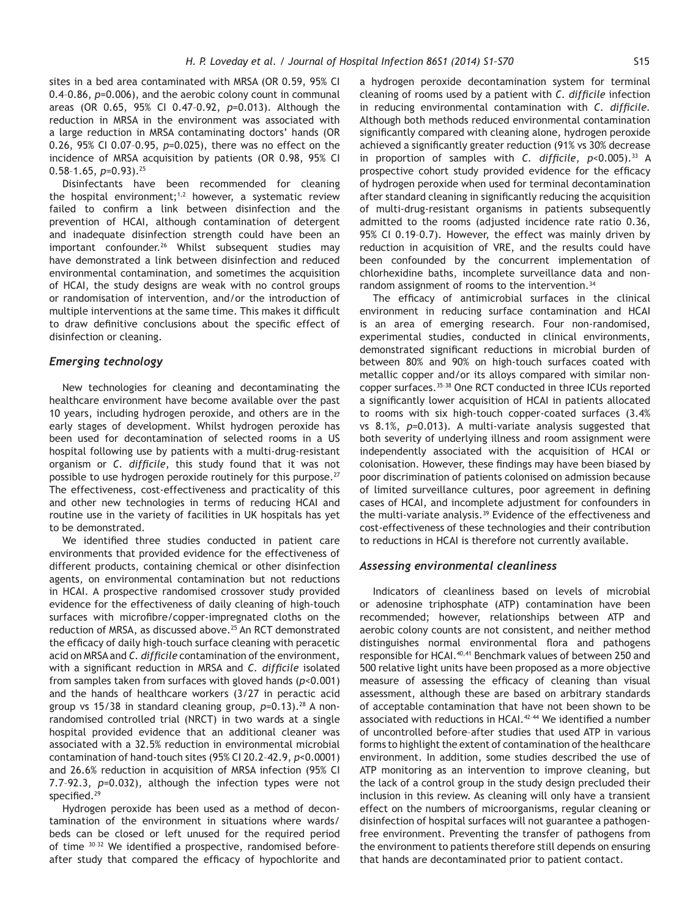sites in a bed area contaminated with MRSA (OR 0.59, 95% CI 0.4–0.86, *p*=0.006), and the aerobic colony count in communal areas (OR 0.65, 95% CI 0.47–0.92, *p*=0.013). Although the reduction in MRSA in the environment was associated with a large reduction in MRSA contaminating doctors' hands (OR 0.26, 95% CI 0.07–0.95, *p*=0.025), there was no effect on the incidence of MRSA acquisition by patients (OR 0.98, 95% CI 0.58–1.65, *p*=0.93).25

Disinfectants have been recommended for cleaning the hospital environment;<sup>1,2</sup> however, a systematic review failed to confirm a link between disinfection and the prevention of HCAI, although contamination of detergent and inadequate disinfection strength could have been an important confounder.<sup>26</sup> Whilst subsequent studies may have demonstrated a link between disinfection and reduced environmental contamination, and sometimes the acquisition of HCAI, the study designs are weak with no control groups or randomisation of intervention, and/or the introduction of multiple interventions at the same time. This makes it difficult to draw definitive conclusions about the specific effect of disinfection or cleaning.

# *Emerging technology*

New technologies for cleaning and decontaminating the healthcare environment have become available over the past 10 years, including hydrogen peroxide, and others are in the early stages of development. Whilst hydrogen peroxide has been used for decontamination of selected rooms in a US hospital following use by patients with a multi-drug-resistant organism or *C. difficile*, this study found that it was not possible to use hydrogen peroxide routinely for this purpose.<sup>27</sup> The effectiveness, cost-effectiveness and practicality of this and other new technologies in terms of reducing HCAI and routine use in the variety of facilities in UK hospitals has yet to be demonstrated.

We identified three studies conducted in patient care environments that provided evidence for the effectiveness of different products, containing chemical or other disinfection agents, on environmental contamination but not reductions in HCAI. A prospective randomised crossover study provided evidence for the effectiveness of daily cleaning of high-touch surfaces with microfibre/copper-impregnated cloths on the reduction of MRSA, as discussed above.25 An RCT demonstrated the efficacy of daily high-touch surface cleaning with peracetic acid on MRSA and *C. difficile* contamination of the environment, with a significant reduction in MRSA and C. difficile isolated from samples taken from surfaces with gloved hands (*p*<0.001) and the hands of healthcare workers (3/27 in peractic acid group vs 15/38 in standard cleaning group, p=0.13).<sup>28</sup> A nonrandomised controlled trial (NRCT) in two wards at a single hospital provided evidence that an additional cleaner was associated with a 32.5% reduction in environmental microbial contamination of hand-touch sites (95% CI 20.2–42.9, *p*<0.0001) and 26.6% reduction in acquisition of MRSA infection (95% CI 7.7–92.3, *p*=0.032), although the infection types were not specified.<sup>29</sup>

Hydrogen peroxide has been used as a method of decontamination of the environment in situations where wards/ beds can be closed or left unused for the required period of time <sup>30-32</sup> We identified a prospective, randomised beforeafter study that compared the efficacy of hypochlorite and a hydrogen peroxide decontamination system for terminal cleaning of rooms used by a patient with C. difficile infection in reducing environmental contamination with *C. difficile*. Although both methods reduced environmental contamination significantly compared with cleaning alone, hydrogen peroxide achieved a significantly greater reduction (91% vs 30% decrease in proportion of samples with *C. difficile*,  $p$ <0.005).<sup>33</sup> A prospective cohort study provided evidence for the efficacy of hydrogen peroxide when used for terminal decontamination after standard cleaning in significantly reducing the acquisition of multi-drug-resistant organisms in patients subsequently admitted to the rooms (adjusted incidence rate ratio 0.36, 95% CI 0.19–0.7). However, the effect was mainly driven by reduction in acquisition of VRE, and the results could have been confounded by the concurrent implementation of chlorhexidine baths, incomplete surveillance data and nonrandom assignment of rooms to the intervention.34

The efficacy of antimicrobial surfaces in the clinical environment in reducing surface contamination and HCAI is an area of emerging research. Four non-randomised, experimental studies, conducted in clinical environments, demonstrated significant reductions in microbial burden of between 80% and 90% on high-touch surfaces coated with metallic copper and/or its alloys compared with similar noncopper surfaces.35–38 One RCT conducted in three ICUs reported a significantly lower acquisition of HCAI in patients allocated to rooms with six high-touch copper-coated surfaces (3.4% vs 8.1%, *p=*0.013). A multi-variate analysis suggested that both severity of underlying illness and room assignment were independently associated with the acquisition of HCAI or colonisation. However, these findings may have been biased by poor discrimination of patients colonised on admission because of limited surveillance cultures, poor agreement in defining cases of HCAI, and incomplete adjustment for confounders in the multi-variate analysis.<sup>39</sup> Evidence of the effectiveness and cost-effectiveness of these technologies and their contribution to reductions in HCAI is therefore not currently available.

# *Assessing environmental cleanliness*

Indicators of cleanliness based on levels of microbial or adenosine triphosphate (ATP) contamination have been recommended; however, relationships between ATP and aerobic colony counts are not consistent, and neither method distinguishes normal environmental flora and pathogens responsible for HCAI.40,41 Benchmark values of between 250 and 500 relative light units have been proposed as a more objective measure of assessing the efficacy of cleaning than visual assessment, although these are based on arbitrary standards of acceptable contamination that have not been shown to be associated with reductions in HCAI.<sup>42-44</sup> We identified a number of uncontrolled before–after studies that used ATP in various forms to highlight the extent of contamination of the healthcare environment. In addition, some studies described the use of ATP monitoring as an intervention to improve cleaning, but the lack of a control group in the study design precluded their inclusion in this review. As cleaning will only have a transient effect on the numbers of microorganisms, regular cleaning or disinfection of hospital surfaces will not guarantee a pathogenfree environment. Preventing the transfer of pathogens from the environment to patients therefore still depends on ensuring that hands are decontaminated prior to patient contact.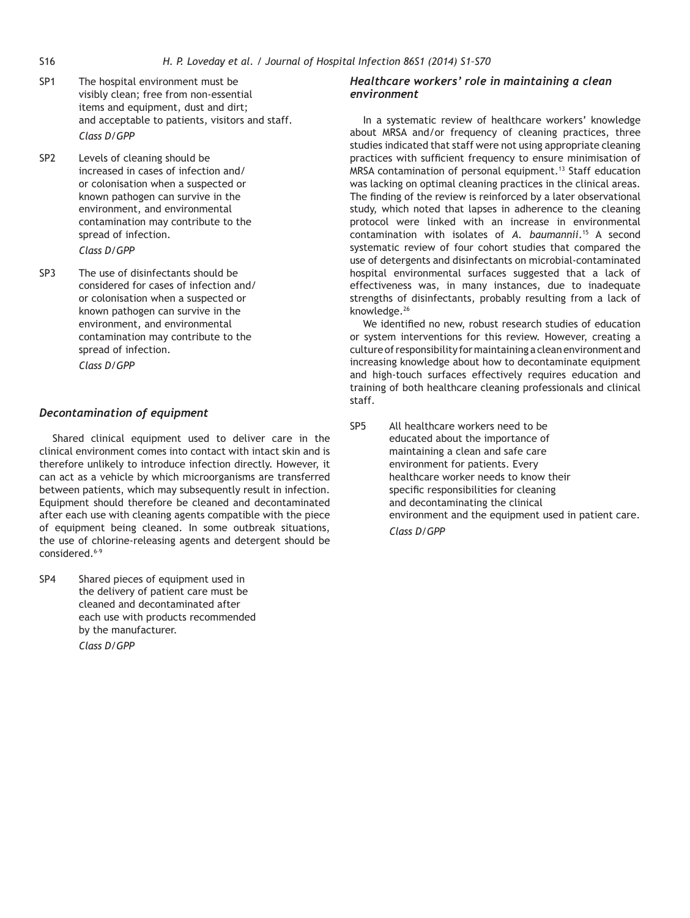- SP1 The hospital environment must be visibly clean; free from non-essential items and equipment, dust and dirt; and acceptable to patients, visitors and staff. *Class D/GPP*
- SP2 Levels of cleaning should be increased in cases of infection and/ or colonisation when a suspected or known pathogen can survive in the environment, and environmental contamination may contribute to the spread of infection.

*Class D/GPP*

SP3 The use of disinfectants should be considered for cases of infection and/ or colonisation when a suspected or known pathogen can survive in the environment, and environmental contamination may contribute to the spread of infection. *Class D/GPP*

# *Decontamination of equipment*

Shared clinical equipment used to deliver care in the clinical environment comes into contact with intact skin and is therefore unlikely to introduce infection directly. However, it can act as a vehicle by which microorganisms are transferred between patients, which may subsequently result in infection. Equipment should therefore be cleaned and decontaminated after each use with cleaning agents compatible with the piece of equipment being cleaned. In some outbreak situations, the use of chlorine-releasing agents and detergent should be considered.<sup>6-9</sup>

SP4 Shared pieces of equipment used in the delivery of patient care must be cleaned and decontaminated after each use with products recommended by the manufacturer. *Class D/GPP*

# *Healthcare workers' role in maintaining a clean environment*

In a systematic review of healthcare workers' knowledge about MRSA and/or frequency of cleaning practices, three studies indicated that staff were not using appropriate cleaning practices with sufficient frequency to ensure minimisation of MRSA contamination of personal equipment.<sup>13</sup> Staff education was lacking on optimal cleaning practices in the clinical areas. The finding of the review is reinforced by a later observational study, which noted that lapses in adherence to the cleaning protocol were linked with an increase in environmental contamination with isolates of *A. baumannii*.15 A second systematic review of four cohort studies that compared the use of detergents and disinfectants on microbial-contaminated hospital environmental surfaces suggested that a lack of effectiveness was, in many instances, due to inadequate strengths of disinfectants, probably resulting from a lack of knowledge.26

We identified no new, robust research studies of education or system interventions for this review. However, creating a culture of responsibility for maintaining a clean environment and increasing knowledge about how to decontaminate equipment and high-touch surfaces effectively requires education and training of both healthcare cleaning professionals and clinical staff.

SP5 All healthcare workers need to be educated about the importance of maintaining a clean and safe care environment for patients. Every healthcare worker needs to know their specific responsibilities for cleaning and decontaminating the clinical environment and the equipment used in patient care. *Class D/GPP*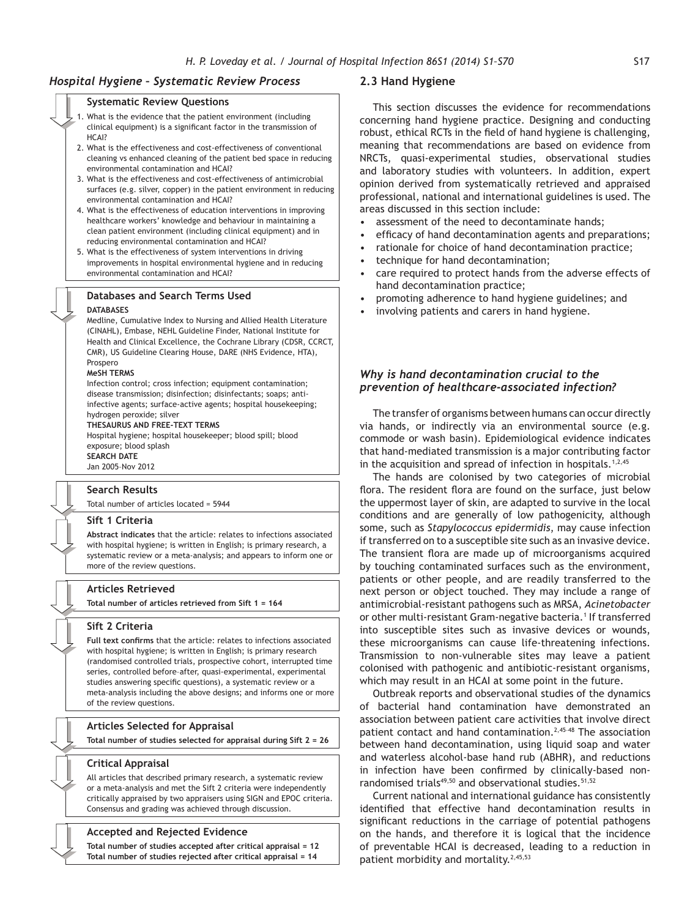# *Hospital Hygiene – Systematic Review Process*

# **Systematic Review Questions**

- 1. What is the evidence that the patient environment (including clinical equipment) is a significant factor in the transmission of HCAI?
- 2. What is the effectiveness and cost-effectiveness of conventional cleaning vs enhanced cleaning of the patient bed space in reducing environmental contamination and HCAI?
- 3. What is the effectiveness and cost-effectiveness of antimicrobial surfaces (e.g. silver, copper) in the patient environment in reducing environmental contamination and HCAI?
- 4. What is the effectiveness of education interventions in improving healthcare workers' knowledge and behaviour in maintaining a clean patient environment (including clinical equipment) and in reducing environmental contamination and HCAI?
- 5. What is the effectiveness of system interventions in driving improvements in hospital environmental hygiene and in reducing environmental contamination and HCAI?

# **Databases and Search Terms Used**

#### **DATABASES**

Medline, Cumulative Index to Nursing and Allied Health Literature (CINAHL), Embase, NEHL Guideline Finder, National Institute for Health and Clinical Excellence, the Cochrane Library (CDSR, CCRCT, CMR), US Guideline Clearing House, DARE (NHS Evidence, HTA), Prospero

#### **MeSH TERMS**

Infection control; cross infection; equipment contamination; disease transmission; disinfection; disinfectants; soaps; antiinfective agents; surface-active agents; hospital housekeeping; hydrogen peroxide; silver

#### **THESAURUS AND FREE-TEXT TERMS**

Hospital hygiene; hospital housekeeper; blood spill; blood exposure; blood splash

**SEARCH DATE**

Jan 2005–Nov 2012

# **Search Results**

Total number of articles located = 5944

#### **Sift 1 Criteria**

**Abstract indicates** that the article: relates to infections associated with hospital hygiene; is written in English; is primary research, a systematic review or a meta-analysis; and appears to inform one or more of the review questions.

#### **Articles Retrieved**

**Total number of articles retrieved from Sift 1 = 164**

#### **Sift 2 Criteria**

**Full text confirms** that the article: relates to infections associated with hospital hygiene; is written in English; is primary research (randomised controlled trials, prospective cohort, interrupted time series, controlled before–after, quasi-experimental, experimental studies answering specific questions), a systematic review or a meta-analysis including the above designs; and informs one or more of the review questions.

# **Articles Selected for Appraisal**

**Total number of studies selected for appraisal during Sift 2 = 26**

#### **Critical Appraisal**

All articles that described primary research, a systematic review or a meta-analysis and met the Sift 2 criteria were independently critically appraised by two appraisers using SIGN and EPOC criteria. Consensus and grading was achieved through discussion.

#### **Accepted and Rejected Evidence**

**Total number of studies accepted after critical appraisal = 12 Total number of studies rejected after critical appraisal = 14**

### **2.3 Hand Hygiene**

This section discusses the evidence for recommendations concerning hand hygiene practice. Designing and conducting robust, ethical RCTs in the field of hand hygiene is challenging, meaning that recommendations are based on evidence from NRCTs, quasi-experimental studies, observational studies and laboratory studies with volunteers. In addition, expert opinion derived from systematically retrieved and appraised professional, national and international guidelines is used. The areas discussed in this section include:

- assessment of the need to decontaminate hands;
- efficacy of hand decontamination agents and preparations;
- rationale for choice of hand decontamination practice;
- technique for hand decontamination;
- care required to protect hands from the adverse effects of hand decontamination practice;
- promoting adherence to hand hygiene guidelines; and
- involving patients and carers in hand hygiene.

# *Why is hand decontamination crucial to the prevention of healthcare-associated infection?*

The transfer of organisms between humans can occur directly via hands, or indirectly via an environmental source (e.g. commode or wash basin). Epidemiological evidence indicates that hand-mediated transmission is a major contributing factor in the acquisition and spread of infection in hospitals.<sup>1,2,45</sup>

The hands are colonised by two categories of microbial flora. The resident flora are found on the surface, just below the uppermost layer of skin, are adapted to survive in the local conditions and are generally of low pathogenicity, although some, such as *Stapylococcus epidermidis*, may cause infection if transferred on to a susceptible site such as an invasive device. The transient flora are made up of microorganisms acquired by touching contaminated surfaces such as the environment, patients or other people, and are readily transferred to the next person or object touched. They may include a range of antimicrobial-resistant pathogens such as MRSA, *Acinetobacter* or other multi-resistant Gram-negative bacteria.<sup>1</sup> If transferred into susceptible sites such as invasive devices or wounds, these microorganisms can cause life-threatening infections. Transmission to non-vulnerable sites may leave a patient colonised with pathogenic and antibiotic-resistant organisms, which may result in an HCAI at some point in the future.

Outbreak reports and observational studies of the dynamics of bacterial hand contamination have demonstrated an association between patient care activities that involve direct patient contact and hand contamination.<sup>2,45-48</sup> The association between hand decontamination, using liquid soap and water and waterless alcohol-base hand rub (ABHR), and reductions in infection have been confirmed by clinically-based nonrandomised trials<sup>49,50</sup> and observational studies.<sup>51,52</sup>

Current national and international guidance has consistently identified that effective hand decontamination results in significant reductions in the carriage of potential pathogens on the hands, and therefore it is logical that the incidence of preventable HCAI is decreased, leading to a reduction in patient morbidity and mortality.<sup>2,45,53</sup>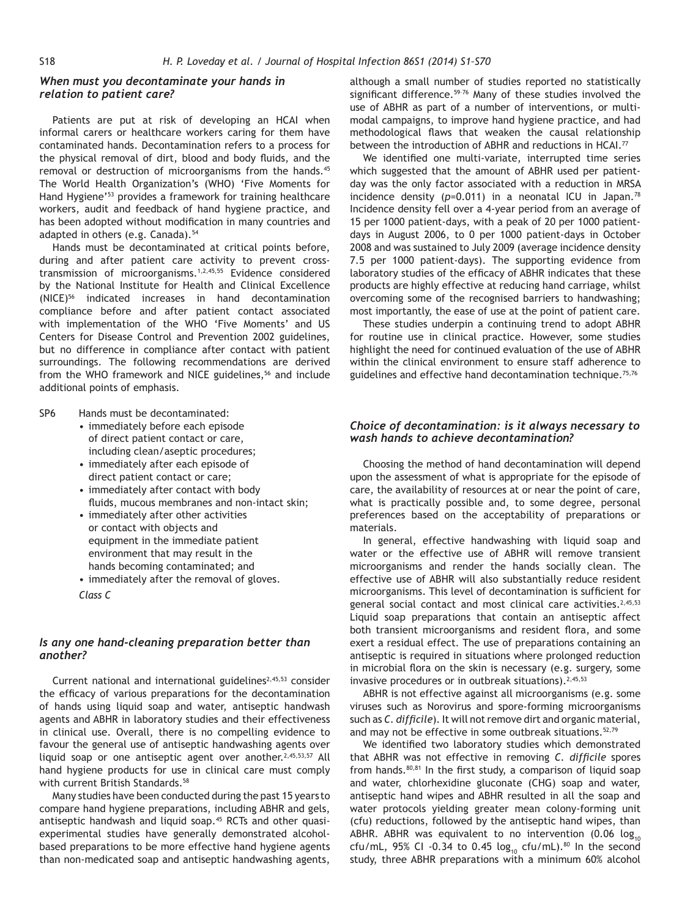# *When must you decontaminate your hands in relation to patient care?*

Patients are put at risk of developing an HCAI when informal carers or healthcare workers caring for them have contaminated hands. Decontamination refers to a process for the physical removal of dirt, blood and body fluids, and the removal or destruction of microorganisms from the hands.<sup>45</sup> The World Health Organization's (WHO) 'Five Moments for Hand Hygiene'<sup>53</sup> provides a framework for training healthcare workers, audit and feedback of hand hygiene practice, and has been adopted without modification in many countries and adapted in others (e.g. Canada).<sup>54</sup>

Hands must be decontaminated at critical points before, during and after patient care activity to prevent crosstransmission of microorganisms.1,2,45,55 Evidence considered by the National Institute for Health and Clinical Excellence (NICE)56 indicated increases in hand decontamination compliance before and after patient contact associated with implementation of the WHO 'Five Moments' and US Centers for Disease Control and Prevention 2002 guidelines, but no difference in compliance after contact with patient surroundings. The following recommendations are derived from the WHO framework and NICE guidelines,<sup>56</sup> and include additional points of emphasis.

SP6 Hands must be decontaminated:

- immediately before each episode of direct patient contact or care, including clean/aseptic procedures;
- immediately after each episode of direct patient contact or care;
- immediately after contact with body fluids, mucous membranes and non-intact skin;
- immediately after other activities or contact with objects and equipment in the immediate patient environment that may result in the hands becoming contaminated; and
- immediately after the removal of gloves.

*Class C*

# *Is any one hand-cleaning preparation better than another?*

Current national and international guidelines<sup>2,45,53</sup> consider the efficacy of various preparations for the decontamination of hands using liquid soap and water, antiseptic handwash agents and ABHR in laboratory studies and their effectiveness in clinical use. Overall, there is no compelling evidence to favour the general use of antiseptic handwashing agents over liquid soap or one antiseptic agent over another.<sup>2,45,53,57</sup> All hand hygiene products for use in clinical care must comply with current British Standards.<sup>58</sup>

Many studies have been conducted during the past 15 years to compare hand hygiene preparations, including ABHR and gels, antiseptic handwash and liquid soap.<sup>45</sup> RCTs and other quasiexperimental studies have generally demonstrated alcoholbased preparations to be more effective hand hygiene agents than non-medicated soap and antiseptic handwashing agents, although a small number of studies reported no statistically significant difference. $59-76$  Many of these studies involved the use of ABHR as part of a number of interventions, or multimodal campaigns, to improve hand hygiene practice, and had methodological flaws that weaken the causal relationship between the introduction of ABHR and reductions in HCAI.<sup>77</sup>

We identified one multi-variate, interrupted time series which suggested that the amount of ABHR used per patientday was the only factor associated with a reduction in MRSA incidence density  $(p=0.011)$  in a neonatal ICU in Japan.<sup>78</sup> Incidence density fell over a 4-year period from an average of 15 per 1000 patient-days, with a peak of 20 per 1000 patientdays in August 2006, to 0 per 1000 patient-days in October 2008 and was sustained to July 2009 (average incidence density 7.5 per 1000 patient-days). The supporting evidence from laboratory studies of the efficacy of ABHR indicates that these products are highly effective at reducing hand carriage, whilst overcoming some of the recognised barriers to handwashing; most importantly, the ease of use at the point of patient care.

These studies underpin a continuing trend to adopt ABHR for routine use in clinical practice. However, some studies highlight the need for continued evaluation of the use of ABHR within the clinical environment to ensure staff adherence to guidelines and effective hand decontamination technique.<sup>75,76</sup>

# *Choice of decontamination: is it always necessary to wash hands to achieve decontamination?*

Choosing the method of hand decontamination will depend upon the assessment of what is appropriate for the episode of care, the availability of resources at or near the point of care, what is practically possible and, to some degree, personal preferences based on the acceptability of preparations or materials.

In general, effective handwashing with liquid soap and water or the effective use of ABHR will remove transient microorganisms and render the hands socially clean. The effective use of ABHR will also substantially reduce resident microorganisms. This level of decontamination is sufficient for general social contact and most clinical care activities.<sup>2,45,53</sup> Liquid soap preparations that contain an antiseptic affect both transient microorganisms and resident flora, and some exert a residual effect. The use of preparations containing an antiseptic is required in situations where prolonged reduction in microbial flora on the skin is necessary (e.g. surgery, some invasive procedures or in outbreak situations). $2,45,53$ 

ABHR is not effective against all microorganisms (e.g. some viruses such as Norovirus and spore-forming microorganisms such as *C. difficile*). It will not remove dirt and organic material, and may not be effective in some outbreak situations. $52,79$ 

We identified two laboratory studies which demonstrated that ABHR was not effective in removing C. difficile spores from hands. $80,81$  In the first study, a comparison of liquid soap and water, chlorhexidine gluconate (CHG) soap and water, antiseptic hand wipes and ABHR resulted in all the soap and water protocols yielding greater mean colony-forming unit (cfu) reductions, followed by the antiseptic hand wipes, than ABHR. ABHR was equivalent to no intervention (0.06  $log_{10}$ cfu/mL, 95% CI -0.34 to 0.45  $log_{10}$  cfu/mL).<sup>80</sup> In the second study, three ABHR preparations with a minimum 60% alcohol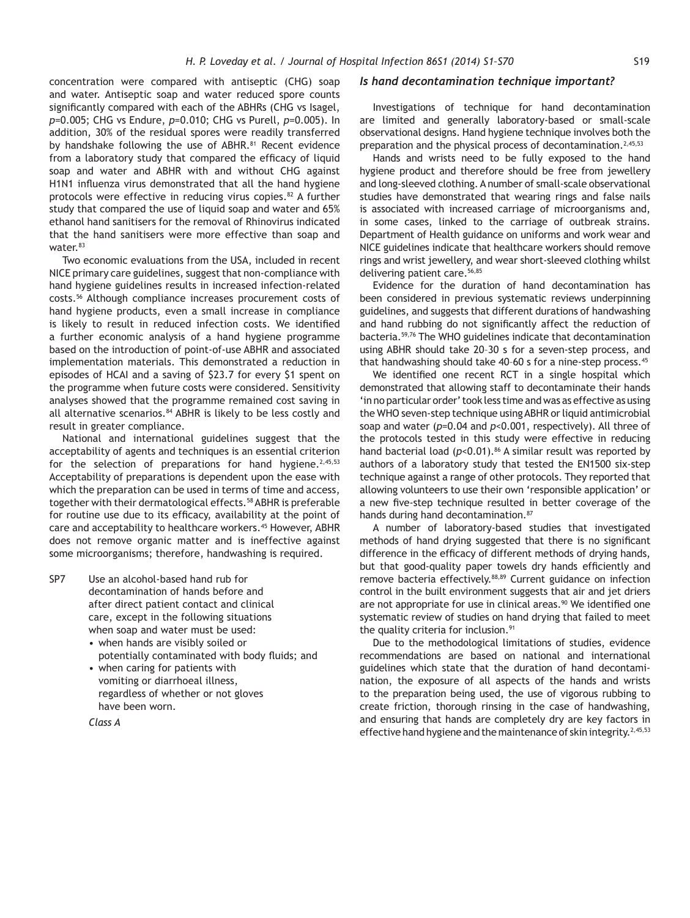concentration were compared with antiseptic (CHG) soap and water. Antiseptic soap and water reduced spore counts significantly compared with each of the ABHRs (CHG vs Isagel, *p*=0.005; CHG vs Endure, *p*=0.010; CHG vs Purell, *p*=0.005). In addition, 30% of the residual spores were readily transferred by handshake following the use of ABHR.<sup>81</sup> Recent evidence from a laboratory study that compared the efficacy of liquid soap and water and ABHR with and without CHG against H1N1 influenza virus demonstrated that all the hand hygiene protocols were effective in reducing virus copies.<sup>82</sup> A further study that compared the use of liquid soap and water and 65% ethanol hand sanitisers for the removal of Rhinovirus indicated that the hand sanitisers were more effective than soap and water.<sup>83</sup>

Two economic evaluations from the USA, included in recent NICE primary care guidelines, suggest that non-compliance with hand hygiene guidelines results in increased infection-related costs.56 Although compliance increases procurement costs of hand hygiene products, even a small increase in compliance is likely to result in reduced infection costs. We identified a further economic analysis of a hand hygiene programme based on the introduction of point-of-use ABHR and associated implementation materials. This demonstrated a reduction in episodes of HCAI and a saving of \$23.7 for every \$1 spent on the programme when future costs were considered. Sensitivity analyses showed that the programme remained cost saving in all alternative scenarios.<sup>84</sup> ABHR is likely to be less costly and result in greater compliance.

National and international guidelines suggest that the acceptability of agents and techniques is an essential criterion for the selection of preparations for hand hygiene.<sup>2,45,53</sup> Acceptability of preparations is dependent upon the ease with which the preparation can be used in terms of time and access, together with their dermatological effects.<sup>58</sup> ABHR is preferable for routine use due to its efficacy, availability at the point of care and acceptability to healthcare workers.45 However, ABHR does not remove organic matter and is ineffective against some microorganisms; therefore, handwashing is required.

- SP7 Use an alcohol-based hand rub for decontamination of hands before and after direct patient contact and clinical care, except in the following situations when soap and water must be used:
	- when hands are visibly soiled or potentially contaminated with body fluids; and
	- when caring for patients with vomiting or diarrhoeal illness, regardless of whether or not gloves have been worn.

*Class A*

#### *Is hand decontamination technique important?*

Investigations of technique for hand decontamination are limited and generally laboratory-based or small-scale observational designs. Hand hygiene technique involves both the preparation and the physical process of decontamination.<sup>2,45,53</sup>

Hands and wrists need to be fully exposed to the hand hygiene product and therefore should be free from jewellery and long-sleeved clothing. A number of small-scale observational studies have demonstrated that wearing rings and false nails is associated with increased carriage of microorganisms and, in some cases, linked to the carriage of outbreak strains. Department of Health guidance on uniforms and work wear and NICE guidelines indicate that healthcare workers should remove rings and wrist jewellery, and wear short-sleeved clothing whilst delivering patient care. 56,85

Evidence for the duration of hand decontamination has been considered in previous systematic reviews underpinning guidelines, and suggests that different durations of handwashing and hand rubbing do not significantly affect the reduction of bacteria.59,76 The WHO guidelines indicate that decontamination using ABHR should take 20–30 s for a seven-step process, and that handwashing should take 40-60 s for a nine-step process.<sup>45</sup>

We identified one recent RCT in a single hospital which demonstrated that allowing staff to decontaminate their hands 'in no particular order' took less time and was as effective as using the WHO seven-step technique using ABHR or liquid antimicrobial soap and water (*p*=0.04 and *p*<0.001, respectively). All three of the protocols tested in this study were effective in reducing hand bacterial load (p<0.01).<sup>86</sup> A similar result was reported by authors of a laboratory study that tested the EN1500 six-step technique against a range of other protocols. They reported that allowing volunteers to use their own 'responsible application' or a new five-step technique resulted in better coverage of the hands during hand decontamination.<sup>87</sup>

A number of laboratory-based studies that investigated methods of hand drying suggested that there is no significant difference in the efficacy of different methods of drying hands, but that good-quality paper towels dry hands efficiently and remove bacteria effectively.88,89 Current guidance on infection control in the built environment suggests that air and jet driers are not appropriate for use in clinical areas.<sup>90</sup> We identified one systematic review of studies on hand drying that failed to meet the quality criteria for inclusion.<sup>91</sup>

Due to the methodological limitations of studies, evidence recommendations are based on national and international guidelines which state that the duration of hand decontamination, the exposure of all aspects of the hands and wrists to the preparation being used, the use of vigorous rubbing to create friction, thorough rinsing in the case of handwashing, and ensuring that hands are completely dry are key factors in effective hand hygiene and the maintenance of skin integrity.<sup>2,45,53</sup>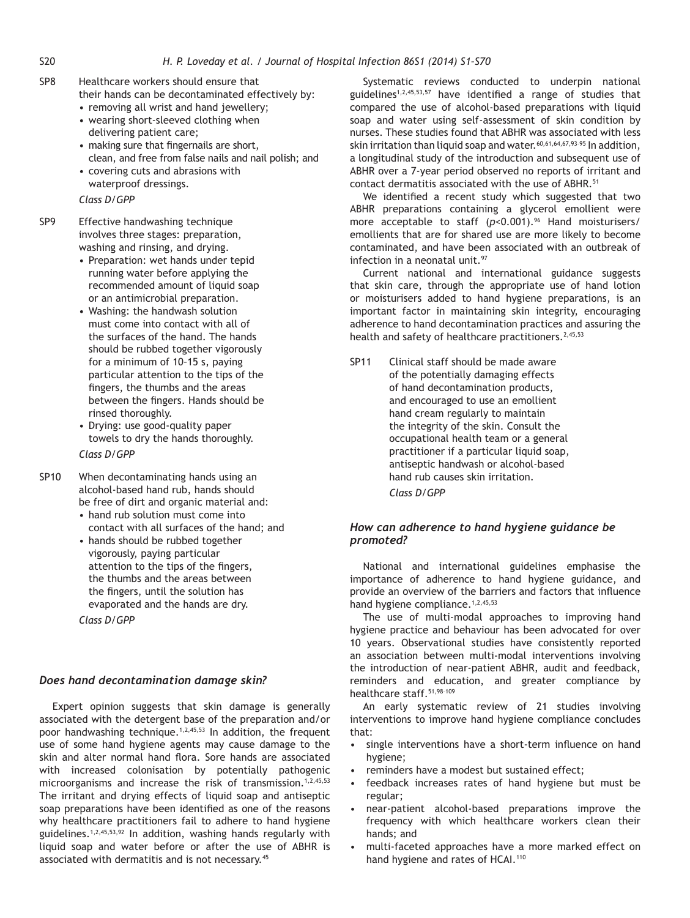- SP8 Healthcare workers should ensure that
	- their hands can be decontaminated effectively by: • removing all wrist and hand jewellery;
	- wearing short-sleeved clothing when delivering patient care;
	- making sure that fingernails are short, clean, and free from false nails and nail polish; and
	- covering cuts and abrasions with waterproof dressings.

*Class D/GPP*

- SP9 Effective handwashing technique involves three stages: preparation, washing and rinsing, and drying.
	- Preparation: wet hands under tepid running water before applying the recommended amount of liquid soap or an antimicrobial preparation.
	- Washing: the handwash solution must come into contact with all of the surfaces of the hand. The hands should be rubbed together vigorously for a minimum of 10–15 s, paying particular attention to the tips of the fingers, the thumbs and the areas between the fingers. Hands should be rinsed thoroughly.
	- Drying: use good-quality paper towels to dry the hands thoroughly. *Class D/GPP*
- SP10 When decontaminating hands using an alcohol-based hand rub, hands should be free of dirt and organic material and:
	- hand rub solution must come into contact with all surfaces of the hand; and
	- hands should be rubbed together vigorously, paying particular attention to the tips of the fingers, the thumbs and the areas between the fingers, until the solution has evaporated and the hands are dry.

*Class D/GPP*

# *Does hand decontamination damage skin?*

Expert opinion suggests that skin damage is generally associated with the detergent base of the preparation and/or poor handwashing technique.<sup>1,2,45,53</sup> In addition, the frequent use of some hand hygiene agents may cause damage to the skin and alter normal hand flora. Sore hands are associated with increased colonisation by potentially pathogenic microorganisms and increase the risk of transmission.<sup>1,2,45,53</sup> The irritant and drying effects of liquid soap and antiseptic soap preparations have been identified as one of the reasons why healthcare practitioners fail to adhere to hand hygiene guidelines.<sup>1,2,45,53,92</sup> In addition, washing hands regularly with liquid soap and water before or after the use of ABHR is associated with dermatitis and is not necessary.<sup>45</sup>

Systematic reviews conducted to underpin national guidelines<sup>1,2,45,53,57</sup> have identified a range of studies that compared the use of alcohol-based preparations with liquid soap and water using self-assessment of skin condition by nurses. These studies found that ABHR was associated with less skin irritation than liquid soap and water.<sup>60,61,64,67,93-95</sup> In addition, a longitudinal study of the introduction and subsequent use of ABHR over a 7-year period observed no reports of irritant and contact dermatitis associated with the use of ABHR.<sup>51</sup>

We identified a recent study which suggested that two ABHR preparations containing a glycerol emollient were more acceptable to staff (p<0.001).<sup>96</sup> Hand moisturisers/ emollients that are for shared use are more likely to become contaminated, and have been associated with an outbreak of infection in a neonatal unit.<sup>97</sup>

Current national and international guidance suggests that skin care, through the appropriate use of hand lotion or moisturisers added to hand hygiene preparations, is an important factor in maintaining skin integrity, encouraging adherence to hand decontamination practices and assuring the health and safety of healthcare practitioners.<sup>2,45,53</sup>

SP11 Clinical staff should be made aware of the potentially damaging effects of hand decontamination products, and encouraged to use an emollient hand cream regularly to maintain the integrity of the skin. Consult the occupational health team or a general practitioner if a particular liquid soap, antiseptic handwash or alcohol-based hand rub causes skin irritation. *Class D/GPP*

# *How can adherence to hand hygiene guidance be promoted?*

National and international guidelines emphasise the importance of adherence to hand hygiene guidance, and provide an overview of the barriers and factors that influence hand hygiene compliance.<sup>1,2,45,53</sup>

The use of multi-modal approaches to improving hand hygiene practice and behaviour has been advocated for over 10 years. Observational studies have consistently reported an association between multi-modal interventions involving the introduction of near-patient ABHR, audit and feedback, reminders and education, and greater compliance by healthcare staff.51,98–109

An early systematic review of 21 studies involving interventions to improve hand hygiene compliance concludes that:

- single interventions have a short-term influence on hand hygiene;
- reminders have a modest but sustained effect;
- feedback increases rates of hand hygiene but must be regular;
- near-patient alcohol-based preparations improve the frequency with which healthcare workers clean their hands; and
- multi-faceted approaches have a more marked effect on hand hygiene and rates of HCAI.<sup>110</sup>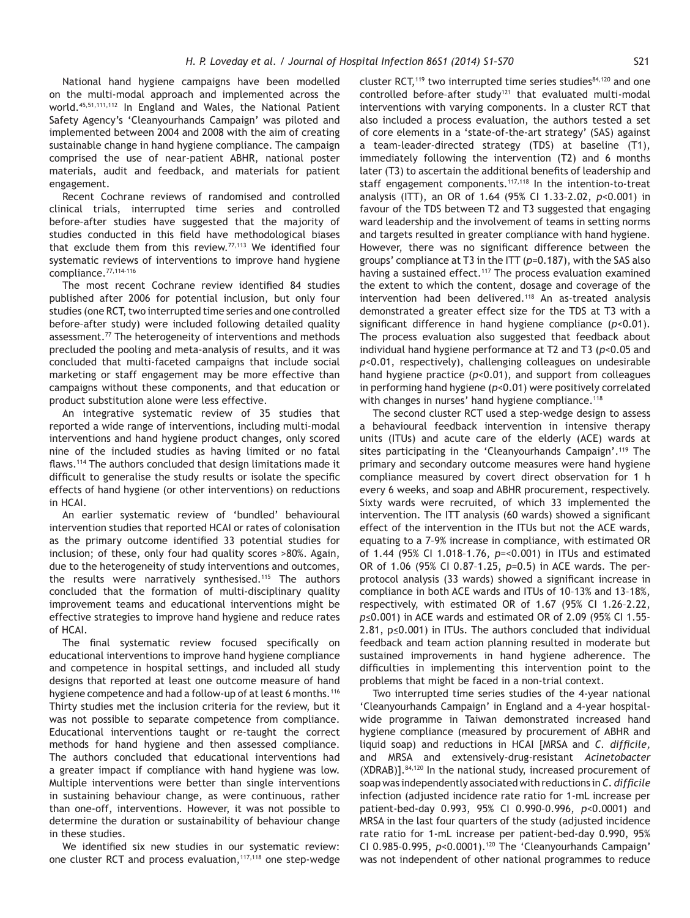National hand hygiene campaigns have been modelled on the multi-modal approach and implemented across the world.45,51,111,112 In England and Wales, the National Patient Safety Agency's 'Cleanyourhands Campaign' was piloted and implemented between 2004 and 2008 with the aim of creating sustainable change in hand hygiene compliance. The campaign comprised the use of near-patient ABHR, national poster materials, audit and feedback, and materials for patient engagement.

Recent Cochrane reviews of randomised and controlled clinical trials, interrupted time series and controlled before–after studies have suggested that the majority of studies conducted in this field have methodological biases that exclude them from this review. $77,113$  We identified four systematic reviews of interventions to improve hand hygiene compliance.77,114–116

The most recent Cochrane review identified 84 studies published after 2006 for potential inclusion, but only four studies (one RCT, two interrupted time series and one controlled before–after study) were included following detailed quality assessment.<sup>77</sup> The heterogeneity of interventions and methods precluded the pooling and meta-analysis of results, and it was concluded that multi-faceted campaigns that include social marketing or staff engagement may be more effective than campaigns without these components, and that education or product substitution alone were less effective.

An integrative systematic review of 35 studies that reported a wide range of interventions, including multi-modal interventions and hand hygiene product changes, only scored nine of the included studies as having limited or no fatal flaws.<sup>114</sup> The authors concluded that design limitations made it difficult to generalise the study results or isolate the specific effects of hand hygiene (or other interventions) on reductions in HCAI.

An earlier systematic review of 'bundled' behavioural intervention studies that reported HCAI or rates of colonisation as the primary outcome identified 33 potential studies for inclusion; of these, only four had quality scores >80%. Again, due to the heterogeneity of study interventions and outcomes, the results were narratively synthesised.115 The authors concluded that the formation of multi-disciplinary quality improvement teams and educational interventions might be effective strategies to improve hand hygiene and reduce rates of HCAI.

The final systematic review focused specifically on educational interventions to improve hand hygiene compliance and competence in hospital settings, and included all study designs that reported at least one outcome measure of hand hygiene competence and had a follow-up of at least 6 months.116 Thirty studies met the inclusion criteria for the review, but it was not possible to separate competence from compliance. Educational interventions taught or re-taught the correct methods for hand hygiene and then assessed compliance. The authors concluded that educational interventions had a greater impact if compliance with hand hygiene was low. Multiple interventions were better than single interventions in sustaining behaviour change, as were continuous, rather than one-off, interventions. However, it was not possible to determine the duration or sustainability of behaviour change in these studies.

We identified six new studies in our systematic review: one cluster RCT and process evaluation,<sup>117,118</sup> one step-wedge

cluster RCT,<sup>119</sup> two interrupted time series studies<sup>84,120</sup> and one controlled before-after study<sup>121</sup> that evaluated multi-modal interventions with varying components. In a cluster RCT that also included a process evaluation, the authors tested a set of core elements in a 'state-of-the-art strategy' (SAS) against a team-leader-directed strategy (TDS) at baseline (T1), immediately following the intervention (T2) and 6 months later (T3) to ascertain the additional benefits of leadership and staff engagement components.<sup>117,118</sup> In the intention-to-treat analysis (ITT), an OR of 1.64 (95% CI 1.33–2.02, *p*<0.001) in favour of the TDS between T2 and T3 suggested that engaging ward leadership and the involvement of teams in setting norms and targets resulted in greater compliance with hand hygiene. However, there was no significant difference between the groups' compliance at T3 in the ITT (*p*=0.187), with the SAS also having a sustained effect.<sup>117</sup> The process evaluation examined the extent to which the content, dosage and coverage of the intervention had been delivered.118 An as-treated analysis demonstrated a greater effect size for the TDS at T3 with a significant difference in hand hygiene compliance ( $p$ <0.01). The process evaluation also suggested that feedback about individual hand hygiene performance at T2 and T3 (*p*<0.05 and *p*<0.01, respectively), challenging colleagues on undesirable hand hygiene practice (*p*<0.01), and support from colleagues in performing hand hygiene (*p*<0.01) were positively correlated with changes in nurses' hand hygiene compliance.<sup>118</sup>

The second cluster RCT used a step-wedge design to assess a behavioural feedback intervention in intensive therapy units (ITUs) and acute care of the elderly (ACE) wards at sites participating in the 'Cleanyourhands Campaign'.119 The primary and secondary outcome measures were hand hygiene compliance measured by covert direct observation for 1 h every 6 weeks, and soap and ABHR procurement, respectively. Sixty wards were recruited, of which 33 implemented the intervention. The ITT analysis (60 wards) showed a significant effect of the intervention in the ITUs but not the ACE wards, equating to a 7–9% increase in compliance, with estimated OR of 1.44 (95% CI 1.018–1.76, *p*=<0.001) in ITUs and estimated OR of 1.06 (95% CI 0.87–1.25, *p*=0.5) in ACE wards. The perprotocol analysis (33 wards) showed a significant increase in compliance in both ACE wards and ITUs of 10–13% and 13–18%, respectively, with estimated OR of 1.67 (95% CI 1.26–2.22, *p*≤0.001) in ACE wards and estimated OR of 2.09 (95% CI 1.55-2.81,  $p \le 0.001$ ) in ITUs. The authors concluded that individual feedback and team action planning resulted in moderate but sustained improvements in hand hygiene adherence. The difficulties in implementing this intervention point to the problems that might be faced in a non-trial context.

Two interrupted time series studies of the 4-year national 'Cleanyourhands Campaign' in England and a 4-year hospitalwide programme in Taiwan demonstrated increased hand hygiene compliance (measured by procurement of ABHR and liquid soap) and reductions in HCAI [MRSA and *C. difficile*, and MRSA and extensively-drug-resistant *Acinetobacter*  (XDRAB)].84,120 In the national study, increased procurement of soap was independently associated with reductions in C. difficile infection (adjusted incidence rate ratio for 1-mL increase per patient-bed-day 0.993, 95% CI 0.990–0.996, *p*<0.0001) and MRSA in the last four quarters of the study (adjusted incidence rate ratio for 1-mL increase per patient-bed-day 0.990, 95% CI 0.985–0.995, *p*<0.0001).120 The 'Cleanyourhands Campaign' was not independent of other national programmes to reduce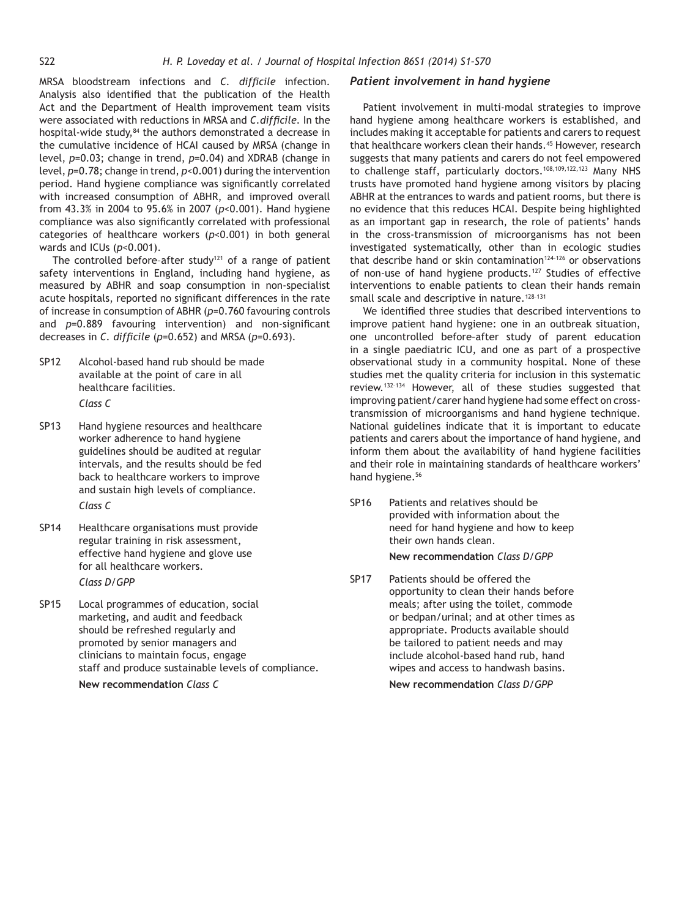MRSA bloodstream infections and C. difficile infection. Analysis also identified that the publication of the Health Act and the Department of Health improvement team visits were associated with reductions in MRSA and *C.difficile*. In the hospital-wide study,<sup>84</sup> the authors demonstrated a decrease in the cumulative incidence of HCAI caused by MRSA (change in level, *p*=0.03; change in trend, *p*=0.04) and XDRAB (change in level, *p*=0.78; change in trend, *p*<0.001) during the intervention period. Hand hygiene compliance was significantly correlated with increased consumption of ABHR, and improved overall from 43.3% in 2004 to 95.6% in 2007 (*p*<0.001). Hand hygiene compliance was also significantly correlated with professional categories of healthcare workers (*p*<0.001) in both general wards and ICUs (*p*<0.001).

The controlled before-after study<sup>121</sup> of a range of patient safety interventions in England, including hand hygiene, as measured by ABHR and soap consumption in non-specialist acute hospitals, reported no significant differences in the rate of increase in consumption of ABHR (*p*=0.760 favouring controls and *p*=0.889 favouring intervention) and non-significant decreases in *C. dif- cile* (*p*=0.652) and MRSA (*p*=0.693)*.*

SP12 Alcohol-based hand rub should be made available at the point of care in all healthcare facilities.

*Class C*

- SP13 Hand hygiene resources and healthcare worker adherence to hand hygiene guidelines should be audited at regular intervals, and the results should be fed back to healthcare workers to improve and sustain high levels of compliance. *Class C*
- SP14 Healthcare organisations must provide regular training in risk assessment, effective hand hygiene and glove use for all healthcare workers. *Class D/GPP*
- SP15 Local programmes of education, social marketing, and audit and feedback should be refreshed regularly and promoted by senior managers and clinicians to maintain focus, engage staff and produce sustainable levels of compliance. **New recommendation** *Class C*

#### *Patient involvement in hand hygiene*

Patient involvement in multi-modal strategies to improve hand hygiene among healthcare workers is established, and includes making it acceptable for patients and carers to request that healthcare workers clean their hands.<sup>45</sup> However, research suggests that many patients and carers do not feel empowered to challenge staff, particularly doctors.<sup>108,109,122,123</sup> Many NHS trusts have promoted hand hygiene among visitors by placing ABHR at the entrances to wards and patient rooms, but there is no evidence that this reduces HCAI. Despite being highlighted as an important gap in research, the role of patients' hands in the cross-transmission of microorganisms has not been investigated systematically, other than in ecologic studies that describe hand or skin contamination<sup>124-126</sup> or observations of non-use of hand hygiene products.<sup>127</sup> Studies of effective interventions to enable patients to clean their hands remain small scale and descriptive in nature.<sup>128-131</sup>

We identified three studies that described interventions to improve patient hand hygiene: one in an outbreak situation, one uncontrolled before–after study of parent education in a single paediatric ICU, and one as part of a prospective observational study in a community hospital. None of these studies met the quality criteria for inclusion in this systematic review.132–134 However, all of these studies suggested that improving patient/carer hand hygiene had some effect on crosstransmission of microorganisms and hand hygiene technique. National guidelines indicate that it is important to educate patients and carers about the importance of hand hygiene, and inform them about the availability of hand hygiene facilities and their role in maintaining standards of healthcare workers' hand hygiene.<sup>56</sup>

SP16 Patients and relatives should be provided with information about the need for hand hygiene and how to keep their own hands clean.

# **New recommendation** *Class D/GPP*

SP17 Patients should be offered the opportunity to clean their hands before meals; after using the toilet, commode or bedpan/urinal; and at other times as appropriate. Products available should be tailored to patient needs and may include alcohol-based hand rub, hand wipes and access to handwash basins. **New recommendation** *Class D/GPP*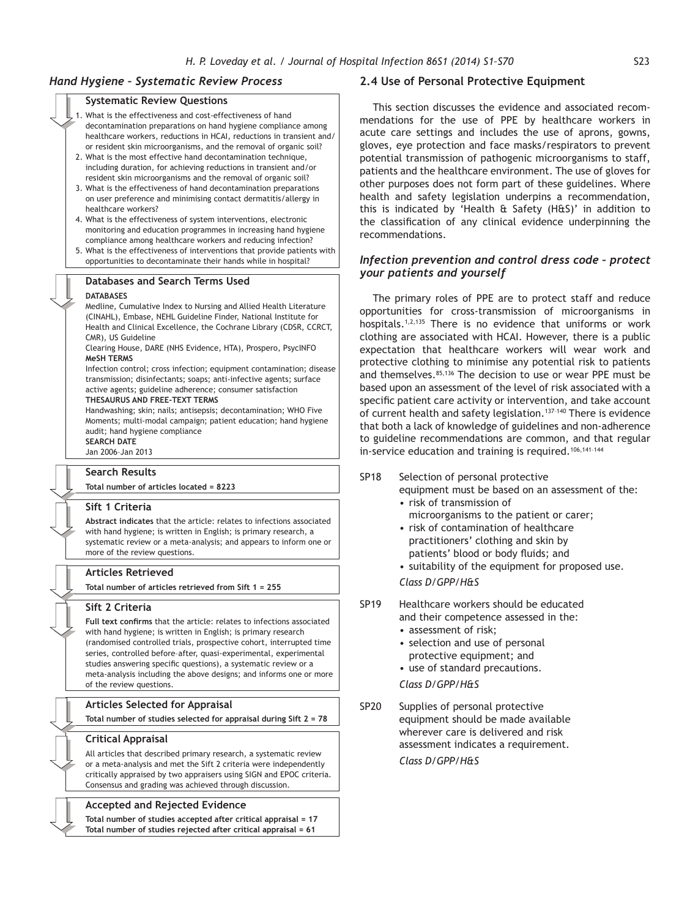# *Hand Hygiene – Systematic Review Process*

#### **Systematic Review Questions** 1. What is the effectiveness and cost-effectiveness of hand decontamination preparations on hand hygiene compliance among healthcare workers, reductions in HCAI, reductions in transient and/ or resident skin microorganisms, and the removal of organic soil? 2. What is the most effective hand decontamination technique, including duration, for achieving reductions in transient and/or resident skin microorganisms and the removal of organic soil? 3. What is the effectiveness of hand decontamination preparations on user preference and minimising contact dermatitis/allergy in healthcare workers? 4. What is the effectiveness of system interventions, electronic monitoring and education programmes in increasing hand hygiene compliance among healthcare workers and reducing infection? 5. What is the effectiveness of interventions that provide patients with opportunities to decontaminate their hands while in hospital? **Databases and Search Terms Used DATABASES** Medline, Cumulative Index to Nursing and Allied Health Literature (CINAHL), Embase, NEHL Guideline Finder, National Institute for Health and Clinical Excellence, the Cochrane Library (CDSR, CCRCT, CMR), US Guideline Clearing House, DARE (NHS Evidence, HTA), Prospero, PsycINFO **MeSH TERMS** Infection control; cross infection; equipment contamination; disease transmission; disinfectants; soaps; anti-infective agents; surface active agents; guideline adherence; consumer satisfaction

**THESAURUS AND FREE-TEXT TERMS** Handwashing; skin; nails; antisepsis; decontamination; WHO Five Moments; multi-modal campaign; patient education; hand hygiene audit; hand hygiene compliance **SEARCH DATE**

#### Jan 2006–Jan 2013

# **Search Results**

**Total number of articles located = 8223**

#### **Sift 1 Criteria**

**Abstract indicates** that the article: relates to infections associated with hand hygiene; is written in English; is primary research, a systematic review or a meta-analysis; and appears to inform one or more of the review questions.

#### **Articles Retrieved**

**Total number of articles retrieved from Sift 1 = 255**

# **Sift 2 Criteria**

Full text confirms that the article: relates to infections associated with hand hygiene; is written in English; is primary research (randomised controlled trials, prospective cohort, interrupted time series, controlled before–after, quasi-experimental, experimental studies answering specific questions), a systematic review or a meta-analysis including the above designs; and informs one or more of the review questions.

#### **Articles Selected for Appraisal**

**Total number of studies selected for appraisal during Sift 2 = 78**

#### **Critical Appraisal**

All articles that described primary research, a systematic review or a meta-analysis and met the Sift 2 criteria were independently critically appraised by two appraisers using SIGN and EPOC criteria. Consensus and grading was achieved through discussion.

#### **Accepted and Rejected Evidence**

**Total number of studies accepted after critical appraisal = 17 Total number of studies rejected after critical appraisal = 61**

#### **2.4 Use of Personal Protective Equipment**

This section discusses the evidence and associated recommendations for the use of PPE by healthcare workers in acute care settings and includes the use of aprons, gowns, gloves, eye protection and face masks/respirators to prevent potential transmission of pathogenic microorganisms to staff, patients and the healthcare environment. The use of gloves for other purposes does not form part of these guidelines. Where health and safety legislation underpins a recommendation, this is indicated by 'Health & Safety (H&S)' in addition to the classification of any clinical evidence underpinning the recommendations.

# *Infection prevention and control dress code – protect your patients and yourself*

The primary roles of PPE are to protect staff and reduce opportunities for cross-transmission of microorganisms in hospitals.<sup>1,2,135</sup> There is no evidence that uniforms or work clothing are associated with HCAI. However, there is a public expectation that healthcare workers will wear work and protective clothing to minimise any potential risk to patients and themselves.<sup>85,136</sup> The decision to use or wear PPE must be based upon an assessment of the level of risk associated with a specific patient care activity or intervention, and take account of current health and safety legislation.<sup>137-140</sup> There is evidence that both a lack of knowledge of guidelines and non-adherence to guideline recommendations are common, and that regular in-service education and training is required.<sup>106,141-144</sup>

- SP18 Selection of personal protective
	- equipment must be based on an assessment of the:
		- risk of transmission of microorganisms to the patient or carer;
		- risk of contamination of healthcare practitioners' clothing and skin by patients' blood or body fluids; and
		- suitability of the equipment for proposed use. *Class D/GPP/H&S*

SP19 Healthcare workers should be educated and their competence assessed in the:

- assessment of risk;
- selection and use of personal protective equipment; and
- use of standard precautions.
- *Class D/GPP/H&S*
- SP20 Supplies of personal protective equipment should be made available wherever care is delivered and risk assessment indicates a requirement. *Class D/GPP/H&S*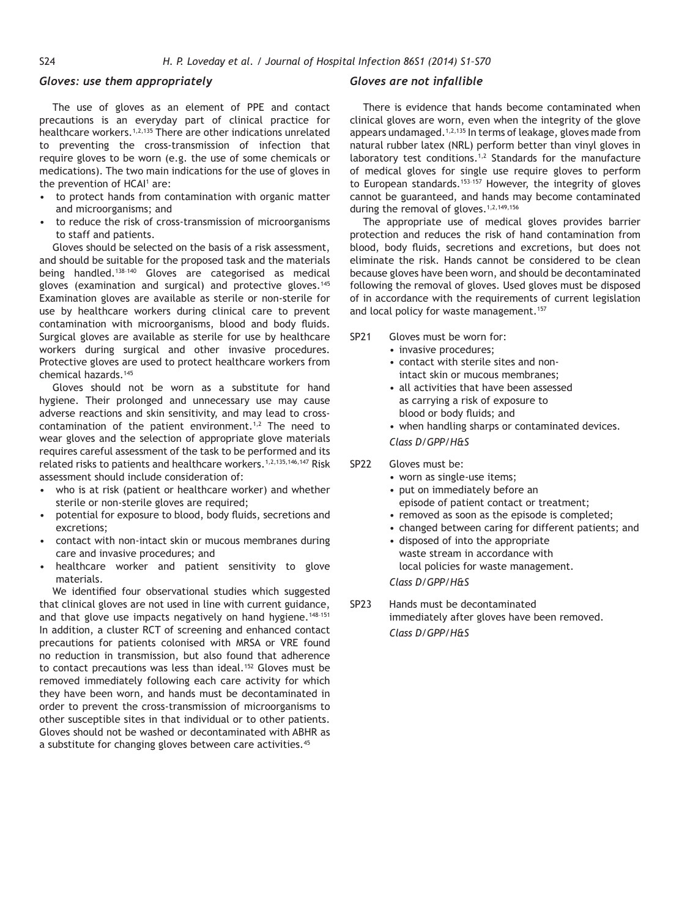### *Gloves: use them appropriately*

The use of gloves as an element of PPE and contact precautions is an everyday part of clinical practice for healthcare workers.<sup>1,2,135</sup> There are other indications unrelated to preventing the cross-transmission of infection that require gloves to be worn (e.g. the use of some chemicals or medications). The two main indications for the use of gloves in the prevention of HCAI<sup>1</sup> are:

- to protect hands from contamination with organic matter and microorganisms; and
- to reduce the risk of cross-transmission of microorganisms to staff and patients.

Gloves should be selected on the basis of a risk assessment, and should be suitable for the proposed task and the materials being handled.138–140 Gloves are categorised as medical gloves (examination and surgical) and protective gloves.145 Examination gloves are available as sterile or non-sterile for use by healthcare workers during clinical care to prevent contamination with microorganisms, blood and body fluids. Surgical gloves are available as sterile for use by healthcare workers during surgical and other invasive procedures. Protective gloves are used to protect healthcare workers from chemical hazards.145

Gloves should not be worn as a substitute for hand hygiene. Their prolonged and unnecessary use may cause adverse reactions and skin sensitivity, and may lead to crosscontamination of the patient environment.<sup>1,2</sup> The need to wear gloves and the selection of appropriate glove materials requires careful assessment of the task to be performed and its related risks to patients and healthcare workers.<sup>1,2,135,146,147</sup> Risk assessment should include consideration of:

- who is at risk (patient or healthcare worker) and whether sterile or non-sterile gloves are required;
- potential for exposure to blood, body fluids, secretions and excretions;
- contact with non-intact skin or mucous membranes during care and invasive procedures; and
- healthcare worker and patient sensitivity to glove materials.

We identified four observational studies which suggested that clinical gloves are not used in line with current guidance, and that glove use impacts negatively on hand hygiene.<sup>148-151</sup> In addition, a cluster RCT of screening and enhanced contact precautions for patients colonised with MRSA or VRE found no reduction in transmission, but also found that adherence to contact precautions was less than ideal.<sup>152</sup> Gloves must be removed immediately following each care activity for which they have been worn, and hands must be decontaminated in order to prevent the cross-transmission of microorganisms to other susceptible sites in that individual or to other patients. Gloves should not be washed or decontaminated with ABHR as a substitute for changing gloves between care activities.<sup>45</sup>

#### *Gloves are not infallible*

There is evidence that hands become contaminated when clinical gloves are worn, even when the integrity of the glove appears undamaged.<sup>1,2,135</sup> In terms of leakage, gloves made from natural rubber latex (NRL) perform better than vinyl gloves in laboratory test conditions.<sup>1,2</sup> Standards for the manufacture of medical gloves for single use require gloves to perform to European standards.<sup>153-157</sup> However, the integrity of gloves cannot be guaranteed, and hands may become contaminated during the removal of gloves.<sup>1,2,149,156</sup>

The appropriate use of medical gloves provides barrier protection and reduces the risk of hand contamination from blood, body fluids, secretions and excretions, but does not eliminate the risk. Hands cannot be considered to be clean because gloves have been worn, and should be decontaminated following the removal of gloves. Used gloves must be disposed of in accordance with the requirements of current legislation and local policy for waste management.<sup>157</sup>

- SP21 Gloves must be worn for:
	- invasive procedures;
	- contact with sterile sites and nonintact skin or mucous membranes;
	- all activities that have been assessed as carrying a risk of exposure to blood or body fluids; and
	- when handling sharps or contaminated devices.

*Class D/GPP/H&S*

- SP22 Gloves must be:
	- worn as single-use items;
	- put on immediately before an episode of patient contact or treatment;
	- removed as soon as the episode is completed;
	- changed between caring for different patients; and
	- disposed of into the appropriate waste stream in accordance with local policies for waste management. *Class D/GPP/H&S*
- SP23 Hands must be decontaminated immediately after gloves have been removed. *Class D/GPP/H&S*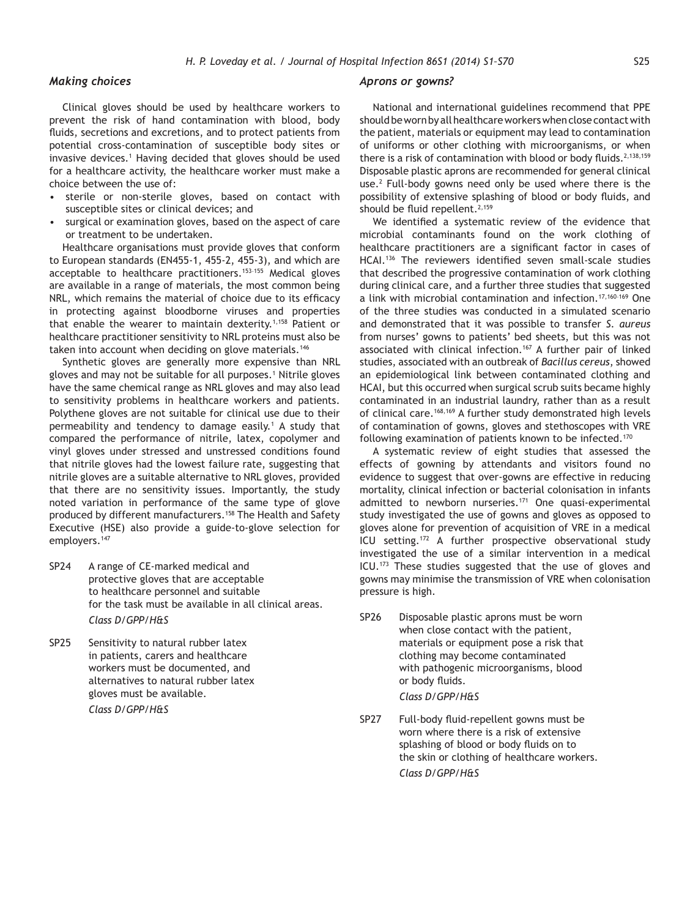# *Making choices*

Clinical gloves should be used by healthcare workers to prevent the risk of hand contamination with blood, body fluids, secretions and excretions, and to protect patients from potential cross-contamination of susceptible body sites or invasive devices.<sup>1</sup> Having decided that gloves should be used for a healthcare activity, the healthcare worker must make a choice between the use of:

- sterile or non-sterile gloves, based on contact with susceptible sites or clinical devices; and
- surgical or examination gloves, based on the aspect of care or treatment to be undertaken.

Healthcare organisations must provide gloves that conform to European standards (EN455-1, 455-2, 455-3), and which are acceptable to healthcare practitioners.153–155 Medical gloves are available in a range of materials, the most common being NRL, which remains the material of choice due to its efficacy in protecting against bloodborne viruses and properties that enable the wearer to maintain dexterity.<sup>1,158</sup> Patient or healthcare practitioner sensitivity to NRL proteins must also be taken into account when deciding on glove materials.<sup>146</sup>

Synthetic gloves are generally more expensive than NRL gloves and may not be suitable for all purposes.1 Nitrile gloves have the same chemical range as NRL gloves and may also lead to sensitivity problems in healthcare workers and patients. Polythene gloves are not suitable for clinical use due to their permeability and tendency to damage easily.<sup>1</sup> A study that compared the performance of nitrile, latex, copolymer and vinyl gloves under stressed and unstressed conditions found that nitrile gloves had the lowest failure rate, suggesting that nitrile gloves are a suitable alternative to NRL gloves, provided that there are no sensitivity issues. Importantly, the study noted variation in performance of the same type of glove produced by different manufacturers.<sup>158</sup> The Health and Safety Executive (HSE) also provide a guide-to-glove selection for employers.<sup>147</sup>

- SP24 A range of CE-marked medical and protective gloves that are acceptable to healthcare personnel and suitable for the task must be available in all clinical areas. *Class D/GPP/H&S*
- SP25 Sensitivity to natural rubber latex in patients, carers and healthcare workers must be documented, and alternatives to natural rubber latex gloves must be available.

*Class D/GPP/H&S*

#### *Aprons or gowns?*

National and international guidelines recommend that PPE should be worn by all healthcare workers when close contact with the patient, materials or equipment may lead to contamination of uniforms or other clothing with microorganisms, or when there is a risk of contamination with blood or body fluids.<sup>2,138,159</sup> Disposable plastic aprons are recommended for general clinical use.2 Full-body gowns need only be used where there is the possibility of extensive splashing of blood or body fluids, and should be fluid repellent.<sup>2,159</sup>

We identified a systematic review of the evidence that microbial contaminants found on the work clothing of healthcare practitioners are a significant factor in cases of HCAI.<sup>136</sup> The reviewers identified seven small-scale studies that described the progressive contamination of work clothing during clinical care, and a further three studies that suggested a link with microbial contamination and infection.17,160–169 One of the three studies was conducted in a simulated scenario and demonstrated that it was possible to transfer *S. aureus* from nurses' gowns to patients' bed sheets, but this was not associated with clinical infection.<sup>167</sup> A further pair of linked studies, associated with an outbreak of *Bacillus cereus*, showed an epidemiological link between contaminated clothing and HCAI, but this occurred when surgical scrub suits became highly contaminated in an industrial laundry, rather than as a result of clinical care.<sup>168,169</sup> A further study demonstrated high levels of contamination of gowns, gloves and stethoscopes with VRE following examination of patients known to be infected.<sup>170</sup>

A systematic review of eight studies that assessed the effects of gowning by attendants and visitors found no evidence to suggest that over-gowns are effective in reducing mortality, clinical infection or bacterial colonisation in infants admitted to newborn nurseries.<sup>171</sup> One quasi-experimental study investigated the use of gowns and gloves as opposed to gloves alone for prevention of acquisition of VRE in a medical ICU setting.172 A further prospective observational study investigated the use of a similar intervention in a medical ICU.173 These studies suggested that the use of gloves and gowns may minimise the transmission of VRE when colonisation pressure is high.

SP26 Disposable plastic aprons must be worn when close contact with the patient, materials or equipment pose a risk that clothing may become contaminated with pathogenic microorganisms, blood or body fluids.

*Class D/GPP/H&S*

SP27 Full-body fluid-repellent gowns must be worn where there is a risk of extensive splashing of blood or body fluids on to the skin or clothing of healthcare workers. *Class D/GPP/H&S*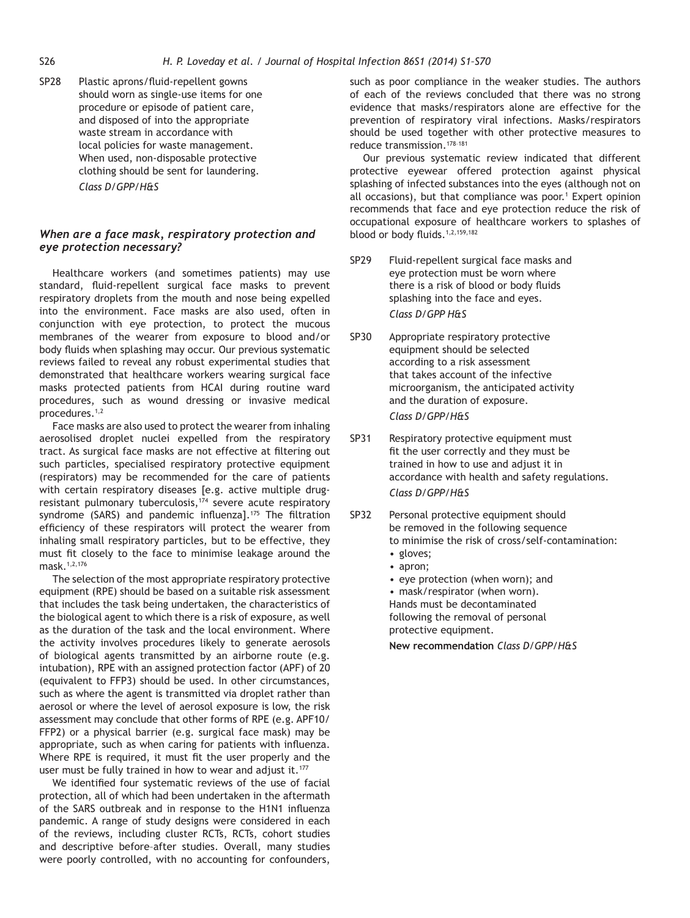SP28 Plastic aprons/fluid-repellent gowns should worn as single-use items for one procedure or episode of patient care, and disposed of into the appropriate waste stream in accordance with local policies for waste management. When used, non-disposable protective clothing should be sent for laundering. *Class D/GPP/H&S*

# *When are a face mask, respiratory protection and eye protection necessary?*

Healthcare workers (and sometimes patients) may use standard, fluid-repellent surgical face masks to prevent respiratory droplets from the mouth and nose being expelled into the environment. Face masks are also used, often in conjunction with eye protection, to protect the mucous membranes of the wearer from exposure to blood and/or body fluids when splashing may occur. Our previous systematic reviews failed to reveal any robust experimental studies that demonstrated that healthcare workers wearing surgical face masks protected patients from HCAI during routine ward procedures, such as wound dressing or invasive medical procedures.<sup>1,2</sup>

Face masks are also used to protect the wearer from inhaling aerosolised droplet nuclei expelled from the respiratory tract. As surgical face masks are not effective at filtering out such particles, specialised respiratory protective equipment (respirators) may be recommended for the care of patients with certain respiratory diseases [e.g. active multiple drugresistant pulmonary tuberculosis,<sup>174</sup> severe acute respiratory syndrome (SARS) and pandemic influenza].<sup>175</sup> The filtration efficiency of these respirators will protect the wearer from inhaling small respiratory particles, but to be effective, they must fit closely to the face to minimise leakage around the mask.1,2,176

The selection of the most appropriate respiratory protective equipment (RPE) should be based on a suitable risk assessment that includes the task being undertaken, the characteristics of the biological agent to which there is a risk of exposure, as well as the duration of the task and the local environment. Where the activity involves procedures likely to generate aerosols of biological agents transmitted by an airborne route (e.g. intubation), RPE with an assigned protection factor (APF) of 20 (equivalent to FFP3) should be used. In other circumstances, such as where the agent is transmitted via droplet rather than aerosol or where the level of aerosol exposure is low, the risk assessment may conclude that other forms of RPE (e.g. APF10/ FFP2) or a physical barrier (e.g. surgical face mask) may be appropriate, such as when caring for patients with influenza. Where RPE is required, it must fit the user properly and the user must be fully trained in how to wear and adjust it.<sup>177</sup>

We identified four systematic reviews of the use of facial protection, all of which had been undertaken in the aftermath of the SARS outbreak and in response to the H1N1 influenza pandemic. A range of study designs were considered in each of the reviews, including cluster RCTs, RCTs, cohort studies and descriptive before–after studies. Overall, many studies were poorly controlled, with no accounting for confounders,

such as poor compliance in the weaker studies. The authors of each of the reviews concluded that there was no strong evidence that masks/respirators alone are effective for the prevention of respiratory viral infections. Masks/respirators should be used together with other protective measures to reduce transmission.178–181

Our previous systematic review indicated that different protective eyewear offered protection against physical splashing of infected substances into the eyes (although not on all occasions), but that compliance was poor.<sup>1</sup> Expert opinion recommends that face and eye protection reduce the risk of occupational exposure of healthcare workers to splashes of blood or body fluids.<sup>1,2,159,182</sup>

- SP29 Fluid-repellent surgical face masks and eye protection must be worn where there is a risk of blood or body fluids splashing into the face and eyes. *Class D/GPP H&S*
- SP30 Appropriate respiratory protective equipment should be selected according to a risk assessment that takes account of the infective microorganism, the anticipated activity and the duration of exposure. *Class D/GPP/H&S*
- SP31 Respiratory protective equipment must fit the user correctly and they must be trained in how to use and adjust it in accordance with health and safety regulations. *Class D/GPP/H&S*
- SP32 Personal protective equipment should be removed in the following sequence to minimise the risk of cross/self-contamination: • gloves;
	- apron;
	- eye protection (when worn); and
	- mask/respirator (when worn).
	- Hands must be decontaminated

following the removal of personal

protective equipment.

**New recommendation** *Class D/GPP/H&S*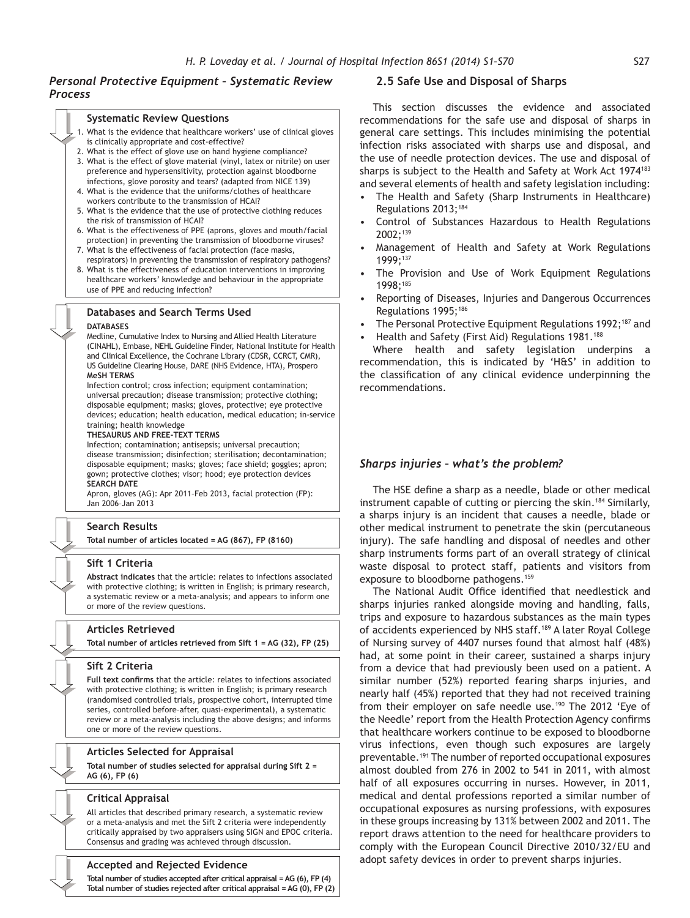# *Personal Protective Equipment – Systematic Review Process*

#### **Systematic Review Questions**

- 1. What is the evidence that healthcare workers' use of clinical gloves is clinically appropriate and cost-effective?
- 2. What is the effect of glove use on hand hygiene compliance?
- 3. What is the effect of glove material (vinyl, latex or nitrile) on user preference and hypersensitivity, protection against bloodborne infections, glove porosity and tears? (adapted from NICE 139)
- 4. What is the evidence that the uniforms/clothes of healthcare workers contribute to the transmission of HCAI?
- 5. What is the evidence that the use of protective clothing reduces the risk of transmission of HCAI?
- 6. What is the effectiveness of PPE (aprons, gloves and mouth/facial protection) in preventing the transmission of bloodborne viruses?
- 7. What is the effectiveness of facial protection (face masks, respirators) in preventing the transmission of respiratory pathogens? 8. What is the effectiveness of education interventions in improving
- healthcare workers' knowledge and behaviour in the appropriate use of PPE and reducing infection?

# **Databases and Search Terms Used**

#### **DATABASES**

Medline, Cumulative Index to Nursing and Allied Health Literature (CINAHL), Embase, NEHL Guideline Finder, National Institute for Health and Clinical Excellence, the Cochrane Library (CDSR, CCRCT, CMR), US Guideline Clearing House, DARE (NHS Evidence, HTA), Prospero **MeSH TERMS**

Infection control; cross infection; equipment contamination; universal precaution; disease transmission; protective clothing; disposable equipment; masks; gloves, protective; eye protective devices; education; health education, medical education; in-service training; health knowledge

## **THESAURUS AND FREE-TEXT TERMS**

Infection; contamination; antisepsis; universal precaution; disease transmission; disinfection; sterilisation; decontamination; disposable equipment; masks; gloves; face shield; goggles; apron; gown; protective clothes; visor; hood; eye protection devices **SEARCH DATE**

Apron, gloves (AG): Apr 2011–Feb 2013, facial protection (FP): Jan 2006–Jan 2013

## **Search Results**

**Total number of articles located = AG (867), FP (8160)**

#### **Sift 1 Criteria**

**Abstract indicates** that the article: relates to infections associated with protective clothing; is written in English; is primary research, a systematic review or a meta-analysis; and appears to inform one or more of the review questions.

#### **Articles Retrieved**

**Total number of articles retrieved from Sift 1 = AG (32), FP (25)**

#### **Sift 2 Criteria**

**Full text confirms** that the article: relates to infections associated with protective clothing; is written in English; is primary research (randomised controlled trials, prospective cohort, interrupted time series, controlled before–after, quasi-experimental), a systematic review or a meta-analysis including the above designs; and informs one or more of the review questions.

#### **Articles Selected for Appraisal**

**Total number of studies selected for appraisal during Sift 2 = AG (6), FP (6)**

#### **Critical Appraisal**

All articles that described primary research, a systematic review or a meta-analysis and met the Sift 2 criteria were independently critically appraised by two appraisers using SIGN and EPOC criteria. Consensus and grading was achieved through discussion.

#### **Accepted and Rejected Evidence**

**Total number of studies accepted after critical appraisal = AG (6), FP (4) Total number of studies rejected after critical appraisal = AG (0), FP (2)**

# **2.5 Safe Use and Disposal of Sharps**

This section discusses the evidence and associated recommendations for the safe use and disposal of sharps in general care settings. This includes minimising the potential infection risks associated with sharps use and disposal, and the use of needle protection devices. The use and disposal of sharps is subject to the Health and Safety at Work Act 1974<sup>183</sup> and several elements of health and safety legislation including:

- The Health and Safety (Sharp Instruments in Healthcare) Regulations 2013;184
- Control of Substances Hazardous to Health Regulations 2002;139
- Management of Health and Safety at Work Regulations 1999;137
- The Provision and Use of Work Equipment Regulations 1998;185
- Reporting of Diseases, Injuries and Dangerous Occurrences Regulations 1995;<sup>186</sup>
- The Personal Protective Equipment Regulations 1992;<sup>187</sup> and
- Health and Safety (First Aid) Regulations 1981.188

Where health and safety legislation underpins a recommendation, this is indicated by 'H&S' in addition to the classification of any clinical evidence underpinning the recommendations.

# *Sharps injuries – what's the problem?*

The HSE define a sharp as a needle, blade or other medical instrument capable of cutting or piercing the skin.184 Similarly, a sharps injury is an incident that causes a needle, blade or other medical instrument to penetrate the skin (percutaneous injury). The safe handling and disposal of needles and other sharp instruments forms part of an overall strategy of clinical waste disposal to protect staff, patients and visitors from exposure to bloodborne pathogens.<sup>159</sup>

The National Audit Office identified that needlestick and sharps injuries ranked alongside moving and handling, falls, trips and exposure to hazardous substances as the main types of accidents experienced by NHS staff.189 A later Royal College of Nursing survey of 4407 nurses found that almost half (48%) had, at some point in their career, sustained a sharps injury from a device that had previously been used on a patient. A similar number (52%) reported fearing sharps injuries, and nearly half (45%) reported that they had not received training from their employer on safe needle use.<sup>190</sup> The 2012 'Eye of the Needle' report from the Health Protection Agency confirms that healthcare workers continue to be exposed to bloodborne virus infections, even though such exposures are largely preventable.191 The number of reported occupational exposures almost doubled from 276 in 2002 to 541 in 2011, with almost half of all exposures occurring in nurses. However, in 2011, medical and dental professions reported a similar number of occupational exposures as nursing professions, with exposures in these groups increasing by 131% between 2002 and 2011. The report draws attention to the need for healthcare providers to comply with the European Council Directive 2010/32/EU and adopt safety devices in order to prevent sharps injuries.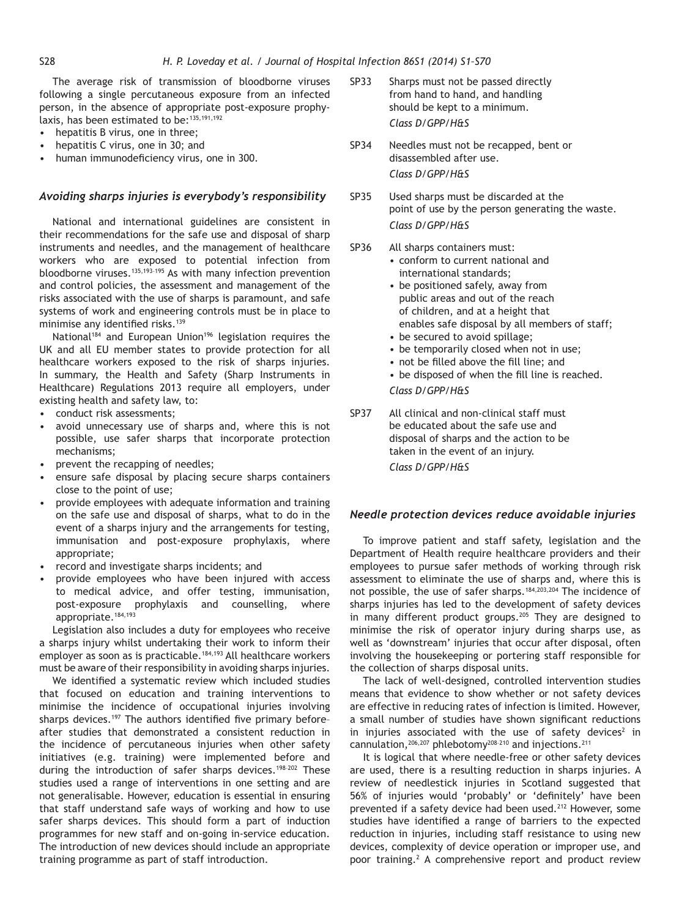The average risk of transmission of bloodborne viruses following a single percutaneous exposure from an infected person, in the absence of appropriate post-exposure prophylaxis, has been estimated to be: 135, 191, 192

- hepatitis B virus, one in three;
- hepatitis C virus, one in 30; and
- human immunodeficiency virus, one in 300.

#### *Avoiding sharps injuries is everybody's responsibility*

National and international guidelines are consistent in their recommendations for the safe use and disposal of sharp instruments and needles, and the management of healthcare workers who are exposed to potential infection from bloodborne viruses.135,193–195 As with many infection prevention and control policies, the assessment and management of the risks associated with the use of sharps is paramount, and safe systems of work and engineering controls must be in place to minimise any identified risks.<sup>139</sup>

National<sup>184</sup> and European Union<sup>196</sup> legislation requires the UK and all EU member states to provide protection for all healthcare workers exposed to the risk of sharps injuries. In summary, the Health and Safety (Sharp Instruments in Healthcare) Regulations 2013 require all employers, under existing health and safety law, to:

- conduct risk assessments;
- avoid unnecessary use of sharps and, where this is not possible, use safer sharps that incorporate protection mechanisms;
- prevent the recapping of needles;
- ensure safe disposal by placing secure sharps containers close to the point of use;
- provide employees with adequate information and training on the safe use and disposal of sharps, what to do in the event of a sharps injury and the arrangements for testing, immunisation and post-exposure prophylaxis, where appropriate;
- record and investigate sharps incidents; and
- provide employees who have been injured with access to medical advice, and offer testing, immunisation, post-exposure prophylaxis and counselling, where appropriate.<sup>184,193</sup>

Legislation also includes a duty for employees who receive a sharps injury whilst undertaking their work to inform their employer as soon as is practicable.<sup>184,193</sup> All healthcare workers must be aware of their responsibility in avoiding sharps injuries.

We identified a systematic review which included studies that focused on education and training interventions to minimise the incidence of occupational injuries involving sharps devices.<sup>197</sup> The authors identified five primary beforeafter studies that demonstrated a consistent reduction in the incidence of percutaneous injuries when other safety initiatives (e.g. training) were implemented before and during the introduction of safer sharps devices.<sup>198-202</sup> These studies used a range of interventions in one setting and are not generalisable. However, education is essential in ensuring that staff understand safe ways of working and how to use safer sharps devices. This should form a part of induction programmes for new staff and on-going in-service education. The introduction of new devices should include an appropriate training programme as part of staff introduction.

- SP33 Sharps must not be passed directly from hand to hand, and handling should be kept to a minimum. *Class D/GPP/H&S*
- SP34 Needles must not be recapped, bent or disassembled after use. *Class D/GPP/H&S*
- SP35 Used sharps must be discarded at the point of use by the person generating the waste. *Class D/GPP/H&S*
- SP36 All sharps containers must:
	- conform to current national and international standards;
		- be positioned safely, away from public areas and out of the reach of children, and at a height that enables safe disposal by all members of staff;
		- be secured to avoid spillage;
		- be temporarily closed when not in use;
	- not be filled above the fill line; and
	- be disposed of when the fill line is reached.

*Class D/GPP/H&S*

SP37 All clinical and non-clinical staff must be educated about the safe use and disposal of sharps and the action to be taken in the event of an injury. *Class D/GPP/H&S*

# *Needle protection devices reduce avoidable injuries*

To improve patient and staff safety, legislation and the Department of Health require healthcare providers and their employees to pursue safer methods of working through risk assessment to eliminate the use of sharps and, where this is not possible, the use of safer sharps.184,203,204 The incidence of sharps injuries has led to the development of safety devices in many different product groups.<sup>205</sup> They are designed to minimise the risk of operator injury during sharps use, as well as 'downstream' injuries that occur after disposal, often involving the housekeeping or portering staff responsible for the collection of sharps disposal units.

The lack of well-designed, controlled intervention studies means that evidence to show whether or not safety devices are effective in reducing rates of infection is limited. However, a small number of studies have shown significant reductions in injuries associated with the use of safety devices<sup>2</sup> in cannulation,206,207 phlebotomy208–210 and injections.211

It is logical that where needle-free or other safety devices are used, there is a resulting reduction in sharps injuries. A review of needlestick injuries in Scotland suggested that 56% of injuries would 'probably' or 'definitely' have been prevented if a safety device had been used.<sup>212</sup> However, some studies have identified a range of barriers to the expected reduction in injuries, including staff resistance to using new devices, complexity of device operation or improper use, and poor training.<sup>2</sup> A comprehensive report and product review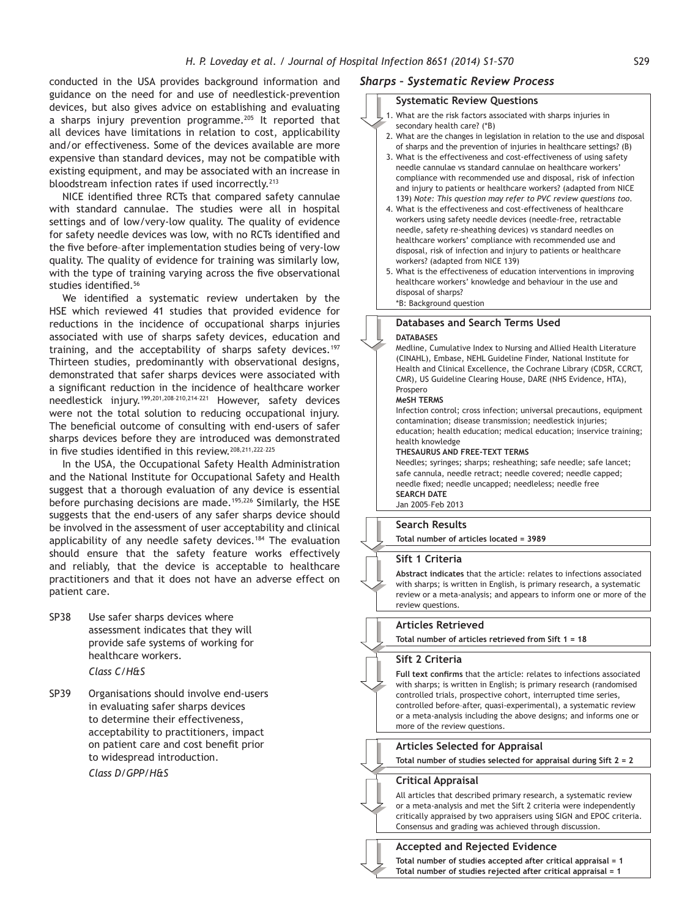conducted in the USA provides background information and guidance on the need for and use of needlestick-prevention devices, but also gives advice on establishing and evaluating a sharps injury prevention programme.205 It reported that all devices have limitations in relation to cost, applicability and/or effectiveness. Some of the devices available are more expensive than standard devices, may not be compatible with existing equipment, and may be associated with an increase in bloodstream infection rates if used incorrectly.<sup>213</sup>

NICE identified three RCTs that compared safety cannulae with standard cannulae. The studies were all in hospital settings and of low/very-low quality. The quality of evidence for safety needle devices was low, with no RCTs identified and the five before-after implementation studies being of very-low quality. The quality of evidence for training was similarly low, with the type of training varying across the five observational studies identified.<sup>56</sup>

We identified a systematic review undertaken by the HSE which reviewed 41 studies that provided evidence for reductions in the incidence of occupational sharps injuries associated with use of sharps safety devices, education and training, and the acceptability of sharps safety devices.<sup>197</sup> Thirteen studies, predominantly with observational designs, demonstrated that safer sharps devices were associated with a significant reduction in the incidence of healthcare worker needlestick injury.199,201,208–210,214–221 However, safety devices were not the total solution to reducing occupational injury. The beneficial outcome of consulting with end-users of safer sharps devices before they are introduced was demonstrated in five studies identified in this review. $208,211,222-225$ 

In the USA, the Occupational Safety Health Administration and the National Institute for Occupational Safety and Health suggest that a thorough evaluation of any device is essential before purchasing decisions are made.<sup>195,226</sup> Similarly, the HSE suggests that the end-users of any safer sharps device should be involved in the assessment of user acceptability and clinical applicability of any needle safety devices.<sup>184</sup> The evaluation should ensure that the safety feature works effectively and reliably, that the device is acceptable to healthcare practitioners and that it does not have an adverse effect on patient care.

SP38 Use safer sharps devices where assessment indicates that they will provide safe systems of working for healthcare workers.

*Class C/H&S*

SP39 Organisations should involve end-users in evaluating safer sharps devices to determine their effectiveness, acceptability to practitioners, impact on patient care and cost benefit prior to widespread introduction. *Class D/GPP/H&S*

# *Sharps – Systematic Review Process*

#### **Systematic Review Questions**

- 1. What are the risk factors associated with sharps injuries in secondary health care? (\*B)
- 2. What are the changes in legislation in relation to the use and disposal of sharps and the prevention of injuries in healthcare settings? (B)
- 3. What is the effectiveness and cost-effectiveness of using safety needle cannulae vs standard cannulae on healthcare workers' compliance with recommended use and disposal, risk of infection and injury to patients or healthcare workers? (adapted from NICE 139) *Note: This question may refer to PVC review questions too.*
- 4. What is the effectiveness and cost-effectiveness of healthcare workers using safety needle devices (needle-free, retractable needle, safety re-sheathing devices) vs standard needles on healthcare workers' compliance with recommended use and disposal, risk of infection and injury to patients or healthcare workers? (adapted from NICE 139)
- 5. What is the effectiveness of education interventions in improving healthcare workers' knowledge and behaviour in the use and disposal of sharps? \*B: Background question

#### **Databases and Search Terms Used**

#### **DATABASES**

Medline, Cumulative Index to Nursing and Allied Health Literature (CINAHL), Embase, NEHL Guideline Finder, National Institute for Health and Clinical Excellence, the Cochrane Library (CDSR, CCRCT, CMR), US Guideline Clearing House, DARE (NHS Evidence, HTA), Prospero

#### **MeSH TERMS**

Infection control; cross infection; universal precautions, equipment contamination; disease transmission; needlestick injuries; education; health education; medical education; inservice training; health knowledge

#### **THESAURUS AND FREE-TEXT TERMS**

Needles; syringes; sharps; resheathing; safe needle; safe lancet; safe cannula, needle retract; needle covered; needle capped; needle fixed; needle uncapped; needleless; needle free **SEARCH DATE**

Jan 2005–Feb 2013

#### **Search Results**

**Total number of articles located = 3989**

#### **Sift 1 Criteria**

**Abstract indicates** that the article: relates to infections associated with sharps; is written in English, is primary research, a systematic review or a meta-analysis; and appears to inform one or more of the review questions.

#### **Articles Retrieved**

**Total number of articles retrieved from Sift 1 = 18**

#### **Sift 2 Criteria**

**Full text confirms** that the article: relates to infections associated with sharps; is written in English; is primary research (randomised controlled trials, prospective cohort, interrupted time series, controlled before–after, quasi-experimental), a systematic review or a meta-analysis including the above designs; and informs one or more of the review questions.

#### **Articles Selected for Appraisal**

**Total number of studies selected for appraisal during Sift 2 = 2**

#### **Critical Appraisal**

All articles that described primary research, a systematic review or a meta-analysis and met the Sift 2 criteria were independently critically appraised by two appraisers using SIGN and EPOC criteria. Consensus and grading was achieved through discussion.

#### **Accepted and Rejected Evidence**

**Total number of studies accepted after critical appraisal = 1 Total number of studies rejected after critical appraisal = 1**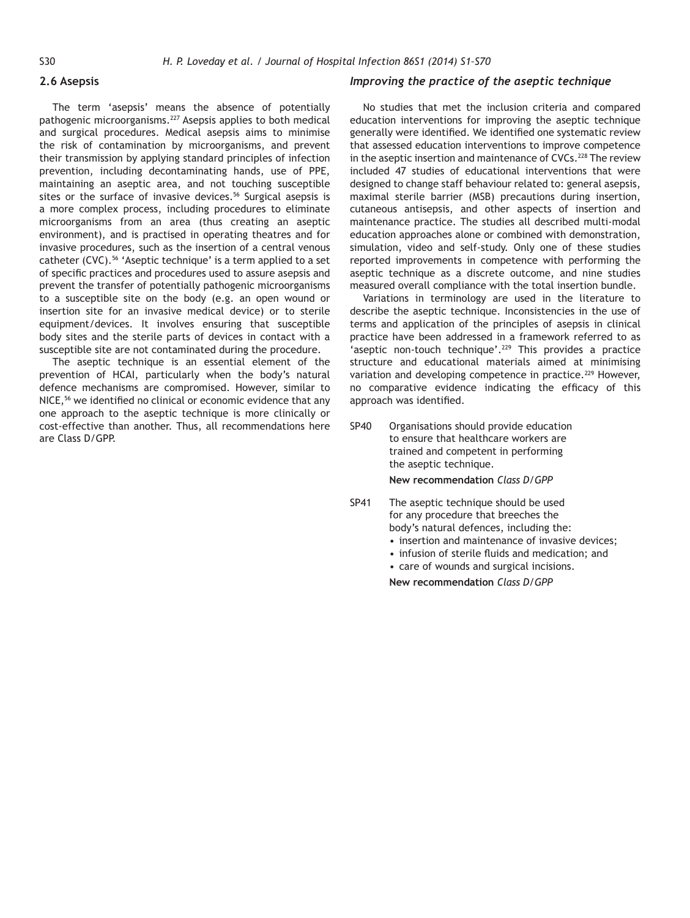#### **2.6 Asepsis**

The term 'asepsis' means the absence of potentially pathogenic microorganisms.<sup>227</sup> Asepsis applies to both medical and surgical procedures. Medical asepsis aims to minimise the risk of contamination by microorganisms, and prevent their transmission by applying standard principles of infection prevention, including decontaminating hands, use of PPE, maintaining an aseptic area, and not touching susceptible sites or the surface of invasive devices.<sup>56</sup> Surgical asepsis is a more complex process, including procedures to eliminate microorganisms from an area (thus creating an aseptic environment), and is practised in operating theatres and for invasive procedures, such as the insertion of a central venous catheter (CVC).<sup>56</sup> 'Aseptic technique' is a term applied to a set of specific practices and procedures used to assure asepsis and prevent the transfer of potentially pathogenic microorganisms to a susceptible site on the body (e.g. an open wound or insertion site for an invasive medical device) or to sterile equipment/devices. It involves ensuring that susceptible body sites and the sterile parts of devices in contact with a susceptible site are not contaminated during the procedure.

The aseptic technique is an essential element of the prevention of HCAI, particularly when the body's natural defence mechanisms are compromised. However, similar to NICE,<sup>56</sup> we identified no clinical or economic evidence that any one approach to the aseptic technique is more clinically or cost-effective than another. Thus, all recommendations here are Class D/GPP.

#### *Improving the practice of the aseptic technique*

No studies that met the inclusion criteria and compared education interventions for improving the aseptic technique generally were identified. We identified one systematic review that assessed education interventions to improve competence in the aseptic insertion and maintenance of CVCs.<sup>228</sup> The review included 47 studies of educational interventions that were designed to change staff behaviour related to: general asepsis, maximal sterile barrier (MSB) precautions during insertion, cutaneous antisepsis, and other aspects of insertion and maintenance practice. The studies all described multi-modal education approaches alone or combined with demonstration, simulation, video and self-study. Only one of these studies reported improvements in competence with performing the aseptic technique as a discrete outcome, and nine studies measured overall compliance with the total insertion bundle.

Variations in terminology are used in the literature to describe the aseptic technique. Inconsistencies in the use of terms and application of the principles of asepsis in clinical practice have been addressed in a framework referred to as 'aseptic non-touch technique'.<sup>229</sup> This provides a practice structure and educational materials aimed at minimising variation and developing competence in practice.<sup>229</sup> However, no comparative evidence indicating the efficacy of this approach was identified.

SP40 Organisations should provide education to ensure that healthcare workers are trained and competent in performing the aseptic technique.

#### **New recommendation** *Class D/GPP*

- SP41 The aseptic technique should be used for any procedure that breeches the body's natural defences, including the:
	- insertion and maintenance of invasive devices;
	- infusion of sterile fluids and medication; and
	- care of wounds and surgical incisions.

**New recommendation** *Class D/GPP*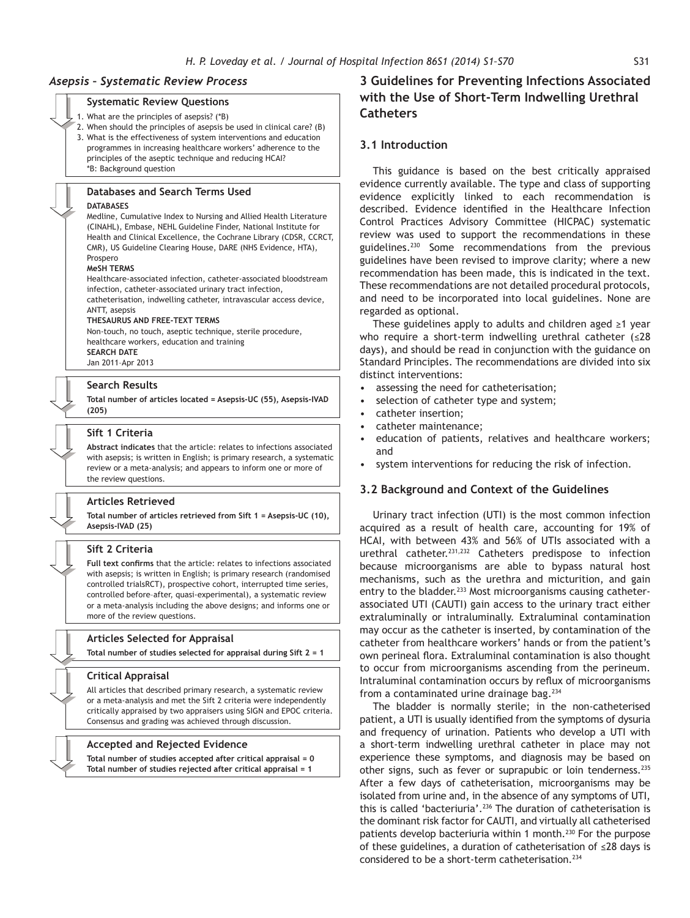# *Asepsis – Systematic Review Process*

#### **Systematic Review Questions** 1. What are the principles of asepsis? (\*B) 2. When should the principles of asepsis be used in clinical care? (B) 3. What is the effectiveness of system interventions and education programmes in increasing healthcare workers' adherence to the principles of the aseptic technique and reducing HCAI? \*B: Background question **Databases and Search Terms Used DATABASES** Medline, Cumulative Index to Nursing and Allied Health Literature (CINAHL), Embase, NEHL Guideline Finder, National Institute for Health and Clinical Excellence, the Cochrane Library (CDSR, CCRCT, CMR), US Guideline Clearing House, DARE (NHS Evidence, HTA), Prospero **MeSH TERMS** Healthcare-associated infection, catheter-associated bloodstream infection, catheter-associated urinary tract infection, catheterisation, indwelling catheter, intravascular access device, ANTT, asepsis **THESAURUS AND FREE-TEXT TERMS** Non-touch, no touch, aseptic technique, sterile procedure, healthcare workers, education and training **SEARCH DATE** Jan 2011–Apr 2013

#### **Search Results**

**Total number of articles located = Asepsis-UC (55), Asepsis-IVAD (205)**

# **Sift 1 Criteria**

**Abstract indicates** that the article: relates to infections associated with asepsis; is written in English; is primary research, a systematic review or a meta-analysis; and appears to inform one or more of the review questions.

#### **Articles Retrieved**

**Total number of articles retrieved from Sift 1 = Asepsis-UC (10), Asepsis-IVAD (25)**

# **Sift 2 Criteria**

**Full text confirms** that the article: relates to infections associated with asepsis; is written in English; is primary research (randomised controlled trialsRCT), prospective cohort, interrupted time series, controlled before–after, quasi-experimental), a systematic review or a meta-analysis including the above designs; and informs one or more of the review questions.

# **Articles Selected for Appraisal**

**Total number of studies selected for appraisal during Sift 2 = 1**

# **Critical Appraisal**

All articles that described primary research, a systematic review or a meta-analysis and met the Sift 2 criteria were independently critically appraised by two appraisers using SIGN and EPOC criteria. Consensus and grading was achieved through discussion.

#### **Accepted and Rejected Evidence**

**Total number of studies accepted after critical appraisal = 0 Total number of studies rejected after critical appraisal = 1**

# **3 Guidelines for Preventing Infections Associated with the Use of Short-Term Indwelling Urethral Catheters**

# **3.1 Introduction**

This guidance is based on the best critically appraised evidence currently available. The type and class of supporting evidence explicitly linked to each recommendation is described. Evidence identified in the Healthcare Infection Control Practices Advisory Committee (HICPAC) systematic review was used to support the recommendations in these guidelines.230 Some recommendations from the previous guidelines have been revised to improve clarity; where a new recommendation has been made, this is indicated in the text. These recommendations are not detailed procedural protocols, and need to be incorporated into local guidelines. None are regarded as optional.

These guidelines apply to adults and children aged  $\geq 1$  year who require a short-term indwelling urethral catheter  $(≤28)$ days), and should be read in conjunction with the guidance on Standard Principles. The recommendations are divided into six distinct interventions:

- assessing the need for catheterisation;
- selection of catheter type and system;
- catheter insertion;
- catheter maintenance;
- education of patients, relatives and healthcare workers; and
- system interventions for reducing the risk of infection*.*

# **3.2 Background and Context of the Guidelines**

Urinary tract infection (UTI) is the most common infection acquired as a result of health care, accounting for 19% of HCAI, with between 43% and 56% of UTIs associated with a urethral catheter.231,232 Catheters predispose to infection because microorganisms are able to bypass natural host mechanisms, such as the urethra and micturition, and gain entry to the bladder.<sup>233</sup> Most microorganisms causing catheterassociated UTI (CAUTI) gain access to the urinary tract either extraluminally or intraluminally. Extraluminal contamination may occur as the catheter is inserted, by contamination of the catheter from healthcare workers' hands or from the patient's own perineal flora. Extraluminal contamination is also thought to occur from microorganisms ascending from the perineum. Intraluminal contamination occurs by reflux of microorganisms from a contaminated urine drainage bag.234

The bladder is normally sterile; in the non-catheterised patient, a UTI is usually identified from the symptoms of dysuria and frequency of urination. Patients who develop a UTI with a short-term indwelling urethral catheter in place may not experience these symptoms, and diagnosis may be based on other signs, such as fever or suprapubic or loin tenderness.235 After a few days of catheterisation, microorganisms may be isolated from urine and, in the absence of any symptoms of UTI, this is called 'bacteriuria'.236 The duration of catheterisation is the dominant risk factor for CAUTI, and virtually all catheterised patients develop bacteriuria within 1 month.<sup>230</sup> For the purpose of these guidelines, a duration of catheterisation of  $\leq$ 28 days is considered to be a short-term catheterisation.234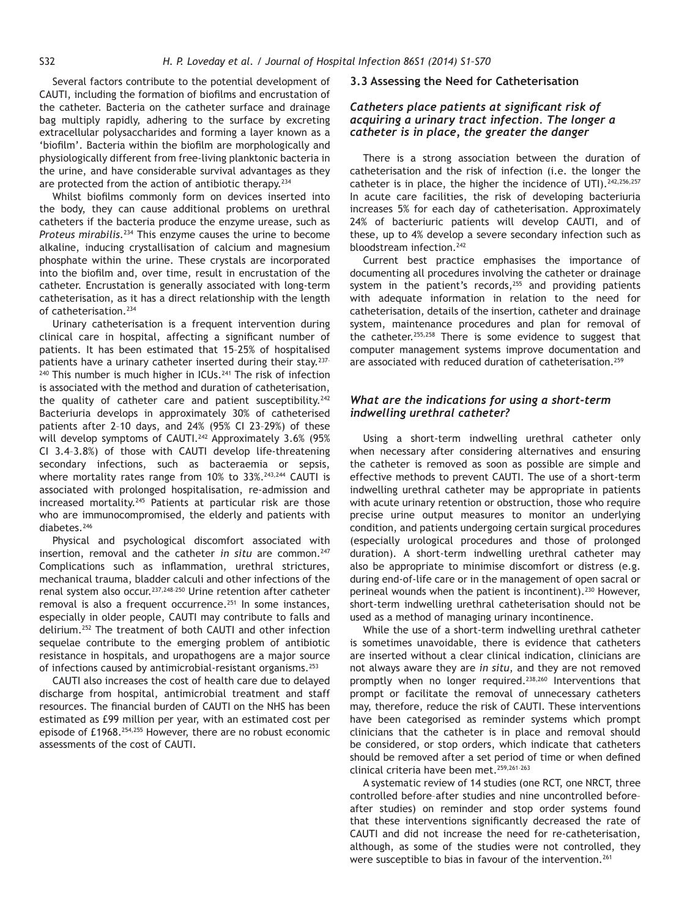Several factors contribute to the potential development of CAUTI, including the formation of biofilms and encrustation of the catheter. Bacteria on the catheter surface and drainage bag multiply rapidly, adhering to the surface by excreting extracellular polysaccharides and forming a layer known as a 'biofilm'. Bacteria within the biofilm are morphologically and physiologically different from free-living planktonic bacteria in the urine, and have considerable survival advantages as they are protected from the action of antibiotic therapy.<sup>234</sup>

Whilst biofilms commonly form on devices inserted into the body, they can cause additional problems on urethral catheters if the bacteria produce the enzyme urease, such as *Proteus mirabilis.*<sup>234</sup> This enzyme causes the urine to become alkaline, inducing crystallisation of calcium and magnesium phosphate within the urine. These crystals are incorporated into the biofilm and, over time, result in encrustation of the catheter. Encrustation is generally associated with long-term catheterisation, as it has a direct relationship with the length of catheterisation.234

Urinary catheterisation is a frequent intervention during clinical care in hospital, affecting a significant number of patients. It has been estimated that 15–25% of hospitalised patients have a urinary catheter inserted during their stay.<sup>237-</sup> <sup>240</sup> This number is much higher in ICUs.<sup>241</sup> The risk of infection is associated with the method and duration of catheterisation, the quality of catheter care and patient susceptibility. $242$ Bacteriuria develops in approximately 30% of catheterised patients after 2–10 days, and 24% (95% CI 23–29%) of these will develop symptoms of CAUTI.<sup>242</sup> Approximately 3.6% (95% CI 3.4–3.8%) of those with CAUTI develop life-threatening secondary infections, such as bacteraemia or sepsis, where mortality rates range from 10% to 33%.<sup>243,244</sup> CAUTI is associated with prolonged hospitalisation, re-admission and increased mortality.<sup>245</sup> Patients at particular risk are those who are immunocompromised, the elderly and patients with diabetes.<sup>246</sup>

Physical and psychological discomfort associated with insertion, removal and the catheter *in situ* are common.<sup>247</sup> Complications such as inflammation, urethral strictures, mechanical trauma, bladder calculi and other infections of the renal system also occur.237,248–250 Urine retention after catheter removal is also a frequent occurrence.<sup>251</sup> In some instances, especially in older people, CAUTI may contribute to falls and delirium.252 The treatment of both CAUTI and other infection sequelae contribute to the emerging problem of antibiotic resistance in hospitals, and uropathogens are a major source of infections caused by antimicrobial-resistant organisms.<sup>253</sup>

CAUTI also increases the cost of health care due to delayed discharge from hospital, antimicrobial treatment and staff resources. The financial burden of CAUTI on the NHS has been estimated as £99 million per year, with an estimated cost per episode of £1968.254,255 However, there are no robust economic assessments of the cost of CAUTI.

#### **3.3 Assessing the Need for Catheterisation**

# Catheters place patients at significant risk of *acquiring a urinary tract infection. The longer a catheter is in place, the greater the danger*

There is a strong association between the duration of catheterisation and the risk of infection (i.e. the longer the catheter is in place, the higher the incidence of  $UTI)$ .  $242,256,257$ In acute care facilities, the risk of developing bacteriuria increases 5% for each day of catheterisation. Approximately 24% of bacteriuric patients will develop CAUTI, and of these, up to 4% develop a severe secondary infection such as bloodstream infection.242

Current best practice emphasises the importance of documenting all procedures involving the catheter or drainage system in the patient's records, $255$  and providing patients with adequate information in relation to the need for catheterisation, details of the insertion, catheter and drainage system, maintenance procedures and plan for removal of the catheter.255,258 There is some evidence to suggest that computer management systems improve documentation and are associated with reduced duration of catheterisation.<sup>259</sup>

# *What are the indications for using a short-term indwelling urethral catheter?*

Using a short-term indwelling urethral catheter only when necessary after considering alternatives and ensuring the catheter is removed as soon as possible are simple and effective methods to prevent CAUTI. The use of a short-term indwelling urethral catheter may be appropriate in patients with acute urinary retention or obstruction, those who require precise urine output measures to monitor an underlying condition, and patients undergoing certain surgical procedures (especially urological procedures and those of prolonged duration). A short-term indwelling urethral catheter may also be appropriate to minimise discomfort or distress (e.g. during end-of-life care or in the management of open sacral or perineal wounds when the patient is incontinent).<sup>230</sup> However, short-term indwelling urethral catheterisation should not be used as a method of managing urinary incontinence.

While the use of a short-term indwelling urethral catheter is sometimes unavoidable, there is evidence that catheters are inserted without a clear clinical indication, clinicians are not always aware they are *in situ*, and they are not removed promptly when no longer required.<sup>238,260</sup> Interventions that prompt or facilitate the removal of unnecessary catheters may, therefore, reduce the risk of CAUTI. These interventions have been categorised as reminder systems which prompt clinicians that the catheter is in place and removal should be considered, or stop orders, which indicate that catheters should be removed after a set period of time or when defined clinical criteria have been met.259,261–263

A systematic review of 14 studies (one RCT, one NRCT, three controlled before–after studies and nine uncontrolled before– after studies) on reminder and stop order systems found that these interventions significantly decreased the rate of CAUTI and did not increase the need for re-catheterisation, although, as some of the studies were not controlled, they were susceptible to bias in favour of the intervention.<sup>261</sup>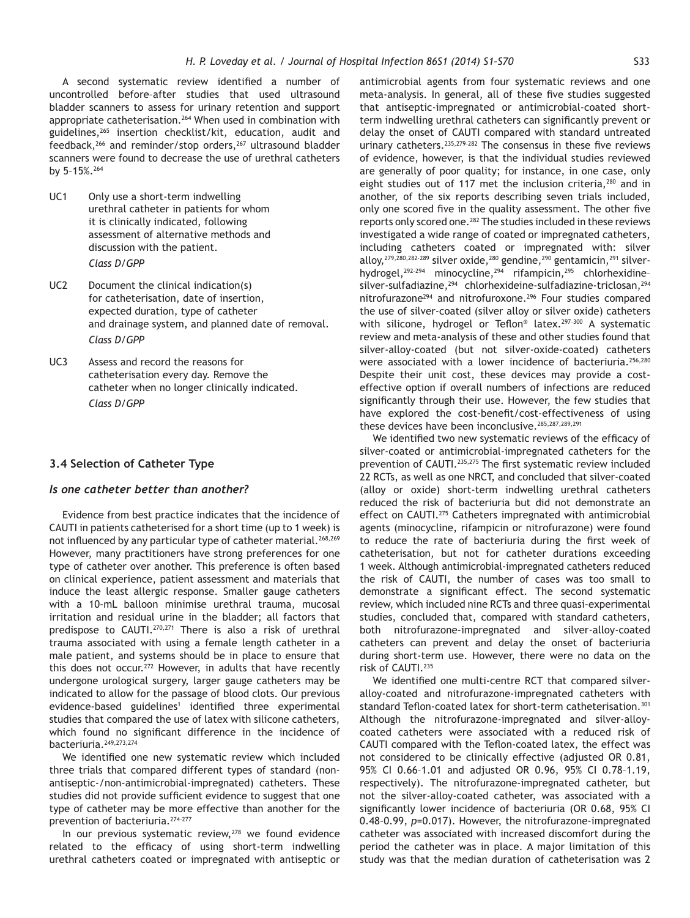A second systematic review identified a number of uncontrolled before–after studies that used ultrasound bladder scanners to assess for urinary retention and support appropriate catheterisation.264 When used in combination with guidelines,<sup>265</sup> insertion checklist/kit, education, audit and feedback,<sup>266</sup> and reminder/stop orders,<sup>267</sup> ultrasound bladder scanners were found to decrease the use of urethral catheters by 5–15%.264

- UC1 Only use a short-term indwelling urethral catheter in patients for whom it is clinically indicated, following assessment of alternative methods and discussion with the patient. *Class D/GPP*
- UC2 Document the clinical indication(s) for catheterisation, date of insertion, expected duration, type of catheter and drainage system, and planned date of removal. *Class D/GPP*
- UC3 Assess and record the reasons for catheterisation every day. Remove the catheter when no longer clinically indicated. *Class D/GPP*

# **3.4 Selection of Catheter Type**

# *Is one catheter better than another?*

Evidence from best practice indicates that the incidence of CAUTI in patients catheterised for a short time (up to 1 week) is not influenced by any particular type of catheter material.<sup>268,269</sup> However, many practitioners have strong preferences for one type of catheter over another. This preference is often based on clinical experience, patient assessment and materials that induce the least allergic response. Smaller gauge catheters with a 10-mL balloon minimise urethral trauma, mucosal irritation and residual urine in the bladder; all factors that predispose to CAUTI.<sup>270,271</sup> There is also a risk of urethral trauma associated with using a female length catheter in a male patient, and systems should be in place to ensure that this does not occur.<sup>272</sup> However, in adults that have recently undergone urological surgery, larger gauge catheters may be indicated to allow for the passage of blood clots. Our previous evidence-based guidelines<sup>1</sup> identified three experimental studies that compared the use of latex with silicone catheters, which found no significant difference in the incidence of bacteriuria.249,273,274

We identified one new systematic review which included three trials that compared different types of standard (nonantiseptic-/non-antimicrobial-impregnated) catheters. These studies did not provide sufficient evidence to suggest that one type of catheter may be more effective than another for the prevention of bacteriuria.274–277

In our previous systematic review,<sup>278</sup> we found evidence related to the efficacy of using short-term indwelling urethral catheters coated or impregnated with antiseptic or antimicrobial agents from four systematic reviews and one meta-analysis. In general, all of these five studies suggested that antiseptic-impregnated or antimicrobial-coated shortterm indwelling urethral catheters can significantly prevent or delay the onset of CAUTI compared with standard untreated urinary catheters.<sup>235,279-282</sup> The consensus in these five reviews of evidence, however, is that the individual studies reviewed are generally of poor quality; for instance, in one case, only eight studies out of 117 met the inclusion criteria,<sup>280</sup> and in another, of the six reports describing seven trials included, only one scored five in the quality assessment. The other five reports only scored one.282 The studies included in these reviews investigated a wide range of coated or impregnated catheters, including catheters coated or impregnated with: silver alloy,<sup>279,280,282-289</sup> silver oxide,<sup>280</sup> gendine,<sup>290</sup> gentamicin,<sup>291</sup> silverhydrogel,<sup>292-294</sup> minocycline,<sup>294</sup> rifampicin,<sup>295</sup> chlorhexidinesilver-sulfadiazine,<sup>294</sup> chlorhexideine-sulfadiazine-triclosan,<sup>294</sup> nitrofurazone<sup>294</sup> and nitrofuroxone.<sup>296</sup> Four studies compared the use of silver-coated (silver alloy or silver oxide) catheters with silicone, hydrogel or Teflon<sup>®</sup> latex.<sup>297-300</sup> A systematic review and meta-analysis of these and other studies found that silver-alloy-coated (but not silver-oxide-coated) catheters were associated with a lower incidence of bacteriuria.<sup>256,280</sup> Despite their unit cost, these devices may provide a costeffective option if overall numbers of infections are reduced significantly through their use. However, the few studies that have explored the cost-benefit/cost-effectiveness of using these devices have been inconclusive.285,287,289,291

We identified two new systematic reviews of the efficacy of silver-coated or antimicrobial-impregnated catheters for the prevention of CAUTI.<sup>235,275</sup> The first systematic review included 22 RCTs, as well as one NRCT, and concluded that silver-coated (alloy or oxide) short-term indwelling urethral catheters reduced the risk of bacteriuria but did not demonstrate an effect on CAUTI.275 Catheters impregnated with antimicrobial agents (minocycline, rifampicin or nitrofurazone) were found to reduce the rate of bacteriuria during the first week of catheterisation, but not for catheter durations exceeding 1 week. Although antimicrobial-impregnated catheters reduced the risk of CAUTI, the number of cases was too small to demonstrate a significant effect. The second systematic review, which included nine RCTs and three quasi-experimental studies, concluded that, compared with standard catheters, both nitrofurazone-impregnated and silver-alloy-coated catheters can prevent and delay the onset of bacteriuria during short-term use. However, there were no data on the risk of CAUTI.235

We identified one multi-centre RCT that compared silveralloy-coated and nitrofurazone-impregnated catheters with standard Teflon-coated latex for short-term catheterisation.<sup>301</sup> Although the nitrofurazone-impregnated and silver-alloycoated catheters were associated with a reduced risk of CAUTI compared with the Teflon-coated latex, the effect was not considered to be clinically effective (adjusted OR 0.81, 95% CI 0.66–1.01 and adjusted OR 0.96, 95% CI 0.78–1.19, respectively). The nitrofurazone-impregnated catheter, but not the silver-alloy-coated catheter, was associated with a significantly lower incidence of bacteriuria (OR 0.68, 95% CI 0.48–0.99, *p*=0.017). However, the nitrofurazone-impregnated catheter was associated with increased discomfort during the period the catheter was in place. A major limitation of this study was that the median duration of catheterisation was 2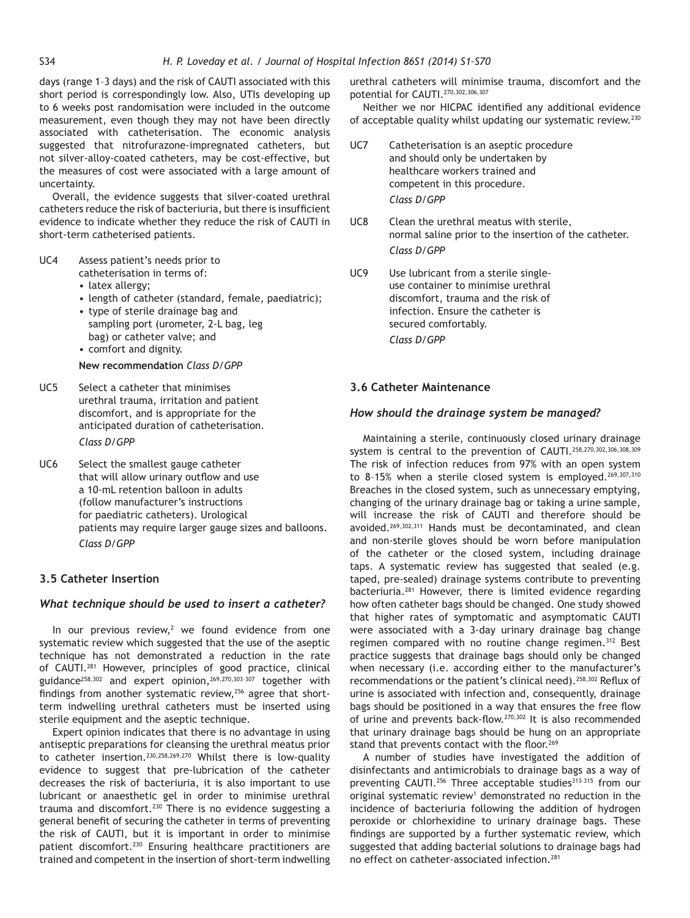days (range 1–3 days) and the risk of CAUTI associated with this short period is correspondingly low. Also, UTIs developing up to 6 weeks post randomisation were included in the outcome measurement, even though they may not have been directly associated with catheterisation. The economic analysis suggested that nitrofurazone-impregnated catheters, but not silver-alloy-coated catheters, may be cost-effective, but the measures of cost were associated with a large amount of uncertainty.

Overall, the evidence suggests that silver-coated urethral catheters reduce the risk of bacteriuria, but there is insufficient evidence to indicate whether they reduce the risk of CAUTI in short-term catheterised patients.

#### UC4 Assess patient's needs prior to catheterisation in terms of:

- latex allergy;
- length of catheter (standard, female, paediatric);
- type of sterile drainage bag and sampling port (urometer, 2-L bag, leg bag) or catheter valve; and
- comfort and dignity.

#### **New recommendation** *Class D/GPP*

- UC5 Select a catheter that minimises urethral trauma, irritation and patient discomfort, and is appropriate for the anticipated duration of catheterisation. *Class D/GPP*
- UC6 Select the smallest gauge catheter that will allow urinary outflow and use a 10-mL retention balloon in adults (follow manufacturer's instructions for paediatric catheters). Urological patients may require larger gauge sizes and balloons. *Class D/GPP*

# **3.5 Catheter Insertion**

# *What technique should be used to insert a catheter?*

In our previous review, $2$  we found evidence from one systematic review which suggested that the use of the aseptic technique has not demonstrated a reduction in the rate of CAUTI.281 However, principles of good practice, clinical guidance<sup>258,302</sup> and expert opinion,<sup>269,270,303-307</sup> together with findings from another systematic review,<sup>256</sup> agree that shortterm indwelling urethral catheters must be inserted using sterile equipment and the aseptic technique.

Expert opinion indicates that there is no advantage in using antiseptic preparations for cleansing the urethral meatus prior to catheter insertion.230,258,269,270 Whilst there is low-quality evidence to suggest that pre-lubrication of the catheter decreases the risk of bacteriuria, it is also important to use lubricant or anaesthetic gel in order to minimise urethral trauma and discomfort.<sup>230</sup> There is no evidence suggesting a general benefit of securing the catheter in terms of preventing the risk of CAUTI, but it is important in order to minimise patient discomfort.<sup>230</sup> Ensuring healthcare practitioners are trained and competent in the insertion of short-term indwelling

urethral catheters will minimise trauma, discomfort and the potential for CAUTI.270,302,306,307

Neither we nor HICPAC identified any additional evidence of acceptable quality whilst updating our systematic review.<sup>230</sup>

- UC7 Catheterisation is an aseptic procedure and should only be undertaken by healthcare workers trained and competent in this procedure. *Class D/GPP*
- UC8 Clean the urethral meatus with sterile, normal saline prior to the insertion of the catheter. *Class D/GPP*
- UC9 Use lubricant from a sterile singleuse container to minimise urethral discomfort, trauma and the risk of infection. Ensure the catheter is secured comfortably. *Class D/GPP*

# **3.6 Catheter Maintenance**

# *How should the drainage system be managed?*

Maintaining a sterile, continuously closed urinary drainage system is central to the prevention of CAUTI.258,270,302,306,308,309 The risk of infection reduces from 97% with an open system to 8-15% when a sterile closed system is employed.<sup>269,307,310</sup> Breaches in the closed system, such as unnecessary emptying, changing of the urinary drainage bag or taking a urine sample, will increase the risk of CAUTI and therefore should be avoided.269,302,311 Hands must be decontaminated, and clean and non-sterile gloves should be worn before manipulation of the catheter or the closed system, including drainage taps. A systematic review has suggested that sealed (e.g. taped, pre-sealed) drainage systems contribute to preventing bacteriuria.281 However, there is limited evidence regarding how often catheter bags should be changed. One study showed that higher rates of symptomatic and asymptomatic CAUTI were associated with a 3-day urinary drainage bag change regimen compared with no routine change regimen.<sup>312</sup> Best practice suggests that drainage bags should only be changed when necessary (i.e. according either to the manufacturer's recommendations or the patient's clinical need).<sup>258,302</sup> Reflux of urine is associated with infection and, consequently, drainage bags should be positioned in a way that ensures the free flow of urine and prevents back-flow.<sup>270,302</sup> It is also recommended that urinary drainage bags should be hung on an appropriate stand that prevents contact with the floor.<sup>269</sup>

A number of studies have investigated the addition of disinfectants and antimicrobials to drainage bags as a way of preventing CAUTI.<sup>256</sup> Three acceptable studies<sup>313-315</sup> from our original systematic review<sup>1</sup> demonstrated no reduction in the incidence of bacteriuria following the addition of hydrogen peroxide or chlorhexidine to urinary drainage bags. These findings are supported by a further systematic review, which suggested that adding bacterial solutions to drainage bags had no effect on catheter-associated infection.281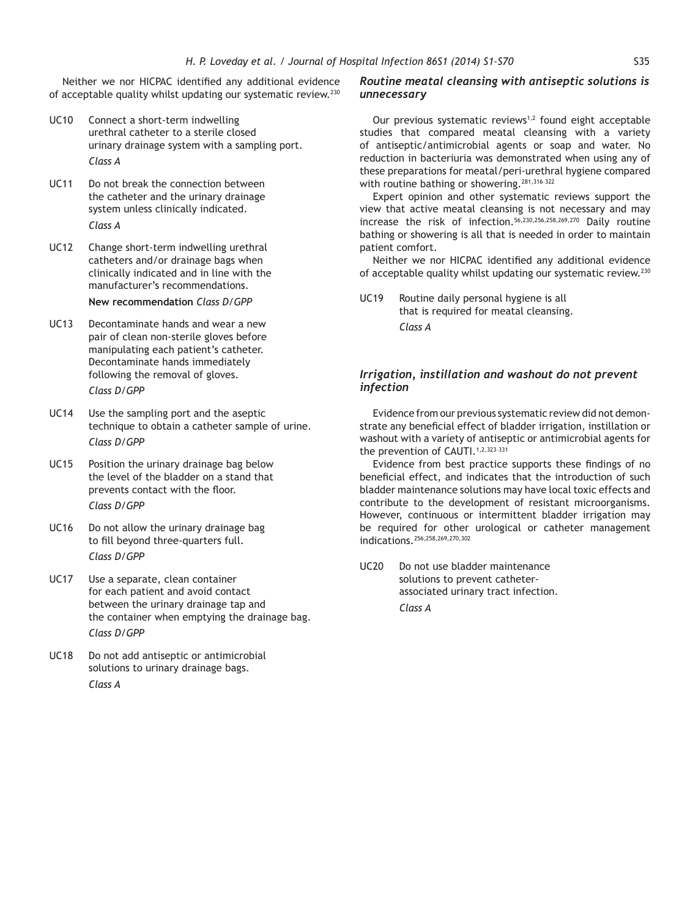Neither we nor HICPAC identified any additional evidence of acceptable quality whilst updating our systematic review.230

- UC10 Connect a short-term indwelling urethral catheter to a sterile closed urinary drainage system with a sampling port. *Class A*
- UC11 Do not break the connection between the catheter and the urinary drainage system unless clinically indicated. *Class A*
- UC12 Change short-term indwelling urethral catheters and/or drainage bags when clinically indicated and in line with the manufacturer's recommendations. **New recommendation** *Class D/GPP*
- UC13 Decontaminate hands and wear a new pair of clean non-sterile gloves before manipulating each patient's catheter. Decontaminate hands immediately following the removal of gloves. *Class D/GPP*
- UC14 Use the sampling port and the aseptic technique to obtain a catheter sample of urine. *Class D/GPP*
- UC15 Position the urinary drainage bag below the level of the bladder on a stand that prevents contact with the floor. *Class D/GPP*
- UC16 Do not allow the urinary drainage bag to fill beyond three-quarters full. *Class D/GPP*
- UC17 Use a separate, clean container for each patient and avoid contact between the urinary drainage tap and the container when emptying the drainage bag. *Class D/GPP*
- UC18 Do not add antiseptic or antimicrobial solutions to urinary drainage bags. *Class A*

# *Routine meatal cleansing with antiseptic solutions is unnecessary*

Our previous systematic reviews<sup>1,2</sup> found eight acceptable studies that compared meatal cleansing with a variety of antiseptic/antimicrobial agents or soap and water. No reduction in bacteriuria was demonstrated when using any of these preparations for meatal/peri-urethral hygiene compared with routine bathing or showering.<sup>281,316-322</sup>

Expert opinion and other systematic reviews support the view that active meatal cleansing is not necessary and may increase the risk of infection.56,230,256,258,269,270 Daily routine bathing or showering is all that is needed in order to maintain patient comfort.

Neither we nor HICPAC identified any additional evidence of acceptable quality whilst updating our systematic review.<sup>230</sup>

UC19 Routine daily personal hygiene is all that is required for meatal cleansing. *Class A*

# *Irrigation, instillation and washout do not prevent infection*

Evidence from our previous systematic review did not demonstrate any beneficial effect of bladder irrigation, instillation or washout with a variety of antiseptic or antimicrobial agents for the prevention of CAUTI.<sup>1,2,323-331</sup>

Evidence from best practice supports these findings of no beneficial effect, and indicates that the introduction of such bladder maintenance solutions may have local toxic effects and contribute to the development of resistant microorganisms. However, continuous or intermittent bladder irrigation may be required for other urological or catheter management indications.256,258,269,270,302

UC20 Do not use bladder maintenance solutions to prevent catheterassociated urinary tract infection. *Class A*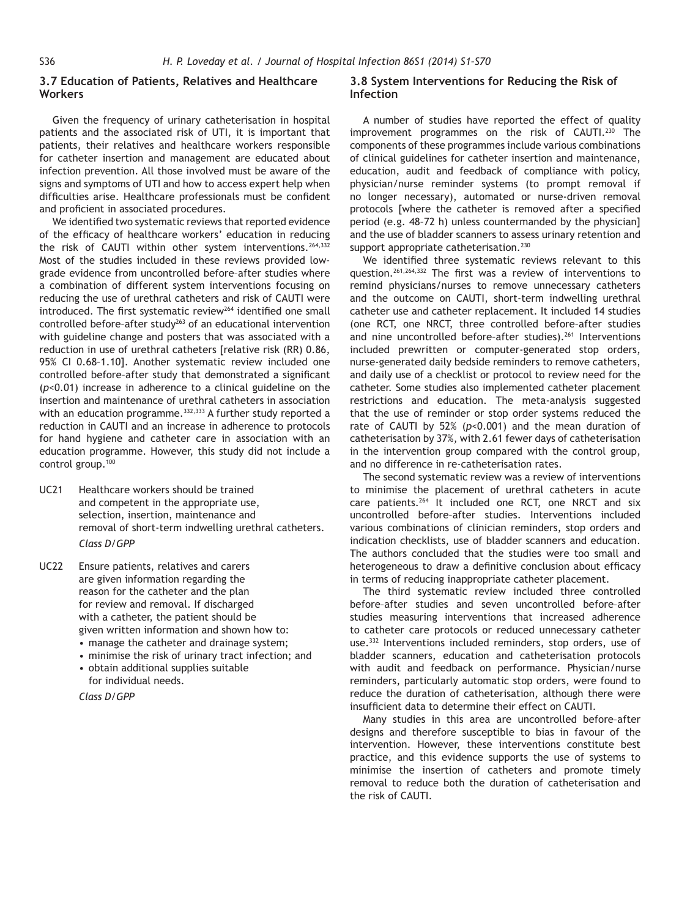# **3.7 Education of Patients, Relatives and Healthcare Workers**

Given the frequency of urinary catheterisation in hospital patients and the associated risk of UTI, it is important that patients, their relatives and healthcare workers responsible for catheter insertion and management are educated about infection prevention. All those involved must be aware of the signs and symptoms of UTI and how to access expert help when difficulties arise. Healthcare professionals must be confident and proficient in associated procedures.

We identified two systematic reviews that reported evidence of the efficacy of healthcare workers' education in reducing the risk of CAUTI within other system interventions.<sup>264,332</sup> Most of the studies included in these reviews provided lowgrade evidence from uncontrolled before–after studies where a combination of different system interventions focusing on reducing the use of urethral catheters and risk of CAUTI were introduced. The first systematic review<sup>264</sup> identified one small controlled before-after study<sup>263</sup> of an educational intervention with guideline change and posters that was associated with a reduction in use of urethral catheters [relative risk (RR) 0.86, 95% CI 0.68–1.10]. Another systematic review included one controlled before-after study that demonstrated a significant (*p*<0.01) increase in adherence to a clinical guideline on the insertion and maintenance of urethral catheters in association with an education programme.<sup>332,333</sup> A further study reported a reduction in CAUTI and an increase in adherence to protocols for hand hygiene and catheter care in association with an education programme. However, this study did not include a control group.100

- UC21 Healthcare workers should be trained and competent in the appropriate use, selection, insertion, maintenance and removal of short-term indwelling urethral catheters. *Class D/GPP*
- UC22 Ensure patients, relatives and carers are given information regarding the reason for the catheter and the plan for review and removal. If discharged with a catheter, the patient should be given written information and shown how to:
	- manage the catheter and drainage system;
	- minimise the risk of urinary tract infection; and
	- obtain additional supplies suitable for individual needs.

*Class D/GPP*

# **3.8 System Interventions for Reducing the Risk of Infection**

A number of studies have reported the effect of quality improvement programmes on the risk of CAUTI.230 The components of these programmes include various combinations of clinical guidelines for catheter insertion and maintenance, education, audit and feedback of compliance with policy, physician/nurse reminder systems (to prompt removal if no longer necessary), automated or nurse-driven removal protocols [where the catheter is removed after a specified period (e.g. 48–72 h) unless countermanded by the physician] and the use of bladder scanners to assess urinary retention and support appropriate catheterisation.<sup>230</sup>

We identified three systematic reviews relevant to this question.<sup>261,264,332</sup> The first was a review of interventions to remind physicians/nurses to remove unnecessary catheters and the outcome on CAUTI, short-term indwelling urethral catheter use and catheter replacement. It included 14 studies (one RCT, one NRCT, three controlled before–after studies and nine uncontrolled before-after studies).<sup>261</sup> Interventions included prewritten or computer-generated stop orders, nurse-generated daily bedside reminders to remove catheters, and daily use of a checklist or protocol to review need for the catheter. Some studies also implemented catheter placement restrictions and education. The meta-analysis suggested that the use of reminder or stop order systems reduced the rate of CAUTI by 52% (*p*<0.001) and the mean duration of catheterisation by 37%, with 2.61 fewer days of catheterisation in the intervention group compared with the control group, and no difference in re-catheterisation rates.

The second systematic review was a review of interventions to minimise the placement of urethral catheters in acute care patients.264 It included one RCT, one NRCT and six uncontrolled before–after studies. Interventions included various combinations of clinician reminders, stop orders and indication checklists, use of bladder scanners and education. The authors concluded that the studies were too small and heterogeneous to draw a definitive conclusion about efficacy in terms of reducing inappropriate catheter placement.

The third systematic review included three controlled before–after studies and seven uncontrolled before–after studies measuring interventions that increased adherence to catheter care protocols or reduced unnecessary catheter use.332 Interventions included reminders, stop orders, use of bladder scanners, education and catheterisation protocols with audit and feedback on performance. Physician/nurse reminders, particularly automatic stop orders, were found to reduce the duration of catheterisation, although there were insufficient data to determine their effect on CAUTI.

Many studies in this area are uncontrolled before–after designs and therefore susceptible to bias in favour of the intervention. However, these interventions constitute best practice, and this evidence supports the use of systems to minimise the insertion of catheters and promote timely removal to reduce both the duration of catheterisation and the risk of CAUTI.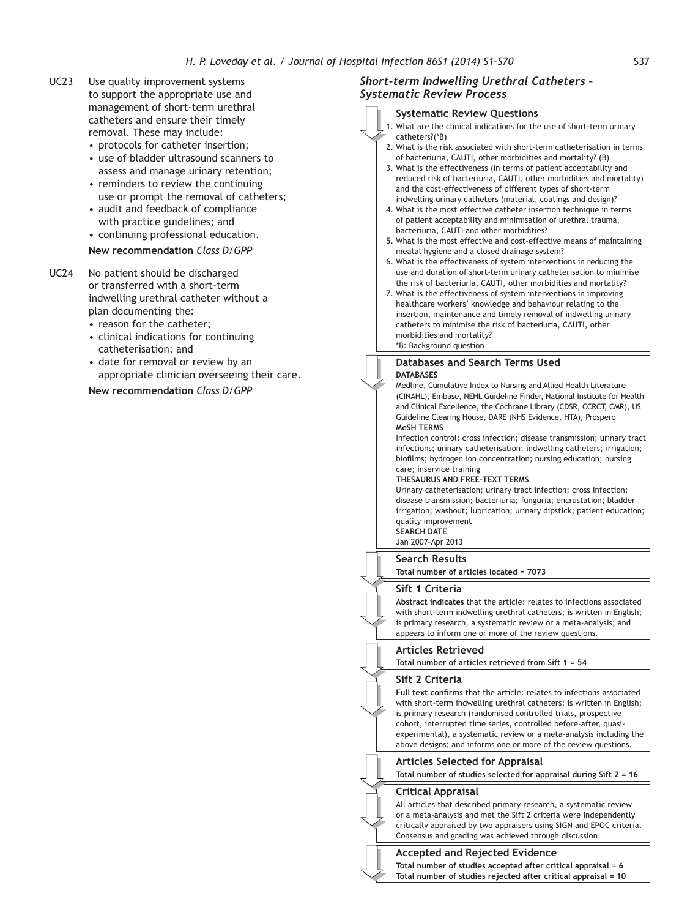- UC23 Use quality improvement systems to support the appropriate use and management of short-term urethral catheters and ensure their timely removal. These may include:
	- protocols for catheter insertion;
	- use of bladder ultrasound scanners to assess and manage urinary retention;
	- reminders to review the continuing use or prompt the removal of catheters;
	- audit and feedback of compliance with practice guidelines; and
	- continuing professional education.

#### **New recommendation** *Class D/GPP*

- UC24 No patient should be discharged or transferred with a short-term indwelling urethral catheter without a plan documenting the:
	- reason for the catheter;
	- clinical indications for continuing catheterisation; and
	- date for removal or review by an appropriate clinician overseeing their care.

**New recommendation** *Class D/GPP*

# *Short-term Indwelling Urethral Catheters – Systematic Review Process*

#### **Systematic Review Questions**

- 1. What are the clinical indications for the use of short-term urinary catheters?(\*B)
- 2. What is the risk associated with short-term catheterisation in terms of bacteriuria, CAUTI, other morbidities and mortality? (B) 3. What is the effectiveness (in terms of patient acceptability and
- reduced risk of bacteriuria, CAUTI, other morbidities and mortality) and the cost-effectiveness of different types of short-term indwelling urinary catheters (material, coatings and design)?
- 4. What is the most effective catheter insertion technique in terms of patient acceptability and minimisation of urethral trauma, bacteriuria, CAUTI and other morbidities?
- 5. What is the most effective and cost-effective means of maintaining meatal hygiene and a closed drainage system?
- 6. What is the effectiveness of system interventions in reducing the use and duration of short-term urinary catheterisation to minimise the risk of bacteriuria, CAUTI, other morbidities and mortality?
- 7. What is the effectiveness of system interventions in improving healthcare workers' knowledge and behaviour relating to the insertion, maintenance and timely removal of indwelling urinary catheters to minimise the risk of bacteriuria, CAUTI, other morbidities and mortality? \*B: Background question

# **Databases and Search Terms Used**

# **DATABASES**

Medline, Cumulative Index to Nursing and Allied Health Literature (CINAHL), Embase, NEHL Guideline Finder, National Institute for Health and Clinical Excellence, the Cochrane Library (CDSR, CCRCT, CMR), US Guideline Clearing House, DARE (NHS Evidence, HTA), Prospero **MeSH TERMS**

Infection control; cross infection; disease transmission; urinary tract infections; urinary catheterisation; indwelling catheters; irrigation; biofilms; hydrogen ion concentration; nursing education; nursing care; inservice training

# **THESAURUS AND FREE–TEXT TERMS**

Urinary catheterisation; urinary tract infection; cross infection; disease transmission; bacteriuria; funguria; encrustation; bladder irrigation; washout; lubrication; urinary dipstick; patient education; quality improvement

#### **SEARCH DATE** Jan 2007–Apr 2013

#### **Search Results**

**Total number of articles located = 7073**

#### **Sift 1 Criteria**

**Abstract indicates** that the article: relates to infections associated with short-term indwelling urethral catheters; is written in English; is primary research, a systematic review or a meta-analysis; and appears to inform one or more of the review questions.

# **Articles Retrieved**

**Total number of articles retrieved from Sift 1 = 54**

# **Sift 2 Criteria**

**Full text confirms** that the article: relates to infections associated with short-term indwelling urethral catheters; is written in English; is primary research (randomised controlled trials, prospective cohort, interrupted time series, controlled before–after, quasiexperimental), a systematic review or a meta-analysis including the above designs; and informs one or more of the review questions.

#### **Articles Selected for Appraisal**

**Total number of studies selected for appraisal during Sift 2 = 16**

# **Critical Appraisal**

All articles that described primary research, a systematic review or a meta-analysis and met the Sift 2 criteria were independently critically appraised by two appraisers using SIGN and EPOC criteria. Consensus and grading was achieved through discussion.

# **Accepted and Rejected Evidence**

**Total number of studies accepted after critical appraisal = 6 Total number of studies rejected after critical appraisal = 10**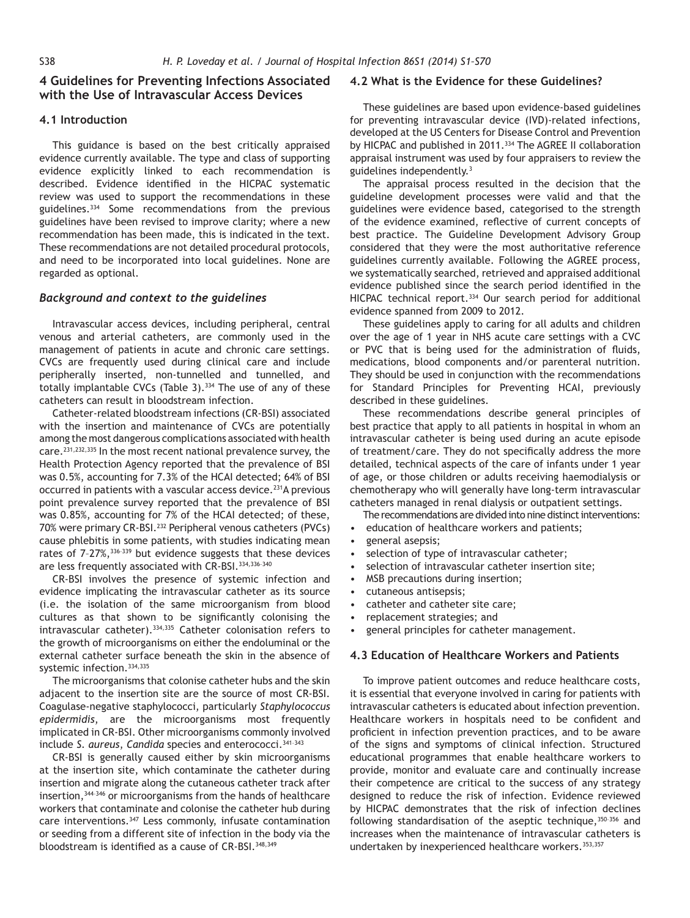# **4 Guidelines for Preventing Infections Associated with the Use of Intravascular Access Devices**

# **4.1 Introduction**

This guidance is based on the best critically appraised evidence currently available. The type and class of supporting evidence explicitly linked to each recommendation is described. Evidence identified in the HICPAC systematic review was used to support the recommendations in these guidelines.334 Some recommendations from the previous guidelines have been revised to improve clarity; where a new recommendation has been made, this is indicated in the text. These recommendations are not detailed procedural protocols, and need to be incorporated into local guidelines. None are regarded as optional.

# *Background and context to the guidelines*

Intravascular access devices, including peripheral, central venous and arterial catheters, are commonly used in the management of patients in acute and chronic care settings. CVCs are frequently used during clinical care and include peripherally inserted, non-tunnelled and tunnelled, and totally implantable CVCs (Table 3).<sup>334</sup> The use of any of these catheters can result in bloodstream infection.

Catheter-related bloodstream infections (CR-BSI) associated with the insertion and maintenance of CVCs are potentially among the most dangerous complications associated with health care.231,232,335 In the most recent national prevalence survey, the Health Protection Agency reported that the prevalence of BSI was 0.5%, accounting for 7.3% of the HCAI detected; 64% of BSI occurred in patients with a vascular access device.231A previous point prevalence survey reported that the prevalence of BSI was 0.85%, accounting for 7% of the HCAI detected; of these, 70% were primary CR-BSI.232 Peripheral venous catheters (PVCs) cause phlebitis in some patients, with studies indicating mean rates of 7-27%,<sup>336-339</sup> but evidence suggests that these devices are less frequently associated with CR-BSI. 334,336-340

CR-BSI involves the presence of systemic infection and evidence implicating the intravascular catheter as its source (i.e. the isolation of the same microorganism from blood cultures as that shown to be significantly colonising the intravascular catheter).334,335 Catheter colonisation refers to the growth of microorganisms on either the endoluminal or the external catheter surface beneath the skin in the absence of systemic infection.334,335

The microorganisms that colonise catheter hubs and the skin adjacent to the insertion site are the source of most CR-BSI. Coagulase-negative staphylococci, particularly *Staphylococcus epidermidis*, are the microorganisms most frequently implicated in CR-BSI. Other microorganisms commonly involved include *S. aureus*, *Candida* species and enterococci.341–343

CR-BSI is generally caused either by skin microorganisms at the insertion site, which contaminate the catheter during insertion and migrate along the cutaneous catheter track after insertion,<sup>344-346</sup> or microorganisms from the hands of healthcare workers that contaminate and colonise the catheter hub during care interventions.347 Less commonly, infusate contamination or seeding from a different site of infection in the body via the bloodstream is identified as a cause of CR-BSI.<sup>348,349</sup>

#### **4.2 What is the Evidence for these Guidelines?**

These guidelines are based upon evidence-based guidelines for preventing intravascular device (IVD)-related infections, developed at the US Centers for Disease Control and Prevention by HICPAC and published in 2011.<sup>334</sup> The AGREE II collaboration appraisal instrument was used by four appraisers to review the guidelines independently.<sup>3</sup>

The appraisal process resulted in the decision that the guideline development processes were valid and that the guidelines were evidence based, categorised to the strength of the evidence examined, reflective of current concepts of best practice. The Guideline Development Advisory Group considered that they were the most authoritative reference guidelines currently available. Following the AGREE process, we systematically searched, retrieved and appraised additional evidence published since the search period identified in the HICPAC technical report.<sup>334</sup> Our search period for additional evidence spanned from 2009 to 2012.

These guidelines apply to caring for all adults and children over the age of 1 year in NHS acute care settings with a CVC or PVC that is being used for the administration of fluids, medications, blood components and/or parenteral nutrition. They should be used in conjunction with the recommendations for Standard Principles for Preventing HCAI, previously described in these guidelines.

These recommendations describe general principles of best practice that apply to all patients in hospital in whom an intravascular catheter is being used during an acute episode of treatment/care. They do not specifically address the more detailed, technical aspects of the care of infants under 1 year of age, or those children or adults receiving haemodialysis or chemotherapy who will generally have long-term intravascular catheters managed in renal dialysis or outpatient settings.

The recommendations are divided into nine distinct interventions:

- education of healthcare workers and patients;
- general asepsis;
- selection of type of intravascular catheter;
- selection of intravascular catheter insertion site;
- MSB precautions during insertion;
- cutaneous antisepsis;
- catheter and catheter site care;
- replacement strategies; and
- general principles for catheter management.

#### **4.3 Education of Healthcare Workers and Patients**

To improve patient outcomes and reduce healthcare costs, it is essential that everyone involved in caring for patients with intravascular catheters is educated about infection prevention. Healthcare workers in hospitals need to be confident and proficient in infection prevention practices, and to be aware of the signs and symptoms of clinical infection. Structured educational programmes that enable healthcare workers to provide, monitor and evaluate care and continually increase their competence are critical to the success of any strategy designed to reduce the risk of infection. Evidence reviewed by HICPAC demonstrates that the risk of infection declines following standardisation of the aseptic technique,  $350-356$  and increases when the maintenance of intravascular catheters is undertaken by inexperienced healthcare workers. 353,357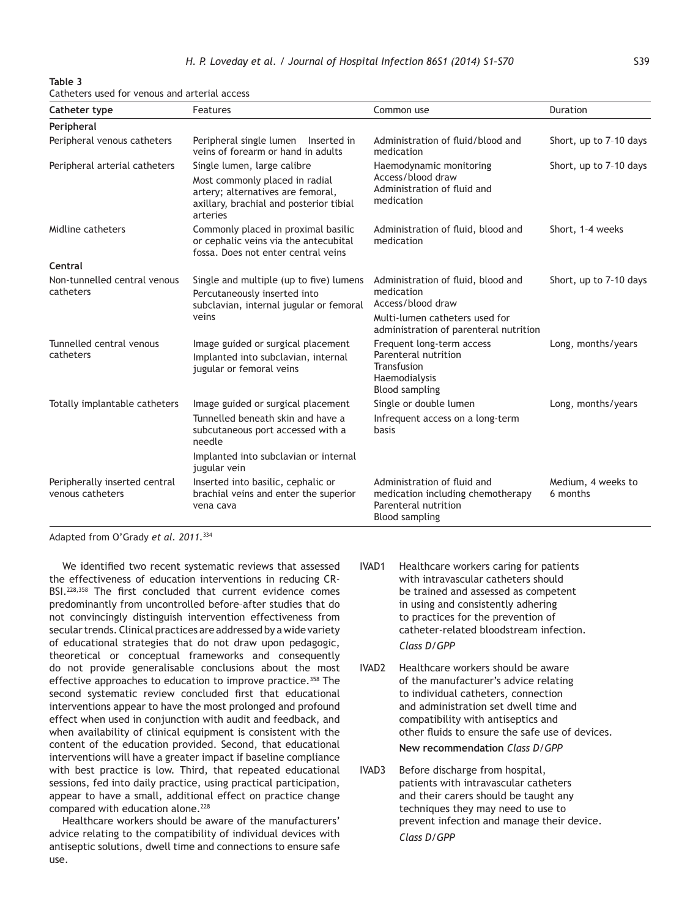**Table 3**

| Catheter type                                                                                                                            | Features                                                                                                                    | Common use                                                                                                        | Duration                       |
|------------------------------------------------------------------------------------------------------------------------------------------|-----------------------------------------------------------------------------------------------------------------------------|-------------------------------------------------------------------------------------------------------------------|--------------------------------|
| Peripheral                                                                                                                               |                                                                                                                             |                                                                                                                   |                                |
| Peripheral venous catheters                                                                                                              | Peripheral single lumen Inserted in<br>veins of forearm or hand in adults                                                   | Administration of fluid/blood and<br>medication                                                                   | Short, up to 7-10 days         |
| Peripheral arterial catheters                                                                                                            | Single lumen, large calibre                                                                                                 | Haemodynamic monitoring<br>Access/blood draw<br>Administration of fluid and<br>medication                         | Short, up to 7-10 days         |
|                                                                                                                                          | Most commonly placed in radial<br>artery; alternatives are femoral,<br>axillary, brachial and posterior tibial<br>arteries  |                                                                                                                   |                                |
| Midline catheters<br>Commonly placed in proximal basilic<br>or cephalic veins via the antecubital<br>fossa. Does not enter central veins |                                                                                                                             | Administration of fluid, blood and<br>medication                                                                  | Short, 1-4 weeks               |
| Central                                                                                                                                  |                                                                                                                             |                                                                                                                   |                                |
| Non-tunnelled central venous<br>catheters                                                                                                | Single and multiple (up to five) lumens<br>Percutaneously inserted into<br>subclavian, internal jugular or femoral<br>veins | Administration of fluid, blood and<br>medication<br>Access/blood draw                                             | Short, up to 7-10 days         |
|                                                                                                                                          |                                                                                                                             | Multi-lumen catheters used for<br>administration of parenteral nutrition                                          |                                |
| Tunnelled central venous<br>catheters                                                                                                    | Image guided or surgical placement<br>Implanted into subclavian, internal<br>jugular or femoral veins                       | Frequent long-term access<br>Parenteral nutrition<br>Transfusion<br>Haemodialysis<br><b>Blood sampling</b>        | Long, months/years             |
| Totally implantable catheters                                                                                                            | Image guided or surgical placement                                                                                          | Single or double lumen                                                                                            | Long, months/years             |
|                                                                                                                                          | Tunnelled beneath skin and have a<br>subcutaneous port accessed with a<br>needle                                            | Infrequent access on a long-term<br>basis                                                                         |                                |
|                                                                                                                                          | Implanted into subclavian or internal<br>jugular vein                                                                       |                                                                                                                   |                                |
| Peripherally inserted central<br>venous catheters                                                                                        | Inserted into basilic, cephalic or<br>brachial veins and enter the superior<br>vena cava                                    | Administration of fluid and<br>medication including chemotherapy<br>Parenteral nutrition<br><b>Blood sampling</b> | Medium, 4 weeks to<br>6 months |

Adapted from O'Grady *et al. 2011.*334

We identified two recent systematic reviews that assessed the effectiveness of education interventions in reducing CR-BSI.<sup>228,358</sup> The first concluded that current evidence comes predominantly from uncontrolled before–after studies that do not convincingly distinguish intervention effectiveness from secular trends. Clinical practices are addressed by a wide variety of educational strategies that do not draw upon pedagogic, theoretical or conceptual frameworks and consequently do not provide generalisable conclusions about the most effective approaches to education to improve practice.<sup>358</sup> The second systematic review concluded first that educational interventions appear to have the most prolonged and profound effect when used in conjunction with audit and feedback, and when availability of clinical equipment is consistent with the content of the education provided. Second, that educational interventions will have a greater impact if baseline compliance with best practice is low. Third, that repeated educational sessions, fed into daily practice, using practical participation, appear to have a small, additional effect on practice change compared with education alone.<sup>228</sup>

Healthcare workers should be aware of the manufacturers' advice relating to the compatibility of individual devices with antiseptic solutions, dwell time and connections to ensure safe use.

- IVAD1 Healthcare workers caring for patients with intravascular catheters should be trained and assessed as competent in using and consistently adhering to practices for the prevention of catheter-related bloodstream infection. *Class D/GPP*
- IVAD2 Healthcare workers should be aware of the manufacturer's advice relating to individual catheters, connection and administration set dwell time and compatibility with antiseptics and other fluids to ensure the safe use of devices. **New recommendation** *Class D/GPP*

IVAD3 Before discharge from hospital, patients with intravascular catheters and their carers should be taught any techniques they may need to use to prevent infection and manage their device. *Class D/GPP*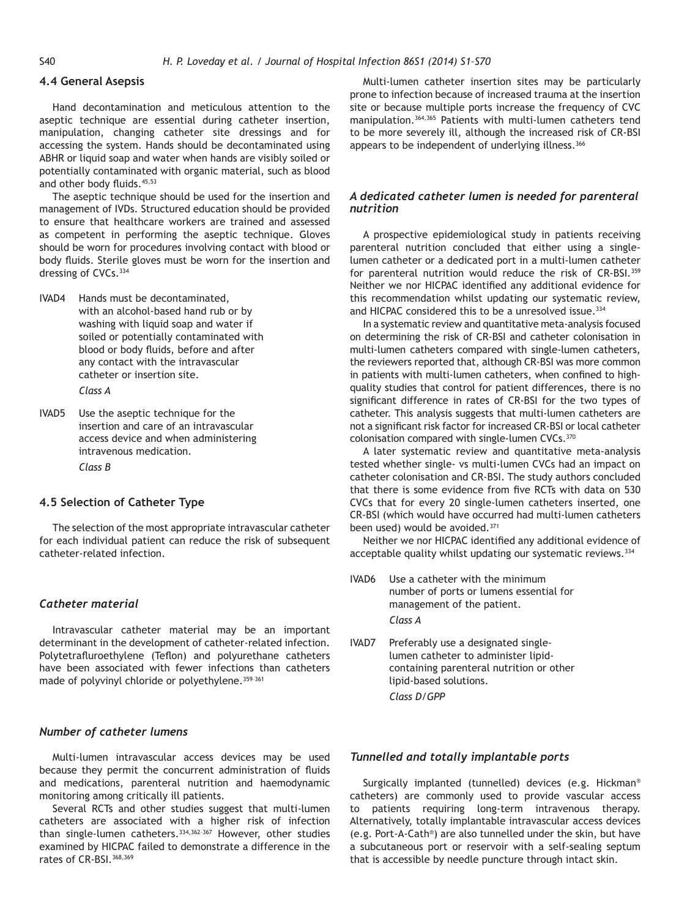# **4.4 General Asepsis**

Hand decontamination and meticulous attention to the aseptic technique are essential during catheter insertion, manipulation, changing catheter site dressings and for accessing the system. Hands should be decontaminated using ABHR or liquid soap and water when hands are visibly soiled or potentially contaminated with organic material, such as blood and other body fluids. 45,53

The aseptic technique should be used for the insertion and management of IVDs. Structured education should be provided to ensure that healthcare workers are trained and assessed as competent in performing the aseptic technique. Gloves should be worn for procedures involving contact with blood or body fluids. Sterile gloves must be worn for the insertion and dressing of CVCs. 334

IVAD4 Hands must be decontaminated, with an alcohol-based hand rub or by washing with liquid soap and water if soiled or potentially contaminated with blood or body fluids, before and after any contact with the intravascular catheter or insertion site. *Class A*

IVAD5 Use the aseptic technique for the insertion and care of an intravascular access device and when administering intravenous medication. *Class B*

# **4.5 Selection of Catheter Type**

The selection of the most appropriate intravascular catheter for each individual patient can reduce the risk of subsequent catheter-related infection.

# *Catheter material*

Intravascular catheter material may be an important determinant in the development of catheter-related infection. Polytetrafluroethylene (Teflon) and polyurethane catheters have been associated with fewer infections than catheters made of polyvinyl chloride or polyethylene. 359-361

# *Number of catheter lumens*

Multi-lumen intravascular access devices may be used because they permit the concurrent administration of fluids and medications, parenteral nutrition and haemodynamic monitoring among critically ill patients.

Several RCTs and other studies suggest that multi-lumen catheters are associated with a higher risk of infection than single-lumen catheters.334,362–367 However, other studies examined by HICPAC failed to demonstrate a difference in the rates of CR-BSI.368,369

Multi-lumen catheter insertion sites may be particularly prone to infection because of increased trauma at the insertion site or because multiple ports increase the frequency of CVC manipulation.364,365 Patients with multi-lumen catheters tend to be more severely ill, although the increased risk of CR-BSI appears to be independent of underlying illness.<sup>366</sup>

# *A dedicated catheter lumen is needed for parenteral nutrition*

A prospective epidemiological study in patients receiving parenteral nutrition concluded that either using a singlelumen catheter or a dedicated port in a multi-lumen catheter for parenteral nutrition would reduce the risk of CR-BSI.<sup>359</sup> Neither we nor HICPAC identified any additional evidence for this recommendation whilst updating our systematic review, and HICPAC considered this to be a unresolved issue.<sup>334</sup>

In a systematic review and quantitative meta-analysis focused on determining the risk of CR-BSI and catheter colonisation in multi-lumen catheters compared with single-lumen catheters, the reviewers reported that, although CR-BSI was more common in patients with multi-lumen catheters, when confined to highquality studies that control for patient differences, there is no significant difference in rates of CR-BSI for the two types of catheter. This analysis suggests that multi-lumen catheters are not a significant risk factor for increased CR-BSI or local catheter colonisation compared with single-lumen CVCs.<sup>370</sup>

A later systematic review and quantitative meta-analysis tested whether single- vs multi-lumen CVCs had an impact on catheter colonisation and CR-BSI. The study authors concluded that there is some evidence from five RCTs with data on 530 CVCs that for every 20 single-lumen catheters inserted, one CR-BSI (which would have occurred had multi-lumen catheters been used) would be avoided.<sup>371</sup>

Neither we nor HICPAC identified any additional evidence of acceptable quality whilst updating our systematic reviews.<sup>334</sup>

- IVAD6 Use a catheter with the minimum number of ports or lumens essential for management of the patient. *Class A*
- IVAD7 Preferably use a designated singlelumen catheter to administer lipidcontaining parenteral nutrition or other lipid-based solutions. *Class D/GPP*

#### *Tunnelled and totally implantable ports*

Surgically implanted (tunnelled) devices (e.g. Hickman® catheters) are commonly used to provide vascular access to patients requiring long-term intravenous therapy. Alternatively, totally implantable intravascular access devices (e.g. Port-A-Cath®) are also tunnelled under the skin, but have a subcutaneous port or reservoir with a self-sealing septum that is accessible by needle puncture through intact skin.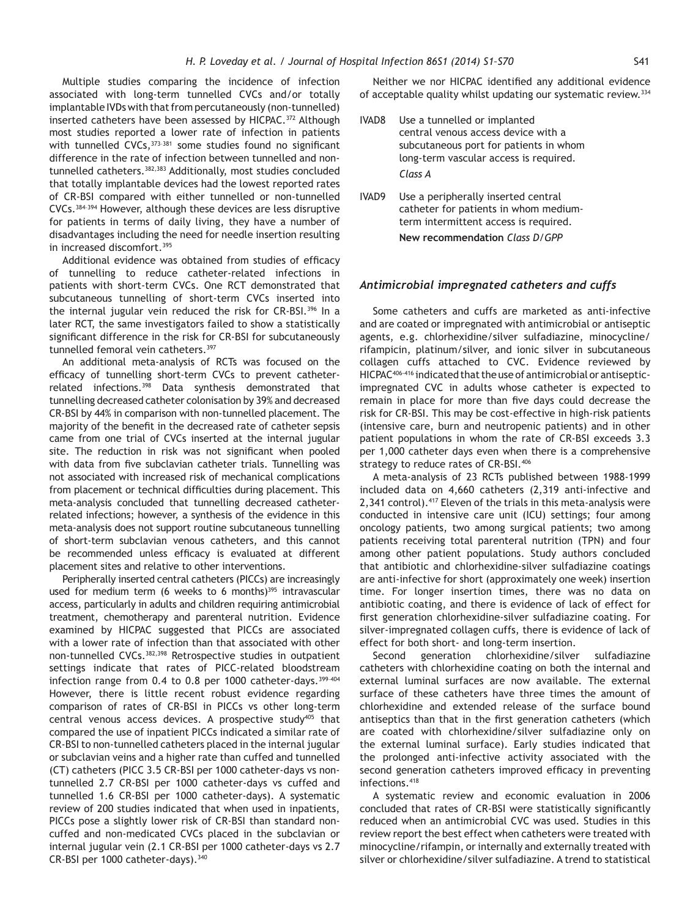Multiple studies comparing the incidence of infection associated with long-term tunnelled CVCs and/or totally implantable IVDs with that from percutaneously (non-tunnelled) inserted catheters have been assessed by HICPAC.<sup>372</sup> Although most studies reported a lower rate of infection in patients with tunnelled CVCs,  $373-381$  some studies found no significant difference in the rate of infection between tunnelled and nontunnelled catheters.382,383 Additionally, most studies concluded that totally implantable devices had the lowest reported rates of CR-BSI compared with either tunnelled or non-tunnelled CVCs.384–394 However, although these devices are less disruptive for patients in terms of daily living, they have a number of disadvantages including the need for needle insertion resulting in increased discomfort.395

Additional evidence was obtained from studies of efficacy of tunnelling to reduce catheter-related infections in patients with short-term CVCs. One RCT demonstrated that subcutaneous tunnelling of short-term CVCs inserted into the internal jugular vein reduced the risk for CR-BSI.<sup>396</sup> In a later RCT, the same investigators failed to show a statistically significant difference in the risk for CR-BSI for subcutaneously tunnelled femoral vein catheters.<sup>397</sup>

An additional meta-analysis of RCTs was focused on the efficacy of tunnelling short-term CVCs to prevent catheterrelated infections.398 Data synthesis demonstrated that tunnelling decreased catheter colonisation by 39% and decreased CR-BSI by 44% in comparison with non-tunnelled placement. The majority of the benefit in the decreased rate of catheter sepsis came from one trial of CVCs inserted at the internal jugular site. The reduction in risk was not significant when pooled with data from five subclavian catheter trials. Tunnelling was not associated with increased risk of mechanical complications from placement or technical difficulties during placement. This meta-analysis concluded that tunnelling decreased catheterrelated infections; however, a synthesis of the evidence in this meta-analysis does not support routine subcutaneous tunnelling of short-term subclavian venous catheters, and this cannot be recommended unless efficacy is evaluated at different placement sites and relative to other interventions.

Peripherally inserted central catheters (PICCs) are increasingly used for medium term (6 weeks to 6 months) $395$  intravascular access, particularly in adults and children requiring antimicrobial treatment, chemotherapy and parenteral nutrition. Evidence examined by HICPAC suggested that PICCs are associated with a lower rate of infection than that associated with other non-tunnelled CVCs.382,398 Retrospective studies in outpatient settings indicate that rates of PICC-related bloodstream infection range from 0.4 to 0.8 per 1000 catheter-days. 399-404 However, there is little recent robust evidence regarding comparison of rates of CR-BSI in PICCs vs other long-term central venous access devices. A prospective study<sup>405</sup> that compared the use of inpatient PICCs indicated a similar rate of CR-BSI to non-tunnelled catheters placed in the internal jugular or subclavian veins and a higher rate than cuffed and tunnelled (CT) catheters (PICC 3.5 CR-BSI per 1000 catheter-days vs nontunnelled 2.7 CR-BSI per 1000 catheter-days vs cuffed and tunnelled 1.6 CR-BSI per 1000 catheter-days). A systematic review of 200 studies indicated that when used in inpatients, PICCs pose a slightly lower risk of CR-BSI than standard noncuffed and non-medicated CVCs placed in the subclavian or internal jugular vein (2.1 CR-BSI per 1000 catheter-days vs 2.7 CR-BSI per 1000 catheter-days).340

Neither we nor HICPAC identified any additional evidence of acceptable quality whilst updating our systematic review.334

- IVAD8 Use a tunnelled or implanted central venous access device with a subcutaneous port for patients in whom long-term vascular access is required. *Class A*
- IVAD9 Use a peripherally inserted central catheter for patients in whom mediumterm intermittent access is required. **New recommendation** *Class D/GPP*

# *Antimicrobial impregnated catheters and cuffs*

Some catheters and cuffs are marketed as anti-infective and are coated or impregnated with antimicrobial or antiseptic agents, e.g. chlorhexidine/silver sulfadiazine, minocycline/ rifampicin, platinum/silver, and ionic silver in subcutaneous collagen cuffs attached to CVC. Evidence reviewed by HICPAC406-416 indicated that the use of antimicrobial or antisepticimpregnated CVC in adults whose catheter is expected to remain in place for more than five days could decrease the risk for CR-BSI. This may be cost-effective in high-risk patients (intensive care, burn and neutropenic patients) and in other patient populations in whom the rate of CR-BSI exceeds 3.3 per 1,000 catheter days even when there is a comprehensive strategy to reduce rates of CR-BSI.406

A meta-analysis of 23 RCTs published between 1988-1999 included data on 4,660 catheters (2,319 anti-infective and 2,341 control).417 Eleven of the trials in this meta-analysis were conducted in intensive care unit (ICU) settings; four among oncology patients, two among surgical patients; two among patients receiving total parenteral nutrition (TPN) and four among other patient populations. Study authors concluded that antibiotic and chlorhexidine-silver sulfadiazine coatings are anti-infective for short (approximately one week) insertion time. For longer insertion times, there was no data on antibiotic coating, and there is evidence of lack of effect for first generation chlorhexidine-silver sulfadiazine coating. For silver-impregnated collagen cuffs, there is evidence of lack of effect for both short- and long-term insertion.

Second generation chlorhexidine/silver sulfadiazine catheters with chlorhexidine coating on both the internal and external luminal surfaces are now available. The external surface of these catheters have three times the amount of chlorhexidine and extended release of the surface bound antiseptics than that in the first generation catheters (which are coated with chlorhexidine/silver sulfadiazine only on the external luminal surface). Early studies indicated that the prolonged anti-infective activity associated with the second generation catheters improved efficacy in preventing infections.<sup>418</sup>

A systematic review and economic evaluation in 2006 concluded that rates of CR-BSI were statistically significantly reduced when an antimicrobial CVC was used. Studies in this review report the best effect when catheters were treated with minocycline/rifampin, or internally and externally treated with silver or chlorhexidine/silver sulfadiazine. A trend to statistical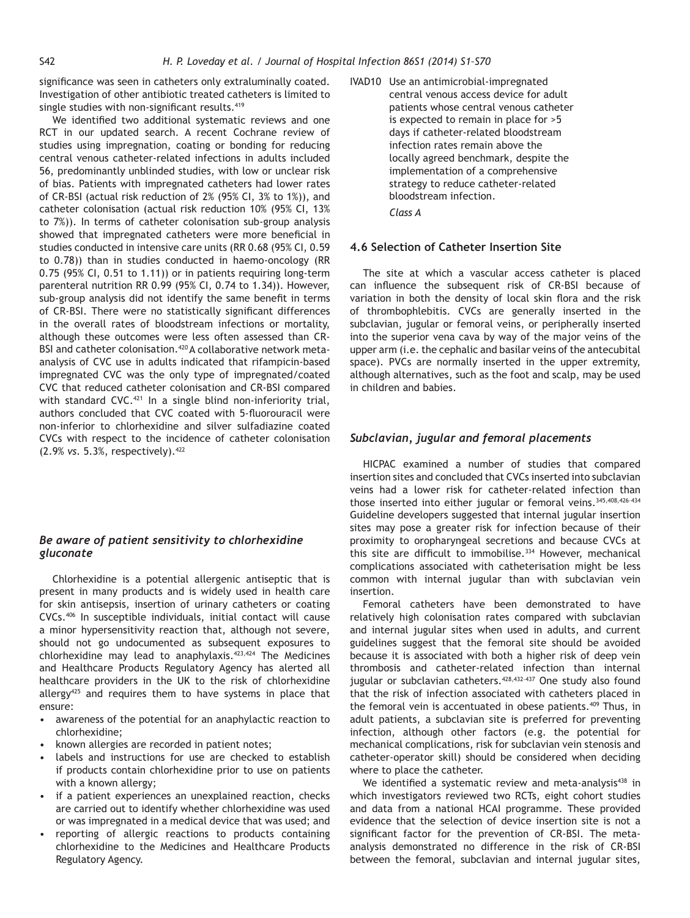significance was seen in catheters only extraluminally coated. Investigation of other antibiotic treated catheters is limited to single studies with non-significant results.<sup>419</sup>

We identified two additional systematic reviews and one RCT in our updated search. A recent Cochrane review of studies using impregnation, coating or bonding for reducing central venous catheter-related infections in adults included 56, predominantly unblinded studies, with low or unclear risk of bias. Patients with impregnated catheters had lower rates of CR-BSI (actual risk reduction of 2% (95% CI, 3% to 1%)), and catheter colonisation (actual risk reduction 10% (95% CI, 13% to 7%)). In terms of catheter colonisation sub-group analysis showed that impregnated catheters were more beneficial in studies conducted in intensive care units (RR 0.68 (95% CI, 0.59 to 0.78)) than in studies conducted in haemo-oncology (RR 0.75 (95% CI, 0.51 to 1.11)) or in patients requiring long-term parenteral nutrition RR 0.99 (95% CI, 0.74 to 1.34)). However, sub-group analysis did not identify the same benefit in terms of CR-BSI. There were no statistically significant differences in the overall rates of bloodstream infections or mortality, although these outcomes were less often assessed than CR-BSI and catheter colonisation.<sup>420</sup> A collaborative network metaanalysis of CVC use in adults indicated that rifampicin-based impregnated CVC was the only type of impregnated/coated CVC that reduced catheter colonisation and CR-BSI compared with standard CVC.<sup>421</sup> In a single blind non-inferiority trial, authors concluded that CVC coated with 5-fluorouracil were non-inferior to chlorhexidine and silver sulfadiazine coated CVCs with respect to the incidence of catheter colonisation (2.9% *vs*. 5.3%, respectively).422

# *Be aware of patient sensitivity to chlorhexidine gluconate*

Chlorhexidine is a potential allergenic antiseptic that is present in many products and is widely used in health care for skin antisepsis, insertion of urinary catheters or coating CVCs.406 In susceptible individuals, initial contact will cause a minor hypersensitivity reaction that, although not severe, should not go undocumented as subsequent exposures to chlorhexidine may lead to anaphylaxis.<sup>423,424</sup> The Medicines and Healthcare Products Regulatory Agency has alerted all healthcare providers in the UK to the risk of chlorhexidine allergy<sup>425</sup> and requires them to have systems in place that ensure:

- awareness of the potential for an anaphylactic reaction to chlorhexidine;
- known allergies are recorded in patient notes;
- labels and instructions for use are checked to establish if products contain chlorhexidine prior to use on patients with a known allergy;
- if a patient experiences an unexplained reaction, checks are carried out to identify whether chlorhexidine was used or was impregnated in a medical device that was used; and
- reporting of allergic reactions to products containing chlorhexidine to the Medicines and Healthcare Products Regulatory Agency.

IVAD10 Use an antimicrobial-impregnated central venous access device for adult patients whose central venous catheter is expected to remain in place for >5 days if catheter-related bloodstream infection rates remain above the locally agreed benchmark, despite the implementation of a comprehensive strategy to reduce catheter-related bloodstream infection.

*Class A*

# **4.6 Selection of Catheter Insertion Site**

The site at which a vascular access catheter is placed can influence the subsequent risk of CR-BSI because of variation in both the density of local skin flora and the risk of thrombophlebitis. CVCs are generally inserted in the subclavian, jugular or femoral veins, or peripherally inserted into the superior vena cava by way of the major veins of the upper arm (i.e. the cephalic and basilar veins of the antecubital space). PVCs are normally inserted in the upper extremity, although alternatives, such as the foot and scalp, may be used in children and babies.

# *Subclavian, jugular and femoral placements*

HICPAC examined a number of studies that compared insertion sites and concluded that CVCs inserted into subclavian veins had a lower risk for catheter-related infection than those inserted into either jugular or femoral veins. 345, 408, 426-434 Guideline developers suggested that internal jugular insertion sites may pose a greater risk for infection because of their proximity to oropharyngeal secretions and because CVCs at this site are difficult to immobilise.<sup>334</sup> However, mechanical complications associated with catheterisation might be less common with internal jugular than with subclavian vein insertion.

Femoral catheters have been demonstrated to have relatively high colonisation rates compared with subclavian and internal jugular sites when used in adults, and current guidelines suggest that the femoral site should be avoided because it is associated with both a higher risk of deep vein thrombosis and catheter-related infection than internal jugular or subclavian catheters.<sup>428,432-437</sup> One study also found that the risk of infection associated with catheters placed in the femoral vein is accentuated in obese patients.<sup>409</sup> Thus, in adult patients, a subclavian site is preferred for preventing infection, although other factors (e.g. the potential for mechanical complications, risk for subclavian vein stenosis and catheter-operator skill) should be considered when deciding where to place the catheter.

We identified a systematic review and meta-analysis $438$  in which investigators reviewed two RCTs, eight cohort studies and data from a national HCAI programme. These provided evidence that the selection of device insertion site is not a significant factor for the prevention of CR-BSI. The metaanalysis demonstrated no difference in the risk of CR-BSI between the femoral, subclavian and internal jugular sites,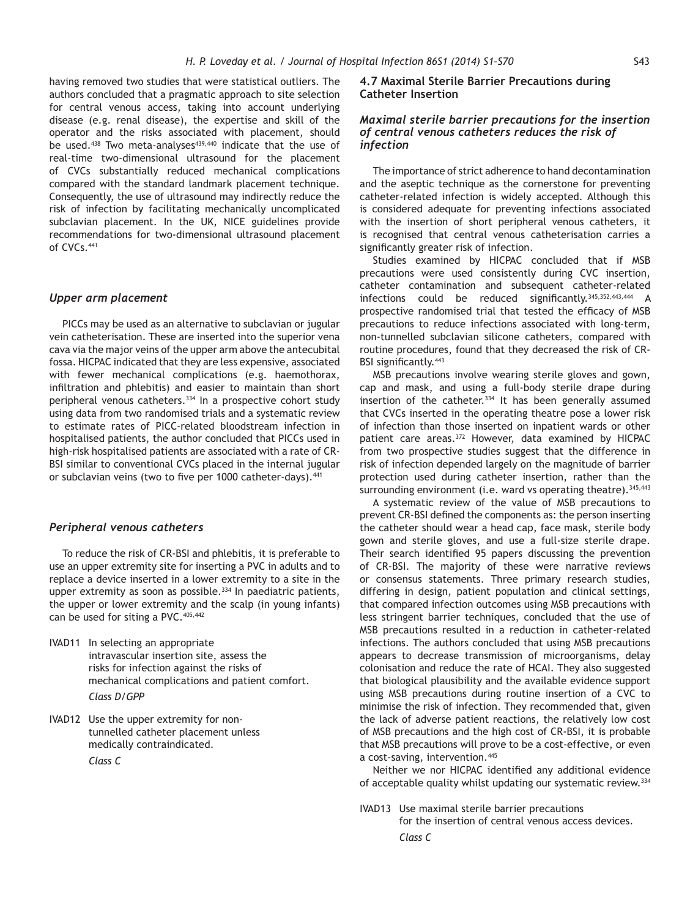having removed two studies that were statistical outliers. The authors concluded that a pragmatic approach to site selection for central venous access, taking into account underlying disease (e.g. renal disease), the expertise and skill of the operator and the risks associated with placement, should be used.<sup>438</sup> Two meta-analyses<sup>439,440</sup> indicate that the use of real-time two-dimensional ultrasound for the placement of CVCs substantially reduced mechanical complications compared with the standard landmark placement technique. Consequently, the use of ultrasound may indirectly reduce the risk of infection by facilitating mechanically uncomplicated subclavian placement. In the UK, NICE guidelines provide recommendations for two-dimensional ultrasound placement of CVCs.<sup>441</sup>

# *Upper arm placement*

PICCs may be used as an alternative to subclavian or jugular vein catheterisation. These are inserted into the superior vena cava via the major veins of the upper arm above the antecubital fossa. HICPAC indicated that they are less expensive, associated with fewer mechanical complications (e.g. haemothorax, infiltration and phlebitis) and easier to maintain than short peripheral venous catheters.<sup>334</sup> In a prospective cohort study using data from two randomised trials and a systematic review to estimate rates of PICC-related bloodstream infection in hospitalised patients, the author concluded that PICCs used in high-risk hospitalised patients are associated with a rate of CR-BSI similar to conventional CVCs placed in the internal jugular or subclavian veins (two to five per 1000 catheter-days).<sup>441</sup>

# *Peripheral venous catheters*

To reduce the risk of CR-BSI and phlebitis, it is preferable to use an upper extremity site for inserting a PVC in adults and to replace a device inserted in a lower extremity to a site in the upper extremity as soon as possible.<sup>334</sup> In paediatric patients, the upper or lower extremity and the scalp (in young infants) can be used for siting a PVC.<sup>405,442</sup>

- IVAD11 In selecting an appropriate intravascular insertion site, assess the risks for infection against the risks of mechanical complications and patient comfort. *Class D/GPP*
- IVAD12 Use the upper extremity for nontunnelled catheter placement unless medically contraindicated. *Class C*

# **4.7 Maximal Sterile Barrier Precautions during Catheter Insertion**

# *Maximal sterile barrier precautions for the insertion of central venous catheters reduces the risk of infection*

The importance of strict adherence to hand decontamination and the aseptic technique as the cornerstone for preventing catheter-related infection is widely accepted. Although this is considered adequate for preventing infections associated with the insertion of short peripheral venous catheters, it is recognised that central venous catheterisation carries a significantly greater risk of infection.

Studies examined by HICPAC concluded that if MSB precautions were used consistently during CVC insertion, catheter contamination and subsequent catheter-related infections could be reduced significantly.  $345,352,443,444$  A prospective randomised trial that tested the efficacy of MSB precautions to reduce infections associated with long-term, non-tunnelled subclavian silicone catheters, compared with routine procedures, found that they decreased the risk of CR-BSI significantly.<sup>443</sup>

MSB precautions involve wearing sterile gloves and gown, cap and mask, and using a full-body sterile drape during insertion of the catheter.<sup>334</sup> It has been generally assumed that CVCs inserted in the operating theatre pose a lower risk of infection than those inserted on inpatient wards or other patient care areas.<sup>372</sup> However, data examined by HICPAC from two prospective studies suggest that the difference in risk of infection depended largely on the magnitude of barrier protection used during catheter insertion, rather than the surrounding environment (i.e. ward vs operating theatre). 345,443

A systematic review of the value of MSB precautions to prevent CR-BSI defined the components as: the person inserting the catheter should wear a head cap, face mask, sterile body gown and sterile gloves, and use a full-size sterile drape. Their search identified 95 papers discussing the prevention of CR-BSI. The majority of these were narrative reviews or consensus statements. Three primary research studies, differing in design, patient population and clinical settings, that compared infection outcomes using MSB precautions with less stringent barrier techniques, concluded that the use of MSB precautions resulted in a reduction in catheter-related infections. The authors concluded that using MSB precautions appears to decrease transmission of microorganisms, delay colonisation and reduce the rate of HCAI. They also suggested that biological plausibility and the available evidence support using MSB precautions during routine insertion of a CVC to minimise the risk of infection. They recommended that, given the lack of adverse patient reactions, the relatively low cost of MSB precautions and the high cost of CR-BSI, it is probable that MSB precautions will prove to be a cost-effective, or even a cost-saving, intervention.445

Neither we nor HICPAC identified any additional evidence of acceptable quality whilst updating our systematic review.334

IVAD13 Use maximal sterile barrier precautions for the insertion of central venous access devices. *Class C*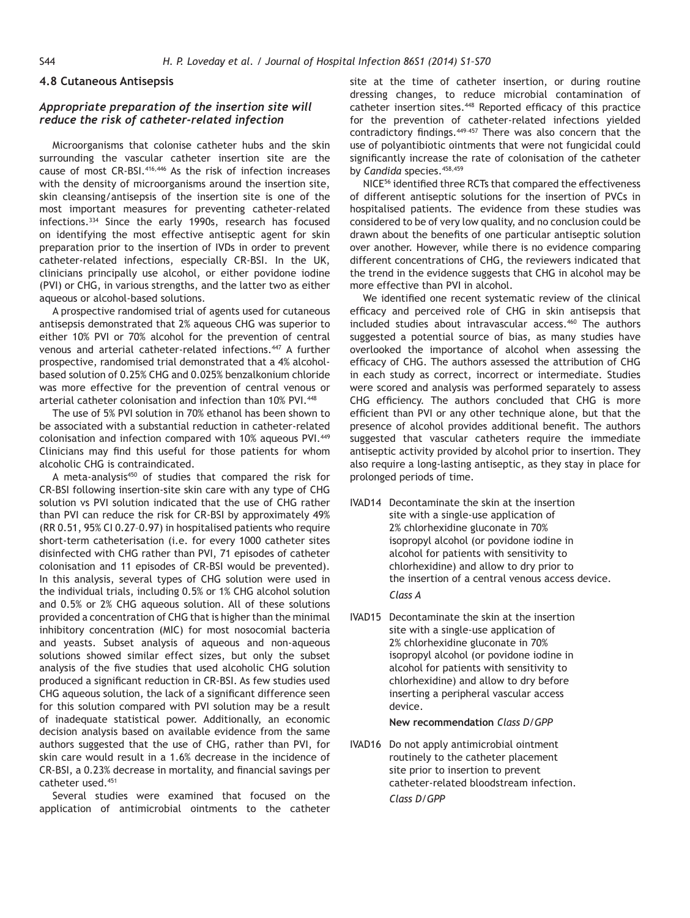#### **4.8 Cutaneous Antisepsis**

# *Appropriate preparation of the insertion site will reduce the risk of catheter-related infection*

Microorganisms that colonise catheter hubs and the skin surrounding the vascular catheter insertion site are the cause of most CR-BSI.<sup>416,446</sup> As the risk of infection increases with the density of microorganisms around the insertion site, skin cleansing/antisepsis of the insertion site is one of the most important measures for preventing catheter-related infections.334 Since the early 1990s, research has focused on identifying the most effective antiseptic agent for skin preparation prior to the insertion of IVDs in order to prevent catheter-related infections, especially CR-BSI. In the UK, clinicians principally use alcohol, or either povidone iodine (PVI) or CHG, in various strengths, and the latter two as either aqueous or alcohol-based solutions.

A prospective randomised trial of agents used for cutaneous antisepsis demonstrated that 2% aqueous CHG was superior to either 10% PVI or 70% alcohol for the prevention of central venous and arterial catheter-related infections.<sup>447</sup> A further prospective, randomised trial demonstrated that a 4% alcoholbased solution of 0.25% CHG and 0.025% benzalkonium chloride was more effective for the prevention of central venous or arterial catheter colonisation and infection than 10% PVI.<sup>448</sup>

The use of 5% PVI solution in 70% ethanol has been shown to be associated with a substantial reduction in catheter-related colonisation and infection compared with 10% aqueous PVI.449 Clinicians may find this useful for those patients for whom alcoholic CHG is contraindicated.

A meta-analysis<sup>450</sup> of studies that compared the risk for CR-BSI following insertion-site skin care with any type of CHG solution vs PVI solution indicated that the use of CHG rather than PVI can reduce the risk for CR-BSI by approximately 49% (RR 0.51, 95% CI 0.27–0.97) in hospitalised patients who require short-term catheterisation (i.e. for every 1000 catheter sites disinfected with CHG rather than PVI, 71 episodes of catheter colonisation and 11 episodes of CR-BSI would be prevented). In this analysis, several types of CHG solution were used in the individual trials, including 0.5% or 1% CHG alcohol solution and 0.5% or 2% CHG aqueous solution. All of these solutions provided a concentration of CHG that is higher than the minimal inhibitory concentration (MIC) for most nosocomial bacteria and yeasts. Subset analysis of aqueous and non-aqueous solutions showed similar effect sizes, but only the subset analysis of the five studies that used alcoholic CHG solution produced a significant reduction in CR-BSI. As few studies used CHG aqueous solution, the lack of a significant difference seen for this solution compared with PVI solution may be a result of inadequate statistical power. Additionally, an economic decision analysis based on available evidence from the same authors suggested that the use of CHG, rather than PVI, for skin care would result in a 1.6% decrease in the incidence of CR-BSI, a 0.23% decrease in mortality, and financial savings per catheter used.451

Several studies were examined that focused on the application of antimicrobial ointments to the catheter site at the time of catheter insertion, or during routine dressing changes, to reduce microbial contamination of catheter insertion sites.<sup>448</sup> Reported efficacy of this practice for the prevention of catheter-related infections yielded contradictory findings.<sup>449-457</sup> There was also concern that the use of polyantibiotic ointments that were not fungicidal could significantly increase the rate of colonisation of the catheter by *Candida* species. 458,459

NICE<sup>56</sup> identified three RCTs that compared the effectiveness of different antiseptic solutions for the insertion of PVCs in hospitalised patients. The evidence from these studies was considered to be of very low quality, and no conclusion could be drawn about the benefits of one particular antiseptic solution over another. However, while there is no evidence comparing different concentrations of CHG, the reviewers indicated that the trend in the evidence suggests that CHG in alcohol may be more effective than PVI in alcohol.

We identified one recent systematic review of the clinical efficacy and perceived role of CHG in skin antisepsis that included studies about intravascular access.<sup>460</sup> The authors suggested a potential source of bias, as many studies have overlooked the importance of alcohol when assessing the efficacy of CHG. The authors assessed the attribution of CHG in each study as correct, incorrect or intermediate. Studies were scored and analysis was performed separately to assess CHG efficiency. The authors concluded that CHG is more efficient than PVI or any other technique alone, but that the presence of alcohol provides additional benefit. The authors suggested that vascular catheters require the immediate antiseptic activity provided by alcohol prior to insertion. They also require a long-lasting antiseptic, as they stay in place for prolonged periods of time.

IVAD14 Decontaminate the skin at the insertion site with a single-use application of 2% chlorhexidine gluconate in 70% isopropyl alcohol (or povidone iodine in alcohol for patients with sensitivity to chlorhexidine) and allow to dry prior to the insertion of a central venous access device. *Class A*

IVAD15 Decontaminate the skin at the insertion site with a single-use application of 2% chlorhexidine gluconate in 70% isopropyl alcohol (or povidone iodine in alcohol for patients with sensitivity to chlorhexidine) and allow to dry before inserting a peripheral vascular access device.

# **New recommendation** *Class D/GPP*

IVAD16 Do not apply antimicrobial ointment routinely to the catheter placement site prior to insertion to prevent catheter-related bloodstream infection. *Class D/GPP*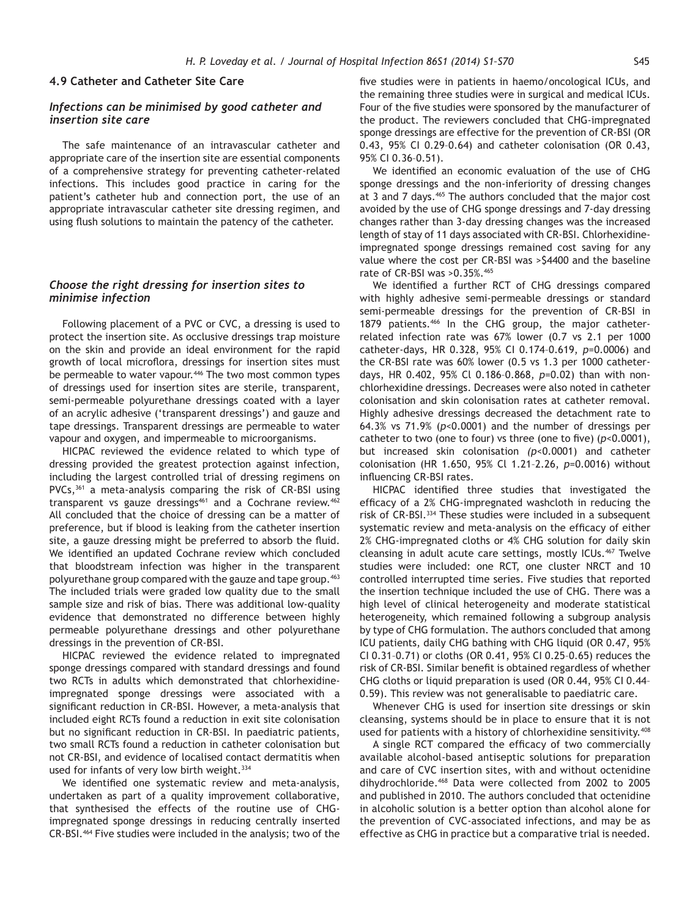# **4.9 Catheter and Catheter Site Care**

# *Infections can be minimised by good catheter and insertion site care*

The safe maintenance of an intravascular catheter and appropriate care of the insertion site are essential components of a comprehensive strategy for preventing catheter-related infections. This includes good practice in caring for the patient's catheter hub and connection port, the use of an appropriate intravascular catheter site dressing regimen, and using flush solutions to maintain the patency of the catheter.

# *Choose the right dressing for insertion sites to minimise infection*

Following placement of a PVC or CVC, a dressing is used to protect the insertion site. As occlusive dressings trap moisture on the skin and provide an ideal environment for the rapid growth of local microflora, dressings for insertion sites must be permeable to water vapour.<sup>446</sup> The two most common types of dressings used for insertion sites are sterile, transparent, semi-permeable polyurethane dressings coated with a layer of an acrylic adhesive ('transparent dressings') and gauze and tape dressings. Transparent dressings are permeable to water vapour and oxygen, and impermeable to microorganisms.

HICPAC reviewed the evidence related to which type of dressing provided the greatest protection against infection, including the largest controlled trial of dressing regimens on PVCs,<sup>361</sup> a meta-analysis comparing the risk of CR-BSI using transparent vs gauze dressings<sup>461</sup> and a Cochrane review.<sup>462</sup> All concluded that the choice of dressing can be a matter of preference, but if blood is leaking from the catheter insertion site, a gauze dressing might be preferred to absorb the fluid. We identified an updated Cochrane review which concluded that bloodstream infection was higher in the transparent polyurethane group compared with the gauze and tape group.463 The included trials were graded low quality due to the small sample size and risk of bias. There was additional low-quality evidence that demonstrated no difference between highly permeable polyurethane dressings and other polyurethane dressings in the prevention of CR-BSI.

HICPAC reviewed the evidence related to impregnated sponge dressings compared with standard dressings and found two RCTs in adults which demonstrated that chlorhexidineimpregnated sponge dressings were associated with a significant reduction in CR-BSI. However, a meta-analysis that included eight RCTs found a reduction in exit site colonisation but no significant reduction in CR-BSI. In paediatric patients, two small RCTs found a reduction in catheter colonisation but not CR-BSI, and evidence of localised contact dermatitis when used for infants of very low birth weight.<sup>334</sup>

We identified one systematic review and meta-analysis, undertaken as part of a quality improvement collaborative, that synthesised the effects of the routine use of CHGimpregnated sponge dressings in reducing centrally inserted CR-BSI.464 Five studies were included in the analysis; two of the

five studies were in patients in haemo/oncological ICUs, and the remaining three studies were in surgical and medical ICUs. Four of the five studies were sponsored by the manufacturer of the product. The reviewers concluded that CHG-impregnated sponge dressings are effective for the prevention of CR-BSI (OR 0.43, 95% CI 0.29–0.64) and catheter colonisation (OR 0.43, 95% CI 0.36–0.51).

We identified an economic evaluation of the use of CHG sponge dressings and the non-inferiority of dressing changes at 3 and 7 days.<sup>465</sup> The authors concluded that the major cost avoided by the use of CHG sponge dressings and 7-day dressing changes rather than 3-day dressing changes was the increased length of stay of 11 days associated with CR-BSI. Chlorhexidineimpregnated sponge dressings remained cost saving for any value where the cost per CR-BSI was >\$4400 and the baseline rate of CR-BSI was >0.35%.465

We identified a further RCT of CHG dressings compared with highly adhesive semi-permeable dressings or standard semi-permeable dressings for the prevention of CR-BSI in 1879 patients.<sup>466</sup> In the CHG group, the major catheterrelated infection rate was 67% lower (0.7 vs 2.1 per 1000 catheter-days, HR 0.328, 95% CI 0.174–0.619, *p=*0.0006) and the CR-BSI rate was 60% lower (0.5 vs 1.3 per 1000 catheterdays, HR 0.402, 95% Cl 0.186–0.868, *p*=0.02) than with nonchlorhexidine dressings. Decreases were also noted in catheter colonisation and skin colonisation rates at catheter removal. Highly adhesive dressings decreased the detachment rate to 64.3% vs 71.9% (*p*<0.0001) and the number of dressings per catheter to two (one to four) vs three (one to five)  $(p<0.0001)$ , but increased skin colonisation *(p*<0.0001) and catheter colonisation (HR 1.650, 95% Cl 1.21–2.26, *p=*0.0016) without influencing CR-BSI rates.

HICPAC identified three studies that investigated the efficacy of a 2% CHG-impregnated washcloth in reducing the risk of CR-BSI.334 These studies were included in a subsequent systematic review and meta-analysis on the efficacy of either 2% CHG-impregnated cloths or 4% CHG solution for daily skin cleansing in adult acute care settings, mostly ICUs.<sup>467</sup> Twelve studies were included: one RCT, one cluster NRCT and 10 controlled interrupted time series. Five studies that reported the insertion technique included the use of CHG. There was a high level of clinical heterogeneity and moderate statistical heterogeneity, which remained following a subgroup analysis by type of CHG formulation. The authors concluded that among ICU patients, daily CHG bathing with CHG liquid (OR 0.47, 95% CI 0.31–0.71) or cloths (OR 0.41, 95% CI 0.25–0.65) reduces the risk of CR-BSI. Similar benefit is obtained regardless of whether CHG cloths or liquid preparation is used (OR 0.44, 95% CI 0.44– 0.59). This review was not generalisable to paediatric care.

Whenever CHG is used for insertion site dressings or skin cleansing, systems should be in place to ensure that it is not used for patients with a history of chlorhexidine sensitivity.408

A single RCT compared the efficacy of two commercially available alcohol-based antiseptic solutions for preparation and care of CVC insertion sites, with and without octenidine dihydrochloride.468 Data were collected from 2002 to 2005 and published in 2010. The authors concluded that octenidine in alcoholic solution is a better option than alcohol alone for the prevention of CVC-associated infections, and may be as effective as CHG in practice but a comparative trial is needed.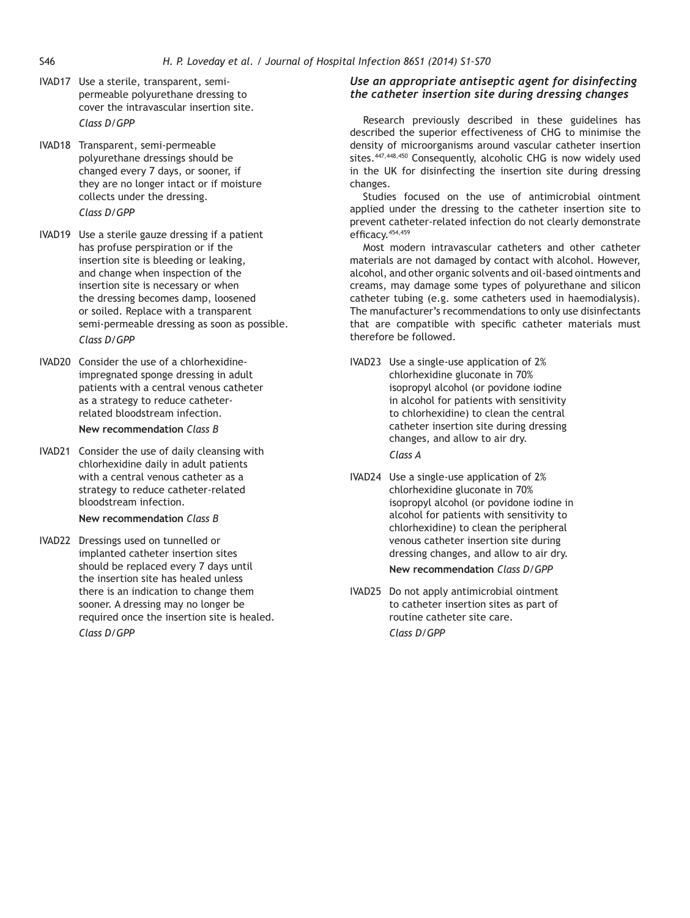- IVAD17 Use a sterile, transparent, semipermeable polyurethane dressing to cover the intravascular insertion site. *Class D/GPP*
- IVAD18 Transparent, semi-permeable polyurethane dressings should be changed every 7 days, or sooner, if they are no longer intact or if moisture collects under the dressing. *Class D/GPP*
- IVAD19 Use a sterile gauze dressing if a patient has profuse perspiration or if the insertion site is bleeding or leaking, and change when inspection of the insertion site is necessary or when the dressing becomes damp, loosened or soiled. Replace with a transparent semi-permeable dressing as soon as possible. *Class D/GPP*
- IVAD20 Consider the use of a chlorhexidineimpregnated sponge dressing in adult patients with a central venous catheter as a strategy to reduce catheterrelated bloodstream infection. **New recommendation** *Class B*
- IVAD21 Consider the use of daily cleansing with chlorhexidine daily in adult patients with a central venous catheter as a strategy to reduce catheter-related bloodstream infection.

**New recommendation** *Class B*

IVAD22 Dressings used on tunnelled or implanted catheter insertion sites should be replaced every 7 days until the insertion site has healed unless there is an indication to change them sooner. A dressing may no longer be required once the insertion site is healed. *Class D/GPP*

# *Use an appropriate antiseptic agent for disinfecting the catheter insertion site during dressing changes*

Research previously described in these guidelines has described the superior effectiveness of CHG to minimise the density of microorganisms around vascular catheter insertion sites.447,448,450 Consequently, alcoholic CHG is now widely used in the UK for disinfecting the insertion site during dressing changes.

Studies focused on the use of antimicrobial ointment applied under the dressing to the catheter insertion site to prevent catheter-related infection do not clearly demonstrate efficacy.<sup>454,459</sup>

Most modern intravascular catheters and other catheter materials are not damaged by contact with alcohol. However, alcohol, and other organic solvents and oil-based ointments and creams, may damage some types of polyurethane and silicon catheter tubing (e.g. some catheters used in haemodialysis). The manufacturer's recommendations to only use disinfectants that are compatible with specific catheter materials must therefore be followed.

- IVAD23 Use a single-use application of 2% chlorhexidine gluconate in 70% isopropyl alcohol (or povidone iodine in alcohol for patients with sensitivity to chlorhexidine) to clean the central catheter insertion site during dressing changes, and allow to air dry. *Class A*
- IVAD24 Use a single-use application of 2% chlorhexidine gluconate in 70% isopropyl alcohol (or povidone iodine in alcohol for patients with sensitivity to chlorhexidine) to clean the peripheral venous catheter insertion site during dressing changes, and allow to air dry. **New recommendation** *Class D/GPP*
- IVAD25 Do not apply antimicrobial ointment to catheter insertion sites as part of routine catheter site care.

*Class D/GPP*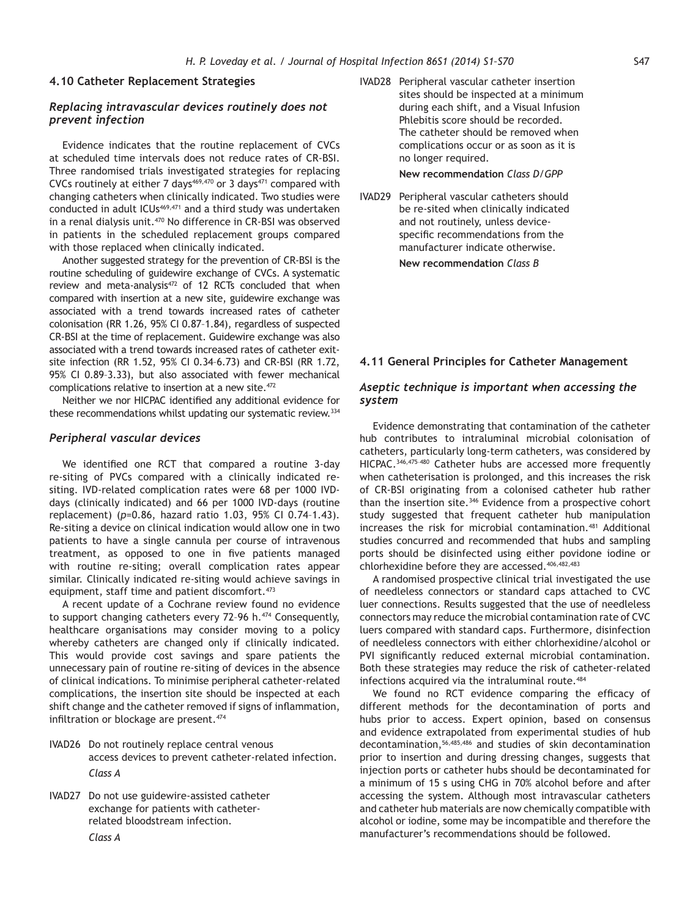# **4.10 Catheter Replacement Strategies**

# *Replacing intravascular devices routinely does not prevent infection*

Evidence indicates that the routine replacement of CVCs at scheduled time intervals does not reduce rates of CR-BSI. Three randomised trials investigated strategies for replacing CVCs routinely at either 7 days<sup>469,470</sup> or 3 days<sup>471</sup> compared with changing catheters when clinically indicated. Two studies were conducted in adult ICUs<sup>469,471</sup> and a third study was undertaken in a renal dialysis unit.<sup>470</sup> No difference in CR-BSI was observed in patients in the scheduled replacement groups compared with those replaced when clinically indicated.

Another suggested strategy for the prevention of CR-BSI is the routine scheduling of guidewire exchange of CVCs. A systematic review and meta-analysis<sup>472</sup> of 12 RCTs concluded that when compared with insertion at a new site, guidewire exchange was associated with a trend towards increased rates of catheter colonisation (RR 1.26, 95% CI 0.87–1.84), regardless of suspected CR-BSI at the time of replacement. Guidewire exchange was also associated with a trend towards increased rates of catheter exitsite infection (RR 1.52, 95% CI 0.34–6.73) and CR-BSI (RR 1.72, 95% CI 0.89–3.33), but also associated with fewer mechanical complications relative to insertion at a new site.<sup>472</sup>

Neither we nor HICPAC identified any additional evidence for these recommendations whilst updating our systematic review.<sup>334</sup>

# *Peripheral vascular devices*

We identified one RCT that compared a routine 3-day re-siting of PVCs compared with a clinically indicated resiting. IVD-related complication rates were 68 per 1000 IVDdays (clinically indicated) and 66 per 1000 IVD-days (routine replacement) (*p*=0.86, hazard ratio 1.03, 95% CI 0.74–1.43). Re-siting a device on clinical indication would allow one in two patients to have a single cannula per course of intravenous treatment, as opposed to one in five patients managed with routine re-siting; overall complication rates appear similar. Clinically indicated re-siting would achieve savings in equipment, staff time and patient discomfort.473

A recent update of a Cochrane review found no evidence to support changing catheters every 72-96 h.<sup>474</sup> Consequently, healthcare organisations may consider moving to a policy whereby catheters are changed only if clinically indicated. This would provide cost savings and spare patients the unnecessary pain of routine re-siting of devices in the absence of clinical indications. To minimise peripheral catheter-related complications, the insertion site should be inspected at each shift change and the catheter removed if signs of inflammation, in filtration or blockage are present.<sup>474</sup>

IVAD26 Do not routinely replace central venous access devices to prevent catheter-related infection. *Class A*

IVAD27 Do not use guidewire-assisted catheter exchange for patients with catheterrelated bloodstream infection. *Class A*

IVAD28 Peripheral vascular catheter insertion sites should be inspected at a minimum during each shift, and a Visual Infusion Phlebitis score should be recorded. The catheter should be removed when complications occur or as soon as it is no longer required.

**New recommendation** *Class D/GPP*

IVAD29 Peripheral vascular catheters should be re-sited when clinically indicated and not routinely, unless devicespecific recommendations from the manufacturer indicate otherwise. **New recommendation** *Class B*

# **4.11 General Principles for Catheter Management**

# *Aseptic technique is important when accessing the system*

Evidence demonstrating that contamination of the catheter hub contributes to intraluminal microbial colonisation of catheters, particularly long-term catheters, was considered by HICPAC.346,475–480 Catheter hubs are accessed more frequently when catheterisation is prolonged, and this increases the risk of CR-BSI originating from a colonised catheter hub rather than the insertion site.<sup>346</sup> Evidence from a prospective cohort study suggested that frequent catheter hub manipulation increases the risk for microbial contamination.<sup>481</sup> Additional studies concurred and recommended that hubs and sampling ports should be disinfected using either povidone iodine or chlorhexidine before they are accessed.<sup>406,482,483</sup>

A randomised prospective clinical trial investigated the use of needleless connectors or standard caps attached to CVC luer connections. Results suggested that the use of needleless connectors may reduce the microbial contamination rate of CVC luers compared with standard caps. Furthermore, disinfection of needleless connectors with either chlorhexidine/alcohol or PVI significantly reduced external microbial contamination. Both these strategies may reduce the risk of catheter-related infections acquired via the intraluminal route.<sup>484</sup>

We found no RCT evidence comparing the efficacy of different methods for the decontamination of ports and hubs prior to access. Expert opinion, based on consensus and evidence extrapolated from experimental studies of hub decontamination,56,485,486 and studies of skin decontamination prior to insertion and during dressing changes, suggests that injection ports or catheter hubs should be decontaminated for a minimum of 15 s using CHG in 70% alcohol before and after accessing the system. Although most intravascular catheters and catheter hub materials are now chemically compatible with alcohol or iodine, some may be incompatible and therefore the manufacturer's recommendations should be followed.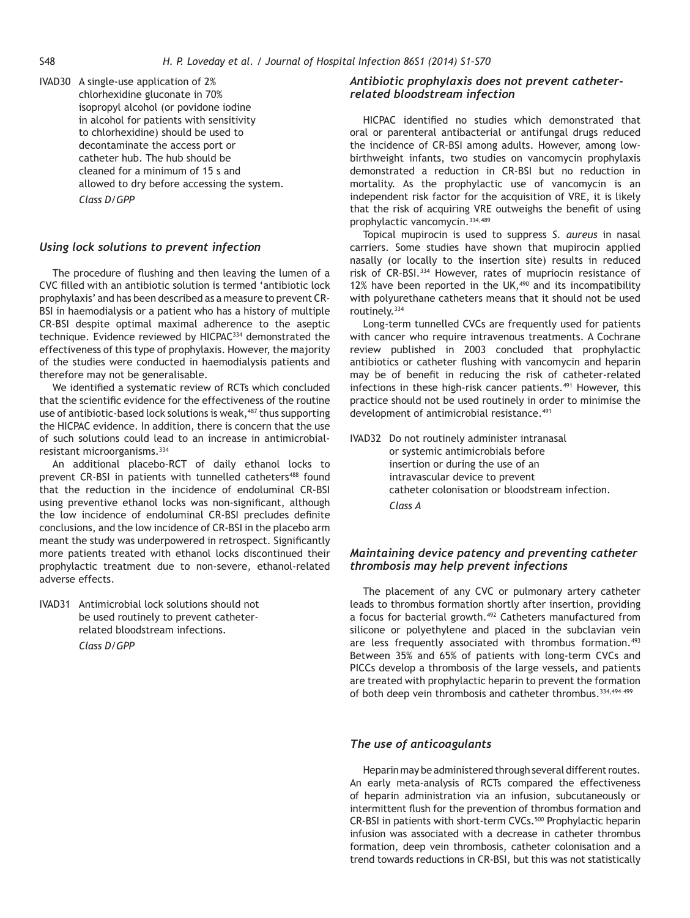IVAD30 A single-use application of 2% chlorhexidine gluconate in 70% isopropyl alcohol (or povidone iodine in alcohol for patients with sensitivity to chlorhexidine) should be used to decontaminate the access port or catheter hub. The hub should be cleaned for a minimum of 15 s and allowed to dry before accessing the system. *Class D/GPP*

## *Using lock solutions to prevent infection*

The procedure of flushing and then leaving the lumen of a CVC filled with an antibiotic solution is termed 'antibiotic lock prophylaxis' and has been described as a measure to prevent CR-BSI in haemodialysis or a patient who has a history of multiple CR-BSI despite optimal maximal adherence to the aseptic technique. Evidence reviewed by HICPAC334 demonstrated the effectiveness of this type of prophylaxis. However, the majority of the studies were conducted in haemodialysis patients and therefore may not be generalisable.

We identified a systematic review of RCTs which concluded that the scientific evidence for the effectiveness of the routine use of antibiotic-based lock solutions is weak, <sup>487</sup> thus supporting the HICPAC evidence. In addition, there is concern that the use of such solutions could lead to an increase in antimicrobialresistant microorganisms.334

An additional placebo-RCT of daily ethanol locks to prevent CR-BSI in patients with tunnelled catheters<sup>488</sup> found that the reduction in the incidence of endoluminal CR-BSI using preventive ethanol locks was non-significant, although the low incidence of endoluminal CR-BSI precludes definite conclusions, and the low incidence of CR-BSI in the placebo arm meant the study was underpowered in retrospect. Significantly more patients treated with ethanol locks discontinued their prophylactic treatment due to non-severe, ethanol-related adverse effects.

IVAD31 Antimicrobial lock solutions should not be used routinely to prevent catheterrelated bloodstream infections. *Class D/GPP*

# *Antibiotic prophylaxis does not prevent catheterrelated bloodstream infection*

HICPAC identified no studies which demonstrated that oral or parenteral antibacterial or antifungal drugs reduced the incidence of CR-BSI among adults. However, among lowbirthweight infants, two studies on vancomycin prophylaxis demonstrated a reduction in CR-BSI but no reduction in mortality. As the prophylactic use of vancomycin is an independent risk factor for the acquisition of VRE, it is likely that the risk of acquiring VRE outweighs the benefit of using prophylactic vancomycin.334,489

Topical mupirocin is used to suppress *S. aureus* in nasal carriers. Some studies have shown that mupirocin applied nasally (or locally to the insertion site) results in reduced risk of CR-BSI.334 However, rates of mupriocin resistance of 12% have been reported in the UK, $490$  and its incompatibility with polyurethane catheters means that it should not be used routinely.334

Long-term tunnelled CVCs are frequently used for patients with cancer who require intravenous treatments. A Cochrane review published in 2003 concluded that prophylactic antibiotics or catheter flushing with vancomycin and heparin may be of benefit in reducing the risk of catheter-related infections in these high-risk cancer patients.<sup>491</sup> However, this practice should not be used routinely in order to minimise the development of antimicrobial resistance.<sup>491</sup>

IVAD32 Do not routinely administer intranasal or systemic antimicrobials before insertion or during the use of an intravascular device to prevent catheter colonisation or bloodstream infection. *Class A*

# *Maintaining device patency and preventing catheter thrombosis may help prevent infections*

The placement of any CVC or pulmonary artery catheter leads to thrombus formation shortly after insertion, providing a focus for bacterial growth.<sup>492</sup> Catheters manufactured from silicone or polyethylene and placed in the subclavian vein are less frequently associated with thrombus formation.<sup>493</sup> Between 35% and 65% of patients with long-term CVCs and PICCs develop a thrombosis of the large vessels, and patients are treated with prophylactic heparin to prevent the formation of both deep vein thrombosis and catheter thrombus. 334,494-499

# *The use of anticoagulants*

Heparin may be administered through several different routes. An early meta-analysis of RCTs compared the effectiveness of heparin administration via an infusion, subcutaneously or intermittent flush for the prevention of thrombus formation and CR-BSI in patients with short-term CVCs.<sup>500</sup> Prophylactic heparin infusion was associated with a decrease in catheter thrombus formation, deep vein thrombosis, catheter colonisation and a trend towards reductions in CR-BSI, but this was not statistically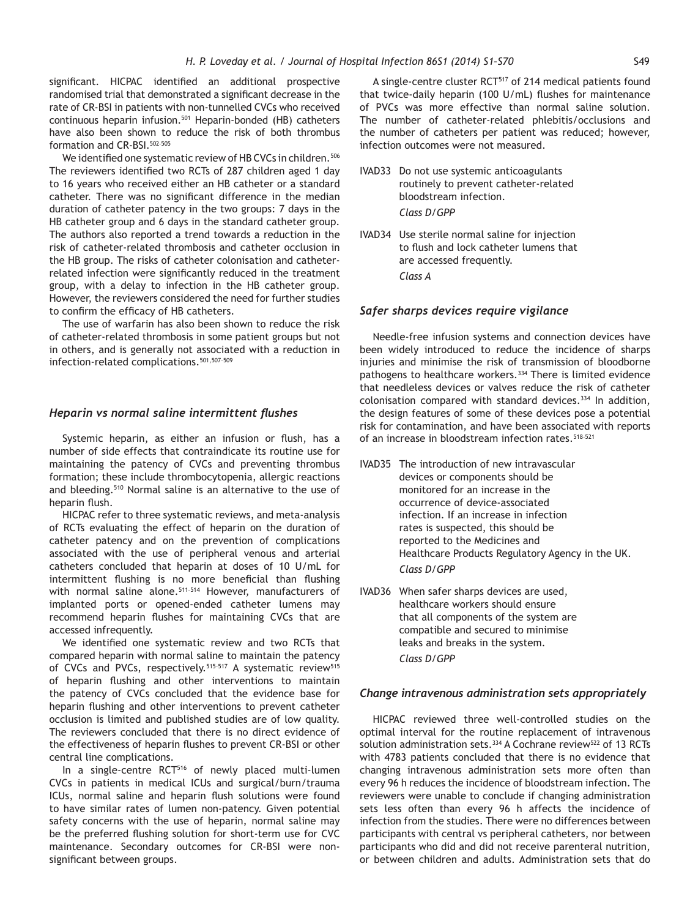significant. HICPAC identified an additional prospective randomised trial that demonstrated a significant decrease in the rate of CR-BSI in patients with non-tunnelled CVCs who received continuous heparin infusion.<sup>501</sup> Heparin-bonded (HB) catheters have also been shown to reduce the risk of both thrombus formation and CR-BSI.<sup>502-505</sup>

We identified one systematic review of HB CVCs in children.<sup>506</sup> The reviewers identified two RCTs of 287 children aged 1 day to 16 years who received either an HB catheter or a standard catheter. There was no significant difference in the median duration of catheter patency in the two groups: 7 days in the HB catheter group and 6 days in the standard catheter group. The authors also reported a trend towards a reduction in the risk of catheter-related thrombosis and catheter occlusion in the HB group. The risks of catheter colonisation and catheterrelated infection were significantly reduced in the treatment group, with a delay to infection in the HB catheter group. However, the reviewers considered the need for further studies to confirm the efficacy of HB catheters.

The use of warfarin has also been shown to reduce the risk of catheter-related thrombosis in some patient groups but not in others, and is generally not associated with a reduction in infection-related complications.501,507–509

# *Heparin vs normal saline intermittent flushes*

Systemic heparin, as either an infusion or flush, has a number of side effects that contraindicate its routine use for maintaining the patency of CVCs and preventing thrombus formation; these include thrombocytopenia, allergic reactions and bleeding.<sup>510</sup> Normal saline is an alternative to the use of heparin flush.

HICPAC refer to three systematic reviews, and meta-analysis of RCTs evaluating the effect of heparin on the duration of catheter patency and on the prevention of complications associated with the use of peripheral venous and arterial catheters concluded that heparin at doses of 10 U/mL for intermittent flushing is no more beneficial than flushing with normal saline alone.<sup>511-514</sup> However, manufacturers of implanted ports or opened-ended catheter lumens may recommend heparin flushes for maintaining CVCs that are accessed infrequently.

We identified one systematic review and two RCTs that compared heparin with normal saline to maintain the patency of CVCs and PVCs, respectively.<sup>515-517</sup> A systematic review<sup>515</sup> of heparin flushing and other interventions to maintain the patency of CVCs concluded that the evidence base for heparin flushing and other interventions to prevent catheter occlusion is limited and published studies are of low quality. The reviewers concluded that there is no direct evidence of the effectiveness of heparin flushes to prevent CR-BSI or other central line complications.

In a single-centre RCT516 of newly placed multi-lumen CVCs in patients in medical ICUs and surgical/burn/trauma ICUs, normal saline and heparin flush solutions were found to have similar rates of lumen non-patency. Given potential safety concerns with the use of heparin, normal saline may be the preferred flushing solution for short-term use for CVC maintenance. Secondary outcomes for CR-BSI were nonsignificant between groups.

A single-centre cluster RCT<sup>517</sup> of 214 medical patients found that twice-daily heparin (100  $U/mL$ ) flushes for maintenance of PVCs was more effective than normal saline solution. The number of catheter-related phlebitis/occlusions and the number of catheters per patient was reduced; however, infection outcomes were not measured.

- IVAD33 Do not use systemic anticoagulants routinely to prevent catheter-related bloodstream infection. *Class D/GPP*
- IVAD34 Use sterile normal saline for injection to flush and lock catheter lumens that are accessed frequently. *Class A*

#### *Safer sharps devices require vigilance*

Needle-free infusion systems and connection devices have been widely introduced to reduce the incidence of sharps injuries and minimise the risk of transmission of bloodborne pathogens to healthcare workers.<sup>334</sup> There is limited evidence that needleless devices or valves reduce the risk of catheter colonisation compared with standard devices.334 In addition, the design features of some of these devices pose a potential risk for contamination, and have been associated with reports of an increase in bloodstream infection rates.<sup>518-521</sup>

- IVAD35 The introduction of new intravascular devices or components should be monitored for an increase in the occurrence of device-associated infection. If an increase in infection rates is suspected, this should be reported to the Medicines and Healthcare Products Regulatory Agency in the UK. *Class D/GPP*
- IVAD36 When safer sharps devices are used, healthcare workers should ensure that all components of the system are compatible and secured to minimise leaks and breaks in the system. *Class D/GPP*

#### *Change intravenous administration sets appropriately*

HICPAC reviewed three well-controlled studies on the optimal interval for the routine replacement of intravenous solution administration sets.<sup>334</sup> A Cochrane review<sup>522</sup> of 13 RCTs with 4783 patients concluded that there is no evidence that changing intravenous administration sets more often than every 96 h reduces the incidence of bloodstream infection. The reviewers were unable to conclude if changing administration sets less often than every 96 h affects the incidence of infection from the studies. There were no differences between participants with central vs peripheral catheters, nor between participants who did and did not receive parenteral nutrition, or between children and adults. Administration sets that do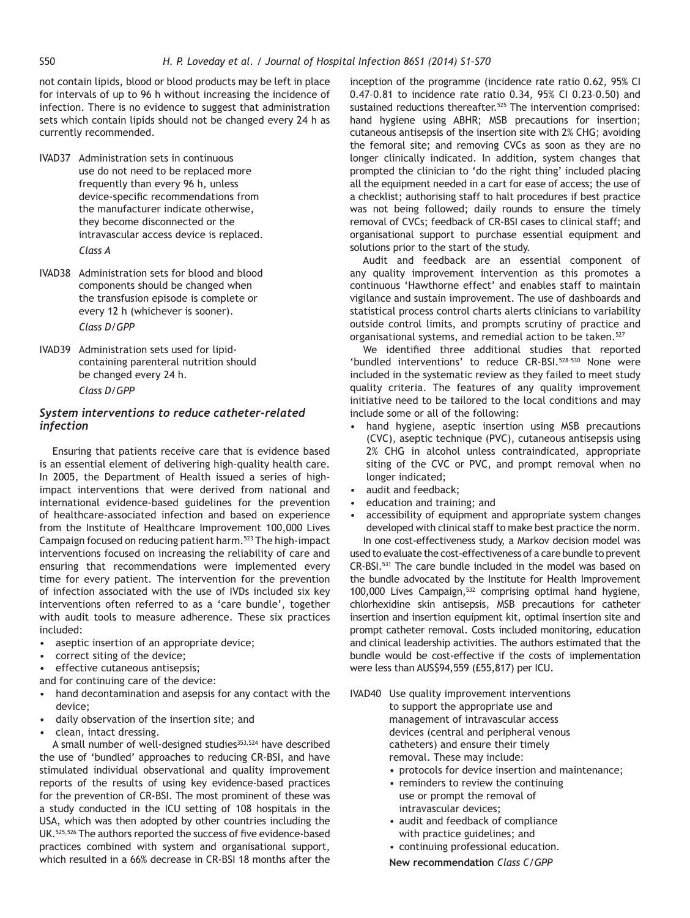not contain lipids, blood or blood products may be left in place for intervals of up to 96 h without increasing the incidence of infection. There is no evidence to suggest that administration sets which contain lipids should not be changed every 24 h as currently recommended.

- IVAD37 Administration sets in continuous use do not need to be replaced more frequently than every 96 h, unless device-specific recommendations from the manufacturer indicate otherwise, they become disconnected or the intravascular access device is replaced. *Class A*
- IVAD38 Administration sets for blood and blood components should be changed when the transfusion episode is complete or every 12 h (whichever is sooner). *Class D/GPP*
- IVAD39 Administration sets used for lipidcontaining parenteral nutrition should be changed every 24 h. *Class D/GPP*

# *System interventions to reduce catheter-related infection*

Ensuring that patients receive care that is evidence based is an essential element of delivering high-quality health care. In 2005, the Department of Health issued a series of highimpact interventions that were derived from national and international evidence-based guidelines for the prevention of healthcare-associated infection and based on experience from the Institute of Healthcare Improvement 100,000 Lives Campaign focused on reducing patient harm.523 The high-impact interventions focused on increasing the reliability of care and ensuring that recommendations were implemented every time for every patient. The intervention for the prevention of infection associated with the use of IVDs included six key interventions often referred to as a 'care bundle', together with audit tools to measure adherence. These six practices included:

- aseptic insertion of an appropriate device;
- correct siting of the device;
- effective cutaneous antisepsis;
- and for continuing care of the device:
- hand decontamination and asepsis for any contact with the device;
- daily observation of the insertion site; and
- clean, intact dressing.

A small number of well-designed studies<sup>353,524</sup> have described the use of 'bundled' approaches to reducing CR-BSI, and have stimulated individual observational and quality improvement reports of the results of using key evidence-based practices for the prevention of CR-BSI. The most prominent of these was a study conducted in the ICU setting of 108 hospitals in the USA, which was then adopted by other countries including the UK.<sup>525,526</sup> The authors reported the success of five evidence-based practices combined with system and organisational support, which resulted in a 66% decrease in CR-BSI 18 months after the

inception of the programme (incidence rate ratio 0.62, 95% CI 0.47–0.81 to incidence rate ratio 0.34, 95% CI 0.23–0.50) and sustained reductions thereafter.<sup>525</sup> The intervention comprised: hand hygiene using ABHR; MSB precautions for insertion; cutaneous antisepsis of the insertion site with 2% CHG; avoiding the femoral site; and removing CVCs as soon as they are no longer clinically indicated. In addition, system changes that prompted the clinician to 'do the right thing' included placing all the equipment needed in a cart for ease of access; the use of a checklist; authorising staff to halt procedures if best practice was not being followed; daily rounds to ensure the timely removal of CVCs; feedback of CR-BSI cases to clinical staff; and organisational support to purchase essential equipment and solutions prior to the start of the study.

Audit and feedback are an essential component of any quality improvement intervention as this promotes a continuous 'Hawthorne effect' and enables staff to maintain vigilance and sustain improvement. The use of dashboards and statistical process control charts alerts clinicians to variability outside control limits, and prompts scrutiny of practice and organisational systems, and remedial action to be taken.<sup>527</sup>

We identified three additional studies that reported 'bundled interventions' to reduce CR-BSI.528–530 None were included in the systematic review as they failed to meet study quality criteria. The features of any quality improvement initiative need to be tailored to the local conditions and may include some or all of the following:

- hand hygiene, aseptic insertion using MSB precautions (CVC), aseptic technique (PVC), cutaneous antisepsis using 2% CHG in alcohol unless contraindicated, appropriate siting of the CVC or PVC, and prompt removal when no longer indicated;
- audit and feedback;
- education and training; and
- accessibility of equipment and appropriate system changes developed with clinical staff to make best practice the norm.

In one cost-effectiveness study, a Markov decision model was used to evaluate the cost-effectiveness of a care bundle to prevent CR-BSI.531 The care bundle included in the model was based on the bundle advocated by the Institute for Health Improvement 100,000 Lives Campaign,532 comprising optimal hand hygiene, chlorhexidine skin antisepsis, MSB precautions for catheter insertion and insertion equipment kit, optimal insertion site and prompt catheter removal. Costs included monitoring, education and clinical leadership activities. The authors estimated that the bundle would be cost-effective if the costs of implementation were less than AUS\$94,559 (£55,817) per ICU.

IVAD40 Use quality improvement interventions to support the appropriate use and management of intravascular access devices (central and peripheral venous catheters) and ensure their timely removal. These may include:

- protocols for device insertion and maintenance;
- reminders to review the continuing use or prompt the removal of intravascular devices;
- audit and feedback of compliance with practice guidelines; and
- continuing professional education.

**New recommendation** *Class C/GPP*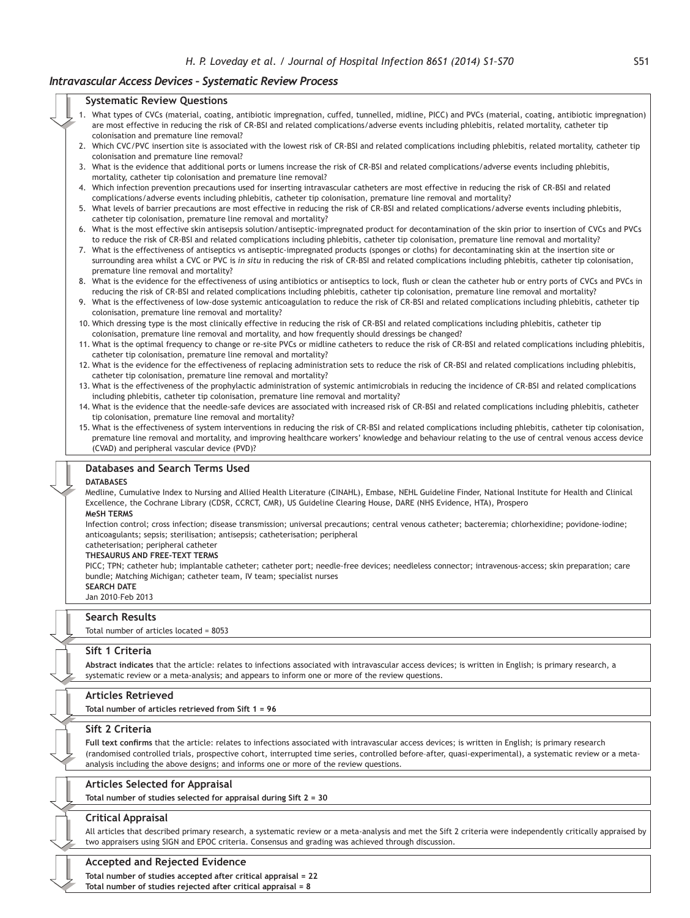# *Intravascular Access Devices – Systematic Review Process*

|  | <b>Systematic Review Questions</b>                                                                                                                                                                                                                                                                                                                                                                                                                                                                                                                                                                                                                                     |
|--|------------------------------------------------------------------------------------------------------------------------------------------------------------------------------------------------------------------------------------------------------------------------------------------------------------------------------------------------------------------------------------------------------------------------------------------------------------------------------------------------------------------------------------------------------------------------------------------------------------------------------------------------------------------------|
|  | 1. What types of CVCs (material, coating, antibiotic impregnation, cuffed, tunnelled, midline, PICC) and PVCs (material, coating, antibiotic impregnation)<br>are most effective in reducing the risk of CR-BSI and related complications/adverse events including phlebitis, related mortality, catheter tip                                                                                                                                                                                                                                                                                                                                                          |
|  | colonisation and premature line removal?<br>2. Which CVC/PVC insertion site is associated with the lowest risk of CR-BSI and related complications including phlebitis, related mortality, catheter tip<br>colonisation and premature line removal?                                                                                                                                                                                                                                                                                                                                                                                                                    |
|  | 3. What is the evidence that additional ports or lumens increase the risk of CR-BSI and related complications/adverse events including phlebitis,<br>mortality, catheter tip colonisation and premature line removal?                                                                                                                                                                                                                                                                                                                                                                                                                                                  |
|  | 4. Which infection prevention precautions used for inserting intravascular catheters are most effective in reducing the risk of CR-BSI and related<br>complications/adverse events including phlebitis, catheter tip colonisation, premature line removal and mortality?                                                                                                                                                                                                                                                                                                                                                                                               |
|  | 5. What levels of barrier precautions are most effective in reducing the risk of CR-BSI and related complications/adverse events including phlebitis,<br>catheter tip colonisation, premature line removal and mortality?                                                                                                                                                                                                                                                                                                                                                                                                                                              |
|  | 6. What is the most effective skin antisepsis solution/antiseptic-impregnated product for decontamination of the skin prior to insertion of CVCs and PVCs<br>to reduce the risk of CR-BSI and related complications including phlebitis, catheter tip colonisation, premature line removal and mortality?<br>7. What is the effectiveness of antiseptics vs antiseptic-impregnated products (sponges or cloths) for decontaminating skin at the insertion site or<br>surrounding area whilst a CVC or PVC is in situ in reducing the risk of CR-BSI and related complications including phlebitis, catheter tip colonisation,<br>premature line removal and mortality? |
|  | 8. What is the evidence for the effectiveness of using antibiotics or antiseptics to lock, flush or clean the catheter hub or entry ports of CVCs and PVCs in<br>reducing the risk of CR-BSI and related complications including phlebitis, catheter tip colonisation, premature line removal and mortality?<br>9. What is the effectiveness of low-dose systemic anticoagulation to reduce the risk of CR-BSI and related complications including phlebitis, catheter tip                                                                                                                                                                                             |
|  | colonisation, premature line removal and mortality?<br>10. Which dressing type is the most clinically effective in reducing the risk of CR-BSI and related complications including phlebitis, catheter tip                                                                                                                                                                                                                                                                                                                                                                                                                                                             |
|  | colonisation, premature line removal and mortality, and how frequently should dressings be changed?<br>11. What is the optimal frequency to change or re-site PVCs or midline catheters to reduce the risk of CR-BSI and related complications including phlebitis,                                                                                                                                                                                                                                                                                                                                                                                                    |
|  | catheter tip colonisation, premature line removal and mortality?<br>12. What is the evidence for the effectiveness of replacing administration sets to reduce the risk of CR-BSI and related complications including phlebitis,                                                                                                                                                                                                                                                                                                                                                                                                                                        |
|  | catheter tip colonisation, premature line removal and mortality?<br>13. What is the effectiveness of the prophylactic administration of systemic antimicrobials in reducing the incidence of CR-BSI and related complications<br>including phlebitis, catheter tip colonisation, premature line removal and mortality?                                                                                                                                                                                                                                                                                                                                                 |
|  | 14. What is the evidence that the needle-safe devices are associated with increased risk of CR-BSI and related complications including phlebitis, catheter<br>tip colonisation, premature line removal and mortality?                                                                                                                                                                                                                                                                                                                                                                                                                                                  |
|  | 15. What is the effectiveness of system interventions in reducing the risk of CR-BSI and related complications including phlebitis, catheter tip colonisation,<br>premature line removal and mortality, and improving healthcare workers' knowledge and behaviour relating to the use of central venous access device<br>(CVAD) and peripheral vascular device (PVD)?                                                                                                                                                                                                                                                                                                  |
|  | <b>Databases and Search Terms Used</b>                                                                                                                                                                                                                                                                                                                                                                                                                                                                                                                                                                                                                                 |
|  | <b>DATABASES</b>                                                                                                                                                                                                                                                                                                                                                                                                                                                                                                                                                                                                                                                       |
|  | Medline, Cumulative Index to Nursing and Allied Health Literature (CINAHL), Embase, NEHL Guideline Finder, National Institute for Health and Clinical<br>Excellence, the Cochrane Library (CDSR, CCRCT, CMR), US Guideline Clearing House, DARE (NHS Evidence, HTA), Prospero                                                                                                                                                                                                                                                                                                                                                                                          |
|  | <b>MeSH TERMS</b><br>Infection control; cross infection; disease transmission; universal precautions; central venous catheter; bacteremia; chlorhexidine; povidone-iodine;<br>anticoagulants; sepsis; sterilisation; antisepsis; catheterisation; peripheral                                                                                                                                                                                                                                                                                                                                                                                                           |
|  | catheterisation; peripheral catheter<br>THESAURUS AND FREE-TEXT TERMS                                                                                                                                                                                                                                                                                                                                                                                                                                                                                                                                                                                                  |
|  | PICC; TPN; catheter hub; implantable catheter; catheter port; needle-free devices; needleless connector; intravenous-access; skin preparation; care<br>bundle; Matching Michigan; catheter team, IV team; specialist nurses                                                                                                                                                                                                                                                                                                                                                                                                                                            |
|  | <b>SEARCH DATE</b><br>Jan 2010-Feb 2013                                                                                                                                                                                                                                                                                                                                                                                                                                                                                                                                                                                                                                |
|  | <b>Search Results</b><br>Total number of articles located = 8053                                                                                                                                                                                                                                                                                                                                                                                                                                                                                                                                                                                                       |
|  | Sift 1 Criteria                                                                                                                                                                                                                                                                                                                                                                                                                                                                                                                                                                                                                                                        |
|  | Abstract indicates that the article: relates to infections associated with intravascular access devices; is written in English; is primary research, a<br>systematic review or a meta-analysis; and appears to inform one or more of the review questions.                                                                                                                                                                                                                                                                                                                                                                                                             |
|  | <b>Articles Retrieved</b><br>Total number of articles retrieved from Sift 1 = 96                                                                                                                                                                                                                                                                                                                                                                                                                                                                                                                                                                                       |
|  | Sift 2 Criteria                                                                                                                                                                                                                                                                                                                                                                                                                                                                                                                                                                                                                                                        |
|  | Full text confirms that the article: relates to infections associated with intravascular access devices; is written in English; is primary research<br>(randomised controlled trials, prospective cohort, interrupted time series, controlled before-after, quasi-experimental), a systematic review or a meta-<br>analysis including the above designs; and informs one or more of the review questions.                                                                                                                                                                                                                                                              |
|  | <b>Articles Selected for Appraisal</b><br>Total number of studies selected for appraisal during Sift $2 = 30$                                                                                                                                                                                                                                                                                                                                                                                                                                                                                                                                                          |
|  | <b>Critical Appraisal</b>                                                                                                                                                                                                                                                                                                                                                                                                                                                                                                                                                                                                                                              |
|  | All articles that described primary research, a systematic review or a meta-analysis and met the Sift 2 criteria were independently critically appraised by<br>two appraisers using SIGN and EPOC criteria. Consensus and grading was achieved through discussion.                                                                                                                                                                                                                                                                                                                                                                                                     |
|  | <b>Accepted and Rejected Evidence</b>                                                                                                                                                                                                                                                                                                                                                                                                                                                                                                                                                                                                                                  |
|  | Total number of studies accepted after critical appraisal = 22<br>Total number of studies rejected after critical appraisal = 8                                                                                                                                                                                                                                                                                                                                                                                                                                                                                                                                        |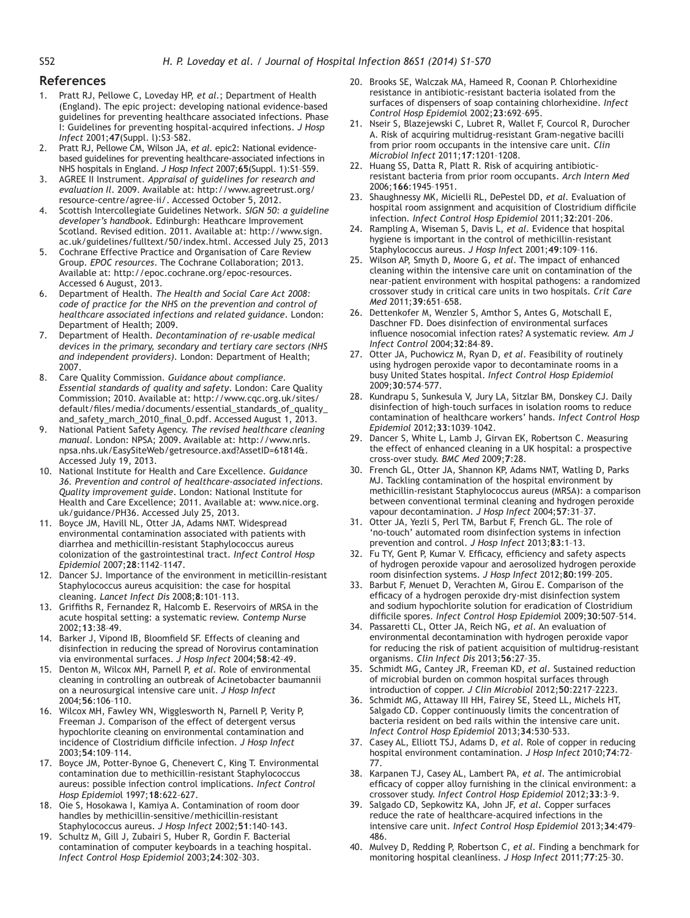# **References**

- Pratt RJ, Pellowe C, Loveday HP, et al.; Department of Health (England). The epic project: developing national evidence-based guidelines for preventing healthcare associated infections. Phase I: Guidelines for preventing hospital-acquired infections. *J Hosp Infect* 2001;**47**(Suppl. l):S3–S82.
- 2. Pratt RJ, Pellowe CM, Wilson JA, *et al.* epic2: National evidencebased guidelines for preventing healthcare-associated infections in NHS hospitals in England. *J Hosp Infect* 2007;**65**(Suppl. 1):S1–S59.
- 3. AGREE II Instrument. *Appraisal of guidelines for research and evaluation Il*. 2009. Available at: http://www.agreetrust.org/ resource-centre/agree-ii/. Accessed October 5, 2012.
- 4. Scottish Intercollegiate Guidelines Network. *SIGN 50: a guideline developer's handbook.* Edinburgh: Heathcare Improvement Scotland. Revised edition. 2011. Available at: http://www.sign. ac.uk/guidelines/fulltext/50/index.html. Accessed July 25, 2013
- 5. Cochrane Effective Practice and Organisation of Care Review Group. *EPOC resources*. The Cochrane Collaboration; 2013. Available at: http://epoc.cochrane.org/epoc-resources. Accessed 6 August, 2013.
- 6. Department of Health. *The Health and Social Care Act 2008: code of practice for the NHS on the prevention and control of healthcare associated infections and related guidance*. London: Department of Health; 2009.
- 7. Department of Health. *Decontamination of re-usable medical devices in the primary, secondary and tertiary care sectors (NHS and independent providers).* London: Department of Health; 2007.
- 8. Care Quality Commission. *Guidance about compliance. Essential standards of quality and safety*. London: Care Quality Commission; 2010. Available at: http://www.cqc.org.uk/sites/ default/files/media/documents/essential\_standards\_of\_quality\_ and\_safety\_march\_2010\_final\_0.pdf. Accessed August 1, 2013.
- 9. National Patient Safety Agency. *The revised healthcare cleaning manual*. London: NPSA; 2009. Available at: http://www.nrls. npsa.nhs.uk/EasySiteWeb/getresource.axd?AssetID=61814&. Accessed July 19, 2013.
- 10. National Institute for Health and Care Excellence. *Guidance 36. Prevention and control of healthcare-associated infections. Quality improvement guide*. London: National Institute for Health and Care Excellence; 2011. Available at: www.nice.org. uk/guidance/PH36. Accessed July 25, 2013.
- 11. Boyce JM, Havill NL, Otter JA, Adams NMT. Widespread environmental contamination associated with patients with diarrhea and methicillin-resistant Staphylococcus aureus colonization of the gastrointestinal tract. *Infect Control Hosp Epidemiol* 2007;**28**:1142–1147.
- 12. Dancer SJ. Importance of the environment in meticillin-resistant Staphylococcus aureus acquisition: the case for hospital cleaning. *Lancet Infect Dis* 2008;**8**:101–113.
- 13. Griffiths R, Fernandez R, Halcomb E. Reservoirs of MRSA in the acute hospital setting: a systematic review. *Contemp Nurs*e 2002;**13**:38–49.
- 14. Barker J, Vipond IB, Bloomfield SF. Effects of cleaning and disinfection in reducing the spread of Norovirus contamination via environmental surfaces. *J Hosp Infect* 2004;**58**:42–49.
- 15. Denton M, Wilcox MH, Parnell P, *et al.* Role of environmental cleaning in controlling an outbreak of Acinetobacter baumannii on a neurosurgical intensive care unit. *J Hosp Infect* 2004;**56**:106–110.
- 16. Wilcox MH, Fawley WN, Wigglesworth N, Parnell P, Verity P, Freeman J. Comparison of the effect of detergent versus hypochlorite cleaning on environmental contamination and incidence of Clostridium difficile infection. *J Hosp Infect* 2003;**54**:109–114.
- 17. Boyce JM, Potter-Bynoe G, Chenevert C, King T. Environmental contamination due to methicillin-resistant Staphylococcus aureus: possible infection control implications. *Infect Control Hosp Epidemio*l 1997;**18**:622–627.
- 18. Oie S, Hosokawa I, Kamiya A. Contamination of room door handles by methicillin-sensitive/methicillin-resistant Staphylococcus aureus. *J Hosp Infect* 2002;**51**:140–143.
- 19. Schultz M, Gill J, Zubairi S, Huber R, Gordin F. Bacterial contamination of computer keyboards in a teaching hospital. *Infect Control Hosp Epidemiol* 2003;**24**:302–303.
- 20. Brooks SE, Walczak MA, Hameed R, Coonan P. Chlorhexidine resistance in antibiotic-resistant bacteria isolated from the surfaces of dispensers of soap containing chlorhexidine. *Infect Control Hosp Epidemio*l 2002;**23**:692–695.
- 21. Nseir S, Blazejewski C, Lubret R, Wallet F, Courcol R, Durocher A. Risk of acquiring multidrug-resistant Gram-negative bacilli from prior room occupants in the intensive care unit. *Clin Microbiol Infect* 2011;**17**:1201–1208.
- 22. Huang SS, Datta R, Platt R. Risk of acquiring antibioticresistant bacteria from prior room occupants. *Arch Intern Med* 2006;**166**:1945–1951.
- 23. Shaughnessy MK, Micielli RL, DePestel DD, *et al.* Evaluation of hospital room assignment and acquisition of Clostridium difficile infection*. Infect Control Hosp Epidemiol* 2011;**32**:201–206.
- 24. Rampling A, Wiseman S, Davis L, *et al.* Evidence that hospital hygiene is important in the control of methicillin-resistant Staphylococcus aureus. *J Hosp Infec*t 2001;**49**:109–116.
- 25. Wilson AP, Smyth D, Moore G, *et al.* The impact of enhanced cleaning within the intensive care unit on contamination of the near-patient environment with hospital pathogens: a randomized crossover study in critical care units in two hospitals. *Crit Care Med* 2011;**39**:651–658.
- 26. Dettenkofer M, Wenzler S, Amthor S, Antes G, Motschall E, Daschner FD. Does disinfection of environmental surfaces in fluence nosocomial infection rates? A systematic review. Am J *Infect Control* 2004;**32**:84–89.
- 27. Otter JA, Puchowicz M, Ryan D, *et al.* Feasibility of routinely using hydrogen peroxide vapor to decontaminate rooms in a busy United States hospital. *Infect Control Hosp Epidemiol* 2009;**30**:574–577.
- 28. Kundrapu S, Sunkesula V, Jury LA, Sitzlar BM, Donskey CJ. Daily disinfection of high-touch surfaces in isolation rooms to reduce contamination of healthcare workers' hands. *Infect Control Hosp Epidemiol* 2012;**33**:1039–1042.
- 29. Dancer S, White L, Lamb J, Girvan EK, Robertson C. Measuring the effect of enhanced cleaning in a UK hospital: a prospective cross-over study. *BMC Med* 2009;**7**:28.
- 30. French GL, Otter JA, Shannon KP, Adams NMT, Watling D, Parks MJ. Tackling contamination of the hospital environment by methicillin-resistant Staphylococcus aureus (MRSA): a comparison between conventional terminal cleaning and hydrogen peroxide vapour decontamination. *J Hosp Infect* 2004;**57**:31–37.
- 31. Otter JA, Yezli S, Perl TM, Barbut F, French GL. The role of 'no-touch' automated room disinfection systems in infection prevention and control. *J Hosp Infect* 2013;**83**:1–13.
- 32. Fu TY, Gent P, Kumar V. Efficacy, efficiency and safety aspects of hydrogen peroxide vapour and aerosolized hydrogen peroxide room disinfection systems. *J Hosp Infect* 2012;**80**:199–205.
- 33. Barbut F, Menuet D, Verachten M, Girou E. Comparison of the efficacy of a hydrogen peroxide dry-mist disinfection system and sodium hypochlorite solution for eradication of Clostridium dif cile spores. *Infect Control Hosp Epidemio*l 2009;**30**:507–514.
- 34. Passaretti CL, Otter JA, Reich NG, *et al.* An evaluation of environmental decontamination with hydrogen peroxide vapor for reducing the risk of patient acquisition of multidrug-resistant organisms. *Clin Infect Dis* 2013;**56**:27–35.
- 35. Schmidt MG, Cantey JR, Freeman KD, *et al.* Sustained reduction of microbial burden on common hospital surfaces through introduction of copper. *J Clin Microbiol* 2012;**50**:2217–2223.
- 36. Schmidt MG, Attaway III HH, Fairey SE, Steed LL, Michels HT, Salgado CD. Copper continuously limits the concentration of bacteria resident on bed rails within the intensive care unit. *Infect Control Hosp Epidemiol* 2013;**34**:530–533.
- 37. Casey AL, Elliott TSJ, Adams D, *et al.* Role of copper in reducing hospital environment contamination. *J Hosp Infect* 2010;**74**:72– 77.
- 38. Karpanen TJ, Casey AL, Lambert PA, *et al.* The antimicrobial efficacy of copper alloy furnishing in the clinical environment: a crossover study. *Infect Control Hosp Epidemiol* 2012;**33**:3–9.
- 39. Salgado CD, Sepkowitz KA, John JF, *et al.* Copper surfaces reduce the rate of healthcare-acquired infections in the intensive care unit. *Infect Control Hosp Epidemiol* 2013;**34**:479– 486.
- 40. Mulvey D, Redding P, Robertson C, *et al.* Finding a benchmark for monitoring hospital cleanliness. *J Hosp Infect* 2011;**77**:25–30.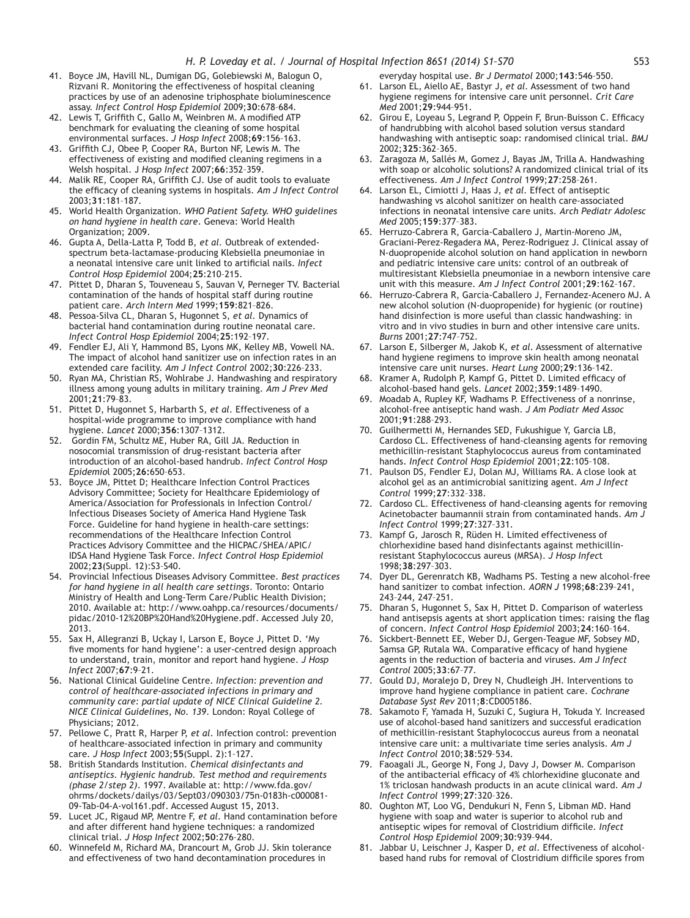- 41. Boyce JM, Havill NL, Dumigan DG, Golebiewski M, Balogun O, Rizvani R. Monitoring the effectiveness of hospital cleaning practices by use of an adenosine triphosphate bioluminescence assay. *Infect Control Hosp Epidemiol* 2009;**30**:678–684.
- 42. Lewis T, Griffith C, Gallo M, Weinbren M. A modified ATP benchmark for evaluating the cleaning of some hospital environmental surfaces. *J Hosp Infect* 2008;**69**:156–163.
- 43. Griffith CJ, Obee P, Cooper RA, Burton NF, Lewis M. The effectiveness of existing and modified cleaning regimens in a Welsh hospital. J *Hosp Infect* 2007;**66**:352–359.
- 44. Malik RE, Cooper RA, Griffith CJ. Use of audit tools to evaluate the efficacy of cleaning systems in hospitals. Am J Infect Control 2003;**31**:181–187.
- 45. World Health Organization. *WHO Patient Safety. WHO guidelines on hand hygiene in health care*. Geneva: World Health Organization; 2009.
- 46. Gupta A, Della-Latta P, Todd B, *et al.* Outbreak of extendedspectrum beta-lactamase-producing Klebsiella pneumoniae in a neonatal intensive care unit linked to arti cial nails. *Infect Control Hosp Epidemiol* 2004;**25**:210–215.
- 47. Pittet D, Dharan S, Touveneau S, Sauvan V, Perneger TV. Bacterial contamination of the hands of hospital staff during routine patient care. *Arch Intern Med* 1999;**159**:821–826.
- 48. Pessoa-Silva CL, Dharan S, Hugonnet S, *et al.* Dynamics of bacterial hand contamination during routine neonatal care. *Infect Control Hosp Epidemiol* 2004;**25**:192–197.
- 49. Fendler EJ, Ali Y, Hammond BS, Lyons MK, Kelley MB, Vowell NA. The impact of alcohol hand sanitizer use on infection rates in an extended care facility. *Am J Infect Control* 2002;**30**:226–233.
- 50. Ryan MA, Christian RS, Wohlrabe J. Handwashing and respiratory illness among young adults in military training. *Am J Prev Med* 2001;**21**:79–83.
- 51. Pittet D, Hugonnet S, Harbarth S, *et al.* Effectiveness of a hospital-wide programme to improve compliance with hand hygiene. *Lancet* 2000;**356**:1307–1312.
- 52. Gordin FM, Schultz ME, Huber RA, Gill JA. Reduction in nosocomial transmission of drug-resistant bacteria after introduction of an alcohol-based handrub. *Infect Control Hosp Epidemio*l 2005;**26:**650–653.
- 53. Boyce JM, Pittet D; Healthcare Infection Control Practices Advisory Committee; Society for Healthcare Epidemiology of America/Association for Professionals in Infection Control/ Infectious Diseases Society of America Hand Hygiene Task Force. Guideline for hand hygiene in health-care settings: recommendations of the Healthcare Infection Control Practices Advisory Committee and the HICPAC/SHEA/APIC/ IDSA Hand Hygiene Task Force. *Infect Control Hosp Epidemiol* 2002;**23**(Suppl. 12):S3–S40.
- 54. Provincial Infectious Diseases Advisory Committee. *Best practices for hand hygiene in all health care settings*. Toronto: Ontario Ministry of Health and Long-Term Care/Public Health Division; 2010. Available at: http://www.oahpp.ca/resources/documents/ pidac/2010-12%20BP%20Hand%20Hygiene.pdf. Accessed July 20, 2013.
- 55. Sax H, Allegranzi B, Uçkay I, Larson E, Boyce J, Pittet D. 'My five moments for hand hygiene': a user-centred design approach to understand, train, monitor and report hand hygiene. *J Hosp Infect* 2007;**67**:9–21.
- 56. National Clinical Guideline Centre. *Infection: prevention and control of healthcare-associated infections in primary and community care: partial update of NICE Clinical Guideline 2. NICE Clinical Guidelines, No. 139*. London: Royal College of Physicians; 2012.
- 57. Pellowe C, Pratt R, Harper P, *et al.* Infection control: prevention of healthcare-associated infection in primary and community care. *J Hosp Infect* 2003;**55**(Suppl. 2):1–127.
- 58. British Standards Institution. *Chemical disinfectants and antiseptics. Hygienic handrub. Test method and requirements (phase 2/step 2)*. 1997. Available at: http://www.fda.gov/ ohrms/dockets/dailys/03/Sept03/090303/75n-0183h-c000081- 09-Tab-04-A-vol161.pdf. Accessed August 15, 2013.
- 59. Lucet JC, Rigaud MP, Mentre F, *et al.* Hand contamination before and after different hand hygiene techniques: a randomized clinical trial. *J Hosp Infect* 2002;**50**:276–280.
- 60. Winnefeld M, Richard MA, Drancourt M, Grob JJ. Skin tolerance and effectiveness of two hand decontamination procedures in

everyday hospital use. *Br J Dermatol* 2000;**143**:546–550.

- 61. Larson EL, Aiello AE, Bastyr J, *et al.* Assessment of two hand hygiene regimens for intensive care unit personnel. *Crit Care Med* 2001;**29**:944–951.
- 62. Girou E, Loyeau S, Legrand P, Oppein F, Brun-Buisson C. Efficacy of handrubbing with alcohol based solution versus standard handwashing with antiseptic soap: randomised clinical trial. *BMJ* 2002;**325**:362–365.
- 63. Zaragoza M, Sallés M, Gomez J, Bayas JM, Trilla A. Handwashing with soap or alcoholic solutions? A randomized clinical trial of its effectiveness. *Am J Infect Control* 1999;**27**:258–261.
- 64. Larson EL, Cimiotti J, Haas J, *et al.* Effect of antiseptic handwashing vs alcohol sanitizer on health care-associated infections in neonatal intensive care units. *Arch Pediatr Adolesc Med* 2005;**159**:377–383.
- 65. Herruzo-Cabrera R, Garcia-Caballero J, Martin-Moreno JM, Graciani-Perez-Regadera MA, Perez-Rodriguez J. Clinical assay of N-duopropenide alcohol solution on hand application in newborn and pediatric intensive care units: control of an outbreak of multiresistant Klebsiella pneumoniae in a newborn intensive care unit with this measure. *Am J Infect Control* 2001;**29**:162–167.
- 66. Herruzo-Cabrera R, Garcia-Caballero J, Fernandez-Acenero MJ. A new alcohol solution (N-duopropenide) for hygienic (or routine) hand disinfection is more useful than classic handwashing: in vitro and in vivo studies in burn and other intensive care units. *Burns* 2001;**27**:747–752.
- 67. Larson E, Silberger M, Jakob K, *et al.* Assessment of alternative hand hygiene regimens to improve skin health among neonatal intensive care unit nurses. *Heart Lung* 2000;**29**:136–142.
- 68. Kramer A, Rudolph P, Kampf G, Pittet D. Limited efficacy of alcohol-based hand gels. *Lancet* 2002;**359**:1489–1490.
- 69. Moadab A, Rupley KF, Wadhams P. Effectiveness of a nonrinse, alcohol-free antiseptic hand wash. *J Am Podiatr Med Assoc* 2001;**91**:288–293.
- 70. Guilhermetti M, Hernandes SED, Fukushigue Y, Garcia LB, Cardoso CL. Effectiveness of hand-cleansing agents for removing methicillin-resistant Staphylococcus aureus from contaminated hands. *Infect Control Hosp Epidemiol* 2001;**22**:105–108.
- 71. Paulson DS, Fendler EJ, Dolan MJ, Williams RA. A close look at alcohol gel as an antimicrobial sanitizing agent. *Am J Infect Control* 1999;**27**:332–338.
- 72. Cardoso CL. Effectiveness of hand-cleansing agents for removing Acinetobacter baumannii strain from contaminated hands. *Am J Infect Control* 1999;**27**:327–331.
- 73. Kampf G, Jarosch R, Rüden H. Limited effectiveness of chlorhexidine based hand disinfectants against methicillinresistant Staphylococcus aureus (MRSA). *J Hosp Infec*t 1998;**38**:297–303.
- 74. Dyer DL, Gerenratch KB, Wadhams PS. Testing a new alcohol-free hand sanitizer to combat infection. *AORN J* 1998;**68**:239–241, 243–244, 247–251.
- 75. Dharan S, Hugonnet S, Sax H, Pittet D. Comparison of waterless hand antisepsis agents at short application times: raising the flag of concern. *Infect Control Hosp Epidemiol* 2003;**24**:160–164.
- 76. Sickbert-Bennett EE, Weber DJ, Gergen-Teague MF, Sobsey MD, Samsa GP, Rutala WA. Comparative efficacy of hand hygiene agents in the reduction of bacteria and viruses. *Am J Infect Control* 2005;**33**:67–77.
- 77. Gould DJ, Moralejo D, Drey N, Chudleigh JH. Interventions to improve hand hygiene compliance in patient care. *Cochrane Database Syst Rev* 2011;**8**:CD005186.
- 78. Sakamoto F, Yamada H, Suzuki C, Sugiura H, Tokuda Y. Increased use of alcohol-based hand sanitizers and successful eradication of methicillin-resistant Staphylococcus aureus from a neonatal intensive care unit: a multivariate time series analysis. *Am J Infect Control* 2010;**38**:529–534.
- 79. Faoagali JL, George N, Fong J, Davy J, Dowser M. Comparison of the antibacterial efficacy of 4% chlorhexidine gluconate and 1% triclosan handwash products in an acute clinical ward. *Am J Infect Control* 1999;**27**:320–326.
- 80. Oughton MT, Loo VG, Dendukuri N, Fenn S, Libman MD. Hand hygiene with soap and water is superior to alcohol rub and antiseptic wipes for removal of Clostridium difficile. *Infect Control Hosp Epidemiol* 2009;**30**:939–944.
- 81. Jabbar U, Leischner J, Kasper D, *et al.* Effectiveness of alcoholbased hand rubs for removal of Clostridium difficile spores from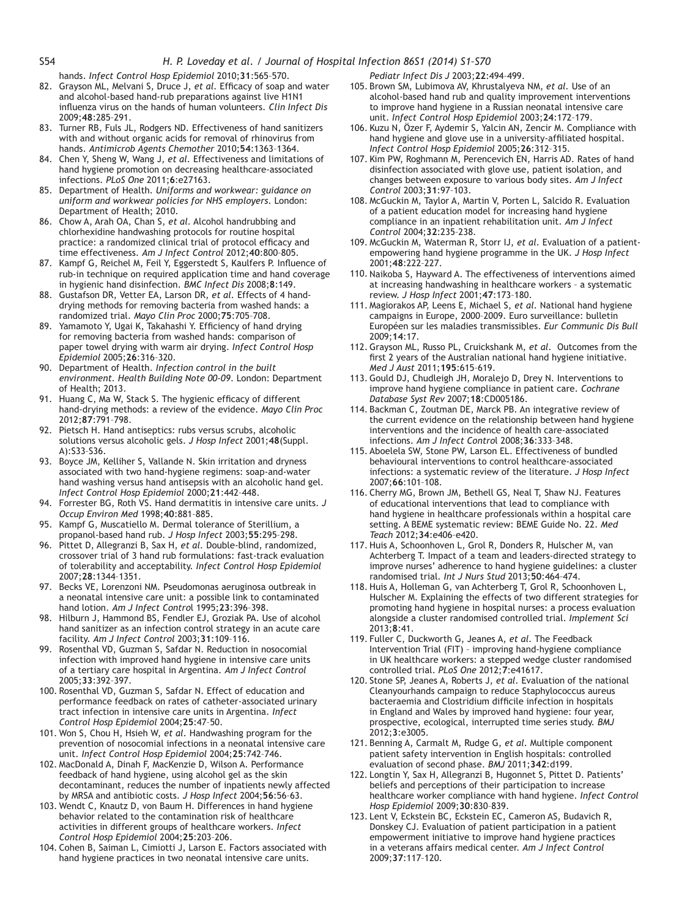# S54 *H. P. Loveday et al. / Journal of Hospital Infection 86S1 (2014) S1–S70*

hands. *Infect Control Hosp Epidemiol* 2010;**31**:565–570.

- 82. Grayson ML, Melvani S, Druce J, et al. Efficacy of soap and water and alcohol-based hand-rub preparations against live H1N1 influenza virus on the hands of human volunteers. *Clin Infect Dis* 2009;**48**:285–291.
- 83. Turner RB, Fuls JL, Rodgers ND. Effectiveness of hand sanitizers with and without organic acids for removal of rhinovirus from hands. *Antimicrob Agents Chemother* 2010;**54**:1363–1364.
- 84. Chen Y, Sheng W, Wang J, *et al.* Effectiveness and limitations of hand hygiene promotion on decreasing healthcare-associated infections. *PLoS One* 2011;**6**:e27163.
- 85. Department of Health. *Uniforms and workwear: guidance on uniform and workwear policies for NHS employers*. London: Department of Health; 2010.
- 86. Chow A, Arah OA, Chan S, *et al.* Alcohol handrubbing and chlorhexidine handwashing protocols for routine hospital practice: a randomized clinical trial of protocol efficacy and time effectiveness. *Am J Infect Control* 2012;**40**:800–805.
- 87. Kampf G, Reichel M, Feil Y, Eggerstedt S, Kaulfers P. Influence of rub-in technique on required application time and hand coverage in hygienic hand disinfection. *BMC Infect Dis* 2008;**8**:149.
- 88. Gustafson DR, Vetter EA, Larson DR, *et al.* Effects of 4 handdrying methods for removing bacteria from washed hands: a randomized trial. *Mayo Clin Proc* 2000;**75**:705–708.
- 89. Yamamoto Y, Ugai K, Takahashi Y. Efficiency of hand drying for removing bacteria from washed hands: comparison of paper towel drying with warm air drying. *Infect Control Hosp Epidemiol* 2005;**26**:316–320.
- 90. Department of Health. *Infection control in the built environment. Health Building Note 00-09*. London: Department of Health; 2013.
- 91. Huang C, Ma W, Stack S. The hygienic efficacy of different hand-drying methods: a review of the evidence. *Mayo Clin Proc* 2012;**87**:791–798.
- 92. Pietsch H. Hand antiseptics: rubs versus scrubs, alcoholic solutions versus alcoholic gels. *J Hosp Infect* 2001;**48**(Suppl. A):S33–S36.
- 93. Boyce JM, Kelliher S, Vallande N. Skin irritation and dryness associated with two hand-hygiene regimens: soap-and-water hand washing versus hand antisepsis with an alcoholic hand gel. *Infect Control Hosp Epidemiol* 2000;**21**:442–448.
- 94. Forrester BG, Roth VS. Hand dermatitis in intensive care units. *J Occup Environ Med* 1998;**40**:881–885.
- 95. Kampf G, Muscatiello M. Dermal tolerance of Sterillium, a propanol-based hand rub. *J Hosp Infect* 2003;**55**:295–298.
- 96. Pittet D, Allegranzi B, Sax H, *et al.* Double-blind, randomized, crossover trial of 3 hand rub formulations: fast-track evaluation of tolerability and acceptability. *Infect Control Hosp Epidemiol*  2007;**28**:1344–1351.
- 97. Becks VE, Lorenzoni NM. Pseudomonas aeruginosa outbreak in a neonatal intensive care unit: a possible link to contaminated hand lotion. *Am J Infect Contro*l 1995;**23**:396–398.
- 98. Hilburn J, Hammond BS, Fendler EJ, Groziak PA. Use of alcohol hand sanitizer as an infection control strategy in an acute care facility. *Am J Infect Control* 2003;**31**:109–116.
- 99. Rosenthal VD, Guzman S, Safdar N. Reduction in nosocomial infection with improved hand hygiene in intensive care units of a tertiary care hospital in Argentina. *Am J Infect Control* 2005;**33**:392–397.
- 100. Rosenthal VD, Guzman S, Safdar N. Effect of education and performance feedback on rates of catheter-associated urinary tract infection in intensive care units in Argentina. *Infect Control Hosp Epidemiol* 2004;**25**:47–50.
- 101. Won S, Chou H, Hsieh W, *et al.* Handwashing program for the prevention of nosocomial infections in a neonatal intensive care unit. *Infect Control Hosp Epidemiol* 2004;**25**:742–746.
- 102. MacDonald A, Dinah F, MacKenzie D, Wilson A. Performance feedback of hand hygiene, using alcohol gel as the skin decontaminant, reduces the number of inpatients newly affected by MRSA and antibiotic costs. *J Hosp Infect* 2004;**56**:56–63.
- 103. Wendt C, Knautz D, von Baum H. Differences in hand hygiene behavior related to the contamination risk of healthcare activities in different groups of healthcare workers. *Infect Control Hosp Epidemiol* 2004;**25**:203–206.
- 104. Cohen B, Saiman L, Cimiotti J, Larson E. Factors associated with hand hygiene practices in two neonatal intensive care units.

*Pediatr Infect Dis J* 2003;**22**:494–499.

- 105. Brown SM, Lubimova AV, Khrustalyeva NM, *et al.* Use of an alcohol-based hand rub and quality improvement interventions to improve hand hygiene in a Russian neonatal intensive care unit. *Infect Control Hosp Epidemiol* 2003;**24**:172–179.
- 106. Kuzu N, Özer F, Aydemir S, Yalcin AN, Zencir M. Compliance with hand hygiene and glove use in a university-affiliated hospital. *Infect Control Hosp Epidemiol* 2005;**26**:312–315.
- 107. Kim PW, Roghmann M, Perencevich EN, Harris AD. Rates of hand disinfection associated with glove use, patient isolation, and changes between exposure to various body sites. *Am J Infect Control* 2003;**31**:97–103.
- 108. McGuckin M, Taylor A, Martin V, Porten L, Salcido R. Evaluation of a patient education model for increasing hand hygiene compliance in an inpatient rehabilitation unit. *Am J Infect Control* 2004;**32**:235–238.
- 109. McGuckin M, Waterman R, Storr IJ, *et al.* Evaluation of a patientempowering hand hygiene programme in the UK. *J Hosp Infect*  2001;**48**:222–227.
- 110. Naikoba S, Hayward A. The effectiveness of interventions aimed at increasing handwashing in healthcare workers – a systematic review. *J Hosp Infect* 2001;**47**:173–180.
- 111. Magiorakos AP, Leens E, Michael S, *et al.* National hand hygiene campaigns in Europe, 2000–2009. Euro surveillance: bulletin Européen sur les maladies transmissibles. *Eur Communic Dis Bull*  2009;**14**:17.
- 112. Grayson ML, Russo PL, Cruickshank M, *et al.* Outcomes from the first 2 years of the Australian national hand hygiene initiative. *Med J Aust* 2011;**195**:615–619.
- 113. Gould DJ, Chudleigh JH, Moralejo D, Drey N. Interventions to improve hand hygiene compliance in patient care. *Cochrane Database Syst Rev* 2007;**18**:CD005186.
- 114. Backman C, Zoutman DE, Marck PB. An integrative review of the current evidence on the relationship between hand hygiene interventions and the incidence of health care-associated infections. *Am J Infect Contro*l 2008;**36**:333–348.
- 115. Aboelela SW, Stone PW, Larson EL. Effectiveness of bundled behavioural interventions to control healthcare-associated infections: a systematic review of the literature. *J Hosp Infect* 2007;**66**:101–108.
- 116. Cherry MG, Brown JM, Bethell GS, Neal T, Shaw NJ. Features of educational interventions that lead to compliance with hand hygiene in healthcare professionals within a hospital care setting. A BEME systematic review: BEME Guide No. 22. *Med Teach* 2012;**34**:e406–e420.
- 117. Huis A, Schoonhoven L, Grol R, Donders R, Hulscher M, van Achterberg T. Impact of a team and leaders-directed strategy to improve nurses' adherence to hand hygiene guidelines: a cluster randomised trial. *Int J Nurs Stud* 2013;**50**:464–474.
- 118. Huis A, Holleman G, van Achterberg T, Grol R, Schoonhoven L, Hulscher M. Explaining the effects of two different strategies for promoting hand hygiene in hospital nurses: a process evaluation alongside a cluster randomised controlled trial. *Implement Sci* 2013;**8**:41.
- 119. Fuller C, Duckworth G, Jeanes A, *et al.* The Feedback Intervention Trial (FIT) – improving hand-hygiene compliance in UK healthcare workers: a stepped wedge cluster randomised controlled trial. *PLoS One* 2012;**7**:e41617.
- 120. Stone SP, Jeanes A, Roberts J, *et al.* Evaluation of the national Cleanyourhands campaign to reduce Staphylococcus aureus bacteraemia and Clostridium difficile infection in hospitals in England and Wales by improved hand hygiene: four year, prospective, ecological, interrupted time series study. *BMJ*  2012;**3**:e3005.
- 121. Benning A, Carmalt M, Rudge G, *et al.* Multiple component patient safety intervention in English hospitals: controlled evaluation of second phase. *BMJ* 2011;**342**:d199.
- 122. Longtin Y, Sax H, Allegranzi B, Hugonnet S, Pittet D. Patients' beliefs and perceptions of their participation to increase healthcare worker compliance with hand hygiene. *Infect Control Hosp Epidemiol* 2009;**30**:830–839.
- 123. Lent V, Eckstein BC, Eckstein EC, Cameron AS, Budavich R, Donskey CJ. Evaluation of patient participation in a patient empowerment initiative to improve hand hygiene practices in a veterans affairs medical center. *Am J Infect Control* 2009;**37**:117–120.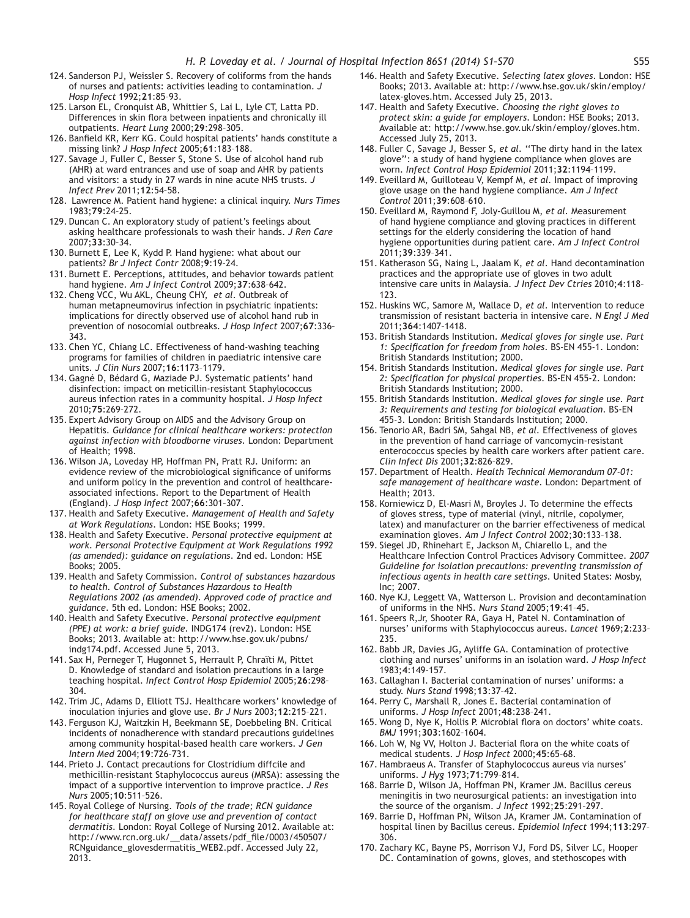- 124. Sanderson PJ, Weissler S. Recovery of coliforms from the hands of nurses and patients: activities leading to contamination. *J Hosp Infect* 1992;**21**:85–93.
- 125. Larson EL, Cronquist AB, Whittier S, Lai L, Lyle CT, Latta PD. Differences in skin flora between inpatients and chronically ill outpatients. *Heart Lung* 2000;**29**:298–305.
- 126. Banfield KR, Kerr KG. Could hospital patients' hands constitute a missing link? *J Hosp Infect* 2005;**61**:183–188.
- 127. Savage J, Fuller C, Besser S, Stone S. Use of alcohol hand rub (AHR) at ward entrances and use of soap and AHR by patients and visitors: a study in 27 wards in nine acute NHS trusts. *J Infect Prev* 2011;**12**:54–58.
- 128. Lawrence M. Patient hand hygiene: a clinical inquiry. *Nurs Times* 1983;**79**:24–25.
- 129. Duncan C. An exploratory study of patient's feelings about asking healthcare professionals to wash their hands. *J Ren Care* 2007;**33**:30–34.
- 130. Burnett E, Lee K, Kydd P. Hand hygiene: what about our patients? *Br J Infect Contr* 2008;**9**:19–24.
- 131. Burnett E. Perceptions, attitudes, and behavior towards patient hand hygiene. *Am J Infect Contro*l 2009;**37**:638–642.
- 132. Cheng VCC, Wu AKL, Cheung CHY, *et al.* Outbreak of human metapneumovirus infection in psychiatric inpatients: implications for directly observed use of alcohol hand rub in prevention of nosocomial outbreaks. *J Hosp Infect* 2007;**67**:336– 343.
- 133. Chen YC, Chiang LC. Effectiveness of hand-washing teaching programs for families of children in paediatric intensive care units. *J Clin Nurs* 2007;**16**:1173–1179.
- 134. Gagné D, Bédard G, Maziade PJ. Systematic patients' hand disinfection: impact on meticillin-resistant Staphylococcus aureus infection rates in a community hospital. *J Hosp Infect*  2010;**75**:269–272.
- 135. Expert Advisory Group on AIDS and the Advisory Group on Hepatitis. *Guidance for clinical healthcare workers: protection against infection with bloodborne viruses*. London: Department of Health; 1998.
- 136. Wilson JA, Loveday HP, Hoffman PN, Pratt RJ. Uniform: an evidence review of the microbiological significance of uniforms and uniform policy in the prevention and control of healthcareassociated infections. Report to the Department of Health (England). *J Hosp Infect* 2007;**66**:301–307.
- 137. Health and Safety Executive. *Management of Health and Safety at Work Regulations*. London: HSE Books; 1999.
- 138. Health and Safety Executive. *Personal protective equipment at work. Personal Protective Equipment at Work Regulations 1992 (as amended): guidance on regulations*. 2nd ed. London: HSE Books; 2005.
- 139. Health and Safety Commission. *Control of substances hazardous to health. Control of Substances Hazardous to Health Regulations 2002 (as amended). Approved code of practice and guidance*. 5th ed. London: HSE Books; 2002.
- 140. Health and Safety Executive. *Personal protective equipment (PPE) at work: a brief guide.* INDG174 (rev2). London: HSE Books; 2013. Available at: http://www.hse.gov.uk/pubns/ indg174.pdf. Accessed June 5, 2013.
- 141. Sax H, Perneger T, Hugonnet S, Herrault P, Chraïti M, Pittet D. Knowledge of standard and isolation precautions in a large teaching hospital. *Infect Control Hosp Epidemiol* 2005;**26**:298– 304.
- 142. Trim JC, Adams D, Elliott TSJ. Healthcare workers' knowledge of inoculation injuries and glove use. *Br J Nurs* 2003;**12**:215–221.
- 143. Ferguson KJ, Waitzkin H, Beekmann SE, Doebbeling BN. Critical incidents of nonadherence with standard precautions guidelines among community hospital-based health care workers. *J Gen Intern Med* 2004;**19**:726–731.
- 144. Prieto J. Contact precautions for Clostridium diffcile and methicillin-resistant Staphylococcus aureus (MRSA): assessing the impact of a supportive intervention to improve practice. *J Res Nurs* 2005;**10**:511–526.
- 145. Royal College of Nursing. *Tools of the trade; RCN guidance for healthcare staff on glove use and prevention of contact dermatitis.* London: Royal College of Nursing 2012. Available at: http://www.rcn.org.uk/\_data/assets/pdf\_file/0003/450507/ RCNguidance\_glovesdermatitis\_WEB2.pdf. Accessed July 22, 2013.
- 146. Health and Safety Executive. *Selecting latex gloves*. London: HSE Books; 2013. Available at: http://www.hse.gov.uk/skin/employ/ latex-gloves.htm. Accessed July 25, 2013.
- 147. Health and Safety Executive. *Choosing the right gloves to protect skin: a guide for employers*. London: HSE Books; 2013. Available at: http://www.hse.gov.uk/skin/employ/gloves.htm. Accessed July 25, 2013.
- 148. Fuller C, Savage J, Besser S, *et al.* ''The dirty hand in the latex glove'': a study of hand hygiene compliance when gloves are worn. *Infect Control Hosp Epidemiol* 2011;**32**:1194–1199.
- 149. Eveillard M, Guilloteau V, Kempf M, *et al.* Impact of improving glove usage on the hand hygiene compliance. *Am J Infect Control* 2011;**39**:608–610.
- 150. Eveillard M, Raymond F, Joly-Guillou M, *et al.* Measurement of hand hygiene compliance and gloving practices in different settings for the elderly considering the location of hand hygiene opportunities during patient care. *Am J Infect Control* 2011;**39**:339–341.
- 151. Katherason SG, Naing L, Jaalam K, *et al.* Hand decontamination practices and the appropriate use of gloves in two adult intensive care units in Malaysia. *J Infect Dev Ctries* 2010;**4**:118– 123.
- 152. Huskins WC, Samore M, Wallace D, *et al.* Intervention to reduce transmission of resistant bacteria in intensive care. *N Engl J Med* 2011;**364**:1407–1418.
- 153. British Standards Institution. *Medical gloves for single use. Part*  1: Specification for freedom from holes. BS-EN 455-1. London: British Standards Institution; 2000.
- 154. British Standards Institution. *Medical gloves for single use. Part*  2: Specification for physical properties. BS-EN 455-2. London: British Standards Institution; 2000.
- 155. British Standards Institution. *Medical gloves for single use. Part 3: Requirements and testing for biological evaluation*. BS-EN 455-3. London: British Standards Institution; 2000.
- 156. Tenorio AR, Badri SM, Sahgal NB, *et al.* Effectiveness of gloves in the prevention of hand carriage of vancomycin-resistant enterococcus species by health care workers after patient care. *Clin Infect Dis* 2001;**32**:826–829.
- 157. Department of Health. *Health Technical Memorandum 07-01: safe management of healthcare waste*. London: Department of Health; 2013.
- 158. Korniewicz D, El-Masri M, Broyles J. To determine the effects of gloves stress, type of material (vinyl, nitrile, copolymer, latex) and manufacturer on the barrier effectiveness of medical examination gloves. *Am J Infect Control* 2002;**30**:133–138.
- 159. Siegel JD, Rhinehart E, Jackson M, Chiarello L, and the Healthcare Infection Control Practices Advisory Committee. *2007 Guideline for isolation precautions: preventing transmission of infectious agents in health care settings*. United States: Mosby, Inc; 2007.
- 160. Nye KJ, Leggett VA, Watterson L. Provision and decontamination of uniforms in the NHS. *Nurs Stand* 2005;**19**:41–45.
- 161. Speers R,Jr, Shooter RA, Gaya H, Patel N. Contamination of nurses' uniforms with Staphylococcus aureus. *Lancet* 1969;**2**:233– 235.
- 162. Babb JR, Davies JG, Ayliffe GA. Contamination of protective clothing and nurses' uniforms in an isolation ward. *J Hosp Infect*  1983;**4**:149–157.
- 163. Callaghan I. Bacterial contamination of nurses' uniforms: a study. *Nurs Stand* 1998;**13**:37–42.
- 164. Perry C, Marshall R, Jones E. Bacterial contamination of uniforms. *J Hosp Infect* 2001;**48**:238–241.
- 165. Wong D, Nye K, Hollis P. Microbial flora on doctors' white coats. *BMJ* 1991;**303**:1602–1604.
- 166. Loh W, Ng VV, Holton J. Bacterial flora on the white coats of medical students. *J Hosp Infect* 2000;**45**:65–68.
- 167. Hambraeus A. Transfer of Staphylococcus aureus via nurses' uniforms. *J Hyg* 1973;**71**:799–814.
- 168. Barrie D, Wilson JA, Hoffman PN, Kramer JM. Bacillus cereus meningitis in two neurosurgical patients: an investigation into the source of the organism. *J Infect* 1992;**25**:291–297.
- 169. Barrie D, Hoffman PN, Wilson JA, Kramer JM. Contamination of hospital linen by Bacillus cereus. *Epidemiol Infect* 1994;**113**:297– 306.
- 170. Zachary KC, Bayne PS, Morrison VJ, Ford DS, Silver LC, Hooper DC. Contamination of gowns, gloves, and stethoscopes with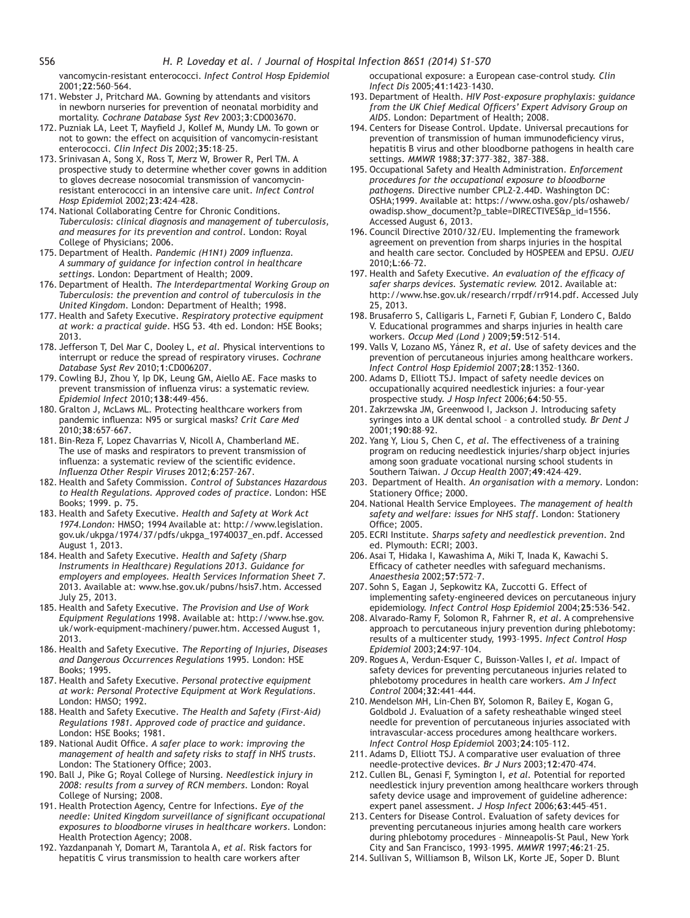vancomycin-resistant enterococci. *Infect Control Hosp Epidemiol* 2001;**22**:560–564.

- 171. Webster J, Pritchard MA. Gowning by attendants and visitors in newborn nurseries for prevention of neonatal morbidity and mortality. *Cochrane Database Syst Rev* 2003;**3**:CD003670.
- 172. Puzniak LA, Leet T, Mayfield J, Kollef M, Mundy LM. To gown or not to gown: the effect on acquisition of vancomycin-resistant enterococci. *Clin Infect Dis* 2002;**35**:18–25.
- 173. Srinivasan A, Song X, Ross T, Merz W, Brower R, Perl TM. A prospective study to determine whether cover gowns in addition to gloves decrease nosocomial transmission of vancomycinresistant enterococci in an intensive care unit. *Infect Control Hosp Epidemio*l 2002;**23**:424–428.
- 174. National Collaborating Centre for Chronic Conditions. *Tuberculosis: clinical diagnosis and management of tuberculosis, and measures for its prevention and control*. London: Royal College of Physicians; 2006.
- 175. Department of Health. *Pandemic (H1N1) 2009 influenza*. *A summary of guidance for infection control in healthcare settings*. London: Department of Health; 2009.
- 176. Department of Health. *The Interdepartmental Working Group on Tuberculosis: the prevention and control of tuberculosis in the United Kingdom*. London: Department of Health; 1998.
- 177. Health and Safety Executive. *Respiratory protective equipment at work: a practical guide*. HSG 53. 4th ed. London: HSE Books; 2013.
- 178. Jefferson T, Del Mar C, Dooley L, *et al.* Physical interventions to interrupt or reduce the spread of respiratory viruses. *Cochrane Database Syst Rev* 2010;**1**:CD006207.
- 179. Cowling BJ, Zhou Y, Ip DK, Leung GM, Aiello AE. Face masks to prevent transmission of influenza virus: a systematic review. *Epidemiol Infect* 2010;**138**:449–456.
- 180. Gralton J, McLaws ML. Protecting healthcare workers from pandemic influenza: N95 or surgical masks? Crit Care Med 2010;**38**:657–667.
- 181. Bin-Reza F, Lopez Chavarrias V, Nicoll A, Chamberland ME. The use of masks and respirators to prevent transmission of influenza: a systematic review of the scientific evidence. *In uenza Other Respir Viruses* 2012;**6**:257–267.
- 182. Health and Safety Commission. *Control of Substances Hazardous to Health Regulations. Approved codes of practice*. London: HSE Books; 1999. p. 75.
- 183. Health and Safety Executive. *Health and Safety at Work Act 1974.London:* HMSO; 1994 Available at: http://www.legislation. gov.uk/ukpga/1974/37/pdfs/ukpga\_19740037\_en.pdf. Accessed August 1, 2013.
- 184. Health and Safety Executive. *Health and Safety (Sharp Instruments in Healthcare) Regulations 2013. Guidance for employers and employees. Health Services Information Sheet 7*. 2013. Available at: www.hse.gov.uk/pubns/hsis7.htm. Accessed July 25, 2013.
- 185. Health and Safety Executive. *The Provision and Use of Work Equipment Regulations* 1998. Available at: http://www.hse.gov. uk/work-equipment-machinery/puwer.htm. Accessed August 1, 2013.
- 186. Health and Safety Executive. *The Reporting of Injuries, Diseases and Dangerous Occurrences Regulations* 1995. London: HSE Books; 1995.
- 187. Health and Safety Executive. *Personal protective equipment at work: Personal Protective Equipment at Work Regulations*. London: HMSO; 1992.
- 188. Health and Safety Executive. *The Health and Safety (First-Aid) Regulations 1981. Approved code of practice and guidance*. London: HSE Books; 1981.
- 189. National Audit Office. A safer place to work: improving the *management of health and safety risks to staff in NHS trusts*. London: The Stationery Office; 2003.
- 190. Ball J, Pike G; Royal College of Nursing. *Needlestick injury in 2008: results from a survey of RCN members*. London: Royal College of Nursing; 2008.
- 191. Health Protection Agency, Centre for Infections. *Eye of the needle: United Kingdom surveillance of signi- cant occupational exposures to bloodborne viruses in healthcare workers*. London: Health Protection Agency; 2008.
- 192. Yazdanpanah Y, Domart M, Tarantola A, *et al.* Risk factors for hepatitis C virus transmission to health care workers after

occupational exposure: a European case-control study. *Clin Infect Dis* 2005;**41**:1423–1430.

- 193. Department of Health. *HIV Post-exposure prophylaxis: guidance from the UK Chief Medical Of- cers' Expert Advisory Group on AIDS*. London: Department of Health; 2008.
- 194. Centers for Disease Control. Update. Universal precautions for prevention of transmission of human immunodeficiency virus, hepatitis B virus and other bloodborne pathogens in health care settings. *MMWR* 1988;**37**:377–382, 387–388.
- 195. Occupational Safety and Health Administration. *Enforcement procedures for the occupational exposure to bloodborne pathogens.* Directive number CPL2-2.44D. Washington DC: OSHA;1999. Available at: https://www.osha.gov/pls/oshaweb/ owadisp.show\_document?p\_table=DIRECTIVES&p\_id=1556. Accessed August 6, 2013.
- 196. Council Directive 2010/32/EU. Implementing the framework agreement on prevention from sharps injuries in the hospital and health care sector. Concluded by HOSPEEM and EPSU. *OJEU* 2010;**L**:66–72.
- 197. Health and Safety Executive. An evaluation of the efficacy of *safer sharps devices. Systematic review.* 2012. Available at: http://www.hse.gov.uk/research/rrpdf/rr914.pdf. Accessed July 25, 2013.
- 198. Brusaferro S, Calligaris L, Farneti F, Gubian F, Londero C, Baldo V. Educational programmes and sharps injuries in health care workers. *Occup Med (Lond )* 2009;**59**:512–514.
- 199. Valls V, Lozano MS, Yánez R, *et al.* Use of safety devices and the prevention of percutaneous injuries among healthcare workers. *Infect Control Hosp Epidemiol* 2007;**28**:1352–1360.
- 200. Adams D, Elliott TSJ. Impact of safety needle devices on occupationally acquired needlestick injuries: a four-year prospective study. *J Hosp Infect* 2006;**64**:50–55.
- 201. Zakrzewska JM, Greenwood I, Jackson J. Introducing safety syringes into a UK dental school – a controlled study. *Br Dent J*  2001;**190**:88–92.
- 202. Yang Y, Liou S, Chen C, *et al.* The effectiveness of a training program on reducing needlestick injuries/sharp object injuries among soon graduate vocational nursing school students in Southern Taiwan. *J Occup Health* 2007;**49**:424–429.
- 203. Department of Health. *An organisation with a memory*. London: Stationery Office: 2000.
- 204. National Health Service Employees. *The management of health safety and welfare: issues for NHS staff*. London: Stationery Office; 2005.
- 205. ECRI Institute. *Sharps safety and needlestick prevention*. 2nd ed. Plymouth: ECRI; 2003.
- 206. Asai T, Hidaka I, Kawashima A, Miki T, Inada K, Kawachi S. Efficacy of catheter needles with safeguard mechanisms. *Anaesthesia* 2002;**57**:572–7.
- 207. Sohn S, Eagan J, Sepkowitz KA, Zuccotti G. Effect of implementing safety-engineered devices on percutaneous injury epidemiology. *Infect Control Hosp Epidemiol* 2004;**25**:536–542.
- 208. Alvarado-Ramy F, Solomon R, Fahrner R, *et al.* A comprehensive approach to percutaneous injury prevention during phlebotomy: results of a multicenter study, 1993–1995. *Infect Control Hosp Epidemiol* 2003;**24**:97–104.
- 209. Rogues A, Verdun-Esquer C, Buisson-Valles I, *et al.* Impact of safety devices for preventing percutaneous injuries related to phlebotomy procedures in health care workers. *Am J Infect Control* 2004;**32**:441–444.
- 210. Mendelson MH, Lin-Chen BY, Solomon R, Bailey E, Kogan G, Goldbold J. Evaluation of a safety resheathable winged steel needle for prevention of percutaneous injuries associated with intravascular-access procedures among healthcare workers. *Infect Control Hosp Epidemio*l 2003;**24**:105–112.
- 211. Adams D, Elliott TSJ. A comparative user evaluation of three needle-protective devices. *Br J Nurs* 2003;**12**:470–474.
- 212. Cullen BL, Genasi F, Symington I, *et al.* Potential for reported needlestick injury prevention among healthcare workers through safety device usage and improvement of guideline adherence: expert panel assessment. *J Hosp Infect* 2006;**63**:445–451.
- 213. Centers for Disease Control. Evaluation of safety devices for preventing percutaneous injuries among health care workers during phlebotomy procedures – Minneapolis-St Paul, New York City and San Francisco, 1993–1995. *MMWR* 1997;**46**:21–25.
- 214. Sullivan S, Williamson B, Wilson LK, Korte JE, Soper D. Blunt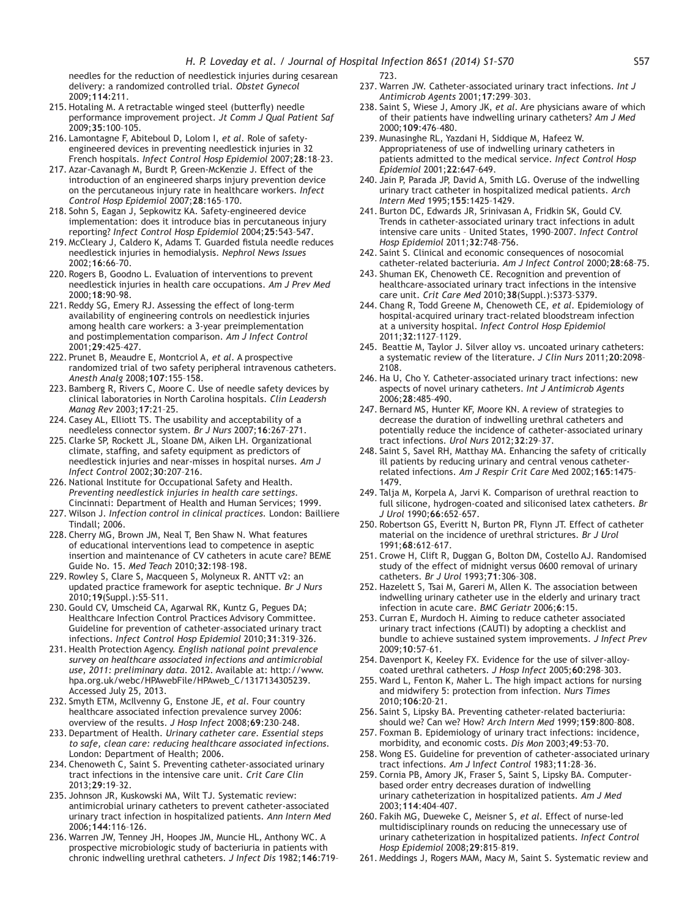needles for the reduction of needlestick injuries during cesarean delivery: a randomized controlled trial. *Obstet Gynecol* 2009;**114**:211.

- 215. Hotaling M. A retractable winged steel (butterfly) needle performance improvement project. *Jt Comm J Qual Patient Saf*  2009;**35**:100–105.
- 216. Lamontagne F, Abiteboul D, Lolom I, *et al.* Role of safetyengineered devices in preventing needlestick injuries in 32 French hospitals. *Infect Control Hosp Epidemiol* 2007;**28**:18–23.
- 217. Azar-Cavanagh M, Burdt P, Green-McKenzie J. Effect of the introduction of an engineered sharps injury prevention device on the percutaneous injury rate in healthcare workers. *Infect Control Hosp Epidemiol* 2007;**28**:165–170.
- 218. Sohn S, Eagan J, Sepkowitz KA. Safety-engineered device implementation: does it introduce bias in percutaneous injury reporting? *Infect Control Hosp Epidemiol* 2004;**25**:543–547.
- 219. McCleary J, Caldero K, Adams T. Guarded fistula needle reduces needlestick injuries in hemodialysis. *Nephrol News Issues*  2002;**16**:66–70.
- 220. Rogers B, Goodno L. Evaluation of interventions to prevent needlestick injuries in health care occupations. *Am J Prev Med*  2000;**18**:90–98.
- 221. Reddy SG, Emery RJ. Assessing the effect of long-term availability of engineering controls on needlestick injuries among health care workers: a 3-year preimplementation and postimplementation comparison. *Am J Infect Control* 2001;**29**:425–427.
- 222. Prunet B, Meaudre E, Montcriol A, *et al.* A prospective randomized trial of two safety peripheral intravenous catheters. *Anesth Analg* 2008;**107**:155–158.
- 223. Bamberg R, Rivers C, Moore C. Use of needle safety devices by clinical laboratories in North Carolina hospitals. *Clin Leadersh Manag Rev* 2003;**17**:21–25.
- 224. Casey AL, Elliott TS. The usability and acceptability of a needleless connector system. *Br J Nurs* 2007;**16**:267–271.
- 225. Clarke SP, Rockett JL, Sloane DM, Aiken LH. Organizational climate, staffing, and safety equipment as predictors of needlestick injuries and near-misses in hospital nurses. *Am J Infect Control* 2002;**30**:207–216.
- 226. National Institute for Occupational Safety and Health. *Preventing needlestick injuries in health care settings*. Cincinnati: Department of Health and Human Services; 1999.
- 227. Wilson J. *Infection control in clinical practices.* London: Bailliere Tindall; 2006.
- 228. Cherry MG, Brown JM, Neal T, Ben Shaw N. What features of educational interventions lead to competence in aseptic insertion and maintenance of CV catheters in acute care? BEME Guide No. 15. *Med Teach* 2010;**32**:198–198.
- 229. Rowley S, Clare S, Macqueen S, Molyneux R. ANTT v2: an updated practice framework for aseptic technique. *Br J Nurs* 2010;**19**(Suppl.):S5–S11.
- 230. Gould CV, Umscheid CA, Agarwal RK, Kuntz G, Pegues DA; Healthcare Infection Control Practices Advisory Committee. Guideline for prevention of catheter-associated urinary tract infections. *Infect Control Hosp Epidemiol* 2010;**31**:319–326.
- 231. Health Protection Agency. *English national point prevalence survey on healthcare associated infections and antimicrobial use, 2011: preliminary data*. 2012. Available at: http://www. hpa.org.uk/webc/HPAwebFile/HPAweb\_C/1317134305239. Accessed July 25, 2013.
- 232. Smyth ETM, McIlvenny G, Enstone JE, *et al.* Four country healthcare associated infection prevalence survey 2006: overview of the results. *J Hosp Infect* 2008;**69**:230–248.
- 233. Department of Health. *Urinary catheter care. Essential steps to safe, clean care: reducing healthcare associated infections.* London: Department of Health; 2006.
- 234. Chenoweth C, Saint S. Preventing catheter-associated urinary tract infections in the intensive care unit. *Crit Care Clin* 2013;**29**:19–32.
- 235. Johnson JR, Kuskowski MA, Wilt TJ. Systematic review: antimicrobial urinary catheters to prevent catheter-associated urinary tract infection in hospitalized patients. *Ann Intern Med* 2006;**144**:116–126.
- 236. Warren JW, Tenney JH, Hoopes JM, Muncie HL, Anthony WC. A prospective microbiologic study of bacteriuria in patients with chronic indwelling urethral catheters. *J Infect Dis* 1982;**146**:719–
- 723. 237. Warren JW. Catheter-associated urinary tract infections. *Int J Antimicrob Agents* 2001;**17**:299–303.
- 238. Saint S, Wiese J, Amory JK, *et al.* Are physicians aware of which of their patients have indwelling urinary catheters? *Am J Med* 2000;**109**:476–480.
- 239. Munasinghe RL, Yazdani H, Siddique M, Hafeez W. Appropriateness of use of indwelling urinary catheters in patients admitted to the medical service. *Infect Control Hosp Epidemiol* 2001;**22**:647–649.
- 240. Jain P, Parada JP, David A, Smith LG. Overuse of the indwelling urinary tract catheter in hospitalized medical patients. *Arch Intern Med* 1995;**155**:1425–1429.
- 241. Burton DC, Edwards JR, Srinivasan A, Fridkin SK, Gould CV. Trends in catheter-associated urinary tract infections in adult intensive care units – United States, 1990–2007. *Infect Control Hosp Epidemiol* 2011;**32**:748–756.
- 242. Saint S. Clinical and economic consequences of nosocomial catheter-related bacteriuria. *Am J Infect Control* 2000;**28**:68–75.
- 243. Shuman EK, Chenoweth CE. Recognition and prevention of healthcare-associated urinary tract infections in the intensive care unit. *Crit Care Med* 2010;**38**(Suppl.):S373–S379.
- 244. Chang R, Todd Greene M, Chenoweth CE, *et al.* Epidemiology of hospital-acquired urinary tract-related bloodstream infection at a university hospital*. Infect Control Hosp Epidemiol* 2011;**32**:1127–1129.
- 245. Beattie M, Taylor J. Silver alloy vs. uncoated urinary catheters: a systematic review of the literature. *J Clin Nurs* 2011;**20**:2098– 2108.
- 246. Ha U, Cho Y. Catheter-associated urinary tract infections: new aspects of novel urinary catheters. *Int J Antimicrob Agents* 2006;**28**:485–490.
- 247. Bernard MS, Hunter KF, Moore KN. A review of strategies to decrease the duration of indwelling urethral catheters and potentially reduce the incidence of catheter-associated urinary tract infections. *Urol Nurs* 2012;**32**:29–37.
- 248. Saint S, Savel RH, Matthay MA. Enhancing the safety of critically ill patients by reducing urinary and central venous catheterrelated infections. *Am J Respir Crit Care* Med 2002;**165**:1475– 1479.
- 249. Talja M, Korpela A, Jarvi K. Comparison of urethral reaction to full silicone, hydrogen-coated and siliconised latex catheters. *Br J Urol* 1990;**66**:652–657.
- 250. Robertson GS, Everitt N, Burton PR, Flynn JT. Effect of catheter material on the incidence of urethral strictures. *Br J Urol*  1991;**68**:612–617.
- 251. Crowe H, Clift R, Duggan G, Bolton DM, Costello AJ. Randomised study of the effect of midnight versus 0600 removal of urinary catheters. *Br J Urol* 1993;**71**:306–308.
- 252. Hazelett S, Tsai M, Gareri M, Allen K. The association between indwelling urinary catheter use in the elderly and urinary tract infection in acute care. *BMC Geriatr* 2006;**6**:15.
- 253. Curran E, Murdoch H. Aiming to reduce catheter associated urinary tract infections (CAUTI) by adopting a checklist and bundle to achieve sustained system improvements. *J Infect Prev* 2009;**10**:57–61.
- 254. Davenport K, Keeley FX. Evidence for the use of silver-alloycoated urethral catheters. *J Hosp Infect* 2005;**60**:298–303.
- 255. Ward L, Fenton K, Maher L. The high impact actions for nursing and midwifery 5: protection from infection. *Nurs Times* 2010;**106**:20–21.
- 256. Saint S, Lipsky BA. Preventing catheter-related bacteriuria: should we? Can we? How? *Arch Intern Med* 1999;**159**:800–808.
- 257. Foxman B. Epidemiology of urinary tract infections: incidence, morbidity, and economic costs. *Dis Mon* 2003;**49**:53–70.
- 258. Wong ES. Guideline for prevention of catheter-associated urinary tract infections. *Am J* I*nfect Control* 1983;**11**:28–36.
- 259. Cornia PB, Amory JK, Fraser S, Saint S, Lipsky BA. Computerbased order entry decreases duration of indwelling urinary catheterization in hospitalized patients. *Am J Med*  2003;**114**:404–407.
- 260. Fakih MG, Dueweke C, Meisner S, *et al.* Effect of nurse-led multidisciplinary rounds on reducing the unnecessary use of urinary catheterization in hospitalized patients. *Infect Control Hosp Epidemiol* 2008;**29**:815–819.
- 261. Meddings J, Rogers MAM, Macy M, Saint S. Systematic review and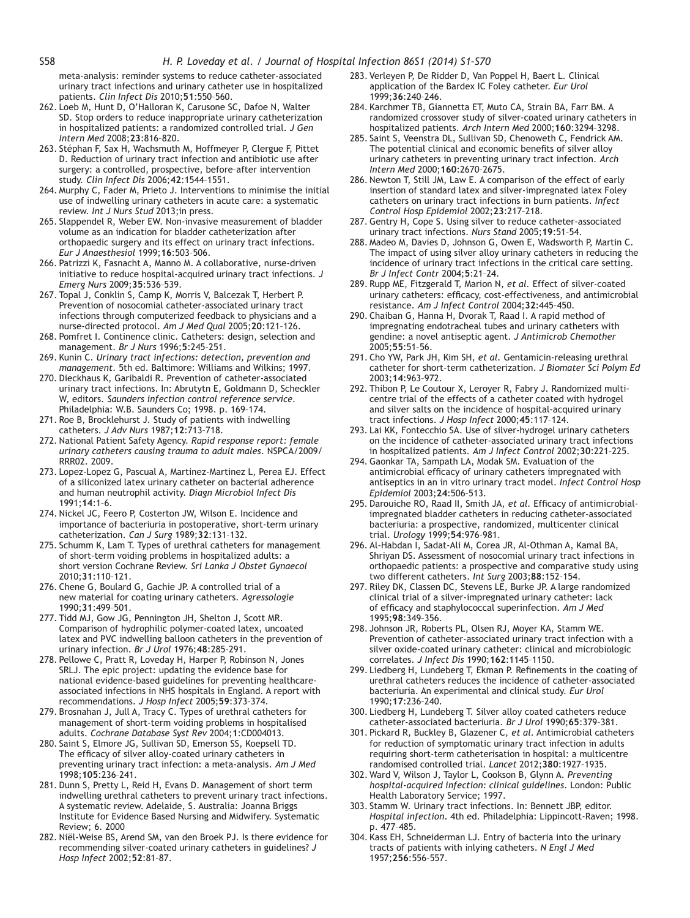meta-analysis: reminder systems to reduce catheter-associated urinary tract infections and urinary catheter use in hospitalized patients. *Clin Infect Dis* 2010;**51**:550–560.

- 262. Loeb M, Hunt D, O'Halloran K, Carusone SC, Dafoe N, Walter SD. Stop orders to reduce inappropriate urinary catheterization in hospitalized patients: a randomized controlled trial. *J Gen Intern Med* 2008;**23**:816–820.
- 263. Stéphan F, Sax H, Wachsmuth M, Hoffmeyer P, Clergue F, Pittet D. Reduction of urinary tract infection and antibiotic use after surgery: a controlled, prospective, before–after intervention study. *Clin Infect Dis* 2006;**42**:1544–1551.
- 264. Murphy C, Fader M, Prieto J. Interventions to minimise the initial use of indwelling urinary catheters in acute care: a systematic review. *Int J Nurs Stud* 2013;in press.
- 265. Slappendel R, Weber EW. Non-invasive measurement of bladder volume as an indication for bladder catheterization after orthopaedic surgery and its effect on urinary tract infections. *Eur J Anaesthesiol* 1999;**16**:503–506.
- 266. Patrizzi K, Fasnacht A, Manno M. A collaborative, nurse-driven initiative to reduce hospital-acquired urinary tract infections. *J Emerg Nurs* 2009;**35**:536–539.
- 267. Topal J, Conklin S, Camp K, Morris V, Balcezak T, Herbert P. Prevention of nosocomial catheter-associated urinary tract infections through computerized feedback to physicians and a nurse-directed protocol. *Am J Med Qual* 2005;**20**:121–126.
- 268. Pomfret I. Continence clinic. Catheters: design, selection and management. *Br J Nurs* 1996;**5**:245–251.
- 269. Kunin C. *Urinary tract infections: detection, prevention and management*. 5th ed. Baltimore: Williams and Wilkins; 1997.
- 270. Dieckhaus K, Garibaldi R. Prevention of catheter-associated urinary tract infections. In: Abrutytn E, Goldmann D, Scheckler W, editors. *Saunders infection control reference service.* Philadelphia: W.B. Saunders Co; 1998. p. 169–174.
- 271. Roe B, Brocklehurst J. Study of patients with indwelling catheters. *J Adv Nurs* 1987;**12**:713–718.
- 272. National Patient Safety Agency. *Rapid response report: female urinary catheters causing trauma to adult males*. NSPCA*/*2009/ RRR02. 2009.
- 273. Lopez-Lopez G, Pascual A, Martinez-Martinez L, Perea EJ. Effect of a siliconized latex urinary catheter on bacterial adherence and human neutrophil activity. *Diagn Microbiol Infect Dis*  1991;**14**:1–6.
- 274. Nickel JC, Feero P, Costerton JW, Wilson E. Incidence and importance of bacteriuria in postoperative, short-term urinary catheterization. *Can J Surg* 1989;**32**:131–132.
- 275. Schumm K, Lam T. Types of urethral catheters for management of short-term voiding problems in hospitalized adults: a short version Cochrane Review. *Sri Lanka J Obstet Gynaecol* 2010;**31**:110–121.
- 276. Chene G, Boulard G, Gachie JP. A controlled trial of a new material for coating urinary catheters. *Agressologie*  1990;**31**:499–501.
- 277. Tidd MJ, Gow JG, Pennington JH, Shelton J, Scott MR. Comparison of hydrophilic polymer-coated latex, uncoated latex and PVC indwelling balloon catheters in the prevention of urinary infection. *Br J Urol* 1976;**48**:285–291.
- 278. Pellowe C, Pratt R, Loveday H, Harper P, Robinson N, Jones SRLJ. The epic project: updating the evidence base for national evidence-based guidelines for preventing healthcareassociated infections in NHS hospitals in England. A report with recommendations. *J Hosp Infect* 2005;**59**:373–374.
- 279. Brosnahan J, Jull A, Tracy C. Types of urethral catheters for management of short-term voiding problems in hospitalised adults. *Cochrane Database Syst Rev* 2004;**1**:CD004013.
- 280. Saint S, Elmore JG, Sullivan SD, Emerson SS, Koepsell TD. The efficacy of silver alloy-coated urinary catheters in preventing urinary tract infection: a meta-analysis. *Am J Med* 1998;**105**:236–241.
- 281. Dunn S, Pretty L, Reid H, Evans D. Management of short term indwelling urethral catheters to prevent urinary tract infections. A systematic review. Adelaide, S. Australia: Joanna Briggs Institute for Evidence Based Nursing and Midwifery. Systematic Review; 6. 2000
- 282. Niël-Weise BS, Arend SM, van den Broek PJ. Is there evidence for recommending silver-coated urinary catheters in guidelines? *J Hosp Infect* 2002;**52**:81–87.
- 283. Verleyen P, De Ridder D, Van Poppel H, Baert L. Clinical application of the Bardex IC Foley catheter. *Eur Urol*  1999;**36**:240–246.
- 284. Karchmer TB, Giannetta ET, Muto CA, Strain BA, Farr BM. A randomized crossover study of silver-coated urinary catheters in hospitalized patients. *Arch Intern Med* 2000;**160**:3294–3298.
- 285. Saint S, Veenstra DL, Sullivan SD, Chenoweth C, Fendrick AM. The potential clinical and economic benefits of silver alloy urinary catheters in preventing urinary tract infection. *Arch Intern Med* 2000;**160**:2670–2675.
- 286. Newton T, Still JM, Law E. A comparison of the effect of early insertion of standard latex and silver-impregnated latex Foley catheters on urinary tract infections in burn patients. *Infect Control Hosp Epidemiol* 2002;**23**:217–218.
- 287. Gentry H, Cope S. Using silver to reduce catheter-associated urinary tract infections. *Nurs Stand* 2005;**19**:51–54.
- 288. Madeo M, Davies D, Johnson G, Owen E, Wadsworth P, Martin C. The impact of using silver alloy urinary catheters in reducing the incidence of urinary tract infections in the critical care setting. *Br J Infect Contr* 2004;**5**:21–24.
- 289. Rupp ME, Fitzgerald T, Marion N, *et al.* Effect of silver-coated urinary catheters: efficacy, cost-effectiveness, and antimicrobial resistance. *Am J Infect Control* 2004;**32**:445–450.
- 290. Chaiban G, Hanna H, Dvorak T, Raad I. A rapid method of impregnating endotracheal tubes and urinary catheters with gendine: a novel antiseptic agent. *J Antimicrob Chemother* 2005;**55**:51–56.
- 291. Cho YW, Park JH, Kim SH, *et al.* Gentamicin-releasing urethral catheter for short-term catheterization. *J Biomater Sci Polym Ed*  2003;**14**:963–972.
- 292. Thibon P, Le Coutour X, Leroyer R, Fabry J. Randomized multicentre trial of the effects of a catheter coated with hydrogel and silver salts on the incidence of hospital-acquired urinary tract infections. *J Hosp Infect* 2000;**45**:117–124.
- 293. Lai KK, Fontecchio SA. Use of silver-hydrogel urinary catheters on the incidence of catheter-associated urinary tract infections in hospitalized patients. *Am J Infect Control* 2002;**30**:221–225.
- 294. Gaonkar TA, Sampath LA, Modak SM. Evaluation of the antimicrobial efficacy of urinary catheters impregnated with antiseptics in an in vitro urinary tract model. *Infect Control Hosp Epidemiol* 2003;**24**:506–513.
- 295. Darouiche RO, Raad II, Smith JA, et al. Efficacy of antimicrobialimpregnated bladder catheters in reducing catheter-associated bacteriuria: a prospective, randomized, multicenter clinical trial. *Urology* 1999;**54**:976–981.
- 296. Al-Habdan I, Sadat-Ali M, Corea JR, Al-Othman A, Kamal BA, Shriyan DS. Assessment of nosocomial urinary tract infections in orthopaedic patients: a prospective and comparative study using two different catheters. *Int Surg* 2003;**88**:152–154.
- 297. Riley DK, Classen DC, Stevens LE, Burke JP. A large randomized clinical trial of a silver-impregnated urinary catheter: lack of efficacy and staphylococcal superinfection. Am J Med 1995;**98**:349–356.
- 298. Johnson JR, Roberts PL, Olsen RJ, Moyer KA, Stamm WE. Prevention of catheter-associated urinary tract infection with a silver oxide-coated urinary catheter: clinical and microbiologic correlates. *J Infect Dis* 1990;**162**:1145–1150.
- 299. Liedberg H, Lundeberg T, Ekman P. Refinements in the coating of urethral catheters reduces the incidence of catheter-associated bacteriuria. An experimental and clinical study. *Eur Urol* 1990;**17**:236–240.
- 300. Liedberg H, Lundeberg T. Silver alloy coated catheters reduce catheter-associated bacteriuria. *Br J Urol* 1990;**65**:379–381.
- 301. Pickard R, Buckley B, Glazener C, *et al.* Antimicrobial catheters for reduction of symptomatic urinary tract infection in adults requiring short-term catheterisation in hospital: a multicentre randomised controlled trial. *Lancet* 2012;**380**:1927–1935.
- 302. Ward V, Wilson J, Taylor L, Cookson B, Glynn A. *Preventing hospital-acquired infection: clinical guidelines*. London: Public Health Laboratory Service; 1997.
- 303. Stamm W. Urinary tract infections. In: Bennett JBP, editor. *Hospital infection*. 4th ed. Philadelphia: Lippincott-Raven; 1998. p. 477–485.
- 304. Kass EH, Schneiderman LJ. Entry of bacteria into the urinary tracts of patients with inlying catheters. *N Engl J Med*  1957;**256**:556–557.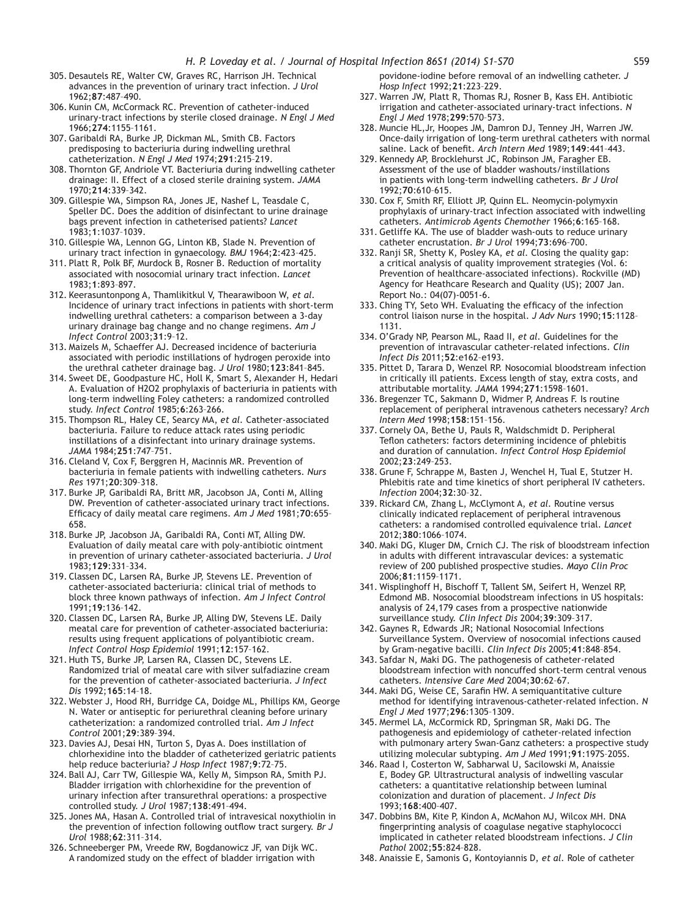- 305. Desautels RE, Walter CW, Graves RC, Harrison JH. Technical advances in the prevention of urinary tract infection. *J Urol*  1962;**87**:487–490.
- 306. Kunin CM, McCormack RC. Prevention of catheter-induced urinary-tract infections by sterile closed drainage. *N Engl J Med*  1966;**274**:1155–1161.
- 307. Garibaldi RA, Burke JP, Dickman ML, Smith CB. Factors predisposing to bacteriuria during indwelling urethral catheterization. *N Engl J Med* 1974;**291**:215–219.
- 308. Thornton GF, Andriole VT. Bacteriuria during indwelling catheter drainage: II. Effect of a closed sterile draining system. *JAMA* 1970;**214**:339–342.
- 309. Gillespie WA, Simpson RA, Jones JE, Nashef L, Teasdale C, Speller DC. Does the addition of disinfectant to urine drainage bags prevent infection in catheterised patients? *Lancet* 1983;**1**:1037–1039.
- 310. Gillespie WA, Lennon GG, Linton KB, Slade N. Prevention of urinary tract infection in gynaecology. *BMJ* 1964;**2**:423–425.
- 311. Platt R, Polk BF, Murdock B, Rosner B. Reduction of mortality associated with nosocomial urinary tract infection. *Lancet*  1983;**1**:893–897.
- 312. Keerasuntonpong A, Thamlikitkul V, Thearawiboon W, *et al.* Incidence of urinary tract infections in patients with short-term indwelling urethral catheters: a comparison between a 3-day urinary drainage bag change and no change regimens. *Am J Infect Control* 2003;**31**:9–12.
- 313. Maizels M, Schaeffer AJ. Decreased incidence of bacteriuria associated with periodic instillations of hydrogen peroxide into the urethral catheter drainage bag. *J Urol* 1980;**123**:841–845.
- 314. Sweet DE, Goodpasture HC, Holl K, Smart S, Alexander H, Hedari A. Evaluation of H2O2 prophylaxis of bacteriuria in patients with long-term indwelling Foley catheters: a randomized controlled study. *Infect Control* 1985;**6**:263–266.
- 315. Thompson RL, Haley CE, Searcy MA, *et al.* Catheter-associated bacteriuria. Failure to reduce attack rates using periodic instillations of a disinfectant into urinary drainage systems. *JAMA* 1984;**251**:747–751.
- 316. Cleland V, Cox F, Berggren H, Macinnis MR. Prevention of bacteriuria in female patients with indwelling catheters. *Nurs Res* 1971;**20**:309–318.
- 317. Burke JP, Garibaldi RA, Britt MR, Jacobson JA, Conti M, Alling DW. Prevention of catheter-associated urinary tract infections. Efficacy of daily meatal care regimens. Am J Med 1981;70:655-658.
- 318. Burke JP, Jacobson JA, Garibaldi RA, Conti MT, Alling DW. Evaluation of daily meatal care with poly-antibiotic ointment in prevention of urinary catheter-associated bacteriuria. *J Urol* 1983;**129**:331–334.
- 319. Classen DC, Larsen RA, Burke JP, Stevens LE. Prevention of catheter-associated bacteriuria: clinical trial of methods to block three known pathways of infection. *Am J Infect Control* 1991;**19**:136–142.
- 320. Classen DC, Larsen RA, Burke JP, Alling DW, Stevens LE. Daily meatal care for prevention of catheter-associated bacteriuria: results using frequent applications of polyantibiotic cream. *Infect Control Hosp Epidemiol* 1991;**12**:157–162.
- 321. Huth TS, Burke JP, Larsen RA, Classen DC, Stevens LE. Randomized trial of meatal care with silver sulfadiazine cream for the prevention of catheter-associated bacteriuria. *J Infect Dis* 1992;**165**:14–18.
- 322. Webster J, Hood RH, Burridge CA, Doidge ML, Phillips KM, George N. Water or antiseptic for periurethral cleaning before urinary catheterization: a randomized controlled trial. *Am J Infect Control* 2001;**29**:389–394.
- 323. Davies AJ, Desai HN, Turton S, Dyas A. Does instillation of chlorhexidine into the bladder of catheterized geriatric patients help reduce bacteriuria? *J Hosp Infect* 1987;**9**:72–75.
- 324. Ball AJ, Carr TW, Gillespie WA, Kelly M, Simpson RA, Smith PJ. Bladder irrigation with chlorhexidine for the prevention of urinary infection after transurethral operations: a prospective controlled study. *J Urol* 1987;**138**:491–494.
- 325. Jones MA, Hasan A. Controlled trial of intravesical noxythiolin in the prevention of infection following outflow tract surgery. *Br J Urol* 1988;**62**:311–314.
- 326. Schneeberger PM, Vreede RW, Bogdanowicz JF, van Dijk WC. A randomized study on the effect of bladder irrigation with
- povidone-iodine before removal of an indwelling catheter. *J Hosp Infect* 1992;**21**:223–229.
- 327. Warren JW, Platt R, Thomas RJ, Rosner B, Kass EH. Antibiotic irrigation and catheter-associated urinary-tract infections. *N Engl J Med* 1978;**299**:570–573.
- 328. Muncie HL,Jr, Hoopes JM, Damron DJ, Tenney JH, Warren JW. Once-daily irrigation of long-term urethral catheters with normal saline. Lack of benefit. Arch Intern Med 1989;149:441-443.
- 329. Kennedy AP, Brocklehurst JC, Robinson JM, Faragher EB. Assessment of the use of bladder washouts/instillations in patients with long-term indwelling catheters. *Br J Urol*  1992;**70**:610–615.
- 330. Cox F, Smith RF, Elliott JP, Quinn EL. Neomycin-polymyxin prophylaxis of urinary-tract infection associated with indwelling catheters. *Antimicrob Agents Chemother* 1966;**6**:165–168.
- 331. Getliffe KA. The use of bladder wash-outs to reduce urinary catheter encrustation. *Br J Urol* 1994;**73**:696–700.
- 332. Ranji SR, Shetty K, Posley KA, *et al.* Closing the quality gap: a critical analysis of quality improvement strategies (Vol. 6: Prevention of healthcare-associated infections). Rockville (MD) Agency for Heathcare Research and Quality (US); 2007 Jan. Report No.: 04(07)-0051-6.
- 333. Ching TY, Seto WH. Evaluating the efficacy of the infection control liaison nurse in the hospital. *J Adv Nurs* 1990;**15**:1128– 1131.
- 334. O'Grady NP, Pearson ML, Raad II, *et al.* Guidelines for the prevention of intravascular catheter-related infections. *Clin Infect Dis* 2011;**52**:e162–e193.
- 335. Pittet D, Tarara D, Wenzel RP. Nosocomial bloodstream infection in critically ill patients. Excess length of stay, extra costs, and attributable mortality. *JAMA* 1994;**271**:1598–1601.
- 336. Bregenzer TC, Sakmann D, Widmer P, Andreas F. Is routine replacement of peripheral intravenous catheters necessary? *Arch Intern Med* 1998;**158**:151–156.
- 337. Cornely OA, Bethe U, Pauls R, Waldschmidt D. Peripheral Teflon catheters: factors determining incidence of phlebitis and duration of cannulation. *Infect Control Hosp Epidemiol* 2002;**23**:249–253.
- 338. Grune F, Schrappe M, Basten J, Wenchel H, Tual E, Stutzer H. Phlebitis rate and time kinetics of short peripheral IV catheters. *Infection* 2004;**32**:30–32.
- 339. Rickard CM, Zhang L, McClymont A, *et al.* Routine versus clinically indicated replacement of peripheral intravenous catheters: a randomised controlled equivalence trial. *Lancet*  2012;**380**:1066–1074.
- 340. Maki DG, Kluger DM, Crnich CJ. The risk of bloodstream infection in adults with different intravascular devices: a systematic review of 200 published prospective studies. *Mayo Clin Proc* 2006;**81**:1159–1171.
- 341. Wisplinghoff H, Bischoff T, Tallent SM, Seifert H, Wenzel RP, Edmond MB. Nosocomial bloodstream infections in US hospitals: analysis of 24,179 cases from a prospective nationwide surveillance study. *Clin Infect Dis* 2004;**39**:309–317.
- 342. Gaynes R, Edwards JR; National Nosocomial Infections Surveillance System. Overview of nosocomial infections caused by Gram-negative bacilli. *Clin Infect Dis* 2005;**41**:848–854.
- 343. Safdar N, Maki DG. The pathogenesis of catheter-related bloodstream infection with noncuffed short-term central venous catheters. *Intensive Care Med* 2004;**30**:62–67.
- 344. Maki DG, Weise CE, Sarafin HW. A semiquantitative culture method for identifying intravenous-catheter-related infection. *N Engl J Med* 1977;**296**:1305–1309.
- 345. Mermel LA, McCormick RD, Springman SR, Maki DG. The pathogenesis and epidemiology of catheter-related infection with pulmonary artery Swan-Ganz catheters: a prospective study utilizing molecular subtyping. *Am J Med* 1991;**91**:197S–205S.
- 346. Raad I, Costerton W, Sabharwal U, Sacilowski M, Anaissie E, Bodey GP. Ultrastructural analysis of indwelling vascular catheters: a quantitative relationship between luminal colonization and duration of placement. *J Infect Dis*  1993;**168**:400–407.
- 347. Dobbins BM, Kite P, Kindon A, McMahon MJ, Wilcox MH. DNA ngerprinting analysis of coagulase negative staphylococci implicated in catheter related bloodstream infections. *J Clin Pathol* 2002;**55**:824–828.
- 348. Anaissie E, Samonis G, Kontoyiannis D, *et al.* Role of catheter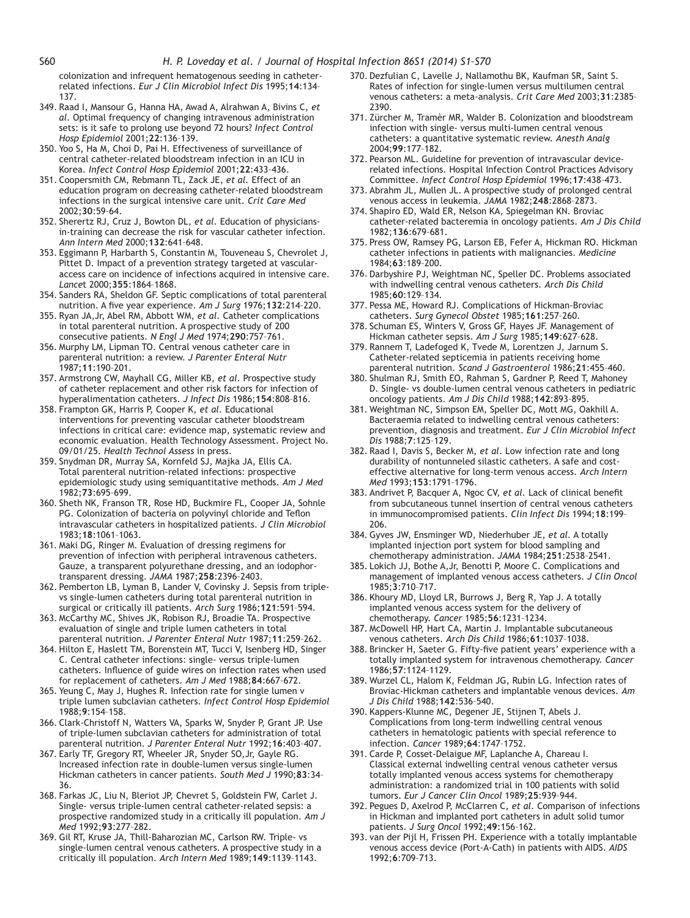colonization and infrequent hematogenous seeding in catheterrelated infections. *Eur J Clin Microbiol Infect Dis* 1995;**14**:134– 137.

- 349. Raad I, Mansour G, Hanna HA, Awad A, Alrahwan A, Bivins C, *et al.* Optimal frequency of changing intravenous administration sets: is it safe to prolong use beyond 72 hours? *Infect Control Hosp Epidemiol* 2001;**22**:136–139.
- 350. Yoo S, Ha M, Choi D, Pai H. Effectiveness of surveillance of central catheter-related bloodstream infection in an ICU in Korea. *Infect Control Hosp Epidemiol* 2001;**22**:433–436.
- 351. Coopersmith CM, Rebmann TL, Zack JE, *et al.* Effect of an education program on decreasing catheter-related bloodstream infections in the surgical intensive care unit. *Crit Care Med* 2002;**30**:59–64.
- 352. Sherertz RJ, Cruz J, Bowton DL, *et al.* Education of physiciansin-training can decrease the risk for vascular catheter infection. *Ann Intern Med* 2000;**132**:641–648.
- 353. Eggimann P, Harbarth S, Constantin M, Touveneau S, Chevrolet J, Pittet D. Impact of a prevention strategy targeted at vascularaccess care on incidence of infections acquired in intensive care. *Lance*t 2000;**355**:1864–1868.
- 354. Sanders RA, Sheldon GF. Septic complications of total parenteral nutrition. A five year experience. Am J Surg 1976; 132:214-220.
- 355. Ryan JA,Jr, Abel RM, Abbott WM, *et al.* Catheter complications in total parenteral nutrition. A prospective study of 200 consecutive patients. *N Engl J Med* 1974;**290**:757–761.
- 356. Murphy LM, Lipman TO. Central venous catheter care in parenteral nutrition: a review. *J Parenter Enteral Nutr*  1987;**11**:190–201.
- 357. Armstrong CW, Mayhall CG, Miller KB, *et al.* Prospective study of catheter replacement and other risk factors for infection of hyperalimentation catheters. *J Infect Dis* 1986;**154**:808–816.
- 358. Frampton GK, Harris P, Cooper K, *et al.* Educational interventions for preventing vascular catheter bloodstream infections in critical care: evidence map, systematic review and economic evaluation. Health Technology Assessment. Project No. 09/01/25. *Health Technol Assess* in press.
- 359. Snydman DR, Murray SA, Kornfeld SJ, Majka JA, Ellis CA. Total parenteral nutrition-related infections: prospective epidemiologic study using semiquantitative methods. *Am J Med*  1982;**73**:695–699.
- 360. Sheth NK, Franson TR, Rose HD, Buckmire FL, Cooper JA, Sohnle PG. Colonization of bacteria on polyvinyl chloride and Teflon intravascular catheters in hospitalized patients. *J Clin Microbiol*  1983;**18**:1061–1063.
- 361. Maki DG, Ringer M. Evaluation of dressing regimens for prevention of infection with peripheral intravenous catheters. Gauze, a transparent polyurethane dressing, and an iodophortransparent dressing. *JAMA* 1987;**258**:2396–2403.
- 362. Pemberton LB, Lyman B, Lander V, Covinsky J. Sepsis from triplevs single-lumen catheters during total parenteral nutrition in surgical or critically ill patients. *Arch Surg* 1986;**121**:591–594.
- 363. McCarthy MC, Shives JK, Robison RJ, Broadie TA. Prospective evaluation of single and triple lumen catheters in total parenteral nutrition. *J Parenter Enteral Nutr* 1987;**11**:259–262.
- 364. Hilton E, Haslett TM, Borenstein MT, Tucci V, Isenberg HD, Singer C. Central catheter infections: single- versus triple-lumen catheters. Influence of guide wires on infection rates when used for replacement of catheters. *Am J Med* 1988;**84**:667–672.
- 365. Yeung C, May J, Hughes R. Infection rate for single lumen v triple lumen subclavian catheters. *Infect Control Hosp Epidemiol* 1988;**9**:154–158.
- 366. Clark-Christoff N, Watters VA, Sparks W, Snyder P, Grant JP. Use of triple-lumen subclavian catheters for administration of total parenteral nutrition. *J Parenter Enteral Nutr* 1992;**16**:403–407.
- 367. Early TF, Gregory RT, Wheeler JR, Snyder SO,Jr, Gayle RG. Increased infection rate in double-lumen versus single-lumen Hickman catheters in cancer patients. *South Med J* 1990;**83**:34– 36.
- 368. Farkas JC, Liu N, Bleriot JP, Chevret S, Goldstein FW, Carlet J. Single- versus triple-lumen central catheter-related sepsis: a prospective randomized study in a critically ill population. *Am J Med* 1992;**93**:277–282.
- 369. Gil RT, Kruse JA, Thill-Baharozian MC, Carlson RW. Triple- vs single-lumen central venous catheters. A prospective study in a critically ill population. *Arch Intern Med* 1989;**149**:1139–1143.
- 370. Dezfulian C, Lavelle J, Nallamothu BK, Kaufman SR, Saint S. Rates of infection for single-lumen versus multilumen central venous catheters: a meta-analysis. *Crit Care Med* 2003;**31**:2385– 2390.
- 371. Zürcher M, Tramèr MR, Walder B. Colonization and bloodstream infection with single- versus multi-lumen central venous catheters: a quantitative systematic review. *Anesth Analg*  2004;**99**:177–182.
- 372. Pearson ML. Guideline for prevention of intravascular devicerelated infections. Hospital Infection Control Practices Advisory Committee. *Infect Control Hosp Epidemiol* 1996;**17**:438–473.
- 373. Abrahm JL, Mullen JL. A prospective study of prolonged central venous access in leukemia. *JAMA* 1982;**248**:2868–2873.
- 374. Shapiro ED, Wald ER, Nelson KA, Spiegelman KN. Broviac catheter-related bacteremia in oncology patients. *Am J Dis Child* 1982;**136**:679–681.
- 375. Press OW, Ramsey PG, Larson EB, Fefer A, Hickman RO. Hickman catheter infections in patients with malignancies. *Medicine* 1984;**63**:189–200.
- 376. Darbyshire PJ, Weightman NC, Speller DC. Problems associated with indwelling central venous catheters. *Arch Dis Child*  1985;**60**:129–134.
- 377. Pessa ME, Howard RJ. Complications of Hickman-Broviac catheters. *Surg Gynecol Obstet* 1985;**161**:257–260.
- 378. Schuman ES, Winters V, Gross GF, Hayes JF. Management of Hickman catheter sepsis. *Am J Surg* 1985;**149**:627–628.
- 379. Rannem T, Ladefoged K, Tvede M, Lorentzen J, Jarnum S. Catheter-related septicemia in patients receiving home parenteral nutrition. *Scand J Gastroenterol* 1986;**21**:455–460.
- 380. Shulman RJ, Smith EO, Rahman S, Gardner P, Reed T, Mahoney D. Single- vs double-lumen central venous catheters in pediatric oncology patients. *Am J Dis Child* 1988;**142**:893–895.
- 381. Weightman NC, Simpson EM, Speller DC, Mott MG, Oakhill A. Bacteraemia related to indwelling central venous catheters: prevention, diagnosis and treatment. *Eur J Clin Microbiol Infect Dis* 1988;**7**:125–129.
- 382. Raad I, Davis S, Becker M, *et al.* Low infection rate and long durability of nontunneled silastic catheters. A safe and costeffective alternative for long-term venous access. *Arch Intern Med* 1993;**153**:1791–1796.
- 383. Andrivet P, Bacquer A, Ngoc CV, et al. Lack of clinical benefit from subcutaneous tunnel insertion of central venous catheters in immunocompromised patients. *Clin Infect Dis* 1994;**18**:199– 206.
- 384. Gyves JW, Ensminger WD, Niederhuber JE, *et al.* A totally implanted injection port system for blood sampling and chemotherapy administration. *JAMA* 1984;**251**:2538–2541.
- 385. Lokich JJ, Bothe A,Jr, Benotti P, Moore C. Complications and management of implanted venous access catheters. *J Clin Oncol* 1985;**3**:710–717.
- 386. Khoury MD, Lloyd LR, Burrows J, Berg R, Yap J. A totally implanted venous access system for the delivery of chemotherapy. *Cancer* 1985;**56**:1231–1234.
- 387. McDowell HP, Hart CA, Martin J. Implantable subcutaneous venous catheters. *Arch Dis Child* 1986;**61**:1037–1038.
- 388. Brincker H, Saeter G. Fifty-five patient years' experience with a totally implanted system for intravenous chemotherapy. *Cancer*  1986;**57**:1124–1129.
- 389. Wurzel CL, Halom K, Feldman JG, Rubin LG. Infection rates of Broviac-Hickman catheters and implantable venous devices. *Am J Dis Child* 1988;**142**:536–540.
- 390. Kappers-Klunne MC, Degener JE, Stijnen T, Abels J. Complications from long-term indwelling central venous catheters in hematologic patients with special reference to infection. *Cancer* 1989;**64**:1747–1752.
- 391. Carde P, Cosset-Delaigue MF, Laplanche A, Chareau I. Classical external indwelling central venous catheter versus totally implanted venous access systems for chemotherapy administration: a randomized trial in 100 patients with solid tumors. *Eur J Cancer Clin Oncol* 1989;**25**:939–944.
- 392. Pegues D, Axelrod P, McClarren C, *et al.* Comparison of infections in Hickman and implanted port catheters in adult solid tumor patients. *J Surg Oncol* 1992;**49**:156–162.
- 393. van der Pijl H, Frissen PH. Experience with a totally implantable venous access device (Port-A-Cath) in patients with AIDS. *AIDS* 1992;**6**:709–713.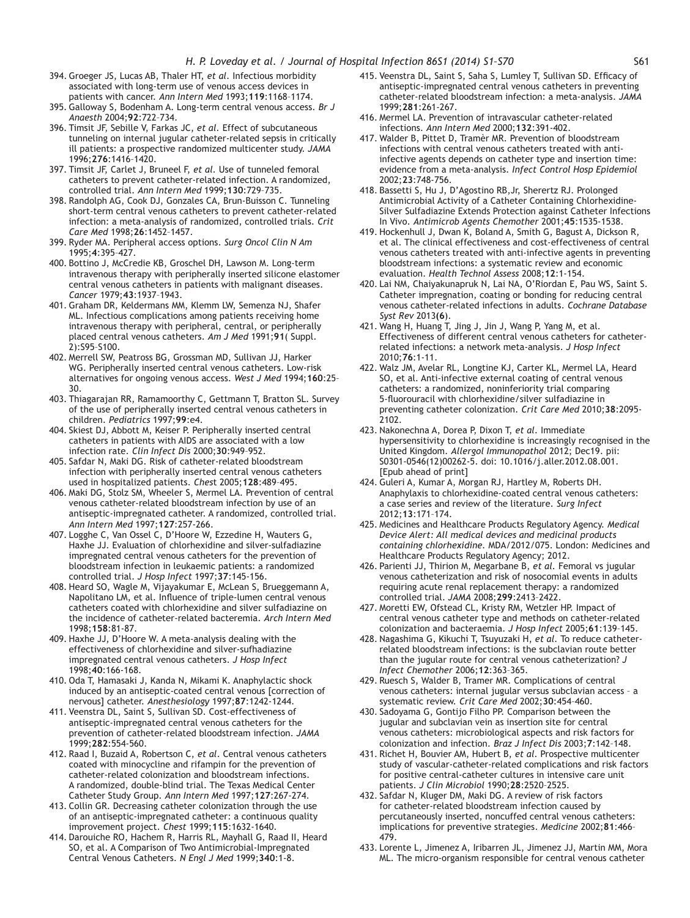- 394. Groeger JS, Lucas AB, Thaler HT, *et al.* Infectious morbidity associated with long-term use of venous access devices in patients with cancer. *Ann Intern Med* 1993;**119**:1168–1174.
- 395. Galloway S, Bodenham A. Long-term central venous access. *Br J Anaesth* 2004;**92**:722–734.
- 396. Timsit JF, Sebille V, Farkas JC, *et al.* Effect of subcutaneous tunneling on internal jugular catheter-related sepsis in critically ill patients: a prospective randomized multicenter study. *JAMA* 1996;**276**:1416–1420.
- 397. Timsit JF, Carlet J, Bruneel F, *et al.* Use of tunneled femoral catheters to prevent catheter-related infection. A randomized, controlled trial. *Ann Intern Med* 1999;**130**:729–735.
- 398. Randolph AG, Cook DJ, Gonzales CA, Brun-Buisson C. Tunneling short-term central venous catheters to prevent catheter-related infection: a meta-analysis of randomized, controlled trials. *Crit Care Med* 1998;**26**:1452–1457.
- 399. Ryder MA. Peripheral access options. *Surg Oncol Clin N Am*  1995;**4**:395–427.
- 400. Bottino J, McCredie KB, Groschel DH, Lawson M. Long-term intravenous therapy with peripherally inserted silicone elastomer central venous catheters in patients with malignant diseases. *Cancer* 1979;**43**:1937–1943.
- 401. Graham DR, Keldermans MM, Klemm LW, Semenza NJ, Shafer ML. Infectious complications among patients receiving home intravenous therapy with peripheral, central, or peripherally placed central venous catheters. *Am J Med* 1991;**91**( Suppl. 2):S95–S100.
- 402. Merrell SW, Peatross BG, Grossman MD, Sullivan JJ, Harker WG. Peripherally inserted central venous catheters. Low-risk alternatives for ongoing venous access. *West J Med* 1994;**160**:25– 30.
- 403. Thiagarajan RR, Ramamoorthy C, Gettmann T, Bratton SL. Survey of the use of peripherally inserted central venous catheters in children. *Pediatrics* 1997;**99**:e4.
- 404. Skiest DJ, Abbott M, Keiser P. Peripherally inserted central catheters in patients with AIDS are associated with a low infection rate. *Clin Infect Dis* 2000;**30**:949–952.
- 405. Safdar N, Maki DG. Risk of catheter-related bloodstream infection with peripherally inserted central venous catheters used in hospitalized patients. *Ches*t 2005;**128**:489–495.
- 406. Maki DG, Stolz SM, Wheeler S, Mermel LA. Prevention of central venous catheter-related bloodstream infection by use of an antiseptic-impregnated catheter. A randomized, controlled trial. *Ann Intern Med* 1997;**127**:257-266.
- 407. Logghe C, Van Ossel C, D'Hoore W, Ezzedine H, Wauters G, Haxhe JJ. Evaluation of chlorhexidine and silver-sulfadiazine impregnated central venous catheters for the prevention of bloodstream infection in leukaemic patients: a randomized controlled trial. *J Hosp Infect* 1997;**37**:145-156.
- 408. Heard SO, Wagle M, Vijayakumar E, McLean S, Brueggemann A, Napolitano LM, et al. Influence of triple-lumen central venous catheters coated with chlorhexidine and silver sulfadiazine on the incidence of catheter-related bacteremia. *Arch Intern Med* 1998;**158**:81-87.
- 409. Haxhe JJ, D'Hoore W. A meta-analysis dealing with the effectiveness of chlorhexidine and silver-sufhadiazine impregnated central venous catheters. *J Hosp Infect* 1998;**40**:166-168.
- 410. Oda T, Hamasaki J, Kanda N, Mikami K. Anaphylactic shock induced by an antiseptic-coated central venous [correction of nervous] catheter. *Anesthesiology* 1997;**87**:1242-1244.
- 411. Veenstra DL, Saint S, Sullivan SD. Cost-effectiveness of antiseptic-impregnated central venous catheters for the prevention of catheter-related bloodstream infection. *JAMA* 1999;**282**:554-560.
- 412. Raad I, Buzaid A, Robertson C, *et al*. Central venous catheters coated with minocycline and rifampin for the prevention of catheter-related colonization and bloodstream infections. A randomized, double-blind trial. The Texas Medical Center Catheter Study Group. *Ann Intern Med* 1997;**127**:267-274.
- 413. Collin GR. Decreasing catheter colonization through the use of an antiseptic-impregnated catheter: a continuous quality improvement project. *Chest* 1999;**115**:1632-1640.
- 414. Darouiche RO, Hachem R, Harris RL, Mayhall G, Raad II, Heard SO, et al. A Comparison of Two Antimicrobial-Impregnated Central Venous Catheters. *N Engl J Med* 1999;**340**:1-8.
- 415. Veenstra DL, Saint S, Saha S, Lumley T, Sullivan SD. Efficacy of antiseptic-impregnated central venous catheters in preventing catheter-related bloodstream infection: a meta-analysis. *JAMA* 1999;**281**:261-267.
- 416. Mermel LA. Prevention of intravascular catheter-related infections. *Ann Intern Med* 2000;**132**:391-402.
- 417. Walder B, Pittet D, Tramèr MR. Prevention of bloodstream infections with central venous catheters treated with antiinfective agents depends on catheter type and insertion time: evidence from a meta-analysis. *Infect Control Hosp Epidemiol* 2002;**23**:748-756.
- 418. Bassetti S, Hu J, D'Agostino RB,Jr, Sherertz RJ. Prolonged Antimicrobial Activity of a Catheter Containing Chlorhexidine-Silver Sulfadiazine Extends Protection against Catheter Infections In Vivo. *Antimicrob Agents Chemother* 2001;**45**:1535-1538.
- 419. Hockenhull J, Dwan K, Boland A, Smith G, Bagust A, Dickson R, et al. The clinical effectiveness and cost-effectiveness of central venous catheters treated with anti-infective agents in preventing bloodstream infections: a systematic review and economic evaluation. *Health Technol Assess* 2008;**12**:1-154.
- 420. Lai NM, Chaiyakunapruk N, Lai NA, O'Riordan E, Pau WS, Saint S. Catheter impregnation, coating or bonding for reducing central venous catheter-related infections in adults. *Cochrane Database Syst Rev* 2013**(6**).
- 421. Wang H, Huang T, Jing J, Jin J, Wang P, Yang M, et al. Effectiveness of different central venous catheters for catheterrelated infections: a network meta-analysis. *J Hosp Infect* 2010;**76**:1-11.
- 422. Walz JM, Avelar RL, Longtine KJ, Carter KL, Mermel LA, Heard SO, et al. Anti-infective external coating of central venous catheters: a randomized, noninferiority trial comparing 5-fluorouracil with chlorhexidine/silver sulfadiazine in preventing catheter colonization. *Crit Care Med* 2010;**38**:2095- 2102.
- 423. Nakonechna A, Dorea P, Dixon T, *et al.* Immediate hypersensitivity to chlorhexidine is increasingly recognised in the United Kingdom. *Allergol Immunopathol* 2012; Dec19. pii: S0301-0546(12)00262-5. doi: 10.1016/j.aller.2012.08.001. [Epub ahead of print]
- 424. Guleri A, Kumar A, Morgan RJ, Hartley M, Roberts DH. Anaphylaxis to chlorhexidine-coated central venous catheters: a case series and review of the literature. *Surg Infect* 2012;**13**:171–174.
- 425. Medicines and Healthcare Products Regulatory Agency. *Medical Device Alert: All medical devices and medicinal products containing chlorhexidine.* MDA/2012/075. London: Medicines and Healthcare Products Regulatory Agency; 2012.
- 426. Parienti JJ, Thirion M, Megarbane B, *et al.* Femoral vs jugular venous catheterization and risk of nosocomial events in adults requiring acute renal replacement therapy: a randomized controlled trial. *JAMA* 2008;**299**:2413–2422.
- 427. Moretti EW, Ofstead CL, Kristy RM, Wetzler HP. Impact of central venous catheter type and methods on catheter-related colonization and bacteraemia. *J Hosp Infect* 2005;**61**:139–145.
- 428. Nagashima G, Kikuchi T, Tsuyuzaki H, *et al.* To reduce catheterrelated bloodstream infections: is the subclavian route better than the jugular route for central venous catheterization? *J Infect Chemother* 2006;**12**:363–365.
- 429. Ruesch S, Walder B, Tramer MR. Complications of central venous catheters: internal jugular versus subclavian access – a systematic review. *Crit Care Med* 2002;**30**:454–460.
- 430. Sadoyama G, Gontijo Filho PP. Comparison between the jugular and subclavian vein as insertion site for central venous catheters: microbiological aspects and risk factors for colonization and infection. *Braz J Infect Dis* 2003;**7**:142–148.
- 431. Richet H, Bouvier AM, Hubert B, *et al.* Prospective multicenter study of vascular-catheter-related complications and risk factors for positive central-catheter cultures in intensive care unit patients. *J Clin Microbiol* 1990;**28**:2520–2525.
- 432. Safdar N, Kluger DM, Maki DG. A review of risk factors for catheter-related bloodstream infection caused by percutaneously inserted, noncuffed central venous catheters: implications for preventive strategies. *Medicine* 2002;**81**:466– 479.
- 433. Lorente L, Jimenez A, Iribarren JL, Jimenez JJ, Martin MM, Mora ML. The micro-organism responsible for central venous catheter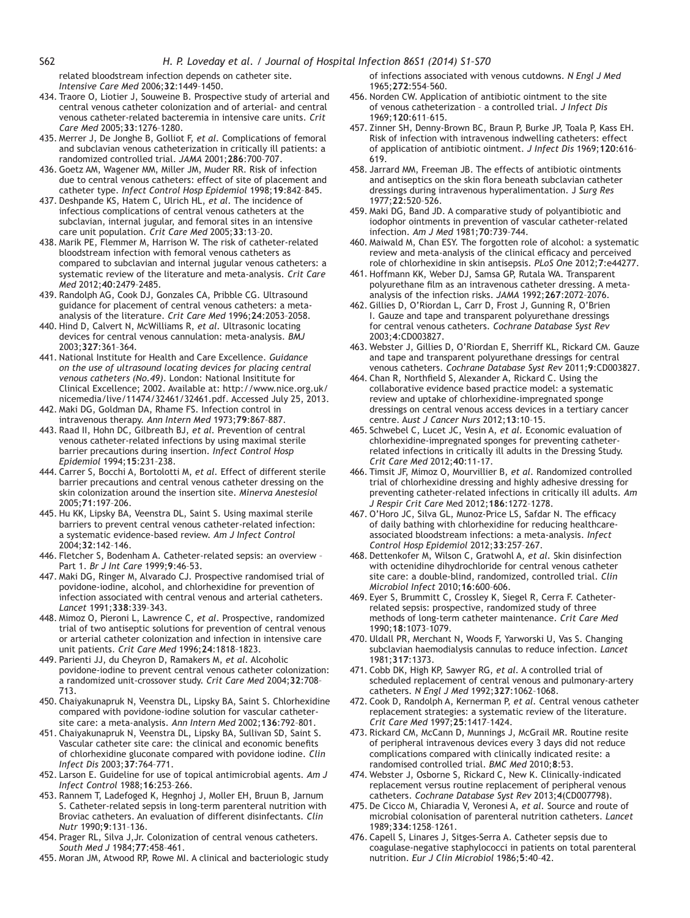#### S62 *H. P. Loveday et al. / Journal of Hospital Infection 86S1 (2014) S1–S70*

related bloodstream infection depends on catheter site. *Intensive Care Med* 2006;**32**:1449–1450.

- 434. Traore O, Liotier J, Souweine B. Prospective study of arterial and central venous catheter colonization and of arterial- and central venous catheter-related bacteremia in intensive care units. *Crit Care Med* 2005;**33**:1276–1280.
- 435. Merrer J, De Jonghe B, Golliot F, *et al.* Complications of femoral and subclavian venous catheterization in critically ill patients: a randomized controlled trial. *JAMA* 2001;**286**:700–707.
- 436. Goetz AM, Wagener MM, Miller JM, Muder RR. Risk of infection due to central venous catheters: effect of site of placement and catheter type. *Infect Control Hosp Epidemiol* 1998;**19**:842–845.
- 437. Deshpande KS, Hatem C, Ulrich HL, *et al.* The incidence of infectious complications of central venous catheters at the subclavian, internal jugular, and femoral sites in an intensive care unit population. *Crit Care Med* 2005;**33**:13–20.
- 438. Marik PE, Flemmer M, Harrison W. The risk of catheter-related bloodstream infection with femoral venous catheters as compared to subclavian and internal jugular venous catheters: a systematic review of the literature and meta-analysis. *Crit Care Med* 2012;**40**:2479–2485.
- 439. Randolph AG, Cook DJ, Gonzales CA, Pribble CG. Ultrasound guidance for placement of central venous catheters: a metaanalysis of the literature. *Crit Care Med* 1996;**24**:2053–2058.
- 440. Hind D, Calvert N, McWilliams R, *et al.* Ultrasonic locating devices for central venous cannulation: meta-analysis. *BMJ*  2003;**327**:361–364.
- 441. National Institute for Health and Care Excellence. *Guidance on the use of ultrasound locating devices for placing central venous catheters (No.49)*. London: National Insititute for Clinical Excellence; 2002. Available at: http://www.nice.org.uk/ nicemedia/live/11474/32461/32461.pdf. Accessed July 25, 2013.
- 442. Maki DG, Goldman DA, Rhame FS. Infection control in intravenous therapy. *Ann Intern Med* 1973;**79**:867–887.
- 443. Raad II, Hohn DC, Gilbreath BJ, *et al.* Prevention of central venous catheter-related infections by using maximal sterile barrier precautions during insertion. *Infect Control Hosp Epidemiol* 1994;**15**:231–238.
- 444. Carrer S, Bocchi A, Bortolotti M, *et al.* Effect of different sterile barrier precautions and central venous catheter dressing on the skin colonization around the insertion site. *Minerva Anestesiol* 2005;**71**:197–206.
- 445. Hu KK, Lipsky BA, Veenstra DL, Saint S. Using maximal sterile barriers to prevent central venous catheter-related infection: a systematic evidence-based review. *Am J Infect Control* 2004;**32**:142–146.
- 446. Fletcher S, Bodenham A. Catheter-related sepsis: an overview Part 1. *Br J Int Care* 1999;**9**:46–53.
- 447. Maki DG, Ringer M, Alvarado CJ. Prospective randomised trial of povidone-iodine, alcohol, and chlorhexidine for prevention of infection associated with central venous and arterial catheters. *Lancet* 1991;**338**:339–343.
- 448. Mimoz O, Pieroni L, Lawrence C, *et al.* Prospective, randomized trial of two antiseptic solutions for prevention of central venous or arterial catheter colonization and infection in intensive care unit patients. *Crit Care Med* 1996;**24**:1818–1823.
- 449. Parienti JJ, du Cheyron D, Ramakers M, *et al.* Alcoholic povidone-iodine to prevent central venous catheter colonization: a randomized unit-crossover study. *Crit Care Med* 2004;**32**:708– 713.
- 450. Chaiyakunapruk N, Veenstra DL, Lipsky BA, Saint S. Chlorhexidine compared with povidone-iodine solution for vascular cathetersite care: a meta-analysis. *Ann Intern Med* 2002;**136**:792–801.
- 451. Chaiyakunapruk N, Veenstra DL, Lipsky BA, Sullivan SD, Saint S. Vascular catheter site care: the clinical and economic benefits of chlorhexidine gluconate compared with povidone iodine. *Clin Infect Dis* 2003;**37**:764–771.
- 452. Larson E. Guideline for use of topical antimicrobial agents. *Am J Infect Control* 1988;**16**:253–266.
- 453. Rannem T, Ladefoged K, Hegnhoj J, Moller EH, Bruun B, Jarnum S. Catheter-related sepsis in long-term parenteral nutrition with Broviac catheters. An evaluation of different disinfectants. *Clin Nutr* 1990;**9**:131–136.
- 454. Prager RL, Silva J,Jr. Colonization of central venous catheters. *South Med J* 1984;**77**:458–461.
- 455. Moran JM, Atwood RP, Rowe MI. A clinical and bacteriologic study

of infections associated with venous cutdowns. *N Engl J Med*  1965;**272**:554–560.

- 456. Norden CW. Application of antibiotic ointment to the site of venous catheterization – a controlled trial. *J Infect Dis* 1969;**120**:611–615.
- 457. Zinner SH, Denny-Brown BC, Braun P, Burke JP, Toala P, Kass EH. Risk of infection with intravenous indwelling catheters: effect of application of antibiotic ointment. *J Infect Dis* 1969;**120**:616– 619.
- 458. Jarrard MM, Freeman JB. The effects of antibiotic ointments and antiseptics on the skin flora beneath subclavian catheter dressings during intravenous hyperalimentation. J *Surg Res* 1977;**22**:520–526.
- 459. Maki DG, Band JD. A comparative study of polyantibiotic and iodophor ointments in prevention of vascular catheter-related infection. *Am J Med* 1981;**70**:739–744.
- 460. Maiwald M, Chan ESY. The forgotten role of alcohol: a systematic review and meta-analysis of the clinical efficacy and perceived role of chlorhexidine in skin antisepsis. *PLoS On*e 2012;**7**:e44277.
- 461. Hoffmann KK, Weber DJ, Samsa GP, Rutala WA. Transparent polyurethane film as an intravenous catheter dressing. A metaanalysis of the infection risks. *JAMA* 1992;**267**:2072–2076.
- 462. Gillies D, O'Riordan L, Carr D, Frost J, Gunning R, O'Brien I. Gauze and tape and transparent polyurethane dressings for central venous catheters. *Cochrane Database Syst Rev* 2003;**4**:CD003827.
- 463. Webster J, Gillies D, O'Riordan E, Sherriff KL, Rickard CM. Gauze and tape and transparent polyurethane dressings for central venous catheters. *Cochrane Database Syst Rev* 2011;**9**:CD003827.
- 464. Chan R, North field S, Alexander A, Rickard C. Using the collaborative evidence based practice model: a systematic review and uptake of chlorhexidine-impregnated sponge dressings on central venous access devices in a tertiary cancer centre. A*ust J Cancer Nurs* 2012;**13**:10–15.
- 465. Schwebel C, Lucet JC, Vesin A, *et al.* Economic evaluation of chlorhexidine-impregnated sponges for preventing catheterrelated infections in critically ill adults in the Dressing Study. *Crit Care Med* 2012;**40**:11-17.
- 466. Timsit JF, Mimoz O, Mourvillier B, *et al.* Randomized controlled trial of chlorhexidine dressing and highly adhesive dressing for preventing catheter-related infections in critically ill adults. *Am J Respir Crit Care* Med 2012;**186**:1272–1278.
- 467. O'Horo JC, Silva GL, Munoz-Price LS, Safdar N. The efficacy of daily bathing with chlorhexidine for reducing healthcareassociated bloodstream infections: a meta-analysis. *Infect Control Hosp Epidemiol* 2012;**33**:257–267.
- 468. Dettenkofer M, Wilson C, Gratwohl A, *et al.* Skin disinfection with octenidine dihydrochloride for central venous catheter site care: a double-blind, randomized, controlled trial. *Clin Microbiol Infect* 2010;**16**:600–606.
- 469. Eyer S, Brummitt C, Crossley K, Siegel R, Cerra F. Catheterrelated sepsis: prospective, randomized study of three methods of long-term catheter maintenance. *Crit Care Med*  1990;**18**:1073–1079.
- 470. Uldall PR, Merchant N, Woods F, Yarworski U, Vas S. Changing subclavian haemodialysis cannulas to reduce infection. *Lancet* 1981;**317**:1373.
- 471. Cobb DK, High KP, Sawyer RG, *et al.* A controlled trial of scheduled replacement of central venous and pulmonary-artery catheters. *N Engl J Med* 1992;**327**:1062–1068.
- 472. Cook D, Randolph A, Kernerman P, *et al.* Central venous catheter replacement strategies: a systematic review of the literature. *Crit Care Med* 1997;**25**:1417–1424.
- 473. Rickard CM, McCann D, Munnings J, McGrail MR. Routine resite of peripheral intravenous devices every 3 days did not reduce complications compared with clinically indicated resite: a randomised controlled trial. *BMC Med* 2010;**8**:53.
- 474. Webster J, Osborne S, Rickard C, New K. Clinically-indicated replacement versus routine replacement of peripheral venous catheters. *Cochrane Database Syst Rev* 2013; **4**(CD007798).
- 475. De Cicco M, Chiaradia V, Veronesi A, *et al.* Source and route of microbial colonisation of parenteral nutrition catheters. *Lancet*  1989;**334**:1258–1261.
- 476. Capell S, Linares J, Sitges-Serra A. Catheter sepsis due to coagulase-negative staphylococci in patients on total parenteral nutrition. *Eur J Clin Microbiol* 1986;**5**:40–42.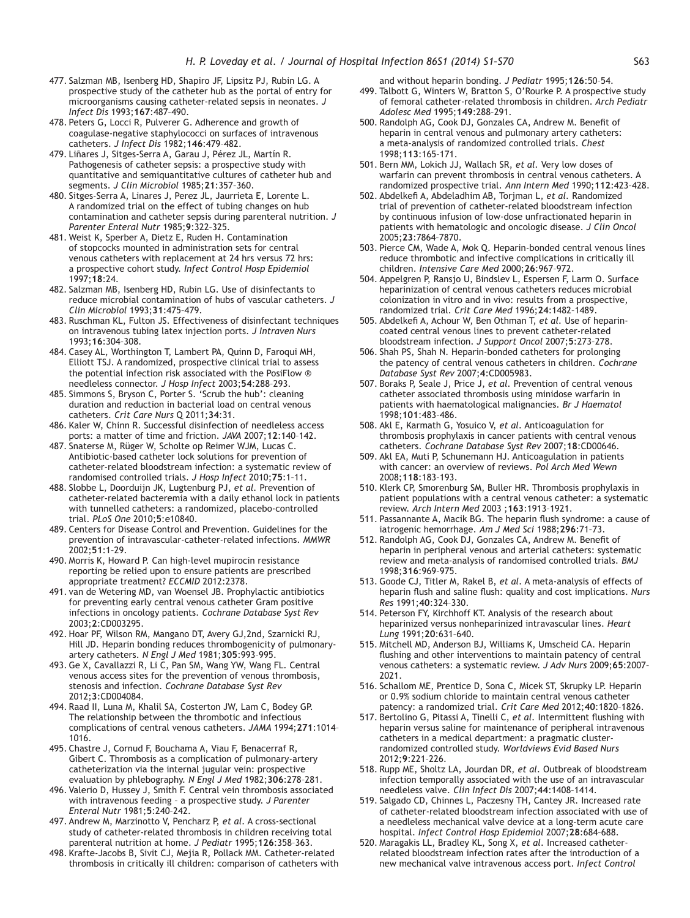- 477. Salzman MB, Isenberg HD, Shapiro JF, Lipsitz PJ, Rubin LG. A prospective study of the catheter hub as the portal of entry for microorganisms causing catheter-related sepsis in neonates. *J Infect Dis* 1993;**167**:487–490.
- 478. Peters G, Locci R, Pulverer G. Adherence and growth of coagulase-negative staphylococci on surfaces of intravenous catheters. *J Infect Dis* 1982;**146**:479–482.
- 479. Liñares J, Sitges-Serra A, Garau J, Pérez JL, Martín R. Pathogenesis of catheter sepsis: a prospective study with quantitative and semiquantitative cultures of catheter hub and segments. *J Clin Microbiol* 1985;**21**:357–360.
- 480. Sitges-Serra A, Linares J, Perez JL, Jaurrieta E, Lorente L. A randomized trial on the effect of tubing changes on hub contamination and catheter sepsis during parenteral nutrition. *J Parenter Enteral Nutr* 1985;**9**:322–325.
- 481. Weist K, Sperber A, Dietz E, Ruden H. Contamination of stopcocks mounted in administration sets for central venous catheters with replacement at 24 hrs versus 72 hrs: a prospective cohort study. *Infect Control Hosp Epidemiol*  1997;**18**:24.
- 482. Salzman MB, Isenberg HD, Rubin LG. Use of disinfectants to reduce microbial contamination of hubs of vascular catheters. *J Clin Microbiol* 1993;**31**:475–479.
- 483. Ruschman KL, Fulton JS. Effectiveness of disinfectant techniques on intravenous tubing latex injection ports. *J Intraven Nurs*  1993;**16**:304–308.
- 484. Casey AL, Worthington T, Lambert PA, Quinn D, Faroqui MH, Elliott TSJ. A randomized, prospective clinical trial to assess the potential infection risk associated with the PosiFlow ® needleless connector. *J Hosp Infect* 2003;**54**:288–293.
- 485. Simmons S, Bryson C, Porter S. 'Scrub the hub': cleaning duration and reduction in bacterial load on central venous catheters. *Crit Care Nurs* Q 2011;**34**:31.
- 486. Kaler W, Chinn R. Successful disinfection of needleless access ports: a matter of time and friction. *JAVA* 2007;**12**:140–142.
- 487. Snaterse M, Rüger W, Scholte op Reimer WJM, Lucas C. Antibiotic-based catheter lock solutions for prevention of catheter-related bloodstream infection: a systematic review of randomised controlled trials. *J Hosp Infect* 2010;**75**:1–11.
- 488. Slobbe L, Doorduijn JK, Lugtenburg PJ, *et al.* Prevention of catheter-related bacteremia with a daily ethanol lock in patients with tunnelled catheters: a randomized, placebo-controlled trial. *PLoS One* 2010;**5**:e10840.
- 489. Centers for Disease Control and Prevention. Guidelines for the prevention of intravascular-catheter-related infections. *MMWR* 2002;**51**:1–29.
- 490. Morris K, Howard P. Can high-level mupirocin resistance reporting be relied upon to ensure patients are prescribed appropriate treatment? *ECCMID* 2012:2378.
- 491. van de Wetering MD, van Woensel JB. Prophylactic antibiotics for preventing early central venous catheter Gram positive infections in oncology patients. *Cochrane Database Syst Rev* 2003;**2**:CD003295.
- 492. Hoar PF, Wilson RM, Mangano DT, Avery GJ,2nd, Szarnicki RJ, Hill JD. Heparin bonding reduces thrombogenicity of pulmonaryartery catheters. *N Engl J Med* 1981;**305**:993–995.
- 493. Ge X, Cavallazzi R, Li C, Pan SM, Wang YW, Wang FL. Central venous access sites for the prevention of venous thrombosis, stenosis and infection. *Cochrane Database Syst Rev*  2012;**3**:CD004084.
- 494. Raad II, Luna M, Khalil SA, Costerton JW, Lam C, Bodey GP. The relationship between the thrombotic and infectious complications of central venous catheters. *JAMA* 1994;**271**:1014– 1016.
- 495. Chastre J, Cornud F, Bouchama A, Viau F, Benacerraf R, Gibert C. Thrombosis as a complication of pulmonary-artery catheterization via the internal jugular vein: prospective evaluation by phlebography. *N Engl J Med* 1982;**306**:278–281.
- 496. Valerio D, Hussey J, Smith F. Central vein thrombosis associated with intravenous feeding – a prospective study. *J Parenter Enteral Nutr* 1981;**5**:240–242.
- 497. Andrew M, Marzinotto V, Pencharz P, *et al.* A cross-sectional study of catheter-related thrombosis in children receiving total parenteral nutrition at home. *J Pediatr* 1995;**126**:358–363.
- 498. Krafte-Jacobs B, Sivit CJ, Mejia R, Pollack MM. Catheter-related thrombosis in critically ill children: comparison of catheters with

and without heparin bonding. *J Pediatr* 1995;**126**:50–54.

- 499. Talbott G, Winters W, Bratton S, O'Rourke P. A prospective study of femoral catheter-related thrombosis in children. *Arch Pediatr Adolesc Med* 1995;**149**:288–291.
- 500. Randolph AG, Cook DJ, Gonzales CA, Andrew M. Benefit of heparin in central venous and pulmonary artery catheters: a meta-analysis of randomized controlled trials. *Chest*  1998;**113**:165–171.
- 501. Bern MM, Lokich JJ, Wallach SR, *et al.* Very low doses of warfarin can prevent thrombosis in central venous catheters. A randomized prospective trial. *Ann Intern Med* 1990;**112**:423–428.
- 502. Abdelkefi A, Abdeladhim AB, Torjman L, et al. Randomized trial of prevention of catheter-related bloodstream infection by continuous infusion of low-dose unfractionated heparin in patients with hematologic and oncologic disease. *J Clin Oncol*  2005;**23**:7864–7870.
- 503. Pierce CM, Wade A, Mok Q. Heparin-bonded central venous lines reduce thrombotic and infective complications in critically ill children. *Intensive Care Med* 2000;**26**:967–972.
- 504. Appelgren P, Ransjo U, Bindslev L, Espersen F, Larm O. Surface heparinization of central venous catheters reduces microbial colonization in vitro and in vivo: results from a prospective, randomized trial. *Crit Care Med* 1996;**24**:1482–1489.
- 505. Abdelkefi A, Achour W, Ben Othman T, et al. Use of heparincoated central venous lines to prevent catheter-related bloodstream infection. *J Support Oncol* 2007;**5**:273–278.
- 506. Shah PS, Shah N. Heparin-bonded catheters for prolonging the patency of central venous catheters in children. *Cochrane Database Syst Rev* 2007;**4**:CD005983.
- 507. Boraks P, Seale J, Price J, *et al.* Prevention of central venous catheter associated thrombosis using minidose warfarin in patients with haematological malignancies. *Br J Haematol* 1998;**101**:483–486.
- 508. Akl E, Karmath G, Yosuico V, *et al.* Anticoagulation for thrombosis prophylaxis in cancer patients with central venous catheters. *Cochrane Database Syst Rev* 2007;**18**:CD00646.
- 509. Akl EA, Muti P, Schunemann HJ. Anticoagulation in patients with cancer: an overview of reviews. *Pol Arch Med Wewn*  2008;**118**:183–193.
- 510. Klerk CP, Smorenburg SM, Buller HR. Thrombosis prophylaxis in patient populations with a central venous catheter: a systematic review. *Arch Intern Med* 2003 ;**163**:1913–1921.
- 511. Passannante A, Macik BG. The heparin flush syndrome: a cause of iatrogenic hemorrhage. *Am J Med Sci* 1988;**296**:71–73.
- 512. Randolph AG, Cook DJ, Gonzales CA, Andrew M. Benefit of heparin in peripheral venous and arterial catheters: systematic review and meta-analysis of randomised controlled trials. *BMJ*  1998;**316**:969–975.
- 513. Goode CJ, Titler M, Rakel B, *et al.* A meta-analysis of effects of heparin flush and saline flush: quality and cost implications. *Nurs Res* 1991;**40**:324–330.
- 514. Peterson FY, Kirchhoff KT. Analysis of the research about heparinized versus nonheparinized intravascular lines. *Heart Lung* 1991;**20**:631–640.
- 515. Mitchell MD, Anderson BJ, Williams K, Umscheid CA. Heparin flushing and other interventions to maintain patency of central venous catheters: a systematic review. *J Adv Nurs* 2009;**65**:2007– 2021.
- 516. Schallom ME, Prentice D, Sona C, Micek ST, Skrupky LP. Heparin or 0.9% sodium chloride to maintain central venous catheter patency: a randomized trial. *Crit Care Med* 2012;**40**:1820–1826.
- 517. Bertolino G, Pitassi A, Tinelli C, et al. Intermittent flushing with heparin versus saline for maintenance of peripheral intravenous catheters in a medical department: a pragmatic clusterrandomized controlled study. *Worldviews Evid Based Nurs*  2012;**9**:221–226.
- 518. Rupp ME, Sholtz LA, Jourdan DR, *et al.* Outbreak of bloodstream infection temporally associated with the use of an intravascular needleless valve. *Clin Infect Dis* 2007;**44**:1408–1414.
- 519. Salgado CD, Chinnes L, Paczesny TH, Cantey JR. Increased rate of catheter-related bloodstream infection associated with use of a needleless mechanical valve device at a long-term acute care hospital. *Infect Control Hosp Epidemiol* 2007;**28**:684–688.
- 520. Maragakis LL, Bradley KL, Song X, *et al.* Increased catheterrelated bloodstream infection rates after the introduction of a new mechanical valve intravenous access port. *Infect Control*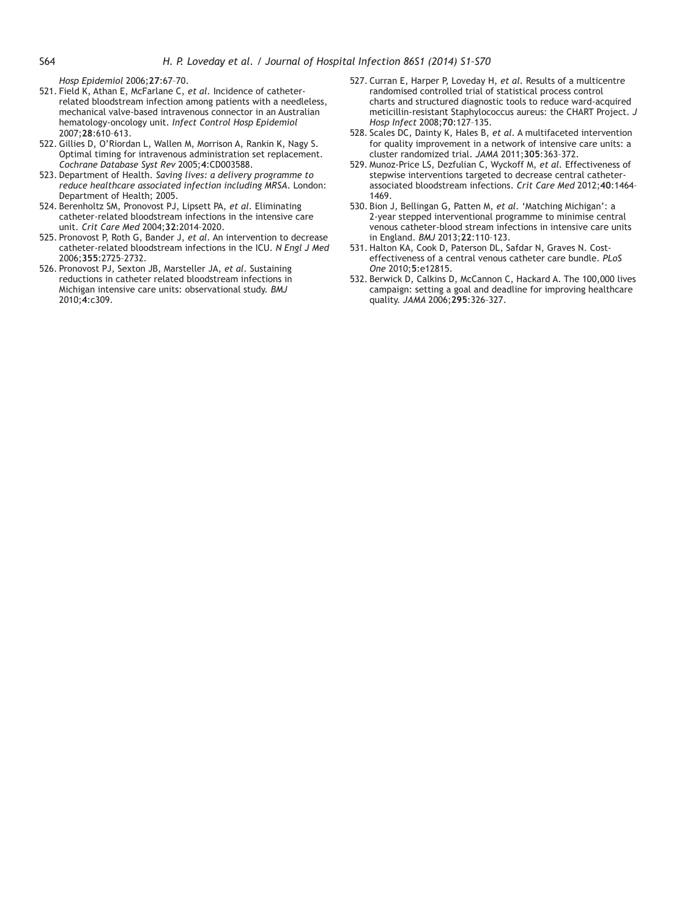*Hosp Epidemiol* 2006;**27**:67–70.

- 521. Field K, Athan E, McFarlane C, *et al.* Incidence of catheterrelated bloodstream infection among patients with a needleless, mechanical valve-based intravenous connector in an Australian hematology-oncology unit. *Infect Control Hosp Epidemiol* 2007;**28**:610–613.
- 522. Gillies D, O'Riordan L, Wallen M, Morrison A, Rankin K, Nagy S. Optimal timing for intravenous administration set replacement. *Cochrane Database Syst Rev* 2005;**4**:CD003588.
- 523. Department of Health. *Saving lives: a delivery programme to reduce healthcare associated infection including MRSA*. London: Department of Health; 2005.
- 524. Berenholtz SM, Pronovost PJ, Lipsett PA, *et al.* Eliminating catheter-related bloodstream infections in the intensive care unit. *Crit Care Med* 2004;**32**:2014–2020.
- 525. Pronovost P, Roth G, Bander J, *et al.* An intervention to decrease catheter-related bloodstream infections in the ICU. *N Engl J Med*  2006;**355**:2725–2732.
- 526. Pronovost PJ, Sexton JB, Marsteller JA, *et al.* Sustaining reductions in catheter related bloodstream infections in Michigan intensive care units: observational study. *BMJ* 2010;**4**:c309.
- 527. Curran E, Harper P, Loveday H, *et al.* Results of a multicentre randomised controlled trial of statistical process control charts and structured diagnostic tools to reduce ward-acquired meticillin-resistant Staphylococcus aureus: the CHART Project. *J Hosp Infect* 2008;**70**:127–135.
- 528. Scales DC, Dainty K, Hales B, *et al.* A multifaceted intervention for quality improvement in a network of intensive care units: a cluster randomized trial. *JAMA* 2011;**305**:363–372.
- 529. Munoz-Price LS, Dezfulian C, Wyckoff M, *et al.* Effectiveness of stepwise interventions targeted to decrease central catheterassociated bloodstream infections. *Crit Care Med* 2012;**40**:1464– 1469.
- 530. Bion J, Bellingan G, Patten M, *et al.* 'Matching Michigan': a 2-year stepped interventional programme to minimise central venous catheter-blood stream infections in intensive care units in England. *BMJ* 2013;**22**:110–123.
- 531. Halton KA, Cook D, Paterson DL, Safdar N, Graves N. Costeffectiveness of a central venous catheter care bundle. *PLoS One* 2010;**5**:e12815.
- 532. Berwick D, Calkins D, McCannon C, Hackard A. The 100,000 lives campaign: setting a goal and deadline for improving healthcare quality. *JAMA* 2006;**295**:326–327.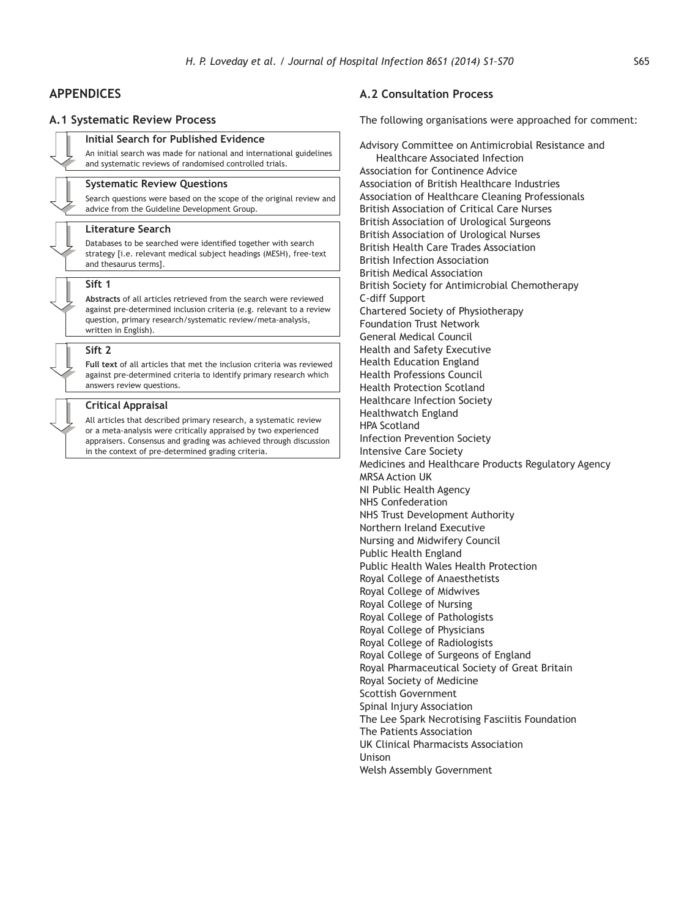# **APPENDICES**

#### **A.1 Systematic Review Process**

#### **Initial Search for Published Evidence**

An initial search was made for national and international guidelines and systematic reviews of randomised controlled trials.

# **Systematic Review Questions**

Search questions were based on the scope of the original review and advice from the Guideline Development Group.

# **Literature Search**

Databases to be searched were identified together with search strategy [i.e. relevant medical subject headings (MESH), free-text and thesaurus terms].

#### **Sift 1**

**Abstracts** of all articles retrieved from the search were reviewed against pre-determined inclusion criteria (e.g. relevant to a review question, primary research/systematic review/meta-analysis, written in English).

# **Sift 2**

**Full text** of all articles that met the inclusion criteria was reviewed against pre-determined criteria to identify primary research which answers review questions.

# **Critical Appraisal**

All articles that described primary research, a systematic review or a meta-analysis were critically appraised by two experienced appraisers. Consensus and grading was achieved through discussion in the context of pre-determined grading criteria.

# **A.2 Consultation Process**

The following organisations were approached for comment:

Advisory Committee on Antimicrobial Resistance and Healthcare Associated Infection Association for Continence Advice Association of British Healthcare Industries Association of Healthcare Cleaning Professionals British Association of Critical Care Nurses British Association of Urological Surgeons British Association of Urological Nurses British Health Care Trades Association British Infection Association British Medical Association British Society for Antimicrobial Chemotherapy C-diff Support Chartered Society of Physiotherapy Foundation Trust Network General Medical Council Health and Safety Executive Health Education England Health Professions Council Health Protection Scotland Healthcare Infection Society Healthwatch England HPA Scotland Infection Prevention Society Intensive Care Society Medicines and Healthcare Products Regulatory Agency MRSA Action UK NI Public Health Agency NHS Confederation NHS Trust Development Authority Northern Ireland Executive Nursing and Midwifery Council Public Health England Public Health Wales Health Protection Royal College of Anaesthetists Royal College of Midwives Royal College of Nursing Royal College of Pathologists Royal College of Physicians Royal College of Radiologists Royal College of Surgeons of England Royal Pharmaceutical Society of Great Britain Royal Society of Medicine Scottish Government Spinal Injury Association The Lee Spark Necrotising Fasciitis Foundation The Patients Association UK Clinical Pharmacists Association Unison Welsh Assembly Government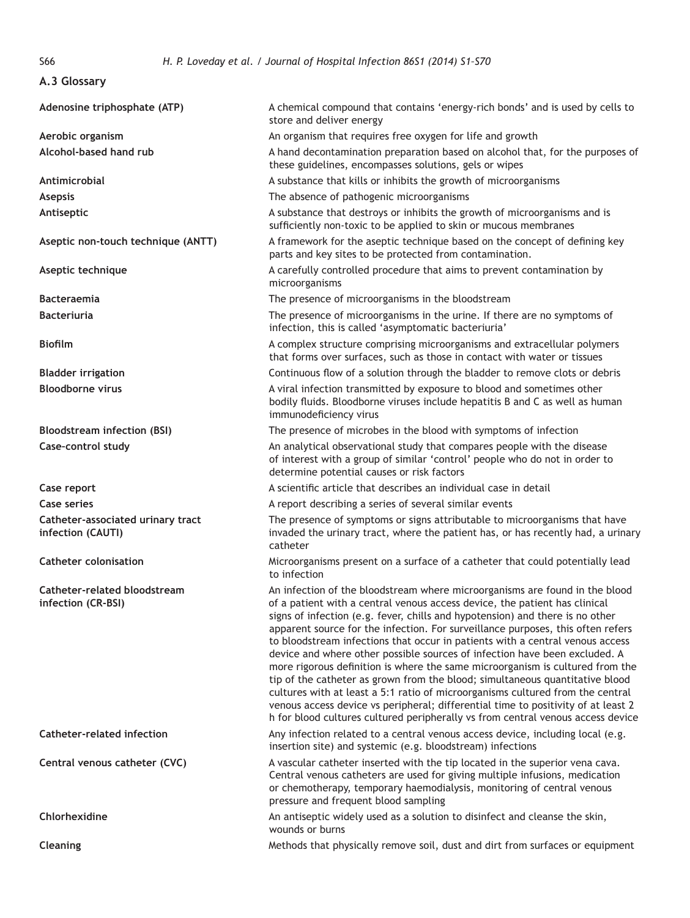| ٠ |  |  |
|---|--|--|
| × |  |  |
|   |  |  |

**A.3 Glossary**

| Adenosine triphosphate (ATP)                           | A chemical compound that contains 'energy-rich bonds' and is used by cells to<br>store and deliver energy                                                                                                                                                                                                                                                                                                                                                                                                                                                                                                                                                                                                                                                                                                                                                                                                               |
|--------------------------------------------------------|-------------------------------------------------------------------------------------------------------------------------------------------------------------------------------------------------------------------------------------------------------------------------------------------------------------------------------------------------------------------------------------------------------------------------------------------------------------------------------------------------------------------------------------------------------------------------------------------------------------------------------------------------------------------------------------------------------------------------------------------------------------------------------------------------------------------------------------------------------------------------------------------------------------------------|
| Aerobic organism                                       | An organism that requires free oxygen for life and growth                                                                                                                                                                                                                                                                                                                                                                                                                                                                                                                                                                                                                                                                                                                                                                                                                                                               |
| Alcohol-based hand rub                                 | A hand decontamination preparation based on alcohol that, for the purposes of<br>these guidelines, encompasses solutions, gels or wipes                                                                                                                                                                                                                                                                                                                                                                                                                                                                                                                                                                                                                                                                                                                                                                                 |
| Antimicrobial                                          | A substance that kills or inhibits the growth of microorganisms                                                                                                                                                                                                                                                                                                                                                                                                                                                                                                                                                                                                                                                                                                                                                                                                                                                         |
| <b>Asepsis</b>                                         | The absence of pathogenic microorganisms                                                                                                                                                                                                                                                                                                                                                                                                                                                                                                                                                                                                                                                                                                                                                                                                                                                                                |
| Antiseptic                                             | A substance that destroys or inhibits the growth of microorganisms and is<br>sufficiently non-toxic to be applied to skin or mucous membranes                                                                                                                                                                                                                                                                                                                                                                                                                                                                                                                                                                                                                                                                                                                                                                           |
| Aseptic non-touch technique (ANTT)                     | A framework for the aseptic technique based on the concept of defining key<br>parts and key sites to be protected from contamination.                                                                                                                                                                                                                                                                                                                                                                                                                                                                                                                                                                                                                                                                                                                                                                                   |
| Aseptic technique                                      | A carefully controlled procedure that aims to prevent contamination by<br>microorganisms                                                                                                                                                                                                                                                                                                                                                                                                                                                                                                                                                                                                                                                                                                                                                                                                                                |
| <b>Bacteraemia</b>                                     | The presence of microorganisms in the bloodstream                                                                                                                                                                                                                                                                                                                                                                                                                                                                                                                                                                                                                                                                                                                                                                                                                                                                       |
| <b>Bacteriuria</b>                                     | The presence of microorganisms in the urine. If there are no symptoms of<br>infection, this is called 'asymptomatic bacteriuria'                                                                                                                                                                                                                                                                                                                                                                                                                                                                                                                                                                                                                                                                                                                                                                                        |
| <b>Biofilm</b>                                         | A complex structure comprising microorganisms and extracellular polymers<br>that forms over surfaces, such as those in contact with water or tissues                                                                                                                                                                                                                                                                                                                                                                                                                                                                                                                                                                                                                                                                                                                                                                    |
| <b>Bladder irrigation</b>                              | Continuous flow of a solution through the bladder to remove clots or debris                                                                                                                                                                                                                                                                                                                                                                                                                                                                                                                                                                                                                                                                                                                                                                                                                                             |
| <b>Bloodborne virus</b>                                | A viral infection transmitted by exposure to blood and sometimes other<br>bodily fluids. Bloodborne viruses include hepatitis B and C as well as human<br>immunodeficiency virus                                                                                                                                                                                                                                                                                                                                                                                                                                                                                                                                                                                                                                                                                                                                        |
| <b>Bloodstream infection (BSI)</b>                     | The presence of microbes in the blood with symptoms of infection                                                                                                                                                                                                                                                                                                                                                                                                                                                                                                                                                                                                                                                                                                                                                                                                                                                        |
| Case-control study                                     | An analytical observational study that compares people with the disease<br>of interest with a group of similar 'control' people who do not in order to<br>determine potential causes or risk factors                                                                                                                                                                                                                                                                                                                                                                                                                                                                                                                                                                                                                                                                                                                    |
| Case report                                            | A scientific article that describes an individual case in detail                                                                                                                                                                                                                                                                                                                                                                                                                                                                                                                                                                                                                                                                                                                                                                                                                                                        |
| <b>Case series</b>                                     | A report describing a series of several similar events                                                                                                                                                                                                                                                                                                                                                                                                                                                                                                                                                                                                                                                                                                                                                                                                                                                                  |
| Catheter-associated urinary tract<br>infection (CAUTI) | The presence of symptoms or signs attributable to microorganisms that have<br>invaded the urinary tract, where the patient has, or has recently had, a urinary<br>catheter                                                                                                                                                                                                                                                                                                                                                                                                                                                                                                                                                                                                                                                                                                                                              |
| <b>Catheter colonisation</b>                           | Microorganisms present on a surface of a catheter that could potentially lead<br>to infection                                                                                                                                                                                                                                                                                                                                                                                                                                                                                                                                                                                                                                                                                                                                                                                                                           |
| Catheter-related bloodstream<br>infection (CR-BSI)     | An infection of the bloodstream where microorganisms are found in the blood<br>of a patient with a central venous access device, the patient has clinical<br>signs of infection (e.g. fever, chills and hypotension) and there is no other<br>apparent source for the infection. For surveillance purposes, this often refers<br>to bloodstream infections that occur in patients with a central venous access<br>device and where other possible sources of infection have been excluded. A<br>more rigorous definition is where the same microorganism is cultured from the<br>tip of the catheter as grown from the blood; simultaneous quantitative blood<br>cultures with at least a 5:1 ratio of microorganisms cultured from the central<br>venous access device vs peripheral; differential time to positivity of at least 2<br>h for blood cultures cultured peripherally vs from central venous access device |
| <b>Catheter-related infection</b>                      | Any infection related to a central venous access device, including local (e.g.<br>insertion site) and systemic (e.g. bloodstream) infections                                                                                                                                                                                                                                                                                                                                                                                                                                                                                                                                                                                                                                                                                                                                                                            |
| Central venous catheter (CVC)                          | A vascular catheter inserted with the tip located in the superior vena cava.<br>Central venous catheters are used for giving multiple infusions, medication<br>or chemotherapy, temporary haemodialysis, monitoring of central venous<br>pressure and frequent blood sampling                                                                                                                                                                                                                                                                                                                                                                                                                                                                                                                                                                                                                                           |
| Chlorhexidine                                          | An antiseptic widely used as a solution to disinfect and cleanse the skin,<br>wounds or burns                                                                                                                                                                                                                                                                                                                                                                                                                                                                                                                                                                                                                                                                                                                                                                                                                           |
| Cleaning                                               | Methods that physically remove soil, dust and dirt from surfaces or equipment                                                                                                                                                                                                                                                                                                                                                                                                                                                                                                                                                                                                                                                                                                                                                                                                                                           |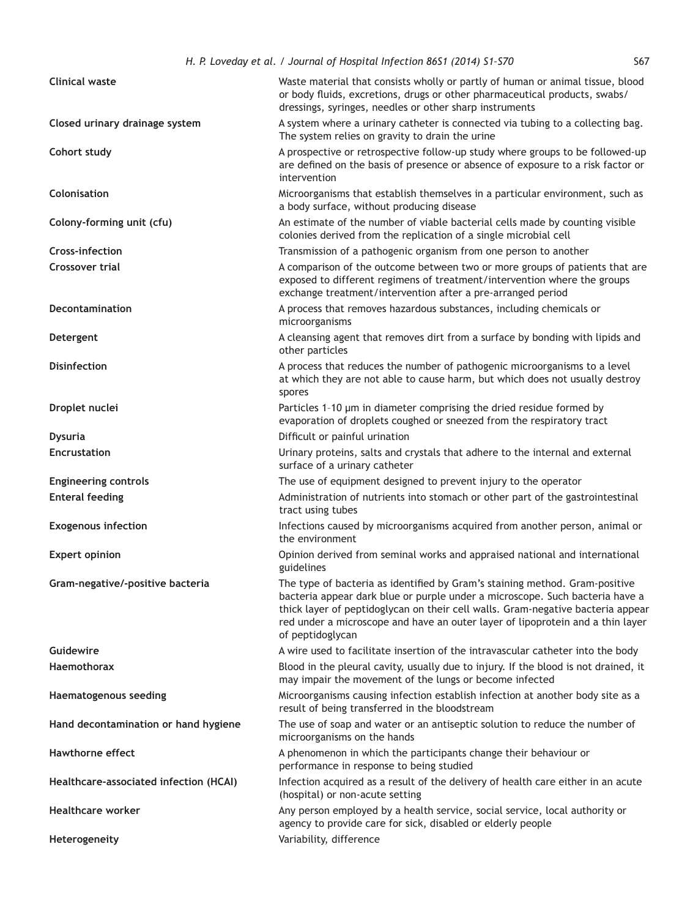| <b>Clinical waste</b>                  | Waste material that consists wholly or partly of human or animal tissue, blood<br>or body fluids, excretions, drugs or other pharmaceutical products, swabs/<br>dressings, syringes, needles or other sharp instruments                                                                                                                              |
|----------------------------------------|------------------------------------------------------------------------------------------------------------------------------------------------------------------------------------------------------------------------------------------------------------------------------------------------------------------------------------------------------|
| Closed urinary drainage system         | A system where a urinary catheter is connected via tubing to a collecting bag.<br>The system relies on gravity to drain the urine                                                                                                                                                                                                                    |
| Cohort study                           | A prospective or retrospective follow-up study where groups to be followed-up<br>are defined on the basis of presence or absence of exposure to a risk factor or<br>intervention                                                                                                                                                                     |
| Colonisation                           | Microorganisms that establish themselves in a particular environment, such as<br>a body surface, without producing disease                                                                                                                                                                                                                           |
| Colony-forming unit (cfu)              | An estimate of the number of viable bacterial cells made by counting visible<br>colonies derived from the replication of a single microbial cell                                                                                                                                                                                                     |
| Cross-infection                        | Transmission of a pathogenic organism from one person to another                                                                                                                                                                                                                                                                                     |
| Crossover trial                        | A comparison of the outcome between two or more groups of patients that are<br>exposed to different regimens of treatment/intervention where the groups<br>exchange treatment/intervention after a pre-arranged period                                                                                                                               |
| Decontamination                        | A process that removes hazardous substances, including chemicals or<br>microorganisms                                                                                                                                                                                                                                                                |
| Detergent                              | A cleansing agent that removes dirt from a surface by bonding with lipids and<br>other particles                                                                                                                                                                                                                                                     |
| <b>Disinfection</b>                    | A process that reduces the number of pathogenic microorganisms to a level<br>at which they are not able to cause harm, but which does not usually destroy<br>spores                                                                                                                                                                                  |
| Droplet nuclei                         | Particles 1-10 µm in diameter comprising the dried residue formed by<br>evaporation of droplets coughed or sneezed from the respiratory tract                                                                                                                                                                                                        |
| <b>Dysuria</b>                         | Difficult or painful urination                                                                                                                                                                                                                                                                                                                       |
| <b>Encrustation</b>                    | Urinary proteins, salts and crystals that adhere to the internal and external<br>surface of a urinary catheter                                                                                                                                                                                                                                       |
| <b>Engineering controls</b>            | The use of equipment designed to prevent injury to the operator                                                                                                                                                                                                                                                                                      |
| <b>Enteral feeding</b>                 | Administration of nutrients into stomach or other part of the gastrointestinal<br>tract using tubes                                                                                                                                                                                                                                                  |
| <b>Exogenous infection</b>             | Infections caused by microorganisms acquired from another person, animal or<br>the environment                                                                                                                                                                                                                                                       |
| <b>Expert opinion</b>                  | Opinion derived from seminal works and appraised national and international<br>guidelines                                                                                                                                                                                                                                                            |
| Gram-negative/-positive bacteria       | The type of bacteria as identified by Gram's staining method. Gram-positive<br>bacteria appear dark blue or purple under a microscope. Such bacteria have a<br>thick layer of peptidoglycan on their cell walls. Gram-negative bacteria appear<br>red under a microscope and have an outer layer of lipoprotein and a thin layer<br>of peptidoglycan |
| Guidewire                              | A wire used to facilitate insertion of the intravascular catheter into the body                                                                                                                                                                                                                                                                      |
| <b>Haemothorax</b>                     | Blood in the pleural cavity, usually due to injury. If the blood is not drained, it<br>may impair the movement of the lungs or become infected                                                                                                                                                                                                       |
| <b>Haematogenous seeding</b>           | Microorganisms causing infection establish infection at another body site as a<br>result of being transferred in the bloodstream                                                                                                                                                                                                                     |
| Hand decontamination or hand hygiene   | The use of soap and water or an antiseptic solution to reduce the number of<br>microorganisms on the hands                                                                                                                                                                                                                                           |
| <b>Hawthorne effect</b>                | A phenomenon in which the participants change their behaviour or<br>performance in response to being studied                                                                                                                                                                                                                                         |
| Healthcare-associated infection (HCAI) | Infection acquired as a result of the delivery of health care either in an acute<br>(hospital) or non-acute setting                                                                                                                                                                                                                                  |
| <b>Healthcare worker</b>               | Any person employed by a health service, social service, local authority or<br>agency to provide care for sick, disabled or elderly people                                                                                                                                                                                                           |
| Heterogeneity                          | Variability, difference                                                                                                                                                                                                                                                                                                                              |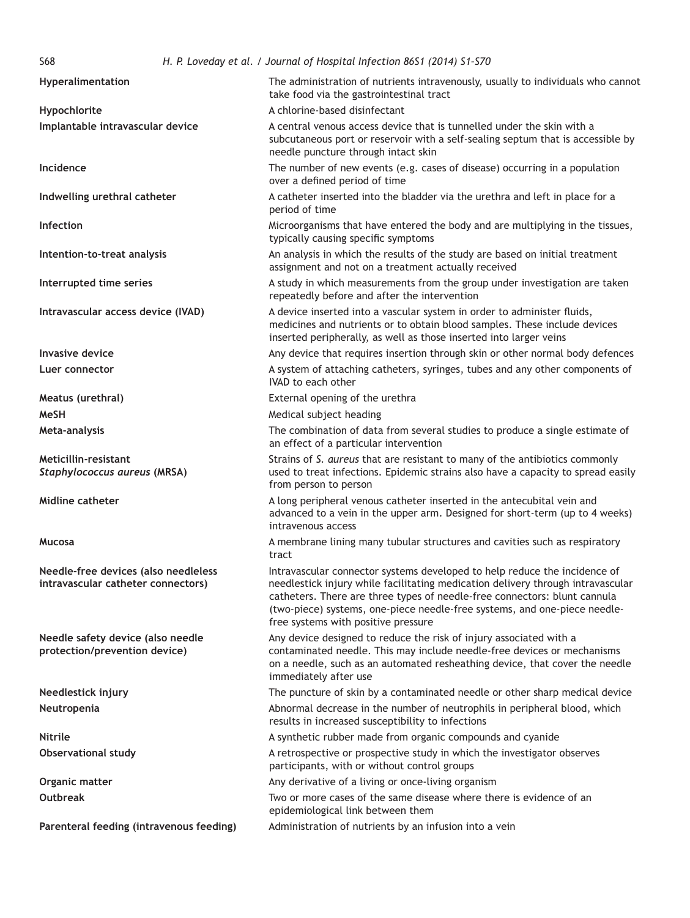| S68                                                                        | H. P. Loveday et al. / Journal of Hospital Infection 86S1 (2014) S1-S70                                                                                                                                                                                                                                                                                       |
|----------------------------------------------------------------------------|---------------------------------------------------------------------------------------------------------------------------------------------------------------------------------------------------------------------------------------------------------------------------------------------------------------------------------------------------------------|
| Hyperalimentation                                                          | The administration of nutrients intravenously, usually to individuals who cannot<br>take food via the gastrointestinal tract                                                                                                                                                                                                                                  |
| Hypochlorite                                                               | A chlorine-based disinfectant                                                                                                                                                                                                                                                                                                                                 |
| Implantable intravascular device                                           | A central venous access device that is tunnelled under the skin with a<br>subcutaneous port or reservoir with a self-sealing septum that is accessible by<br>needle puncture through intact skin                                                                                                                                                              |
| Incidence                                                                  | The number of new events (e.g. cases of disease) occurring in a population<br>over a defined period of time                                                                                                                                                                                                                                                   |
| Indwelling urethral catheter                                               | A catheter inserted into the bladder via the urethra and left in place for a<br>period of time                                                                                                                                                                                                                                                                |
| <b>Infection</b>                                                           | Microorganisms that have entered the body and are multiplying in the tissues,<br>typically causing specific symptoms                                                                                                                                                                                                                                          |
| Intention-to-treat analysis                                                | An analysis in which the results of the study are based on initial treatment<br>assignment and not on a treatment actually received                                                                                                                                                                                                                           |
| Interrupted time series                                                    | A study in which measurements from the group under investigation are taken<br>repeatedly before and after the intervention                                                                                                                                                                                                                                    |
| Intravascular access device (IVAD)                                         | A device inserted into a vascular system in order to administer fluids,<br>medicines and nutrients or to obtain blood samples. These include devices<br>inserted peripherally, as well as those inserted into larger veins                                                                                                                                    |
| Invasive device                                                            | Any device that requires insertion through skin or other normal body defences                                                                                                                                                                                                                                                                                 |
| Luer connector                                                             | A system of attaching catheters, syringes, tubes and any other components of<br>IVAD to each other                                                                                                                                                                                                                                                            |
| Meatus (urethral)                                                          | External opening of the urethra                                                                                                                                                                                                                                                                                                                               |
| <b>MeSH</b>                                                                | Medical subject heading                                                                                                                                                                                                                                                                                                                                       |
| Meta-analysis                                                              | The combination of data from several studies to produce a single estimate of<br>an effect of a particular intervention                                                                                                                                                                                                                                        |
| Meticillin-resistant<br>Staphylococcus aureus (MRSA)                       | Strains of S. aureus that are resistant to many of the antibiotics commonly<br>used to treat infections. Epidemic strains also have a capacity to spread easily<br>from person to person                                                                                                                                                                      |
| Midline catheter                                                           | A long peripheral venous catheter inserted in the antecubital vein and<br>advanced to a vein in the upper arm. Designed for short-term (up to 4 weeks)<br>intravenous access                                                                                                                                                                                  |
| <b>Mucosa</b>                                                              | A membrane lining many tubular structures and cavities such as respiratory<br>tract                                                                                                                                                                                                                                                                           |
| Needle-free devices (also needleless<br>intravascular catheter connectors) | Intravascular connector systems developed to help reduce the incidence of<br>needlestick injury while facilitating medication delivery through intravascular<br>catheters. There are three types of needle-free connectors: blunt cannula<br>(two-piece) systems, one-piece needle-free systems, and one-piece needle-<br>free systems with positive pressure |
| Needle safety device (also needle<br>protection/prevention device)         | Any device designed to reduce the risk of injury associated with a<br>contaminated needle. This may include needle-free devices or mechanisms<br>on a needle, such as an automated resheathing device, that cover the needle<br>immediately after use                                                                                                         |
| Needlestick injury                                                         | The puncture of skin by a contaminated needle or other sharp medical device                                                                                                                                                                                                                                                                                   |
| Neutropenia                                                                | Abnormal decrease in the number of neutrophils in peripheral blood, which<br>results in increased susceptibility to infections                                                                                                                                                                                                                                |
| <b>Nitrile</b>                                                             | A synthetic rubber made from organic compounds and cyanide                                                                                                                                                                                                                                                                                                    |
| <b>Observational study</b>                                                 | A retrospective or prospective study in which the investigator observes<br>participants, with or without control groups                                                                                                                                                                                                                                       |
| Organic matter                                                             | Any derivative of a living or once-living organism                                                                                                                                                                                                                                                                                                            |
| <b>Outbreak</b>                                                            | Two or more cases of the same disease where there is evidence of an<br>epidemiological link between them                                                                                                                                                                                                                                                      |
| Parenteral feeding (intravenous feeding)                                   | Administration of nutrients by an infusion into a vein                                                                                                                                                                                                                                                                                                        |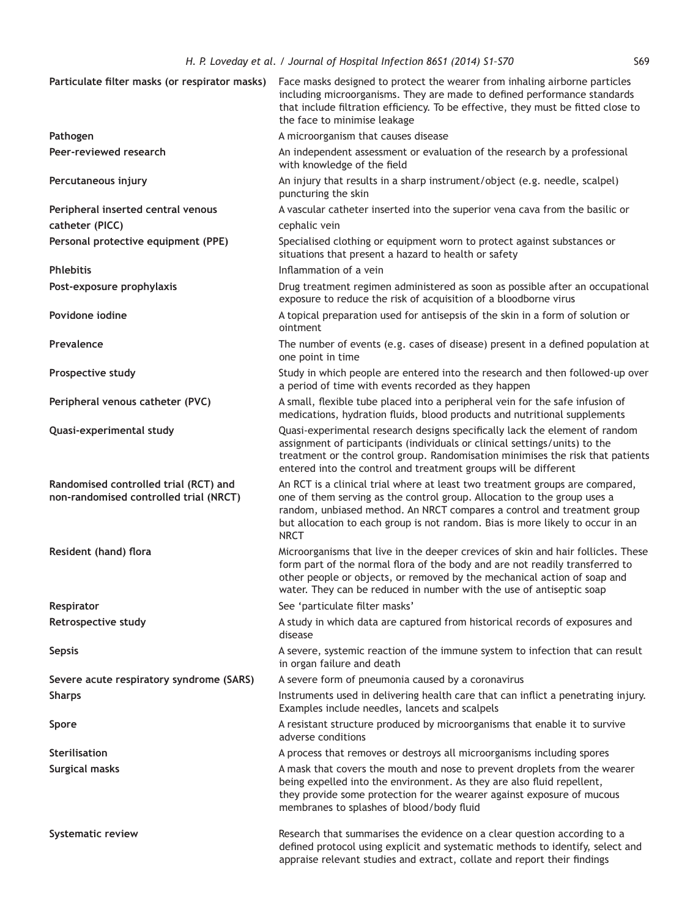| Particulate filter masks (or respirator masks)                                  | Face masks designed to protect the wearer from inhaling airborne particles<br>including microorganisms. They are made to defined performance standards<br>that include filtration efficiency. To be effective, they must be fitted close to<br>the face to minimise leakage                                                          |
|---------------------------------------------------------------------------------|--------------------------------------------------------------------------------------------------------------------------------------------------------------------------------------------------------------------------------------------------------------------------------------------------------------------------------------|
| Pathogen                                                                        | A microorganism that causes disease                                                                                                                                                                                                                                                                                                  |
| Peer-reviewed research                                                          | An independent assessment or evaluation of the research by a professional<br>with knowledge of the field                                                                                                                                                                                                                             |
| Percutaneous injury                                                             | An injury that results in a sharp instrument/object (e.g. needle, scalpel)<br>puncturing the skin                                                                                                                                                                                                                                    |
| Peripheral inserted central venous                                              | A vascular catheter inserted into the superior vena cava from the basilic or                                                                                                                                                                                                                                                         |
| catheter (PICC)                                                                 | cephalic vein                                                                                                                                                                                                                                                                                                                        |
| Personal protective equipment (PPE)                                             | Specialised clothing or equipment worn to protect against substances or<br>situations that present a hazard to health or safety                                                                                                                                                                                                      |
| <b>Phlebitis</b>                                                                | Inflammation of a vein                                                                                                                                                                                                                                                                                                               |
| Post-exposure prophylaxis                                                       | Drug treatment regimen administered as soon as possible after an occupational<br>exposure to reduce the risk of acquisition of a bloodborne virus                                                                                                                                                                                    |
| Povidone jodine                                                                 | A topical preparation used for antisepsis of the skin in a form of solution or<br>ointment                                                                                                                                                                                                                                           |
| Prevalence                                                                      | The number of events (e.g. cases of disease) present in a defined population at<br>one point in time                                                                                                                                                                                                                                 |
| Prospective study                                                               | Study in which people are entered into the research and then followed-up over<br>a period of time with events recorded as they happen                                                                                                                                                                                                |
| Peripheral venous catheter (PVC)                                                | A small, flexible tube placed into a peripheral vein for the safe infusion of<br>medications, hydration fluids, blood products and nutritional supplements                                                                                                                                                                           |
| Quasi-experimental study                                                        | Quasi-experimental research designs specifically lack the element of random<br>assignment of participants (individuals or clinical settings/units) to the<br>treatment or the control group. Randomisation minimises the risk that patients<br>entered into the control and treatment groups will be different                       |
| Randomised controlled trial (RCT) and<br>non-randomised controlled trial (NRCT) | An RCT is a clinical trial where at least two treatment groups are compared,<br>one of them serving as the control group. Allocation to the group uses a<br>random, unbiased method. An NRCT compares a control and treatment group<br>but allocation to each group is not random. Bias is more likely to occur in an<br><b>NRCT</b> |
| Resident (hand) flora                                                           | Microorganisms that live in the deeper crevices of skin and hair follicles. These<br>form part of the normal flora of the body and are not readily transferred to<br>other people or objects, or removed by the mechanical action of soap and<br>water. They can be reduced in number with the use of antiseptic soap                |
| Respirator                                                                      | See 'particulate filter masks'                                                                                                                                                                                                                                                                                                       |
| Retrospective study                                                             | A study in which data are captured from historical records of exposures and<br>disease                                                                                                                                                                                                                                               |
| <b>Sepsis</b>                                                                   | A severe, systemic reaction of the immune system to infection that can result<br>in organ failure and death                                                                                                                                                                                                                          |
| Severe acute respiratory syndrome (SARS)                                        | A severe form of pneumonia caused by a coronavirus                                                                                                                                                                                                                                                                                   |
| <b>Sharps</b>                                                                   | Instruments used in delivering health care that can inflict a penetrating injury.<br>Examples include needles, lancets and scalpels                                                                                                                                                                                                  |
| Spore                                                                           | A resistant structure produced by microorganisms that enable it to survive<br>adverse conditions                                                                                                                                                                                                                                     |
| <b>Sterilisation</b>                                                            | A process that removes or destroys all microorganisms including spores                                                                                                                                                                                                                                                               |
| Surgical masks                                                                  | A mask that covers the mouth and nose to prevent droplets from the wearer<br>being expelled into the environment. As they are also fluid repellent,<br>they provide some protection for the wearer against exposure of mucous<br>membranes to splashes of blood/body fluid                                                           |
| <b>Systematic review</b>                                                        | Research that summarises the evidence on a clear question according to a<br>defined protocol using explicit and systematic methods to identify, select and<br>appraise relevant studies and extract, collate and report their findings                                                                                               |